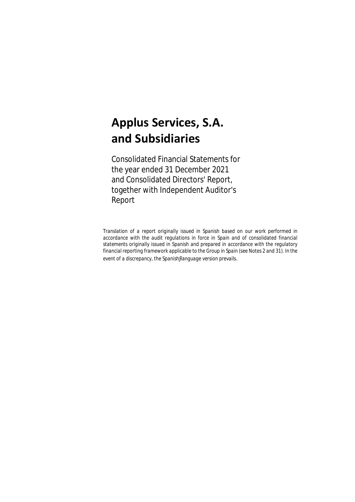# **Applus Services, S.A. and Subsidiaries**

Consolidated Financial Statements for the year ended 31 December 2021 and Consolidated Directors' Report, together with Independent Auditor's Report

*Translation of a report originally issued in Spanish based on our work performed in accordance with the audit regulations in force in Spain and of consolidated financial statements originally issued in Spanish and prepared in accordance with the regulatory financial reporting framework applicable to the Group in Spain (see Notes 2 and 31). In the event of a discrepancy, the Spanish language version prevails.*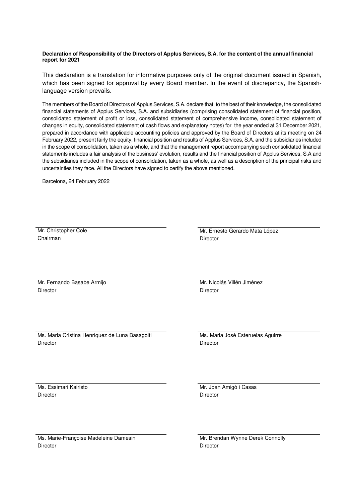#### **Declaration of Responsibility of the Directors of Applus Services, S.A. for the content of the annual financial report for 2021**

This declaration is a translation for informative purposes only of the original document issued in Spanish, which has been signed for approval by every Board member. In the event of discrepancy, the Spanishlanguage version prevails.

The members of the Board of Directors of Applus Services, S.A. declare that, to the best of their knowledge, the consolidated financial statements of Applus Services, S.A. and subsidiaries (comprising consolidated statement of financial position, consolidated statement of profit or loss, consolidated statement of comprehensive income, consolidated statement of changes in equity, consolidated statement of cash flows and explanatory notes) for the year ended at 31 December 2021, prepared in accordance with applicable accounting policies and approved by the Board of Directors at its meeting on 24 February 2022, present fairly the equity, financial position and results of Applus Services, S.A. and the subsidiaries included in the scope of consolidation, taken as a whole, and that the management report accompanying such consolidated financial statements includes a fair analysis of the business' evolution, results and the financial position of Applus Services, S.A and the subsidiaries included in the scope of consolidation, taken as a whole, as well as a description of the principal risks and uncertainties they face. All the Directors have signed to certify the above mentioned.

Barcelona, 24 February 2022

| Mr. Christopher Cole                           | Mr. Ernesto Gerardo Mata López    |
|------------------------------------------------|-----------------------------------|
| Chairman                                       | Director                          |
|                                                |                                   |
|                                                | Mr. Nicolás Villén Jiménez        |
| Mr. Fernando Basabe Armijo                     |                                   |
| <b>Director</b>                                | Director                          |
| Ms. Maria Cristina Henríquez de Luna Basagoiti | Ms. Maria José Esteruelas Aguirre |
| <b>Director</b>                                | Director                          |
|                                                |                                   |
| Ms. Essimari Kairisto                          | Mr. Joan Amigó i Casas            |
| Director                                       | Director                          |
|                                                |                                   |
| Ms. Marie-Françoise Madeleine Damesin          | Mr. Brendan Wynne Derek Connolly  |

Director Director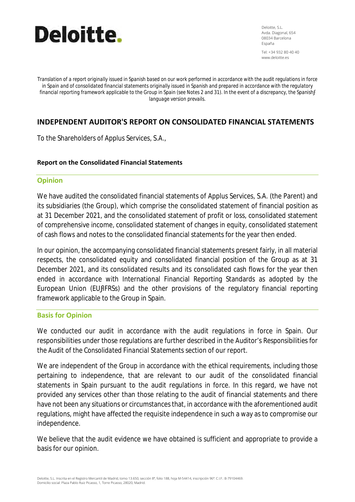

Deloitte, S.L. Avda. Diagonal, 654 08034 Barcelona España Tel: +34 932 80 40 40

www.deloitte.es

Translation of a report originally issued in Spanish based on our work performed in accordance with the audit regulations in force in Spain and of consolidated financial statements originally issued in Spanish and prepared in accordance with the regulatory financial reporting framework applicable to the Group in Spain (see Notes 2 and 31). In the event of a discrepancy, the Spanish *language version prevails.*

### **INDEPENDENT AUDITOR'S REPORT ON CONSOLIDATED FINANCIAL STATEMENTS**

To the Shareholders of Applus Services, S.A.,

### **Report on the Consolidated Financial Statements**

### **Opinion**

We have audited the consolidated financial statements of Applus Services, S.A. (the Parent) and its subsidiaries (the Group), which comprise the consolidated statement of financial position as at 31 December 2021, and the consolidated statement of profit or loss, consolidated statement of comprehensive income, consolidated statement of changes in equity, consolidated statement of cash flows and notes to the consolidated financial statements for the year then ended.

In our opinion, the accompanying consolidated financial statements present fairly, in all material respects, the consolidated equity and consolidated financial position of the Group as at 31 December 2021, and its consolidated results and its consolidated cash flows for the year then ended in accordance with International Financial Reporting Standards as adopted by the European Union (EU IFRSs) and the other provisions of the regulatory financial reporting framework applicable to the Group in Spain.

### **Basis for Opinion**

We conducted our audit in accordance with the audit regulations in force in Spain. Our responsibilities under those regulations are further described in the *Auditor's Responsibilities for the Audit of the Consolidated Financial Statements* section of our report.

We are independent of the Group in accordance with the ethical requirements, including those pertaining to independence, that are relevant to our audit of the consolidated financial statements in Spain pursuant to the audit regulations in force. In this regard, we have not provided any services other than those relating to the audit of financial statements and there have not been any situations or circumstances that, in accordance with the aforementioned audit regulations, might have affected the requisite independence in such a way as to compromise our independence.

We believe that the audit evidence we have obtained is sufficient and appropriate to provide a basis for our opinion.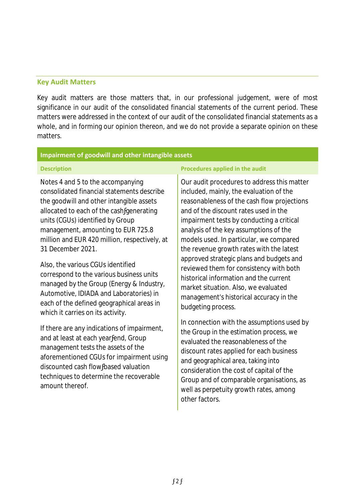### **Key Audit Matters**

Key audit matters are those matters that, in our professional judgement, were of most significance in our audit of the consolidated financial statements of the current period. These matters were addressed in the context of our audit of the consolidated financial statements as a whole, and in forming our opinion thereon, and we do not provide a separate opinion on these matters.

| Impairment of goodwill and other intangible assets                                                                                                                                                                                                                                                                                                                                                                                                                                                                                                                                |                                                                                                                                                                                                                                                                                                                                                                                                                                                                                                                                                                                                        |
|-----------------------------------------------------------------------------------------------------------------------------------------------------------------------------------------------------------------------------------------------------------------------------------------------------------------------------------------------------------------------------------------------------------------------------------------------------------------------------------------------------------------------------------------------------------------------------------|--------------------------------------------------------------------------------------------------------------------------------------------------------------------------------------------------------------------------------------------------------------------------------------------------------------------------------------------------------------------------------------------------------------------------------------------------------------------------------------------------------------------------------------------------------------------------------------------------------|
| <b>Description</b>                                                                                                                                                                                                                                                                                                                                                                                                                                                                                                                                                                | Procedures applied in the audit                                                                                                                                                                                                                                                                                                                                                                                                                                                                                                                                                                        |
| Notes 4 and 5 to the accompanying<br>consolidated financial statements describe<br>the goodwill and other intangible assets<br>allocated to each of the cash generating<br>units (CGUs) identified by Group<br>management, amounting to EUR 725.8<br>million and EUR 420 million, respectively, at<br>31 December 2021.<br>Also, the various CGUs identified<br>correspond to the various business units<br>managed by the Group (Energy & Industry,<br>Automotive, IDIADA and Laboratories) in<br>each of the defined geographical areas in<br>which it carries on its activity. | Our audit procedures to address this matter<br>included, mainly, the evaluation of the<br>reasonableness of the cash flow projections<br>and of the discount rates used in the<br>impairment tests by conducting a critical<br>analysis of the key assumptions of the<br>models used. In particular, we compared<br>the revenue growth rates with the latest<br>approved strategic plans and budgets and<br>reviewed them for consistency with both<br>historical information and the current<br>market situation. Also, we evaluated<br>management's historical accuracy in the<br>budgeting process. |
| If there are any indications of impairment,<br>and at least at each year end, Group<br>management tests the assets of the<br>aforementioned CGUs for impairment using<br>discounted cash flow based valuation<br>techniques to determine the recoverable<br>amount thereof.                                                                                                                                                                                                                                                                                                       | In connection with the assumptions used by<br>the Group in the estimation process, we<br>evaluated the reasonableness of the<br>discount rates applied for each business<br>and geographical area, taking into<br>consideration the cost of capital of the<br>Group and of comparable organisations, as<br>well as perpetuity growth rates, among<br>other factors.                                                                                                                                                                                                                                    |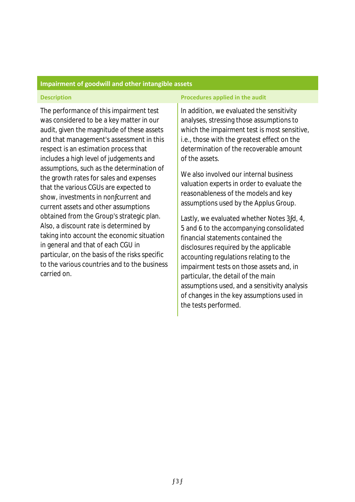### **Impairment of goodwill and other intangible assets**

The performance of this impairment test was considered to be a key matter in our audit, given the magnitude of these assets and that management's assessment in this respect is an estimation process that includes a high level of judgements and assumptions, such as the determination of the growth rates for sales and expenses that the various CGUs are expected to show, investments in non current and current assets and other assumptions obtained from the Group's strategic plan. Also, a discount rate is determined by taking into account the economic situation in general and that of each CGU in particular, on the basis of the risks specific to the various countries and to the business carried on.

### **Description Procedures applied in the audit**

In addition, we evaluated the sensitivity analyses, stressing those assumptions to which the impairment test is most sensitive, i.e., those with the greatest effect on the determination of the recoverable amount of the assets.

We also involved our internal business valuation experts in order to evaluate the reasonableness of the models and key assumptions used by the Applus Group.

Lastly, we evaluated whether Notes 3 d, 4, 5 and 6 to the accompanying consolidated financial statements contained the disclosures required by the applicable accounting regulations relating to the impairment tests on those assets and, in particular, the detail of the main assumptions used, and a sensitivity analysis of changes in the key assumptions used in the tests performed.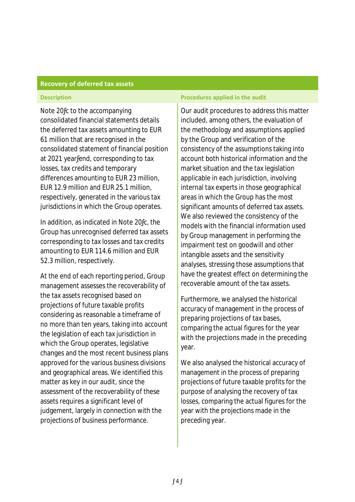### **Recovery of deferred tax assets**

Note 20 c to the accompanying consolidated financial statements details the deferred tax assets amounting to EUR 61 million that are recognised in the consolidated statement of financial position at 2021 year end, corresponding to tax losses, tax credits and temporary differences amounting to EUR 23 million, EUR 12.9 million and EUR 25.1 million, respectively, generated in the various tax jurisdictions in which the Group operates.

In addition, as indicated in Note 20 c, the Group has unrecognised deferred tax assets corresponding to tax losses and tax credits amounting to EUR 114.6 million and EUR 52.3 million, respectively.

At the end of each reporting period, Group management assesses the recoverability of the tax assets recognised based on projections of future taxable profits considering as reasonable a timeframe of no more than ten years, taking into account the legislation of each tax jurisdiction in which the Group operates, legislative changes and the most recent business plans approved for the various business divisions and geographical areas. We identified this matter as key in our audit, since the assessment of the recoverability of these assets requires a significant level of judgement, largely in connection with the projections of business performance.

### **Description Procedures applied in the audit**

Our audit procedures to address this matter included, among others, the evaluation of the methodology and assumptions applied by the Group and verification of the consistency of the assumptions taking into account both historical information and the market situation and the tax legislation applicable in each jurisdiction, involving internal tax experts in those geographical areas in which the Group has the most significant amounts of deferred tax assets. We also reviewed the consistency of the models with the financial information used by Group management in performing the impairment test on goodwill and other intangible assets and the sensitivity analyses, stressing those assumptions that have the greatest effect on determining the recoverable amount of the tax assets.

Furthermore, we analysed the historical accuracy of management in the process of preparing projections of tax bases, comparing the actual figures for the year with the projections made in the preceding year.

We also analysed the historical accuracy of management in the process of preparing projections of future taxable profits for the purpose of analysing the recovery of tax losses, comparing the actual figures for the year with the projections made in the preceding year.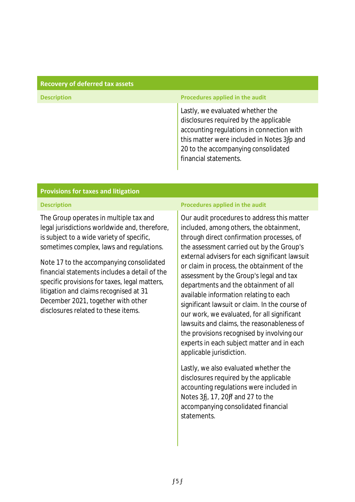## **Recovery of deferred tax assets**

| <b>Description</b> | Procedures applied in the audit                                                                                                                                                                                                       |
|--------------------|---------------------------------------------------------------------------------------------------------------------------------------------------------------------------------------------------------------------------------------|
|                    | Lastly, we evaluated whether the<br>disclosures required by the applicable<br>accounting regulations in connection with<br>this matter were included in Notes 3 p and<br>20 to the accompanying consolidated<br>financial statements. |

| Provisions for taxes and litigation                                                                                                                                                                                                                                                                                                                                                                                                                   |                                                                                                                                                                                                                                                                                                                                                                                                                                                                                                                                                                                                                                                                                                                                                                                                                                                                                                                |
|-------------------------------------------------------------------------------------------------------------------------------------------------------------------------------------------------------------------------------------------------------------------------------------------------------------------------------------------------------------------------------------------------------------------------------------------------------|----------------------------------------------------------------------------------------------------------------------------------------------------------------------------------------------------------------------------------------------------------------------------------------------------------------------------------------------------------------------------------------------------------------------------------------------------------------------------------------------------------------------------------------------------------------------------------------------------------------------------------------------------------------------------------------------------------------------------------------------------------------------------------------------------------------------------------------------------------------------------------------------------------------|
| <b>Description</b>                                                                                                                                                                                                                                                                                                                                                                                                                                    | Procedures applied in the audit                                                                                                                                                                                                                                                                                                                                                                                                                                                                                                                                                                                                                                                                                                                                                                                                                                                                                |
| The Group operates in multiple tax and<br>legal jurisdictions worldwide and, therefore,<br>is subject to a wide variety of specific,<br>sometimes complex, laws and regulations.<br>Note 17 to the accompanying consolidated<br>financial statements includes a detail of the<br>specific provisions for taxes, legal matters,<br>litigation and claims recognised at 31<br>December 2021, together with other<br>disclosures related to these items. | Our audit procedures to address this matter<br>included, among others, the obtainment,<br>through direct confirmation processes, of<br>the assessment carried out by the Group's<br>external advisers for each significant lawsuit<br>or claim in process, the obtainment of the<br>assessment by the Group's legal and tax<br>departments and the obtainment of all<br>available information relating to each<br>significant lawsuit or claim. In the course of<br>our work, we evaluated, for all significant<br>lawsuits and claims, the reasonableness of<br>the provisions recognised by involving our<br>experts in each subject matter and in each<br>applicable jurisdiction.<br>Lastly, we also evaluated whether the<br>disclosures required by the applicable<br>accounting regulations were included in<br>Notes 3 j, 17, 20 f and 27 to the<br>accompanying consolidated financial<br>statements. |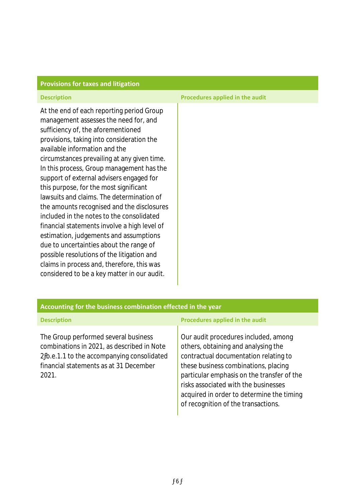| Provisions for taxes and litigation                                                                                                                                                                                                                                                                                                                                                                                                                                                                                                                                                                                                                                                                                                                                                                              |                                 |
|------------------------------------------------------------------------------------------------------------------------------------------------------------------------------------------------------------------------------------------------------------------------------------------------------------------------------------------------------------------------------------------------------------------------------------------------------------------------------------------------------------------------------------------------------------------------------------------------------------------------------------------------------------------------------------------------------------------------------------------------------------------------------------------------------------------|---------------------------------|
| <b>Description</b>                                                                                                                                                                                                                                                                                                                                                                                                                                                                                                                                                                                                                                                                                                                                                                                               | Procedures applied in the audit |
| At the end of each reporting period Group<br>management assesses the need for, and<br>sufficiency of, the aforementioned<br>provisions, taking into consideration the<br>available information and the<br>circumstances prevailing at any given time.<br>In this process, Group management has the<br>support of external advisers engaged for<br>this purpose, for the most significant<br>lawsuits and claims. The determination of<br>the amounts recognised and the disclosures<br>included in the notes to the consolidated<br>financial statements involve a high level of<br>estimation, judgements and assumptions<br>due to uncertainties about the range of<br>possible resolutions of the litigation and<br>claims in process and, therefore, this was<br>considered to be a key matter in our audit. |                                 |

## **Accounting for the business combination effected in the year**

| <b>Description</b>                                                                                                                                                                  | Procedures applied in the audit                                                                                                                                                                                                                                                                                                        |
|-------------------------------------------------------------------------------------------------------------------------------------------------------------------------------------|----------------------------------------------------------------------------------------------------------------------------------------------------------------------------------------------------------------------------------------------------------------------------------------------------------------------------------------|
| The Group performed several business<br>combinations in 2021, as described in Note<br>2 b.e.1.1 to the accompanying consolidated<br>financial statements as at 31 December<br>2021. | Our audit procedures included, among<br>others, obtaining and analysing the<br>contractual documentation relating to<br>these business combinations, placing<br>particular emphasis on the transfer of the<br>risks associated with the businesses<br>acquired in order to determine the timing<br>of recognition of the transactions. |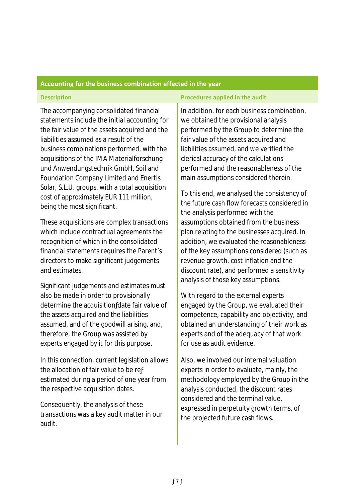### **Accounting for the business combination effected in the year**

The accompanying consolidated financial statements include the initial accounting for the fair value of the assets acquired and the liabilities assumed as a result of the business combinations performed, with the acquisitions of the IMA Materialforschung und Anwendungstechnik GmbH, Soil and Foundation Company Limited and Enertis Solar, S.L.U. groups, with a total acquisition cost of approximately EUR 111 million, being the most significant.

These acquisitions are complex transactions which include contractual agreements the recognition of which in the consolidated financial statements requires the Parent's directors to make significant judgements and estimates.

Significant judgements and estimates must also be made in order to provisionally determine the acquisition date fair value of the assets acquired and the liabilities assumed, and of the goodwill arising, and, therefore, the Group was assisted by experts engaged by it for this purpose.

In this connection, current legislation allows the allocation of fair value to be re estimated during a period of one year from the respective acquisition dates.

Consequently, the analysis of these transactions was a key audit matter in our audit.

### **Description Procedures applied in the audit**

In addition, for each business combination, we obtained the provisional analysis performed by the Group to determine the fair value of the assets acquired and liabilities assumed, and we verified the clerical accuracy of the calculations performed and the reasonableness of the main assumptions considered therein.

To this end, we analysed the consistency of the future cash flow forecasts considered in the analysis performed with the assumptions obtained from the business plan relating to the businesses acquired. In addition, we evaluated the reasonableness of the key assumptions considered (such as revenue growth, cost inflation and the discount rate), and performed a sensitivity analysis of those key assumptions.

With regard to the external experts engaged by the Group, we evaluated their competence, capability and objectivity, and obtained an understanding of their work as experts and of the adequacy of that work for use as audit evidence.

Also, we involved our internal valuation experts in order to evaluate, mainly, the methodology employed by the Group in the analysis conducted, the discount rates considered and the terminal value, expressed in perpetuity growth terms, of the projected future cash flows.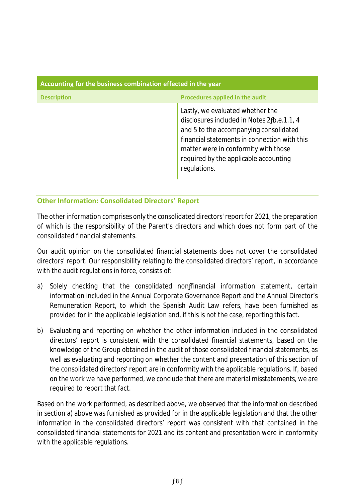| Accounting for the business combination effected in the year |                                                                                                                                                                                                                                                                           |
|--------------------------------------------------------------|---------------------------------------------------------------------------------------------------------------------------------------------------------------------------------------------------------------------------------------------------------------------------|
| <b>Description</b>                                           | Procedures applied in the audit                                                                                                                                                                                                                                           |
|                                                              | Lastly, we evaluated whether the<br>disclosures included in Notes 2 b.e.1.1, 4<br>and 5 to the accompanying consolidated<br>financial statements in connection with this<br>matter were in conformity with those<br>required by the applicable accounting<br>regulations. |

### **Other Information: Consolidated Directors' Report**

The other information comprises only the consolidated directors' report for 2021, the preparation of which is the responsibility of the Parent's directors and which does not form part of the consolidated financial statements.

Our audit opinion on the consolidated financial statements does not cover the consolidated directors' report. Our responsibility relating to the consolidated directors' report, in accordance with the audit regulations in force, consists of:

- a) Solely checking that the consolidated non financial information statement, certain information included in the Annual Corporate Governance Report and the Annual Director's Remuneration Report, to which the Spanish Audit Law refers, have been furnished as provided for in the applicable legislation and, if this is not the case, reporting this fact.
- b) Evaluating and reporting on whether the other information included in the consolidated directors' report is consistent with the consolidated financial statements, based on the knowledge of the Group obtained in the audit of those consolidated financial statements, as well as evaluating and reporting on whether the content and presentation of this section of the consolidated directors' report are in conformity with the applicable regulations. If, based on the work we have performed, we conclude that there are material misstatements, we are required to report that fact.

Based on the work performed, as described above, we observed that the information described in section a) above was furnished as provided for in the applicable legislation and that the other information in the consolidated directors' report was consistent with that contained in the consolidated financial statements for 2021 and its content and presentation were in conformity with the applicable regulations.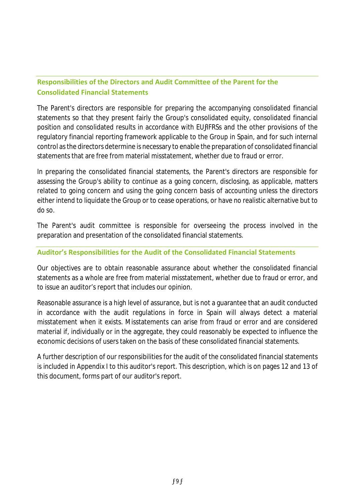### **Responsibilities of the Directors and Audit Committee of the Parent for the Consolidated Financial Statements**

The Parent's directors are responsible for preparing the accompanying consolidated financial statements so that they present fairly the Group's consolidated equity, consolidated financial position and consolidated results in accordance with EU IFRSs and the other provisions of the regulatory financial reporting framework applicable to the Group in Spain, and for such internal control asthe directors determine is necessary to enable the preparation of consolidated financial statements that are free from material misstatement, whether due to fraud or error.

In preparing the consolidated financial statements, the Parent's directors are responsible for assessing the Group's ability to continue as a going concern, disclosing, as applicable, matters related to going concern and using the going concern basis of accounting unless the directors either intend to liquidate the Group or to cease operations, or have no realistic alternative but to do so.

The Parent's audit committee is responsible for overseeing the process involved in the preparation and presentation of the consolidated financial statements.

### **Auditor's Responsibilities for the Audit of the Consolidated Financial Statements**

Our objectives are to obtain reasonable assurance about whether the consolidated financial statements as a whole are free from material misstatement, whether due to fraud or error, and to issue an auditor's report that includes our opinion.

Reasonable assurance is a high level of assurance, but is not a guarantee that an audit conducted in accordance with the audit regulations in force in Spain will always detect a material misstatement when it exists. Misstatements can arise from fraud or error and are considered material if, individually or in the aggregate, they could reasonably be expected to influence the economic decisions of users taken on the basis of these consolidated financial statements.

A further description of our responsibilities for the audit of the consolidated financial statements is included in Appendix I to this auditor's report. This description, which is on pages 12 and 13 of this document, forms part of our auditor's report.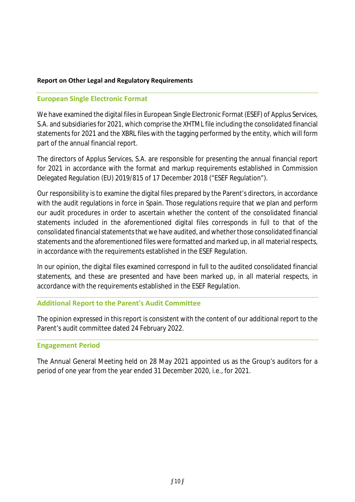### **Report on Other Legal and Regulatory Requirements**

### **European Single Electronic Format**

We have examined the digital files in European Single Electronic Format (ESEF) of Applus Services, S.A. and subsidiaries for 2021, which comprise the XHTML file including the consolidated financial statements for 2021 and the XBRL files with the tagging performed by the entity, which will form part of the annual financial report.

The directors of Applus Services, S.A. are responsible for presenting the annual financial report for 2021 in accordance with the format and markup requirements established in Commission Delegated Regulation (EU) 2019/815 of 17 December 2018 ("ESEF Regulation").

Our responsibility is to examine the digital files prepared by the Parent's directors, in accordance with the audit regulations in force in Spain. Those regulations require that we plan and perform our audit procedures in order to ascertain whether the content of the consolidated financial statements included in the aforementioned digital files corresponds in full to that of the consolidated financial statements that we have audited, and whether those consolidated financial statements and the aforementioned files were formatted and marked up, in all material respects, in accordance with the requirements established in the ESEF Regulation.

In our opinion, the digital files examined correspond in full to the audited consolidated financial statements, and these are presented and have been marked up, in all material respects, in accordance with the requirements established in the ESEF Regulation.

### **Additional Report to the Parent's Audit Committee**

The opinion expressed in this report is consistent with the content of our additional report to the Parent's audit committee dated 24 February 2022.

### **Engagement Period**

The Annual General Meeting held on 28 May 2021 appointed us as the Group's auditors for a period of one year from the year ended 31 December 2020, i.e., for 2021.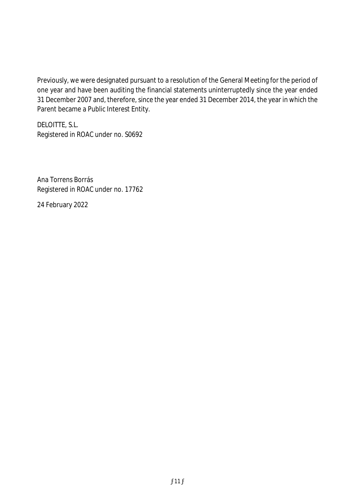Previously, we were designated pursuant to a resolution of the General Meeting for the period of one year and have been auditing the financial statements uninterruptedly since the year ended 31 December 2007 and, therefore, since the year ended 31 December 2014, the year in which the Parent became a Public Interest Entity.

DELOITTE, S.L. Registered in ROAC under no. S0692

Ana Torrens Borrás Registered in ROAC under no. 17762

24 February 2022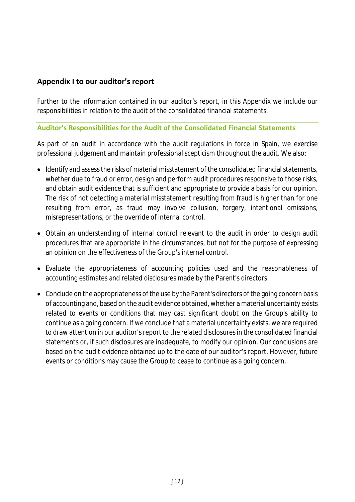### **Appendix I to our auditor's report**

Further to the information contained in our auditor's report, in this Appendix we include our responsibilities in relation to the audit of the consolidated financial statements.

### **Auditor's Responsibilities for the Audit of the Consolidated Financial Statements**

As part of an audit in accordance with the audit regulations in force in Spain, we exercise professional judgement and maintain professional scepticism throughout the audit. We also:

- $\bullet$  Identify and assess the risks of material misstatement of the consolidated financial statements, whether due to fraud or error, design and perform audit procedures responsive to those risks, and obtain audit evidence that is sufficient and appropriate to provide a basis for our opinion. The risk of not detecting a material misstatement resulting from fraud is higher than for one resulting from error, as fraud may involve collusion, forgery, intentional omissions, misrepresentations, or the override of internal control.
- Obtain an understanding of internal control relevant to the audit in order to design audit procedures that are appropriate in the circumstances, but not for the purpose of expressing an opinion on the effectiveness of the Group's internal control.
- Evaluate the appropriateness of accounting policies used and the reasonableness of accounting estimates and related disclosures made by the Parent's directors.
- Conclude on the appropriateness of the use by the Parent's directors of the going concern basis of accounting and, based on the audit evidence obtained, whether a material uncertainty exists related to events or conditions that may cast significant doubt on the Group's ability to continue as a going concern. If we conclude that a material uncertainty exists, we are required to draw attention in our auditor's report to the related disclosures in the consolidated financial statements or, if such disclosures are inadequate, to modify our opinion. Our conclusions are based on the audit evidence obtained up to the date of our auditor's report. However, future events or conditions may cause the Group to cease to continue as a going concern.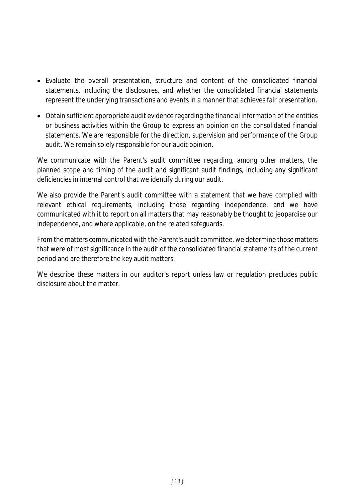- Evaluate the overall presentation, structure and content of the consolidated financial statements, including the disclosures, and whether the consolidated financial statements represent the underlying transactions and events in a manner that achieves fair presentation.
- Obtain sufficient appropriate audit evidence regarding the financial information of the entities or business activities within the Group to express an opinion on the consolidated financial statements. We are responsible for the direction, supervision and performance of the Group audit. We remain solely responsible for our audit opinion.

We communicate with the Parent's audit committee regarding, among other matters, the planned scope and timing of the audit and significant audit findings, including any significant deficiencies in internal control that we identify during our audit.

We also provide the Parent's audit committee with a statement that we have complied with relevant ethical requirements, including those regarding independence, and we have communicated with it to report on all matters that may reasonably be thought to jeopardise our independence, and where applicable, on the related safeguards.

From the matters communicated with the Parent's audit committee, we determine those matters that were of most significance in the audit of the consolidated financial statements of the current period and are therefore the key audit matters.

We describe these matters in our auditor's report unless law or regulation precludes public disclosure about the matter.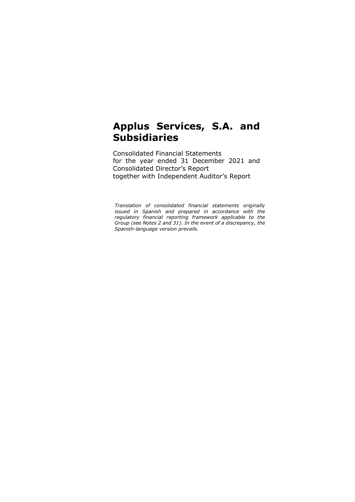## **Applus Services, S.A. and Subsidiaries**

Consolidated Financial Statements for the year ended 31 December 2021 and Consolidated Director's Report together with Independent Auditor's Report

*Translation of consolidated financial statements originally issued in Spanish and prepared in accordance with the regulatory financial reporting framework applicable to the Group (see Notes 2 and 31). In the event of a discrepancy, the Spanish-language version prevails.*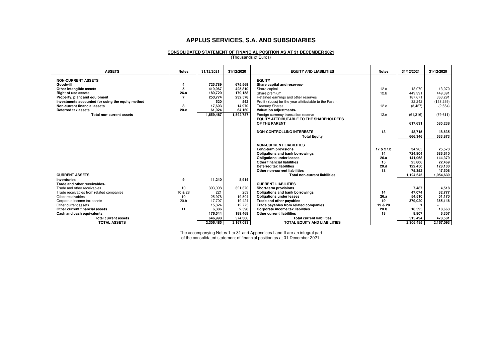### **CONSOLIDATED STATEMENT OF FINANCIAL POSITION AS AT 31 DECEMBER 2021**  (Thousands of Euros)

| <b>ASSETS</b>                                                                                                                                                                                                                                                                  | <b>Notes</b>                                  | 31/12/2021                                                                       | 31/12/2020                                                                       | <b>EQUITY AND LIABILITIES</b>                                                                                                                                                                                                                                                                                                                    | <b>Notes</b>                                | 31/12/2021                                                                 | 31/12/2020                                                                    |
|--------------------------------------------------------------------------------------------------------------------------------------------------------------------------------------------------------------------------------------------------------------------------------|-----------------------------------------------|----------------------------------------------------------------------------------|----------------------------------------------------------------------------------|--------------------------------------------------------------------------------------------------------------------------------------------------------------------------------------------------------------------------------------------------------------------------------------------------------------------------------------------------|---------------------------------------------|----------------------------------------------------------------------------|-------------------------------------------------------------------------------|
| <b>NON-CURRENT ASSETS</b><br>Goodwill<br>Other intangible assets<br><b>Right of use assets</b><br>Property, plant and equipment<br>Investments accounted for using the equity method<br>Non-current financial assets<br>Deferred tax assets<br><b>Total non-current assets</b> | 4<br>5<br>26.a<br>$\overline{7}$<br>8<br>20.c | 725,789<br>419.967<br>180.720<br>253.774<br>520<br>17.693<br>61.024<br>1,659,487 | 675,569<br>425.810<br>179,158<br>232,578<br>542<br>14.970<br>64.160<br>1,592,787 | <b>EQUITY</b><br>Share capital and reserves-<br>Share capital<br>Share premium<br>Retained earnings and other reserves<br>Profit / (Loss) for the year attributable to the Parent<br><b>Treasury Shares</b><br>Valuation adjustments-<br>Foreign currency translation reserve<br><b>EQUITY ATTRIBUTABLE TO THE SHAREHOLDERS</b><br>OF THE PARENT | 12.a<br>12.h<br>12.c<br>12.e                | 13.070<br>449.391<br>187.671<br>32.242<br>(3, 427)<br>(61, 316)<br>617.631 | 13,070<br>449.391<br>363.291<br>(158, 239)<br>(2,664)<br>(79, 611)<br>585,238 |
|                                                                                                                                                                                                                                                                                |                                               |                                                                                  |                                                                                  | <b>NON-CONTROLLING INTERESTS</b><br><b>Total Equity</b>                                                                                                                                                                                                                                                                                          | 13                                          | 48.715<br>666,346                                                          | 48,635<br>633.873                                                             |
| <b>CURRENT ASSETS</b>                                                                                                                                                                                                                                                          |                                               |                                                                                  |                                                                                  | <b>NON-CURRENT LIABILITIES</b><br>Long-term provisions<br><b>Obligations and bank borrowings</b><br><b>Obligations under leases</b><br>Other financial liabilities<br>Deferred tax liabilities<br>Other non-current liabilities<br><b>Total non-current liabilities</b>                                                                          | 17 & 27.b<br>14<br>26.a<br>15<br>20.d<br>18 | 34.265<br>724,804<br>141.968<br>25.806<br>122.450<br>75.352<br>1.124.645   | 25,573<br>686,610<br>144.379<br>22,469<br>128,100<br>47.508<br>1.054.639      |
| Inventories<br>Trade and other receivables-<br>Trade and other receivables<br>Trade receivables from related companies                                                                                                                                                         | 9<br>10<br>10 & 28                            | 11.240<br>393.098<br>221                                                         | 8.914<br>321.370<br>253                                                          | <b>CURRENT LIABILITIES</b><br>Short-term provisions<br>Obligations and bank borrowings                                                                                                                                                                                                                                                           | 14                                          | 7.487<br>47.074                                                            | 4,518<br>32.777                                                               |
| Other receivables<br>Corporate income tax assets<br>Other current assets<br>Other current financial assets                                                                                                                                                                     | 10<br>20.b<br>11                              | 25.978<br>17.707<br>15.824<br>6,386                                              | 19.504<br>19.424<br>12.775<br>2.598                                              | <b>Obligations under leases</b><br>Trade and other payables<br>Trade payables from related companies<br>Corporate income tax liabilities                                                                                                                                                                                                         | 26.a<br>19<br>19 & 28<br>20.b               | 54.510<br>379,020<br>18,595                                                | 51.170<br>365,146<br>18,663                                                   |
| Cash and cash equivalents<br><b>Total current assets</b><br><b>TOTAL ASSETS</b>                                                                                                                                                                                                |                                               | 176.544<br>646.998<br>2,306,485                                                  | 189.468<br>574.306<br>2,167,093                                                  | Other current liabilities<br><b>Total current liabilities</b><br><b>TOTAL EQUITY AND LIABILITIES</b>                                                                                                                                                                                                                                             | 18                                          | 8.807<br>515.494<br>2,306,485                                              | 6.307<br>478.581<br>2,167,093                                                 |

The accompanying Notes 1 to 31 and Appendices I and II are an integral part of the consolidated statement of financial position as at 31 December 2021.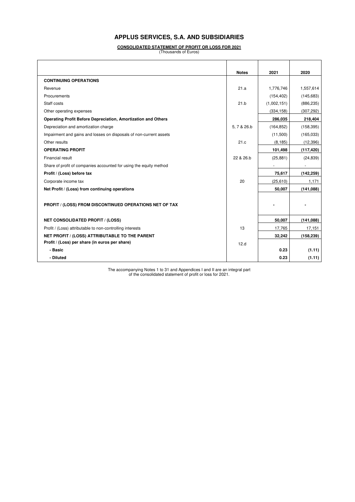### **CONSOLIDATED STATEMENT OF PROFIT OR LOSS FOR 2021**  (Thousands of Euros)

|                                                                    | <b>Notes</b> | 2021        | 2020       |
|--------------------------------------------------------------------|--------------|-------------|------------|
| <b>CONTINUING OPERATIONS</b>                                       |              |             |            |
| Revenue                                                            | 21.a         | 1,776,746   | 1,557,614  |
| Procurements                                                       |              | (154, 402)  | (145, 683) |
| Staff costs                                                        | 21.b         | (1,002,151) | (886, 235) |
| Other operating expenses                                           |              | (334, 158)  | (307, 292) |
| Operating Profit Before Depreciation, Amortization and Others      |              | 286,035     | 218,404    |
| Depreciation and amortization charge                               | 5, 7 & 26.b  | (164, 852)  | (158, 395) |
| Impairment and gains and losses on disposals of non-current assets |              | (11,500)    | (165, 033) |
| Other results                                                      | 21.c         | (8, 185)    | (12, 396)  |
| <b>OPERATING PROFIT</b>                                            |              | 101,498     | (117, 420) |
| Financial result                                                   | 22 & 26.b    | (25, 881)   | (24, 839)  |
| Share of profit of companies accounted for using the equity method |              |             |            |
| Profit / (Loss) before tax                                         |              | 75,617      | (142, 259) |
| Corporate income tax                                               | 20           | (25,610)    | 1,171      |
| Net Profit / (Loss) from continuing operations                     |              | 50,007      | (141,088)  |
|                                                                    |              |             |            |
| PROFIT / (LOSS) FROM DISCONTINUED OPERATIONS NET OF TAX            |              |             |            |
|                                                                    |              |             |            |
| <b>NET CONSOLIDATED PROFIT / (LOSS)</b>                            |              | 50,007      | (141, 088) |
| Profit / (Loss) attributable to non-controlling interests          | 13           | 17,765      | 17,151     |
| NET PROFIT / (LOSS) ATTRIBUTABLE TO THE PARENT                     |              | 32,242      | (158, 239) |
| Profit / (Loss) per share (in euros per share)                     | 12.d         |             |            |
| - Basic                                                            |              | 0.23        | (1.11)     |
| - Diluted                                                          |              | 0.23        | (1.11)     |

The accompanying Notes 1 to 31 and Appendices I and II are an integral part of the consolidated statement of profit or loss for 2021.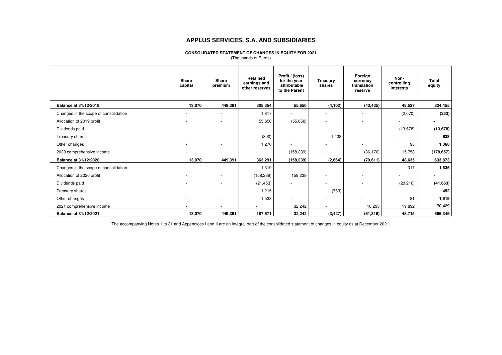#### **CONSOLIDATED STATEMENT OF CHANGES IN EQUITY FOR 2021**

(Thousands of Euros)

|                                       | Share<br>capital | Share<br>premium | Retained<br>earnings and<br>other reserves | Profit / (loss)<br>for the year<br>attributable<br>to the Parent | Treasury<br>shares | Foreign<br>currency<br>translation<br>reserve | Non-<br>controlling<br>interests | Total<br>equity |
|---------------------------------------|------------------|------------------|--------------------------------------------|------------------------------------------------------------------|--------------------|-----------------------------------------------|----------------------------------|-----------------|
| Balance at 31/12/2019                 | 13,070           | 449,391          | 305,354                                    | 55,650                                                           | (4, 102)           | (43, 435)                                     | 48,527                           | 824,455         |
| Changes in the scope of consolidation |                  |                  | 1,817                                      |                                                                  |                    |                                               | (2,070)                          | (253)           |
| Allocation of 2019 profit             |                  |                  | 55,650                                     | (55, 650)                                                        |                    |                                               |                                  |                 |
| Dividends paid                        |                  |                  |                                            |                                                                  |                    |                                               | (13, 678)                        | (13, 678)       |
| Treasury shares                       |                  |                  | (800)                                      |                                                                  | 1,438              |                                               |                                  | 638             |
| Other changes                         |                  |                  | 1,270                                      |                                                                  |                    |                                               | 98                               | 1,368           |
| 2020 comprehensive income             |                  |                  |                                            | (158, 239)                                                       |                    | (36, 176)                                     | 15,758                           | (178, 657)      |
| Balance at 31/12/2020                 | 13,070           | 449,391          | 363,291                                    | (158,239)                                                        | (2,664)            | (79, 611)                                     | 48,635                           | 633,873         |
| Changes in the scope of consolidation |                  |                  | 1,319                                      |                                                                  |                    |                                               | 317                              | 1,636           |
| Allocation of 2020 profit             |                  |                  | (158, 239)                                 | 158,239                                                          |                    |                                               |                                  |                 |
| Dividends paid                        |                  |                  | (21, 453)                                  |                                                                  |                    |                                               | (20, 210)                        | (41, 663)       |
| Treasury shares                       |                  |                  | 1,215                                      |                                                                  | (763)              |                                               |                                  | 452             |
| Other changes                         |                  |                  | 1,538                                      |                                                                  |                    |                                               | 81                               | 1,619           |
| 2021 comprehensive income             |                  |                  |                                            | 32,242                                                           |                    | 18,295                                        | 19,892                           | 70,429          |
| Balance at 31/12/2021                 | 13,070           | 449,391          | 187,671                                    | 32,242                                                           | (3, 427)           | (61, 316)                                     | 48,715                           | 666,346         |

The accompanying Notes 1 to 31 and Appendices I and II are an integral part of the consolidated statement of changes in equity as at December 2021.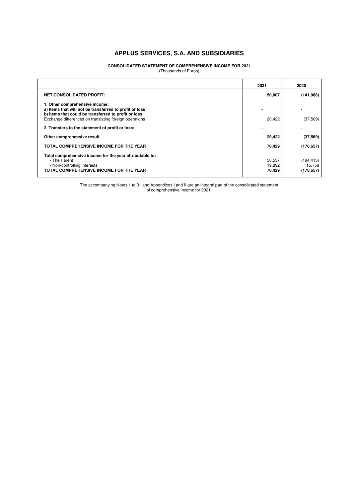### **CONSOLIDATED STATEMENT OF COMPREHENSIVE INCOME FOR 2021** (Thousands of Euros)

|                                                                                                                                                                                                              | 2021                       | 2020                               |
|--------------------------------------------------------------------------------------------------------------------------------------------------------------------------------------------------------------|----------------------------|------------------------------------|
| <b>NET CONSOLIDATED PROFIT:</b>                                                                                                                                                                              | 50,007                     | (141,088)                          |
| 1. Other comprehensive income:<br>a) Items that will not be transferred to profit or loss<br>b) Items that could be transferred to profit or loss:<br>Exchange differences on translating foreign operations | 20.422                     | (37, 569)                          |
| 2. Transfers to the statement of profit or loss:                                                                                                                                                             |                            |                                    |
| Other comprehensive result                                                                                                                                                                                   | 20,422                     | (37, 569)                          |
| TOTAL COMPREHENSIVE INCOME FOR THE YEAR                                                                                                                                                                      | 70,429                     | (178, 657)                         |
| Total comprehensive income for the year attributable to:<br>- The Parent<br>- Non-controlling interests<br><b>TOTAL COMPREHENSIVE INCOME FOR THE YEAR</b>                                                    | 50,537<br>19,892<br>70,429 | (194, 415)<br>15,758<br>(178, 657) |

The accompanying Notes 1 to 31 and Appendices I and II are an integral part of the consolidated statement of comprehensive income for 2021.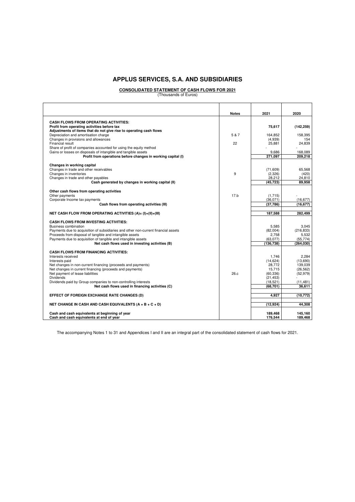### **CONSOLIDATED STATEMENT OF CASH FLOWS FOR 2021**  (Thousands of Euros)

|                                                                                                                          | <b>Notes</b> | 2021                | 2020                   |
|--------------------------------------------------------------------------------------------------------------------------|--------------|---------------------|------------------------|
| <b>CASH FLOWS FROM OPERATING ACTIVITIES:</b>                                                                             |              |                     |                        |
| Profit from operating activities before tax                                                                              |              | 75,617              | (142, 259)             |
| Adjustments of items that do not give rise to operating cash flows                                                       |              |                     |                        |
| Depreciation and amortisation charge                                                                                     | 5 & 7        | 164.852             | 158.395                |
| Changes in provisions and allowances                                                                                     |              | (4,939)             | 154                    |
| Financial result                                                                                                         | 22           | 25,881              | 24.839                 |
| Share of profit of companies accounted for using the equity method                                                       |              |                     |                        |
| Gains or losses on disposals of intangible and tangible assets                                                           |              | 9.686<br>271.097    | 168,089<br>209.218     |
| Profit from operations before changes in working capital (I)                                                             |              |                     |                        |
| Changes in working capital                                                                                               |              |                     |                        |
| Changes in trade and other receivables                                                                                   |              | (71,609)            | 65.568                 |
| Changes in inventories                                                                                                   | 9            | (2,326)             | (420)                  |
| Changes in trade and other payables                                                                                      |              | 28,212              | 24,810                 |
| Cash generated by changes in working capital (II)                                                                        |              | (45.723)            | 89.958                 |
|                                                                                                                          |              |                     |                        |
| Other cash flows from operating activities                                                                               |              |                     |                        |
| Other payments                                                                                                           | 17.h         | (1,715)             |                        |
| Corporate Income tax payments                                                                                            |              | (36,071)            | (16, 677)              |
| Cash flows from operating activities (III)                                                                               |              | (37.786)            | (16.677)               |
|                                                                                                                          |              |                     |                        |
| NET CASH FLOW FROM OPERATING ACTIVITIES (A)= (I)+(II)+(III)                                                              |              | 187,588             | 282,499                |
| <b>CASH FLOWS FROM INVESTING ACTIVITIES:</b>                                                                             |              |                     |                        |
| Business combination                                                                                                     |              | 5,585               | 3.045                  |
| Payments due to acquisition of subsidiaries and other non-current financial assets                                       |              | (82,004)            | (216, 833)             |
| Proceeds from disposal of tangible and intangible assets                                                                 |              | 2.758               | 5.532                  |
| Payments due to acquisition of tangible and intangible assets                                                            |              | (63,077)            | (55, 774)              |
| Net cash flows used in investing activities (B)                                                                          |              | (136.738)           | (264, 030)             |
|                                                                                                                          |              |                     |                        |
| <b>CASH FLOWS FROM FINANCING ACTIVITIES:</b>                                                                             |              |                     |                        |
| Interests received                                                                                                       |              | 1.746               | 2.284                  |
| Interests paid                                                                                                           |              | (14, 624)           | (13.690)               |
| Net changes in non-current financing (proceeds and payments)<br>Net changes in current financing (proceeds and payments) |              | 28.772              | 139.039                |
| Net payment of lease liabilities                                                                                         | 26.c         | 15,715<br>(60, 336) | (26, 562)<br>(52, 979) |
| <b>Dividends</b>                                                                                                         |              | (21, 453)           |                        |
| Dividends paid by Group companies to non-controlling interests                                                           |              | (18, 521)           | (11, 481)              |
| Net cash flows used in financing activities (C)                                                                          |              | (68, 701)           | 36.611                 |
|                                                                                                                          |              |                     |                        |
| EFFECT OF FOREIGN EXCHANGE RATE CHANGES (D)                                                                              |              | 4,927               | (10,772)               |
|                                                                                                                          |              |                     |                        |
| NET CHANGE IN CASH AND CASH EQUIVALENTS (A + B + C + D)                                                                  |              | (12.924)            | 44,308                 |
|                                                                                                                          |              |                     |                        |
| Cash and cash equivalents at beginning of year                                                                           |              | 189,468             | 145.160                |
| Cash and cash equivalents at end of year                                                                                 |              | 176.544             | 189,468                |

The accompanying Notes 1 to 31 and Appendices I and II are an integral part of the consolidated statement of cash flows for 2021.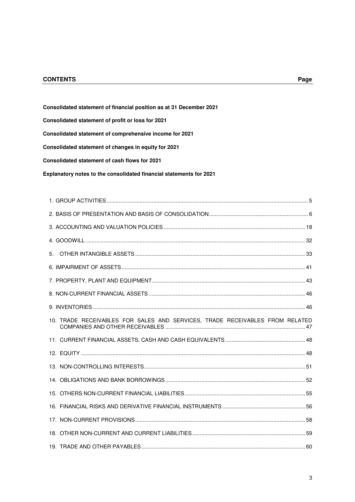### **CONTENTS Page**

**Consolidated statement of financial position as at 31 December 2021 Consolidated statement of profit or loss for 2021 Consolidated statement of comprehensive income for 2021 Consolidated statement of changes in equity for 2021** 

**Consolidated statement of cash flows for 2021** 

**Explanatory notes to the consolidated financial statements for 2021** 

| 5.                                                                           |  |
|------------------------------------------------------------------------------|--|
|                                                                              |  |
|                                                                              |  |
|                                                                              |  |
|                                                                              |  |
| 10. TRADE RECEIVABLES FOR SALES AND SERVICES, TRADE RECEIVABLES FROM RELATED |  |
|                                                                              |  |
|                                                                              |  |
|                                                                              |  |
|                                                                              |  |
|                                                                              |  |
|                                                                              |  |
|                                                                              |  |
|                                                                              |  |
|                                                                              |  |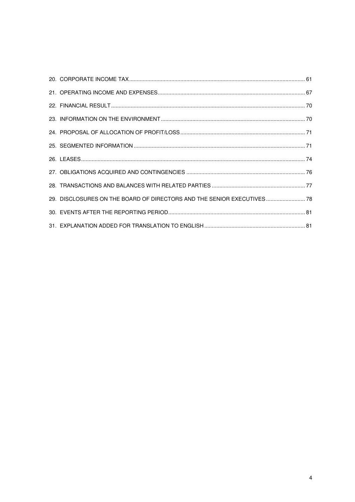| 29. DISCLOSURES ON THE BOARD OF DIRECTORS AND THE SENIOR EXECUTIVES 78 |  |
|------------------------------------------------------------------------|--|
|                                                                        |  |
|                                                                        |  |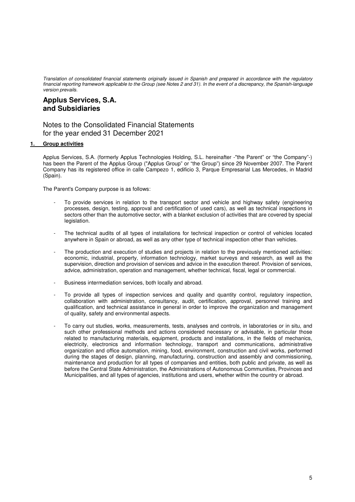Translation of consolidated financial statements originally issued in Spanish and prepared in accordance with the regulatory financial reporting framework applicable to the Group (see Notes 2 and 31). In the event of a discrepancy, the Spanish-language version prevails.

### **Applus Services, S.A. and Subsidiaries**

### Notes to the Consolidated Financial Statements for the year ended 31 December 2021

### **1. Group activities**

Applus Services, S.A. (formerly Applus Technologies Holding, S.L. hereinafter -"the Parent" or "the Company"-) has been the Parent of the Applus Group ("Applus Group" or "the Group") since 29 November 2007. The Parent Company has its registered office in calle Campezo 1, edificio 3, Parque Empresarial Las Mercedes, in Madrid (Spain).

The Parent's Company purpose is as follows:

- To provide services in relation to the transport sector and vehicle and highway safety (engineering processes, design, testing, approval and certification of used cars), as well as technical inspections in sectors other than the automotive sector, with a blanket exclusion of activities that are covered by special legislation.
- The technical audits of all types of installations for technical inspection or control of vehicles located anywhere in Spain or abroad, as well as any other type of technical inspection other than vehicles.
- The production and execution of studies and projects in relation to the previously mentioned activities: economic, industrial, property, information technology, market surveys and research, as well as the supervision, direction and provision of services and advice in the execution thereof. Provision of services, advice, administration, operation and management, whether technical, fiscal, legal or commercial.
- Business intermediation services, both locally and abroad.
- To provide all types of inspection services and quality and quantity control, regulatory inspection, collaboration with administration, consultancy, audit, certification, approval, personnel training and qualification, and technical assistance in general in order to improve the organization and management of quality, safety and environmental aspects.
- To carry out studies, works, measurements, tests, analyses and controls, in laboratories or in situ, and such other professional methods and actions considered necessary or advisable, in particular those related to manufacturing materials, equipment, products and installations, in the fields of mechanics, electricity, electronics and information technology, transport and communications, administrative organization and office automation, mining, food, environment, construction and civil works, performed during the stages of design, planning, manufacturing, construction and assembly and commissioning, maintenance and production for all types of companies and entities, both public and private, as well as before the Central State Administration, the Administrations of Autonomous Communities, Provinces and Municipalities, and all types of agencies, institutions and users, whether within the country or abroad.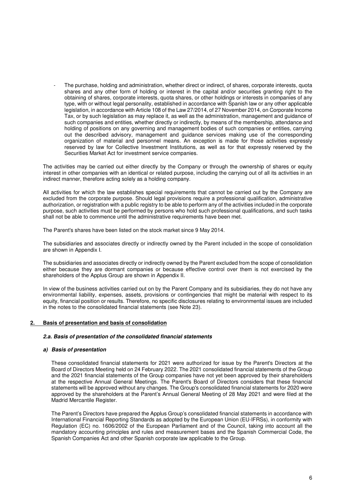The purchase, holding and administration, whether direct or indirect, of shares, corporate interests, quota shares and any other form of holding or interest in the capital and/or securities granting right to the obtaining of shares, corporate interests, quota shares, or other holdings or interests in companies of any type, with or without legal personality, established in accordance with Spanish law or any other applicable legislation, in accordance with Article 108 of the Law 27/2014, of 27 November 2014, on Corporate Income Tax, or by such legislation as may replace it, as well as the administration, management and guidance of such companies and entities, whether directly or indirectly, by means of the membership, attendance and holding of positions on any governing and management bodies of such companies or entities, carrying out the described advisory, management and guidance services making use of the corresponding organization of material and personnel means. An exception is made for those activities expressly reserved by law for Collective Investment Institutions, as well as for that expressly reserved by the Securities Market Act for investment service companies.

The activities may be carried out either directly by the Company or through the ownership of shares or equity interest in other companies with an identical or related purpose, including the carrying out of all its activities in an indirect manner, therefore acting solely as a holding company.

All activities for which the law establishes special requirements that cannot be carried out by the Company are excluded from the corporate purpose. Should legal provisions require a professional qualification, administrative authorization, or registration with a public registry to be able to perform any of the activities included in the corporate purpose, such activities must be performed by persons who hold such professional qualifications, and such tasks shall not be able to commence until the administrative requirements have been met.

The Parent's shares have been listed on the stock market since 9 May 2014.

The subsidiaries and associates directly or indirectly owned by the Parent included in the scope of consolidation are shown in Appendix I.

The subsidiaries and associates directly or indirectly owned by the Parent excluded from the scope of consolidation either because they are dormant companies or because effective control over them is not exercised by the shareholders of the Applus Group are shown in Appendix II.

In view of the business activities carried out on by the Parent Company and its subsidiaries, they do not have any environmental liability, expenses, assets, provisions or contingencies that might be material with respect to its equity, financial position or results. Therefore, no specific disclosures relating to environmental issues are included in the notes to the consolidated financial statements (see Note 23).

### **2. Basis of presentation and basis of consolidation**

#### **2.a. Basis of presentation of the consolidated financial statements**

#### **a) Basis of presentation**

These consolidated financial statements for 2021 were authorized for issue by the Parent's Directors at the Board of Directors Meeting held on 24 February 2022. The 2021 consolidated financial statements of the Group and the 2021 financial statements of the Group companies have not yet been approved by their shareholders at the respective Annual General Meetings. The Parent's Board of Directors considers that these financial statements will be approved without any changes. The Group's consolidated financial statements for 2020 were approved by the shareholders at the Parent's Annual General Meeting of 28 May 2021 and were filed at the Madrid Mercantile Register.

The Parent's Directors have prepared the Applus Group's consolidated financial statements in accordance with International Financial Reporting Standards as adopted by the European Union (EU-IFRSs), in conformity with Regulation (EC) no. 1606/2002 of the European Parliament and of the Council, taking into account all the mandatory accounting principles and rules and measurement bases and the Spanish Commercial Code, the Spanish Companies Act and other Spanish corporate law applicable to the Group.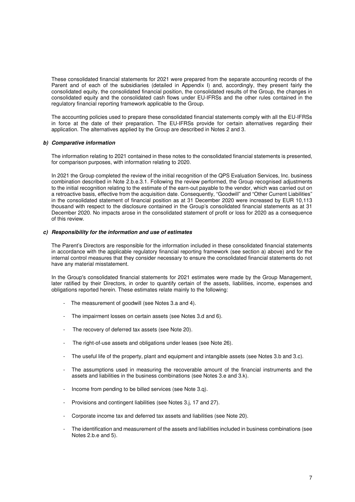These consolidated financial statements for 2021 were prepared from the separate accounting records of the Parent and of each of the subsidiaries (detailed in Appendix I) and, accordingly, they present fairly the consolidated equity, the consolidated financial position, the consolidated results of the Group, the changes in consolidated equity and the consolidated cash flows under EU-IFRSs and the other rules contained in the regulatory financial reporting framework applicable to the Group.

The accounting policies used to prepare these consolidated financial statements comply with all the EU-IFRSs in force at the date of their preparation. The EU-IFRSs provide for certain alternatives regarding their application. The alternatives applied by the Group are described in Notes 2 and 3.

#### **b) Comparative information**

The information relating to 2021 contained in these notes to the consolidated financial statements is presented, for comparison purposes, with information relating to 2020.

In 2021 the Group completed the review of the initial recognition of the QPS Evaluation Services, Inc. business combination described in Note 2.b.e.3.1. Following the review performed, the Group recognised adjustments to the initial recognition relating to the estimate of the earn-out payable to the vendor, which was carried out on a retroactive basis, effective from the acquisition date. Consequently, "Goodwill" and "Other Current Liabilities" in the consolidated statement of financial position as at 31 December 2020 were increased by EUR 10,113 thousand with respect to the disclosure contained in the Group's consolidated financial statements as at 31 December 2020. No impacts arose in the consolidated statement of profit or loss for 2020 as a consequence of this review.

#### **c) Responsibility for the information and use of estimates**

The Parent's Directors are responsible for the information included in these consolidated financial statements in accordance with the applicable regulatory financial reporting framework (see section a) above) and for the internal control measures that they consider necessary to ensure the consolidated financial statements do not have any material misstatement.

In the Group's consolidated financial statements for 2021 estimates were made by the Group Management, later ratified by their Directors, in order to quantify certain of the assets, liabilities, income, expenses and obligations reported herein. These estimates relate mainly to the following:

- The measurement of goodwill (see Notes 3.a and 4).
- The impairment losses on certain assets (see Notes 3.d and 6).
- The recovery of deferred tax assets (see Note 20).
- The right-of-use assets and obligations under leases (see Note 26).
- The useful life of the property, plant and equipment and intangible assets (see Notes 3.b and 3.c).
- The assumptions used in measuring the recoverable amount of the financial instruments and the assets and liabilities in the business combinations (see Notes 3.e and 3.k).
- Income from pending to be billed services (see Note 3.q).
- Provisions and contingent liabilities (see Notes 3.j, 17 and 27).
- Corporate income tax and deferred tax assets and liabilities (see Note 20).
- The identification and measurement of the assets and liabilities included in business combinations (see Notes 2.b.e and 5).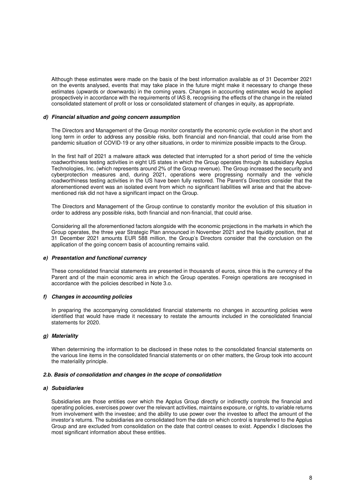Although these estimates were made on the basis of the best information available as of 31 December 2021 on the events analysed, events that may take place in the future might make it necessary to change these estimates (upwards or downwards) in the coming years. Changes in accounting estimates would be applied prospectively in accordance with the requirements of IAS 8, recognising the effects of the change in the related consolidated statement of profit or loss or consolidated statement of changes in equity, as appropriate.

#### **d) Financial situation and going concern assumption**

The Directors and Management of the Group monitor constantly the economic cycle evolution in the short and long term in order to address any possible risks, both financial and non-financial, that could arise from the pandemic situation of COVID-19 or any other situations, in order to minimize possible impacts to the Group.

In the first half of 2021 a malware attack was detected that interrupted for a short period of time the vehicle roadworthiness testing activities in eight US states in which the Group operates through its subsidiary Applus Technologies, Inc. (which represents around 2% of the Group revenue). The Group increased the security and cyberprotection measures and, during 2021, operations were progressing normally and the vehicle roadworthiness testing activities in the US have been fully restored. The Parent's Directors consider that the aforementioned event was an isolated event from which no significant liabilities will arise and that the abovementioned risk did not have a significant impact on the Group.

The Directors and Management of the Group continue to constantly monitor the evolution of this situation in order to address any possible risks, both financial and non-financial, that could arise.

Considering all the aforementioned factors alongside with the economic projections in the markets in which the Group operates, the three year Strategic Plan announced in November 2021 and the liquidity position, that at 31 December 2021 amounts EUR 588 million, the Group's Directors consider that the conclusion on the application of the going concern basis of accounting remains valid.

#### **e) Presentation and functional currency**

These consolidated financial statements are presented in thousands of euros, since this is the currency of the Parent and of the main economic area in which the Group operates. Foreign operations are recognised in accordance with the policies described in Note 3.o.

#### **f) Changes in accounting policies**

In preparing the accompanying consolidated financial statements no changes in accounting policies were identified that would have made it necessary to restate the amounts included in the consolidated financial statements for 2020.

#### **g) Materiality**

When determining the information to be disclosed in these notes to the consolidated financial statements on the various line items in the consolidated financial statements or on other matters, the Group took into account the materiality principle.

#### **2.b. Basis of consolidation and changes in the scope of consolidation**

#### **a) Subsidiaries**

Subsidiaries are those entities over which the Applus Group directly or indirectly controls the financial and operating policies, exercises power over the relevant activities, maintains exposure, or rights, to variable returns from involvement with the investee; and the ability to use power over the investee to affect the amount of the investor's returns. The subsidiaries are consolidated from the date on which control is transferred to the Applus Group and are excluded from consolidation on the date that control ceases to exist. Appendix I discloses the most significant information about these entities.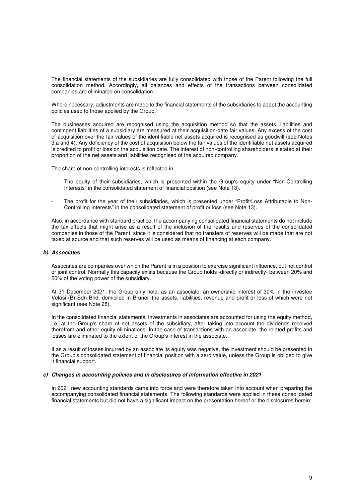The financial statements of the subsidiaries are fully consolidated with those of the Parent following the full consolidation method. Accordingly, all balances and effects of the transactions between consolidated companies are eliminated on consolidation.

Where necessary, adjustments are made to the financial statements of the subsidiaries to adapt the accounting policies used to those applied by the Group.

The businesses acquired are recognised using the acquisition method so that the assets, liabilities and contingent liabilities of a subsidiary are measured at their acquisition-date fair values. Any excess of the cost of acquisition over the fair values of the identifiable net assets acquired is recognised as goodwill (see Notes 3.a and 4). Any deficiency of the cost of acquisition below the fair values of the identifiable net assets acquired is credited to profit or loss on the acquisition date. The interest of non-controlling shareholders is stated at their proportion of the net assets and liabilities recognised of the acquired company.

The share of non-controlling interests is reflected in:

- The equity of their subsidiaries, which is presented within the Group's equity under "Non-Controlling Interests" in the consolidated statement of financial position (see Note 13).
- The profit for the year of their subsidiaries, which is presented under "Profit/Loss Attributable to Non-Controlling Interests" in the consolidated statement of profit or loss (see Note 13).

Also, in accordance with standard practice, the accompanying consolidated financial statements do not include the tax effects that might arise as a result of the inclusion of the results and reserves of the consolidated companies in those of the Parent, since it is considered that no transfers of reserves will be made that are not taxed at source and that such reserves will be used as means of financing at each company.

#### **b) Associates**

Associates are companies over which the Parent is in a position to exercise significant influence, but not control or joint control. Normally this capacity exists because the Group holds -directly or indirectly- between 20% and 50% of the voting power of the subsidiary.

At 31 December 2021, the Group only held, as an associate, an ownership interest of 30% in the investee Velosi (B) Sdn Bhd, domiciled in Brunei, the assets, liabilities, revenue and profit or loss of which were not significant (see Note 28).

In the consolidated financial statements, investments in associates are accounted for using the equity method, i.e. at the Group's share of net assets of the subsidiary, after taking into account the dividends received therefrom and other equity eliminations. In the case of transactions with an associate, the related profits and losses are eliminated to the extent of the Group's interest in the associate.

If as a result of losses incurred by an associate its equity was negative, the investment should be presented in the Group's consolidated statement of financial position with a zero value, unless the Group is obliged to give it financial support.

#### **c) Changes in accounting policies and in disclosures of information effective in 2021**

In 2021 new accounting standards came into force and were therefore taken into account when preparing the accompanying consolidated financial statements. The following standards were applied in these consolidated financial statements but did not have a significant impact on the presentation hereof or the disclosures herein: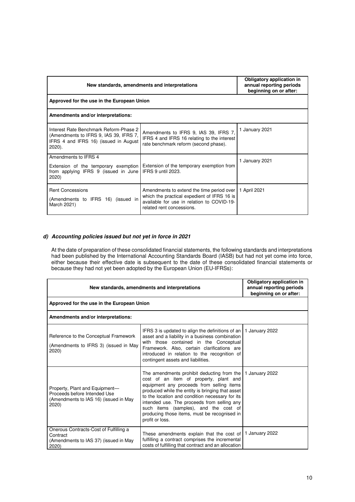| New standards, amendments and interpretations                                                                                          | Obligatory application in<br>annual reporting periods<br>beginning on or after:                                                                                     |                |  |  |  |
|----------------------------------------------------------------------------------------------------------------------------------------|---------------------------------------------------------------------------------------------------------------------------------------------------------------------|----------------|--|--|--|
| Approved for the use in the European Union                                                                                             |                                                                                                                                                                     |                |  |  |  |
| Amendments and/or interpretations:                                                                                                     |                                                                                                                                                                     |                |  |  |  |
| Interest Rate Benchmark Reform-Phase 2<br>(Amendments to IFRS 9, IAS 39, IFRS 7,<br>IFRS 4 and IFRS 16) (issued in August<br>$2020$ ). | Amendments to IFRS 9, IAS 39, IFRS 7,<br>IFRS 4 and IFRS 16 relating to the interest<br>rate benchmark reform (second phase).                                       | 1 January 2021 |  |  |  |
| Amendments to IFRS 4<br>Extension of the temporary exemption<br>from applying IFRS 9 (issued in June<br>2020)                          | Extension of the temporary exemption from<br>IFRS 9 until 2023.                                                                                                     | 1 January 2021 |  |  |  |
| <b>Rent Concessions</b><br>(Amendments to IFRS 16) (issued in<br>March 2021)                                                           | Amendments to extend the time period over<br>which the practical expedient of IFRS 16 is<br>available for use in relation to COVID-19-<br>related rent concessions. | 1 April 2021   |  |  |  |

### **d) Accounting policies issued but not yet in force in 2021**

At the date of preparation of these consolidated financial statements, the following standards and interpretations had been published by the International Accounting Standards Board (IASB) but had not yet come into force, either because their effective date is subsequent to the date of these consolidated financial statements or because they had not yet been adopted by the European Union (EU-IFRSs):

| New standards, amendments and interpretations                                                                    | Obligatory application in<br>annual reporting periods<br>beginning on or after:                                                                                                                                                                                                                                                                                                                     |                |  |  |  |  |
|------------------------------------------------------------------------------------------------------------------|-----------------------------------------------------------------------------------------------------------------------------------------------------------------------------------------------------------------------------------------------------------------------------------------------------------------------------------------------------------------------------------------------------|----------------|--|--|--|--|
| Approved for the use in the European Union                                                                       |                                                                                                                                                                                                                                                                                                                                                                                                     |                |  |  |  |  |
| Amendments and/or interpretations:                                                                               |                                                                                                                                                                                                                                                                                                                                                                                                     |                |  |  |  |  |
| Reference to the Conceptual Framework<br>(Amendments to IFRS 3) (issued in May<br>2020)                          | IFRS 3 is updated to align the definitions of an<br>asset and a liability in a business combination<br>with those contained in the Conceptual<br>Framework. Also, certain clarifications are<br>introduced in relation to the recognition of<br>contingent assets and liabilities.                                                                                                                  | 1 January 2022 |  |  |  |  |
| Property, Plant and Equipment-<br>Proceeds before Intended Use<br>(Amendments to IAS 16) (issued in May<br>2020) | The amendments prohibit deducting from the<br>cost of an item of property, plant and<br>equipment any proceeds from selling items<br>produced while the entity is bringing that asset<br>to the location and condition necessary for its<br>intended use. The proceeds from selling any<br>such items (samples), and the cost of<br>producing those items, must be recognised in<br>profit or loss. | 1 January 2022 |  |  |  |  |
| Onerous Contracts-Cost of Fulfilling a<br>Contract<br>(Amendments to IAS 37) (issued in May<br>2020)             | These amendments explain that the cost of<br>fulfilling a contract comprises the incremental<br>costs of fulfilling that contract and an allocation                                                                                                                                                                                                                                                 | 1 January 2022 |  |  |  |  |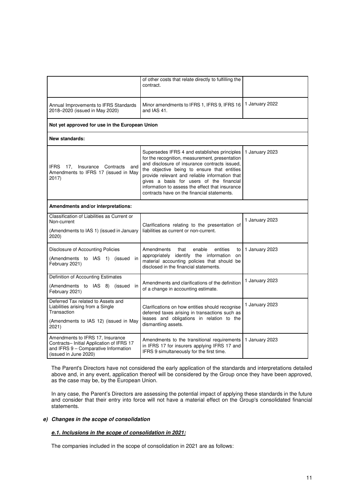|                                                                                                                                                | of other costs that relate directly to fulfilling the<br>contract.                                                                                                                                                                                                                                                                                                                             |                |  |  |  |  |  |
|------------------------------------------------------------------------------------------------------------------------------------------------|------------------------------------------------------------------------------------------------------------------------------------------------------------------------------------------------------------------------------------------------------------------------------------------------------------------------------------------------------------------------------------------------|----------------|--|--|--|--|--|
| Annual Improvements to IFRS Standards<br>2018-2020 (issued in May 2020)                                                                        | Minor amendments to IFRS 1, IFRS 9, IFRS 16<br>and IAS 41.                                                                                                                                                                                                                                                                                                                                     | 1 January 2022 |  |  |  |  |  |
| Not yet approved for use in the European Union                                                                                                 |                                                                                                                                                                                                                                                                                                                                                                                                |                |  |  |  |  |  |
| New standards:                                                                                                                                 |                                                                                                                                                                                                                                                                                                                                                                                                |                |  |  |  |  |  |
| <b>IFRS</b><br>17.<br>Insurance<br>Contracts<br>and<br>Amendments to IFRS 17 (issued in May<br>2017)                                           | Supersedes IFRS 4 and establishes principles<br>for the recognition, measurement, presentation<br>and disclosure of insurance contracts issued.<br>the objective being to ensure that entities<br>provide relevant and reliable information that<br>gives a basis for users of the financial<br>information to assess the effect that insurance<br>contracts have on the financial statements. | 1 January 2023 |  |  |  |  |  |
| Amendments and/or interpretations:                                                                                                             |                                                                                                                                                                                                                                                                                                                                                                                                |                |  |  |  |  |  |
| Classification of Liabilities as Current or<br>Non-current<br>(Amendments to IAS 1) (issued in January<br>2020)                                | Clarifications relating to the presentation of<br>liabilities as current or non-current.                                                                                                                                                                                                                                                                                                       | 1 January 2023 |  |  |  |  |  |
| Disclosure of Accounting Policies<br>(Amendments to IAS 1) (issued in<br>February 2021)                                                        | <b>Amendments</b><br>that<br>enable<br>entities<br>to<br>appropriately identify the information<br>on<br>material accounting policies that should be<br>disclosed in the financial statements.                                                                                                                                                                                                 | 1 January 2023 |  |  |  |  |  |
| Definition of Accounting Estimates<br>(Amendments to IAS 8) (issued in<br>February 2021)                                                       | Amendments and clarifications of the definition<br>of a change in accounting estimate.                                                                                                                                                                                                                                                                                                         | 1 January 2023 |  |  |  |  |  |
| Deferred Tax related to Assets and<br>Liabilities arising from a Single<br>Transaction<br>(Amendments to IAS 12) (issued in May<br>2021)       | Clarifications on how entities should recognise<br>deferred taxes arising in transactions such as<br>leases and obligations in relation to the<br>dismantling assets.                                                                                                                                                                                                                          | 1 January 2023 |  |  |  |  |  |
| Amendments to IFRS 17, Insurance<br>Contracts- Initial Application of IFRS 17<br>and IFRS 9 - Comparative Information<br>(issued in June 2020) | Amendments to the transitional requirements<br>in IFRS 17 for insurers applying IFRS 17 and<br>IFRS 9 simultaneously for the first time.                                                                                                                                                                                                                                                       | 1 January 2023 |  |  |  |  |  |

The Parent's Directors have not considered the early application of the standards and interpretations detailed above and, in any event, application thereof will be considered by the Group once they have been approved, as the case may be, by the European Union.

In any case, the Parent's Directors are assessing the potential impact of applying these standards in the future and consider that their entry into force will not have a material effect on the Group's consolidated financial statements.

#### **e) Changes in the scope of consolidation**

### **e.1. Inclusions in the scope of consolidation in 2021:**

The companies included in the scope of consolidation in 2021 are as follows: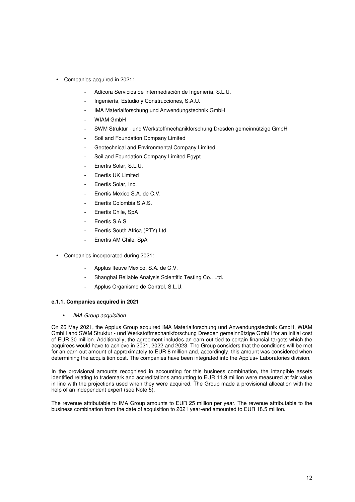- Companies acquired in 2021:
	- Adícora Servicios de Intermediación de Ingeniería, S.L.U.
	- Ingeniería, Estudio y Construcciones, S.A.U.
	- IMA Materialforschung und Anwendungstechnik GmbH
	- WIAM GmbH
	- SWM Struktur und Werkstoffmechanikforschung Dresden gemeinnützige GmbH
	- Soil and Foundation Company Limited
	- Geotechnical and Environmental Company Limited
	- Soil and Foundation Company Limited Egypt
	- Enertis Solar, S.L.U.
	- Enertis UK Limited
	- Enertis Solar, Inc.
	- Enertis Mexico S.A. de C.V.
	- Enertis Colombia S.A.S.
	- Enertis Chile, SpA
	- Enertis S.A.S
	- Enertis South Africa (PTY) Ltd
	- Enertis AM Chile, SpA
- Companies incorporated during 2021:
	- Applus Iteuve Mexico, S.A. de C.V.
	- Shanghai Reliable Analysis Scientific Testing Co., Ltd.
	- Applus Organismo de Control, S.L.U.

### **e.1.1. Companies acquired in 2021**

• IMA Group acquisition

On 26 May 2021, the Applus Group acquired IMA Materialforschung und Anwendungstechnik GmbH, WIAM GmbH and SWM Struktur - und Werkstoffmechanikforschung Dresden gemeinnützige GmbH for an initial cost of EUR 30 million. Additionally, the agreement includes an earn-out tied to certain financial targets which the acquirees would have to achieve in 2021, 2022 and 2023. The Group considers that the conditions will be met for an earn-out amount of approximately to EUR 8 million and, accordingly, this amount was considered when determining the acquisition cost. The companies have been integrated into the Applus+ Laboratories division.

In the provisional amounts recognised in accounting for this business combination, the intangible assets identified relating to trademark and accreditations amounting to EUR 11.9 million were measured at fair value in line with the projections used when they were acquired. The Group made a provisional allocation with the help of an independent expert (see Note 5).

The revenue attributable to IMA Group amounts to EUR 25 million per year. The revenue attributable to the business combination from the date of acquisition to 2021 year-end amounted to EUR 18.5 million.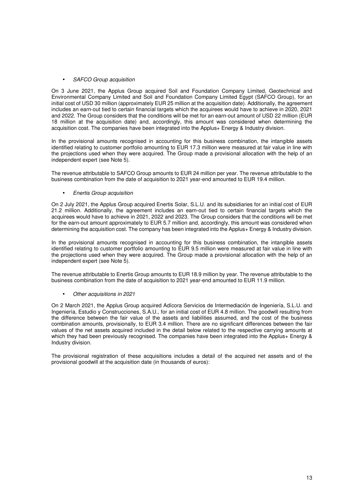#### • SAFCO Group acquisition

On 3 June 2021, the Applus Group acquired Soil and Foundation Company Limited, Geotechnical and Environmental Company Limited and Soil and Foundation Company Limited Egypt (SAFCO Group), for an initial cost of USD 30 million (approximately EUR 25 million at the acquisition date). Additionally, the agreement includes an earn-out tied to certain financial targets which the acquirees would have to achieve in 2020, 2021 and 2022. The Group considers that the conditions will be met for an earn-out amount of USD 22 million (EUR 18 million at the acquisition date) and, accordingly, this amount was considered when determining the acquisition cost. The companies have been integrated into the Applus+ Energy & Industry division.

In the provisional amounts recognised in accounting for this business combination, the intangible assets identified relating to customer portfolio amounting to EUR 17.3 million were measured at fair value in line with the projections used when they were acquired. The Group made a provisional allocation with the help of an independent expert (see Note 5).

The revenue attributable to SAFCO Group amounts to EUR 24 million per year. The revenue attributable to the business combination from the date of acquisition to 2021 year-end amounted to EUR 19.4 million.

• Enertis Group acquisition

On 2 July 2021, the Applus Group acquired Enertis Solar, S.L.U. and its subsidiaries for an initial cost of EUR 21.2 million. Additionally, the agreement includes an earn-out tied to certain financial targets which the acquirees would have to achieve in 2021, 2022 and 2023. The Group considers that the conditions will be met for the earn-out amount approximately to EUR 5.7 million and, accordingly, this amount was considered when determining the acquisition cost. The company has been integrated into the Applus+ Energy & Industry division.

In the provisional amounts recognised in accounting for this business combination, the intangible assets identified relating to customer portfolio amounting to EUR 9.5 million were measured at fair value in line with the projections used when they were acquired. The Group made a provisional allocation with the help of an independent expert (see Note 5).

The revenue attributable to Enertis Group amounts to EUR 18.9 million by year. The revenue attributable to the business combination from the date of acquisition to 2021 year-end amounted to EUR 11.9 million.

### • Other acquisitions in 2021

On 2 March 2021, the Applus Group acquired Adícora Servicios de Intermediación de Ingeniería, S.L.U. and Ingeniería, Estudio y Construcciones, S.A.U., for an initial cost of EUR 4.8 million. The goodwill resulting from the difference between the fair value of the assets and liabilities assumed, and the cost of the business combination amounts, provisionally, to EUR 3.4 million. There are no significant differences between the fair values of the net assets acquired included in the detail below related to the respective carrying amounts at which they had been previously recognised. The companies have been integrated into the Applus+ Energy & Industry division.

The provisional registration of these acquisitions includes a detail of the acquired net assets and of the provisional goodwill at the acquisition date (in thousands of euros):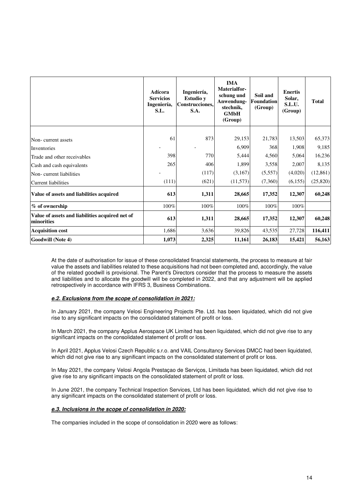|                                                               | Adícora<br><b>Servicios</b><br>Ingeniería,<br>S.L. | Ingeniería,<br><b>Estudio</b> y<br>Construcciones,<br>S.A. | <b>IMA</b><br>Materialfor-<br>schung und<br>Anwendung-<br>stechnik,<br><b>GMbH</b><br>(Group) | Soil and<br>Foundation<br>(Group) | <b>Enertis</b><br>Solar,<br><b>S.L.U.</b><br>(Group) | <b>Total</b> |
|---------------------------------------------------------------|----------------------------------------------------|------------------------------------------------------------|-----------------------------------------------------------------------------------------------|-----------------------------------|------------------------------------------------------|--------------|
|                                                               |                                                    |                                                            |                                                                                               |                                   |                                                      |              |
| Non-current assets                                            | 61                                                 | 873                                                        | 29,153                                                                                        | 21,783                            | 13,503                                               | 65,373       |
| Inventories                                                   |                                                    |                                                            | 6,909                                                                                         | 368                               | 1,908                                                | 9,185        |
| Trade and other receivables                                   | 398                                                | 770                                                        | 5,444                                                                                         | 4,560                             | 5,064                                                | 16,236       |
| Cash and cash equivalents                                     | 265                                                | 406                                                        | 1,899                                                                                         | 3,558                             | 2,007                                                | 8,135        |
| Non-current liabilities                                       |                                                    | (117)                                                      | (3,167)                                                                                       | (5,557)                           | (4,020)                                              | (12, 861)    |
| Current liabilities                                           | (111)                                              | (621)                                                      | (11,573)                                                                                      | (7,360)                           | (6,155)                                              | (25, 820)    |
| Value of assets and liabilities acquired                      | 613                                                | 1,311                                                      | 28,665                                                                                        | 17,352                            | 12,307                                               | 60,248       |
| % of ownership                                                | 100%                                               | 100%                                                       | 100%                                                                                          | 100%                              | 100%                                                 |              |
| Value of assets and liabilities acquired net of<br>minorities | 613                                                | 1,311                                                      | 28,665                                                                                        | 17,352                            | 12,307                                               | 60,248       |
| <b>Acquisition cost</b>                                       | 1,686                                              | 3,636                                                      | 39,826                                                                                        | 43,535                            | 27,728                                               | 116,411      |
| Goodwill (Note 4)                                             | 1,073                                              | 2,325                                                      | 11,161                                                                                        | 26,183                            | 15,421                                               | 56,163       |

At the date of authorisation for issue of these consolidated financial statements, the process to measure at fair value the assets and liabilities related to these acquisitions had not been completed and, accordingly, the value of the related goodwill is provisional. The Parent's Directors consider that the process to measure the assets and liabilities and to allocate the goodwill will be completed in 2022, and that any adjustment will be applied retrospectively in accordance with IFRS 3, Business Combinations.

### **e.2. Exclusions from the scope of consolidation in 2021:**

In January 2021, the company Velosi Engineering Projects Pte. Ltd. has been liquidated, which did not give rise to any significant impacts on the consolidated statement of profit or loss.

In March 2021, the company Applus Aerospace UK Limited has been liquidated, which did not give rise to any significant impacts on the consolidated statement of profit or loss.

In April 2021, Applus Velosi Czech Republic s.r.o. and VAIL Consultancy Services DMCC had been liquidated, which did not give rise to any significant impacts on the consolidated statement of profit or loss.

In May 2021, the company Velosi Angola Prestaçao de Serviços, Limitada has been liquidated, which did not give rise to any significant impacts on the consolidated statement of profit or loss.

In June 2021, the company Technical Inspection Services, Ltd has been liquidated, which did not give rise to any significant impacts on the consolidated statement of profit or loss.

### **e.3. Inclusions in the scope of consolidation in 2020:**

The companies included in the scope of consolidation in 2020 were as follows: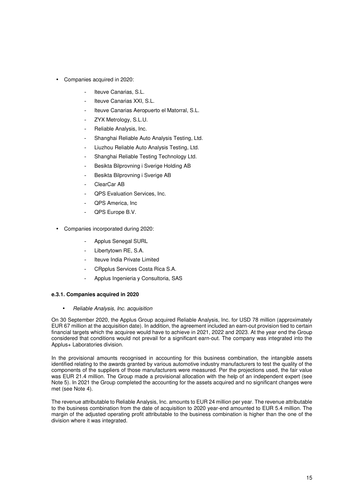- Companies acquired in 2020:
	- Iteuve Canarias, S.L.
	- Iteuve Canarias XXI, S.L.
	- Iteuve Canarias Aeropuerto el Matorral, S.L.
	- ZYX Metrology, S.L.U.
	- Reliable Analysis, Inc.
	- Shanghai Reliable Auto Analysis Testing, Ltd.
	- Liuzhou Reliable Auto Analysis Testing, Ltd.
	- Shanghai Reliable Testing Technology Ltd.
	- Besikta Bilprovning i Sverige Holding AB
	- Besikta Bilprovning i Sverige AB
	- ClearCar AB
	- QPS Evaluation Services, Inc.
	- QPS America, Inc.
	- QPS Europe B.V.
- Companies incorporated during 2020:
	- Applus Senegal SURL
	- Libertytown RE, S.A.
	- Iteuve India Private Limited
	- CRpplus Services Costa Rica S.A.
	- Applus Ingenieria y Consultoria, SAS

### **e.3.1. Companies acquired in 2020**

• Reliable Analysis, Inc. acquisition

On 30 September 2020, the Applus Group acquired Reliable Analysis, Inc. for USD 78 million (approximately EUR 67 million at the acquisition date). In addition, the agreement included an earn-out provision tied to certain financial targets which the acquiree would have to achieve in 2021, 2022 and 2023. At the year end the Group considered that conditions would not prevail for a significant earn-out. The company was integrated into the Applus+ Laboratories division.

In the provisional amounts recognised in accounting for this business combination, the intangible assets identified relating to the awards granted by various automotive industry manufacturers to test the quality of the components of the suppliers of those manufacturers were measured. Per the projections used, the fair value was EUR 21.4 million. The Group made a provisional allocation with the help of an independent expert (see Note 5). In 2021 the Group completed the accounting for the assets acquired and no significant changes were met (see Note 4).

The revenue attributable to Reliable Analysis, Inc. amounts to EUR 24 million per year. The revenue attributable to the business combination from the date of acquisition to 2020 year-end amounted to EUR 5.4 million. The margin of the adjusted operating profit attributable to the business combination is higher than the one of the division where it was integrated.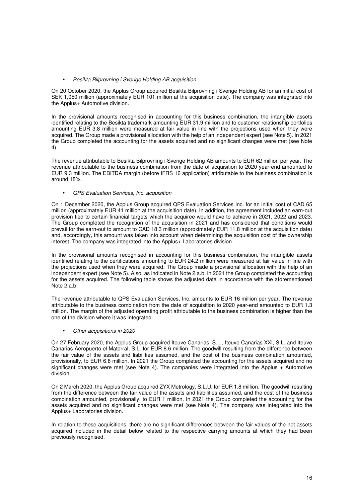#### • Besikta Bilprovning i Sverige Holding AB acquisition

On 20 October 2020, the Applus Group acquired Besikta Bilprovning i Sverige Holding AB for an initial cost of SEK 1,050 million (approximately EUR 101 million at the acquisition date). The company was integrated into the Applus+ Automotive division.

In the provisional amounts recognised in accounting for this business combination, the intangible assets identified relating to the Besikta trademark amounting EUR 31.9 million and to customer relationship portfolios amounting EUR 3.8 million were measured at fair value in line with the projections used when they were acquired. The Group made a provisional allocation with the help of an independent expert (see Note 5). In 2021 the Group completed the accounting for the assets acquired and no significant changes were met (see Note 4).

The revenue attributable to Besikta Bilprovning i Sverige Holding AB amounts to EUR 62 million per year. The revenue attributable to the business combination from the date of acquisition to 2020 year-end amounted to EUR 9.3 million. The EBITDA margin (before IFRS 16 application) attributable to the business combination is around 18%.

#### • QPS Evaluation Services, Inc. acquisition

On 1 December 2020, the Applus Group acquired QPS Evaluation Services Inc. for an initial cost of CAD 65 million (approximately EUR 41 million at the acquisition date). In addition, the agreement included an earn-out provision tied to certain financial targets which the acquiree would have to achieve in 2021, 2022 and 2023. The Group completed the recognition of the acquisition in 2021 and has considered that conditions would prevail for the earn-out to amount to CAD 18.3 million (approximately EUR 11.8 million at the acquisition date) and, accordingly, this amount was taken into account when determining the acquisition cost of the ownership interest. The company was integrated into the Applus+ Laboratories division.

In the provisional amounts recognised in accounting for this business combination, the intangible assets identified relating to the certifications amounting to EUR 24.2 million were measured at fair value in line with the projections used when they were acquired. The Group made a provisional allocation with the help of an independent expert (see Note 5). Also, as indicated in Note 2.a.b, in 2021 the Group completed the accounting for the assets acquired. The following table shows the adjusted data in accordance with the aforementioned Note 2.a.b.

The revenue attributable to QPS Evaluation Services, Inc. amounts to EUR 16 million per year. The revenue attributable to the business combination from the date of acquisition to 2020 year-end amounted to EUR 1.3 million. The margin of the adjusted operating profit attributable to the business combination is higher than the one of the division where it was integrated.

### • Other acquisitions in 2020

On 27 February 2020, the Applus Group acquired Iteuve Canarias, S.L., Iteuve Canarias XXI, S.L. and Iteuve Canarias Aeropuerto el Matorral, S.L. for EUR 8.6 million. The goodwill resulting from the difference between the fair value of the assets and liabilities assumed, and the cost of the business combination amounted, provisionally, to EUR 6.8 million. In 2021 the Group completed the accounting for the assets acquired and no significant changes were met (see Note 4). The companies were integrated into the Applus + Automotive division.

On 2 March 2020, the Applus Group acquired ZYX Metrology, S.L.U. for EUR 1.8 million. The goodwill resulting from the difference between the fair value of the assets and liabilities assumed, and the cost of the business combination amounted, provisionally, to EUR 1 million. In 2021 the Group completed the accounting for the assets acquired and no significant changes were met (see Note 4). The company was integrated into the Applus+ Laboratories division.

In relation to these acquisitions, there are no significant differences between the fair values of the net assets acquired included in the detail below related to the respective carrying amounts at which they had been previously recognised.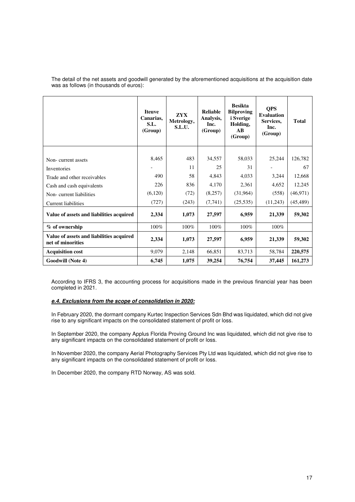|                                                               | <b>Iteuve</b><br>Canarias,<br>S.L.<br>(Group) | <b>ZYX</b><br>Metrology,<br>S.L.U. | <b>Reliable</b><br>Analysis,<br>Inc.<br>(Group) | <b>Besikta</b><br><b>Bilproving</b><br><i>i</i> Sverige<br>Holding,<br>AB<br>(Group) | <b>QPS</b><br><b>Evaluation</b><br>Services,<br>Inc.<br>(Group) | <b>Total</b> |
|---------------------------------------------------------------|-----------------------------------------------|------------------------------------|-------------------------------------------------|--------------------------------------------------------------------------------------|-----------------------------------------------------------------|--------------|
|                                                               |                                               |                                    |                                                 |                                                                                      |                                                                 |              |
| Non-current assets                                            | 8,465                                         | 483                                | 34,557                                          | 58,033                                                                               | 25,244                                                          | 126,782      |
| Inventories                                                   |                                               | 11                                 | 25                                              | 31                                                                                   |                                                                 | 67           |
| Trade and other receivables                                   | 490                                           | 58                                 | 4,843                                           | 4,033                                                                                | 3,244                                                           | 12,668       |
| Cash and cash equivalents                                     | 226                                           | 836                                | 4,170                                           | 2,361                                                                                | 4,652                                                           | 12,245       |
| Non-current liabilities                                       | (6,120)                                       | (72)                               | (8,257)                                         | (31,964)                                                                             | (558)                                                           | (46,971)     |
| <b>Current liabilities</b>                                    | (727)                                         | (243)                              | (7,741)                                         | (25, 535)                                                                            | (11,243)                                                        | (45, 489)    |
| Value of assets and liabilities acquired                      | 2,334                                         | 1,073                              | 27,597                                          | 6,959                                                                                | 21,339                                                          | 59,302       |
| % of ownership                                                | 100%                                          | 100%                               | 100%                                            | 100%                                                                                 | 100%                                                            |              |
| Value of assets and liabilities acquired<br>net of minorities | 2,334                                         | 1,073                              | 27,597                                          | 6,959                                                                                | 21,339                                                          | 59,302       |
| <b>Acquisition cost</b>                                       | 9,079                                         | 2,148                              | 66,851                                          | 83,713                                                                               | 58,784                                                          | 220,575      |
| Goodwill (Note 4)                                             | 6,745                                         | 1,075                              | 39,254                                          | 76,754                                                                               | 37,445                                                          | 161,273      |

The detail of the net assets and goodwill generated by the aforementioned acquisitions at the acquisition date was as follows (in thousands of euros):

According to IFRS 3, the accounting process for acquisitions made in the previous financial year has been completed in 2021.

### **e.4. Exclusions from the scope of consolidation in 2020:**

In February 2020, the dormant company Kurtec Inspection Services Sdn Bhd was liquidated, which did not give rise to any significant impacts on the consolidated statement of profit or loss.

In September 2020, the company Applus Florida Proving Ground Inc was liquidated, which did not give rise to any significant impacts on the consolidated statement of profit or loss.

In November 2020, the company Aerial Photography Services Pty Ltd was liquidated, which did not give rise to any significant impacts on the consolidated statement of profit or loss.

In December 2020, the company RTD Norway, AS was sold.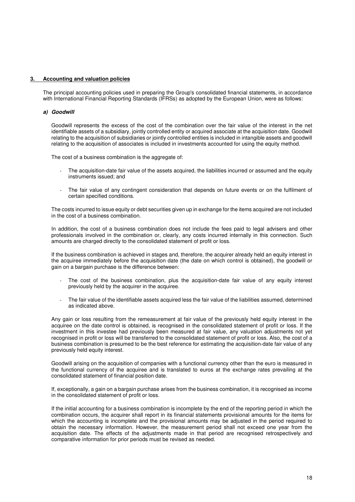### **3. Accounting and valuation policies**

The principal accounting policies used in preparing the Group's consolidated financial statements, in accordance with International Financial Reporting Standards (IFRSs) as adopted by the European Union, were as follows:

### **a) Goodwill**

Goodwill represents the excess of the cost of the combination over the fair value of the interest in the net identifiable assets of a subsidiary, jointly controlled entity or acquired associate at the acquisition date. Goodwill relating to the acquisition of subsidiaries or jointly controlled entities is included in intangible assets and goodwill relating to the acquisition of associates is included in investments accounted for using the equity method.

The cost of a business combination is the aggregate of:

- The acquisition-date fair value of the assets acquired, the liabilities incurred or assumed and the equity instruments issued; and
- The fair value of any contingent consideration that depends on future events or on the fulfilment of certain specified conditions.

The costs incurred to issue equity or debt securities given up in exchange for the items acquired are not included in the cost of a business combination.

In addition, the cost of a business combination does not include the fees paid to legal advisers and other professionals involved in the combination or, clearly, any costs incurred internally in this connection. Such amounts are charged directly to the consolidated statement of profit or loss.

If the business combination is achieved in stages and, therefore, the acquirer already held an equity interest in the acquiree immediately before the acquisition date (the date on which control is obtained), the goodwill or gain on a bargain purchase is the difference between:

- The cost of the business combination, plus the acquisition-date fair value of any equity interest previously held by the acquirer in the acquiree.
- The fair value of the identifiable assets acquired less the fair value of the liabilities assumed, determined as indicated above.

Any gain or loss resulting from the remeasurement at fair value of the previously held equity interest in the acquiree on the date control is obtained, is recognised in the consolidated statement of profit or loss. If the investment in this investee had previously been measured at fair value, any valuation adjustments not yet recognised in profit or loss will be transferred to the consolidated statement of profit or loss. Also, the cost of a business combination is presumed to be the best reference for estimating the acquisition-date fair value of any previously held equity interest.

Goodwill arising on the acquisition of companies with a functional currency other than the euro is measured in the functional currency of the acquiree and is translated to euros at the exchange rates prevailing at the consolidated statement of financial position date.

If, exceptionally, a gain on a bargain purchase arises from the business combination, it is recognised as income in the consolidated statement of profit or loss.

If the initial accounting for a business combination is incomplete by the end of the reporting period in which the combination occurs, the acquirer shall report in its financial statements provisional amounts for the items for which the accounting is incomplete and the provisional amounts may be adjusted in the period required to obtain the necessary information. However, the measurement period shall not exceed one year from the acquisition date. The effects of the adjustments made in that period are recognised retrospectively and comparative information for prior periods must be revised as needed.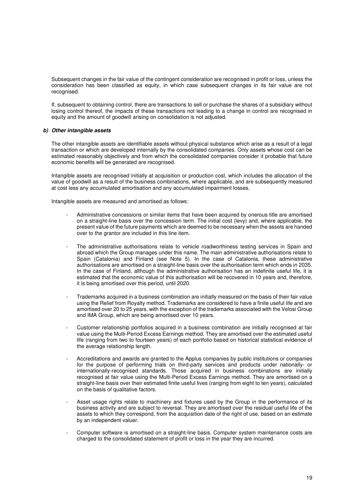Subsequent changes in the fair value of the contingent consideration are recognised in profit or loss, unless the consideration has been classified as equity, in which case subsequent changes in its fair value are not recognised.

If, subsequent to obtaining control, there are transactions to sell or purchase the shares of a subsidiary without losing control thereof, the impacts of these transactions not leading to a change in control are recognised in equity and the amount of goodwill arising on consolidation is not adjusted.

## **b) Other intangible assets**

The other intangible assets are identifiable assets without physical substance which arise as a result of a legal transaction or which are developed internally by the consolidated companies. Only assets whose cost can be estimated reasonably objectively and from which the consolidated companies consider it probable that future economic benefits will be generated are recognised.

Intangible assets are recognised initially at acquisition or production cost, which includes the allocation of the value of goodwill as a result of the business combinations, where applicable, and are subsequently measured at cost less any accumulated amortisation and any accumulated impairment losses.

Intangible assets are measured and amortised as follows:

- Administrative concessions or similar items that have been acquired by onerous title are amortised on a straight-line basis over the concession term. The initial cost (levy) and, where applicable, the present value of the future payments which are deemed to be necessary when the assets are handed over to the grantor are included in this line item.
- The administrative authorisations relate to vehicle roadworthiness testing services in Spain and abroad which the Group manages under this name. The main administrative authorisations relate to Spain (Catalonia) and Finland (see Note 5). In the case of Catalonia, these administrative authorisations are amortised on a straight-line basis over the authorisation term which ends in 2035. In the case of Finland, although the administrative authorisation has an indefinite useful life, it is estimated that the economic value of this authorisation will be recovered in 10 years and, therefore, it is being amortised over this period, until 2020.
- Trademarks acquired in a business combination are initially measured on the basis of their fair value using the Relief from Royalty method. Trademarks are considered to have a finite useful life and are amortised over 20 to 25 years, with the exception of the trademarks associated with the Velosi Group and IMA Group, which are being amortised over 10 years.
- Customer relationship portfolios acquired in a business combination are initially recognised at fair value using the Multi-Period Excess Earnings method. They are amortised over the estimated useful life (ranging from two to fourteen years) of each portfolio based on historical statistical evidence of the average relationship length.
- Accreditations and awards are granted to the Applus companies by public institutions or companies for the purpose of performing trials on third-party services and products under nationally- or internationally-recognised standards. Those acquired in business combinations are initially recognised at fair value using the Multi-Period Excess Earnings method. They are amortised on a straight-line basis over their estimated finite useful lives (ranging from eight to ten years), calculated on the basis of qualitative factors.
- Asset usage rights relate to machinery and fixtures used by the Group in the performance of its business activity and are subject to reversal. They are amortised over the residual useful life of the assets to which they correspond, from the acquisition date of the right of use, based on an estimate by an independent valuer.
- Computer software is amortised on a straight-line basis. Computer system maintenance costs are charged to the consolidated statement of profit or loss in the year they are incurred.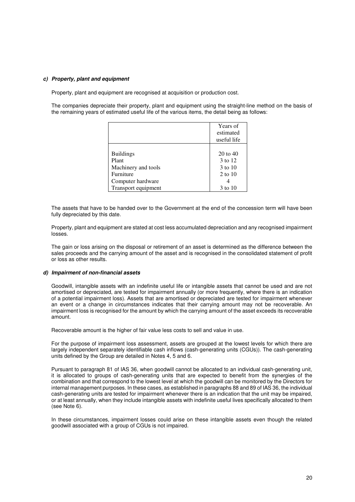### **c) Property, plant and equipment**

Property, plant and equipment are recognised at acquisition or production cost.

The companies depreciate their property, plant and equipment using the straight-line method on the basis of the remaining years of estimated useful life of the various items, the detail being as follows:

|                     | Years of            |
|---------------------|---------------------|
|                     | estimated           |
|                     | useful life         |
|                     |                     |
| <b>Buildings</b>    | $20 \text{ to } 40$ |
| Plant               | 3 to 12             |
| Machinery and tools | 3 to 10             |
| Furniture           | $2$ to $10$         |
| Computer hardware   |                     |
| Transport equipment | 3 to 10             |

The assets that have to be handed over to the Government at the end of the concession term will have been fully depreciated by this date.

Property, plant and equipment are stated at cost less accumulated depreciation and any recognised impairment losses.

The gain or loss arising on the disposal or retirement of an asset is determined as the difference between the sales proceeds and the carrying amount of the asset and is recognised in the consolidated statement of profit or loss as other results.

### **d) Impairment of non-financial assets**

Goodwill, intangible assets with an indefinite useful life or intangible assets that cannot be used and are not amortised or depreciated, are tested for impairment annually (or more frequently, where there is an indication of a potential impairment loss). Assets that are amortised or depreciated are tested for impairment whenever an event or a change in circumstances indicates that their carrying amount may not be recoverable. An impairment loss is recognised for the amount by which the carrying amount of the asset exceeds its recoverable amount.

Recoverable amount is the higher of fair value less costs to sell and value in use.

For the purpose of impairment loss assessment, assets are grouped at the lowest levels for which there are largely independent separately identifiable cash inflows (cash-generating units (CGUs)). The cash-generating units defined by the Group are detailed in Notes 4, 5 and 6.

Pursuant to paragraph 81 of IAS 36, when goodwill cannot be allocated to an individual cash-generating unit, it is allocated to groups of cash-generating units that are expected to benefit from the synergies of the combination and that correspond to the lowest level at which the goodwill can be monitored by the Directors for internal management purposes. In these cases, as established in paragraphs 88 and 89 of IAS 36, the individual cash-generating units are tested for impairment whenever there is an indication that the unit may be impaired, or at least annually, when they include intangible assets with indefinite useful lives specifically allocated to them (see Note 6).

In these circumstances, impairment losses could arise on these intangible assets even though the related goodwill associated with a group of CGUs is not impaired.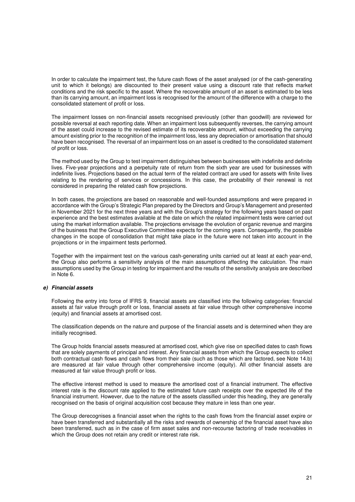In order to calculate the impairment test, the future cash flows of the asset analysed (or of the cash-generating unit to which it belongs) are discounted to their present value using a discount rate that reflects market conditions and the risk specific to the asset. Where the recoverable amount of an asset is estimated to be less than its carrying amount, an impairment loss is recognised for the amount of the difference with a charge to the consolidated statement of profit or loss.

The impairment losses on non-financial assets recognised previously (other than goodwill) are reviewed for possible reversal at each reporting date. When an impairment loss subsequently reverses, the carrying amount of the asset could increase to the revised estimate of its recoverable amount, without exceeding the carrying amount existing prior to the recognition of the impairment loss, less any depreciation or amortisation that should have been recognised. The reversal of an impairment loss on an asset is credited to the consolidated statement of profit or loss.

The method used by the Group to test impairment distinguishes between businesses with indefinite and definite lives. Five-year projections and a perpetuity rate of return from the sixth year are used for businesses with indefinite lives. Projections based on the actual term of the related contract are used for assets with finite lives relating to the rendering of services or concessions. In this case, the probability of their renewal is not considered in preparing the related cash flow projections.

In both cases, the projections are based on reasonable and well-founded assumptions and were prepared in accordance with the Group's Strategic Plan prepared by the Directors and Group's Management and presented in November 2021 for the next three years and with the Group's strategy for the following years based on past experience and the best estimates available at the date on which the related impairment tests were carried out using the market information available. The projections envisage the evolution of organic revenue and margins of the business that the Group Executive Committee expects for the coming years. Consequently, the possible changes in the scope of consolidation that might take place in the future were not taken into account in the projections or in the impairment tests performed.

Together with the impairment test on the various cash-generating units carried out at least at each year-end, the Group also performs a sensitivity analysis of the main assumptions affecting the calculation. The main assumptions used by the Group in testing for impairment and the results of the sensitivity analysis are described in Note 6.

### **e) Financial assets**

Following the entry into force of IFRS 9, financial assets are classified into the following categories: financial assets at fair value through profit or loss, financial assets at fair value through other comprehensive income (equity) and financial assets at amortised cost.

The classification depends on the nature and purpose of the financial assets and is determined when they are initially recognised.

The Group holds financial assets measured at amortised cost, which give rise on specified dates to cash flows that are solely payments of principal and interest. Any financial assets from which the Group expects to collect both contractual cash flows and cash flows from their sale (such as those which are factored, see Note 14.b) are measured at fair value through other comprehensive income (equity). All other financial assets are measured at fair value through profit or loss.

The effective interest method is used to measure the amortised cost of a financial instrument. The effective interest rate is the discount rate applied to the estimated future cash receipts over the expected life of the financial instrument. However, due to the nature of the assets classified under this heading, they are generally recognised on the basis of original acquisition cost because they mature in less than one year.

The Group derecognises a financial asset when the rights to the cash flows from the financial asset expire or have been transferred and substantially all the risks and rewards of ownership of the financial asset have also been transferred, such as in the case of firm asset sales and non-recourse factoring of trade receivables in which the Group does not retain any credit or interest rate risk.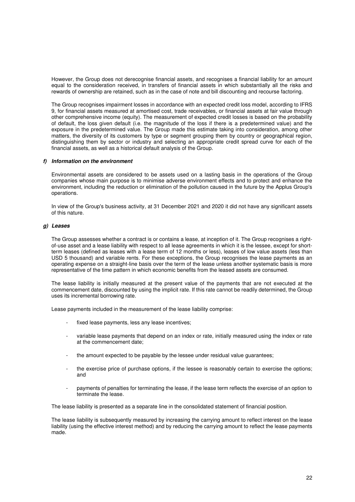However, the Group does not derecognise financial assets, and recognises a financial liability for an amount equal to the consideration received, in transfers of financial assets in which substantially all the risks and rewards of ownership are retained, such as in the case of note and bill discounting and recourse factoring.

The Group recognises impairment losses in accordance with an expected credit loss model, according to IFRS 9, for financial assets measured at amortised cost, trade receivables, or financial assets at fair value through other comprehensive income (equity). The measurement of expected credit losses is based on the probability of default, the loss given default (i.e. the magnitude of the loss if there is a predetermined value) and the exposure in the predetermined value. The Group made this estimate taking into consideration, among other matters, the diversity of its customers by type or segment grouping them by country or geographical region, distinguishing them by sector or industry and selecting an appropriate credit spread curve for each of the financial assets, as well as a historical default analysis of the Group.

### **f) Information on the environment**

Environmental assets are considered to be assets used on a lasting basis in the operations of the Group companies whose main purpose is to minimise adverse environment effects and to protect and enhance the environment, including the reduction or elimination of the pollution caused in the future by the Applus Group's operations.

In view of the Group's business activity, at 31 December 2021 and 2020 it did not have any significant assets of this nature.

### **g) Leases**

The Group assesses whether a contract is or contains a lease, at inception of it. The Group recognises a rightof-use asset and a lease liability with respect to all lease agreements in which it is the lessee, except for shortterm leases (defined as leases with a lease term of 12 months or less), leases of low value assets (less than USD 5 thousand) and variable rents. For these exceptions, the Group recognises the lease payments as an operating expense on a straight-line basis over the term of the lease unless another systematic basis is more representative of the time pattern in which economic benefits from the leased assets are consumed.

The lease liability is initially measured at the present value of the payments that are not executed at the commencement date, discounted by using the implicit rate. If this rate cannot be readily determined, the Group uses its incremental borrowing rate.

Lease payments included in the measurement of the lease liability comprise:

- fixed lease payments, less any lease incentives;
- variable lease payments that depend on an index or rate, initially measured using the index or rate at the commencement date;
- the amount expected to be payable by the lessee under residual value guarantees;
- the exercise price of purchase options, if the lessee is reasonably certain to exercise the options; and
- payments of penalties for terminating the lease, if the lease term reflects the exercise of an option to terminate the lease.

The lease liability is presented as a separate line in the consolidated statement of financial position.

The lease liability is subsequently measured by increasing the carrying amount to reflect interest on the lease liability (using the effective interest method) and by reducing the carrying amount to reflect the lease payments made.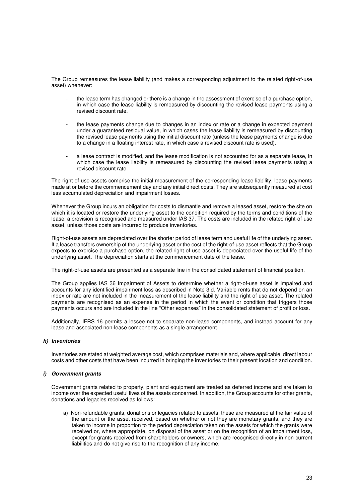The Group remeasures the lease liability (and makes a corresponding adjustment to the related right-of-use asset) whenever:

- the lease term has changed or there is a change in the assessment of exercise of a purchase option, in which case the lease liability is remeasured by discounting the revised lease payments using a revised discount rate.
- the lease payments change due to changes in an index or rate or a change in expected payment under a guaranteed residual value, in which cases the lease liability is remeasured by discounting the revised lease payments using the initial discount rate (unless the lease payments change is due to a change in a floating interest rate, in which case a revised discount rate is used).
- a lease contract is modified, and the lease modification is not accounted for as a separate lease, in which case the lease liability is remeasured by discounting the revised lease payments using a revised discount rate.

The right-of-use assets comprise the initial measurement of the corresponding lease liability, lease payments made at or before the commencement day and any initial direct costs. They are subsequently measured at cost less accumulated depreciation and impairment losses.

Whenever the Group incurs an obligation for costs to dismantle and remove a leased asset, restore the site on which it is located or restore the underlying asset to the condition required by the terms and conditions of the lease, a provision is recognised and measured under IAS 37. The costs are included in the related right-of-use asset, unless those costs are incurred to produce inventories.

Right-of-use assets are depreciated over the shorter period of lease term and useful life of the underlying asset. If a lease transfers ownership of the underlying asset or the cost of the right-of-use asset reflects that the Group expects to exercise a purchase option, the related right-of-use asset is depreciated over the useful life of the underlying asset. The depreciation starts at the commencement date of the lease.

The right-of-use assets are presented as a separate line in the consolidated statement of financial position.

The Group applies IAS 36 Impairment of Assets to determine whether a right-of-use asset is impaired and accounts for any identified impairment loss as described in Note 3.d. Variable rents that do not depend on an index or rate are not included in the measurement of the lease liability and the right-of-use asset. The related payments are recognised as an expense in the period in which the event or condition that triggers those payments occurs and are included in the line "Other expenses" in the consolidated statement of profit or loss.

Additionally, IFRS 16 permits a lessee not to separate non-lease components, and instead account for any lease and associated non-lease components as a single arrangement.

### **h) Inventories**

Inventories are stated at weighted average cost, which comprises materials and, where applicable, direct labour costs and other costs that have been incurred in bringing the inventories to their present location and condition.

# **i) Government grants**

Government grants related to property, plant and equipment are treated as deferred income and are taken to income over the expected useful lives of the assets concerned. In addition, the Group accounts for other grants, donations and legacies received as follows:

a) Non-refundable grants, donations or legacies related to assets: these are measured at the fair value of the amount or the asset received, based on whether or not they are monetary grants, and they are taken to income in proportion to the period depreciation taken on the assets for which the grants were received or, where appropriate, on disposal of the asset or on the recognition of an impairment loss, except for grants received from shareholders or owners, which are recognised directly in non-current liabilities and do not give rise to the recognition of any income.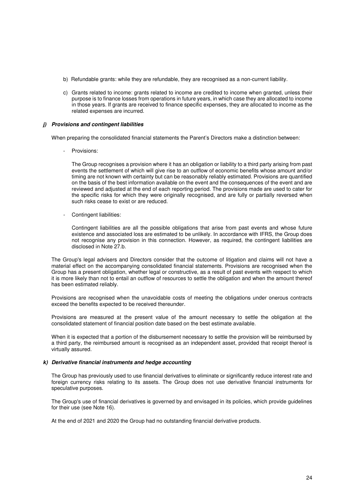- b) Refundable grants: while they are refundable, they are recognised as a non-current liability.
- c) Grants related to income: grants related to income are credited to income when granted, unless their purpose is to finance losses from operations in future years, in which case they are allocated to income in those years. If grants are received to finance specific expenses, they are allocated to income as the related expenses are incurred.

### **j) Provisions and contingent liabilities**

When preparing the consolidated financial statements the Parent's Directors make a distinction between:

Provisions:

The Group recognises a provision where it has an obligation or liability to a third party arising from past events the settlement of which will give rise to an outflow of economic benefits whose amount and/or timing are not known with certainty but can be reasonably reliably estimated. Provisions are quantified on the basis of the best information available on the event and the consequences of the event and are reviewed and adjusted at the end of each reporting period. The provisions made are used to cater for the specific risks for which they were originally recognised, and are fully or partially reversed when such risks cease to exist or are reduced.

- Contingent liabilities:

Contingent liabilities are all the possible obligations that arise from past events and whose future existence and associated loss are estimated to be unlikely. In accordance with IFRS, the Group does not recognise any provision in this connection. However, as required, the contingent liabilities are disclosed in Note 27.b.

The Group's legal advisers and Directors consider that the outcome of litigation and claims will not have a material effect on the accompanying consolidated financial statements. Provisions are recognised when the Group has a present obligation, whether legal or constructive, as a result of past events with respect to which it is more likely than not to entail an outflow of resources to settle the obligation and when the amount thereof has been estimated reliably.

Provisions are recognised when the unavoidable costs of meeting the obligations under onerous contracts exceed the benefits expected to be received thereunder.

Provisions are measured at the present value of the amount necessary to settle the obligation at the consolidated statement of financial position date based on the best estimate available.

When it is expected that a portion of the disbursement necessary to settle the provision will be reimbursed by a third party, the reimbursed amount is recognised as an independent asset, provided that receipt thereof is virtually assured.

#### **k) Derivative financial instruments and hedge accounting**

The Group has previously used to use financial derivatives to eliminate or significantly reduce interest rate and foreign currency risks relating to its assets. The Group does not use derivative financial instruments for speculative purposes.

The Group's use of financial derivatives is governed by and envisaged in its policies, which provide guidelines for their use (see Note 16).

At the end of 2021 and 2020 the Group had no outstanding financial derivative products.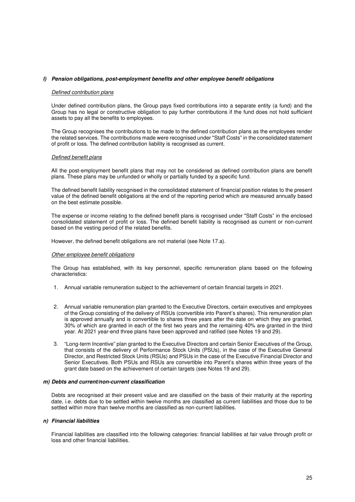### **l) Pension obligations, post-employment benefits and other employee benefit obligations**

### Defined contribution plans

Under defined contribution plans, the Group pays fixed contributions into a separate entity (a fund) and the Group has no legal or constructive obligation to pay further contributions if the fund does not hold sufficient assets to pay all the benefits to employees.

The Group recognises the contributions to be made to the defined contribution plans as the employees render the related services. The contributions made were recognised under "Staff Costs" in the consolidated statement of profit or loss. The defined contribution liability is recognised as current.

### Defined benefit plans

All the post-employment benefit plans that may not be considered as defined contribution plans are benefit plans. These plans may be unfunded or wholly or partially funded by a specific fund.

The defined benefit liability recognised in the consolidated statement of financial position relates to the present value of the defined benefit obligations at the end of the reporting period which are measured annually based on the best estimate possible.

The expense or income relating to the defined benefit plans is recognised under "Staff Costs" in the enclosed consolidated statement of profit or loss. The defined benefit liability is recognised as current or non-current based on the vesting period of the related benefits.

However, the defined benefit obligations are not material (see Note 17.a).

### Other employee benefit obligations

The Group has established, with its key personnel, specific remuneration plans based on the following characteristics:

- 1. Annual variable remuneration subject to the achievement of certain financial targets in 2021.
- 2. Annual variable remuneration plan granted to the Executive Directors, certain executives and employees of the Group consisting of the delivery of RSUs (convertible into Parent's shares). This remuneration plan is approved annually and is convertible to shares three years after the date on which they are granted, 30% of which are granted in each of the first two years and the remaining 40% are granted in the third year. At 2021 year-end three plans have been approved and ratified (see Notes 19 and 29).
- 3. "Long-term Incentive" plan granted to the Executive Directors and certain Senior Executives of the Group, that consists of the delivery of Performance Stock Units (PSUs), in the case of the Executive General Director, and Restricted Stock Units (RSUs) and PSUs in the case of the Executive Financial Director and Senior Executives. Both PSUs and RSUs are convertible into Parent's shares within three years of the grant date based on the achievement of certain targets (see Notes 19 and 29).

# **m) Debts and current/non-current classification**

Debts are recognised at their present value and are classified on the basis of their maturity at the reporting date, i.e. debts due to be settled within twelve months are classified as current liabilities and those due to be settled within more than twelve months are classified as non-current liabilities.

#### **n) Financial liabilities**

Financial liabilities are classified into the following categories: financial liabilities at fair value through profit or loss and other financial liabilities.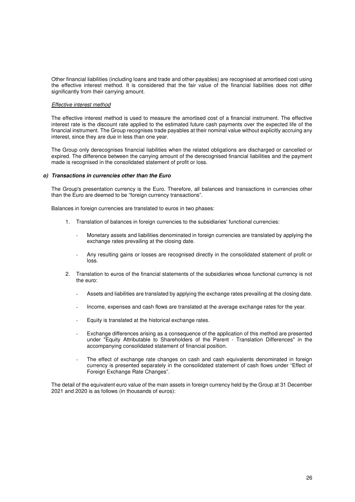Other financial liabilities (including loans and trade and other payables) are recognised at amortised cost using the effective interest method. It is considered that the fair value of the financial liabilities does not differ significantly from their carrying amount.

### Effective interest method

The effective interest method is used to measure the amortised cost of a financial instrument. The effective interest rate is the discount rate applied to the estimated future cash payments over the expected life of the financial instrument. The Group recognises trade payables at their nominal value without explicitly accruing any interest, since they are due in less than one year.

The Group only derecognises financial liabilities when the related obligations are discharged or cancelled or expired. The difference between the carrying amount of the derecognised financial liabilities and the payment made is recognised in the consolidated statement of profit or loss.

## **o) Transactions in currencies other than the Euro**

The Group's presentation currency is the Euro. Therefore, all balances and transactions in currencies other than the Euro are deemed to be "foreign currency transactions".

Balances in foreign currencies are translated to euros in two phases:

- 1. Translation of balances in foreign currencies to the subsidiaries' functional currencies:
	- Monetary assets and liabilities denominated in foreign currencies are translated by applying the exchange rates prevailing at the closing date.
	- Any resulting gains or losses are recognised directly in the consolidated statement of profit or loss.
- 2. Translation to euros of the financial statements of the subsidiaries whose functional currency is not the euro:
	- Assets and liabilities are translated by applying the exchange rates prevailing at the closing date.
	- Income, expenses and cash flows are translated at the average exchange rates for the year.
	- Equity is translated at the historical exchange rates.
	- Exchange differences arising as a consequence of the application of this method are presented under "Equity Attributable to Shareholders of the Parent - Translation Differences" in the accompanying consolidated statement of financial position.
	- The effect of exchange rate changes on cash and cash equivalents denominated in foreign currency is presented separately in the consolidated statement of cash flows under "Effect of Foreign Exchange Rate Changes".

The detail of the equivalent euro value of the main assets in foreign currency held by the Group at 31 December 2021 and 2020 is as follows (in thousands of euros):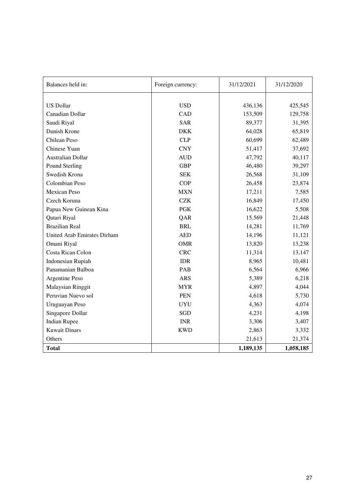| Balances held in:           | Foreign currency: | 31/12/2021 | 31/12/2020 |
|-----------------------------|-------------------|------------|------------|
|                             |                   |            |            |
| <b>US Dollar</b>            | <b>USD</b>        | 436,136    | 425,545    |
| Canadian Dollar             | CAD               | 153,509    | 129,758    |
| Saudi Riyal                 | <b>SAR</b>        | 89,377     | 31,395     |
| Danish Krone                | <b>DKK</b>        | 64,028     | 65,819     |
| Chilean Peso                | CLP               | 60,699     | 62,489     |
| Chinese Yuan                | <b>CNY</b>        | 51,417     | 37,692     |
| Australian Dollar           | <b>AUD</b>        | 47,792     | 40,117     |
| Pound Sterling              | <b>GBP</b>        | 46,480     | 39,297     |
| Swedish Krona               | <b>SEK</b>        | 26,568     | 31,109     |
| Colombian Peso              | <b>COP</b>        | 26,458     | 23,874     |
| <b>Mexican Peso</b>         | <b>MXN</b>        | 17,211     | 7,585      |
| Czech Koruna                | <b>CZK</b>        | 16,849     | 17,450     |
| Papua New Guinean Kina      | <b>PGK</b>        | 16,622     | 5,508      |
| Qatari Riyal                | QAR               | 15,569     | 21,448     |
| <b>Brazilian Real</b>       | <b>BRL</b>        | 14,281     | 11,769     |
| United Arab Emirates Dirham | <b>AED</b>        | 14,196     | 11,121     |
| Omani Riyal                 | <b>OMR</b>        | 13,820     | 13,238     |
| Costa Rican Colon           | <b>CRC</b>        | 11,314     | 13,147     |
| <b>Indonesian Rupiah</b>    | <b>IDR</b>        | 8,965      | 10,481     |
| Panamanian Balboa           | PAB               | 6,564      | 6,966      |
| Argentine Peso              | <b>ARS</b>        | 5,389      | 6,218      |
| Malaysian Ringgit           | <b>MYR</b>        | 4,897      | 4,044      |
| Peruvian Nuevo sol          | <b>PEN</b>        | 4,618      | 5,730      |
| Uruguayan Peso              | <b>UYU</b>        | 4,363      | 4,074      |
| Singapore Dollar            | SGD               | 4,231      | 4,198      |
| <b>Indian Rupee</b>         | <b>INR</b>        | 3,306      | 3,407      |
| <b>Kuwait Dinars</b>        | <b>KWD</b>        | 2,863      | 3,332      |
| Others                      |                   | 21,613     | 21,374     |
| <b>Total</b>                |                   | 1,189,135  | 1,058,185  |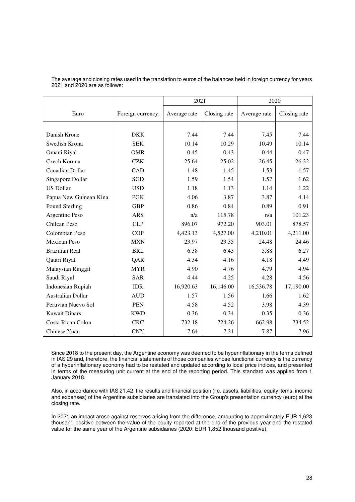|                          |                   | 2021         |              | 2020         |              |
|--------------------------|-------------------|--------------|--------------|--------------|--------------|
| Euro                     | Foreign currency: | Average rate | Closing rate | Average rate | Closing rate |
|                          |                   |              |              |              |              |
| Danish Krone             | <b>DKK</b>        | 7.44         | 7.44         | 7.45         | 7.44         |
| Swedish Krona            | <b>SEK</b>        | 10.14        | 10.29        | 10.49        | 10.14        |
| Omani Riyal              | <b>OMR</b>        | 0.45         | 0.43         | 0.44         | 0.47         |
| Czech Koruna             | <b>CZK</b>        | 25.64        | 25.02        | 26.45        | 26.32        |
| Canadian Dollar          | CAD               | 1.48         | 1.45         | 1.53         | 1.57         |
| Singapore Dollar         | <b>SGD</b>        | 1.59         | 1.54         | 1.57         | 1.62         |
| <b>US Dollar</b>         | <b>USD</b>        | 1.18         | 1.13         | 1.14         | 1.22         |
| Papua New Guinean Kina   | <b>PGK</b>        | 4.06         | 3.87         | 3.87         | 4.14         |
| Pound Sterling           | <b>GBP</b>        | 0.86         | 0.84         | 0.89         | 0.91         |
| Argentine Peso           | <b>ARS</b>        | n/a          | 115.78       | n/a          | 101.23       |
| Chilean Peso             | <b>CLP</b>        | 896.07       | 972.20       | 903.01       | 878.57       |
| Colombian Peso           | <b>COP</b>        | 4,423.13     | 4,527.00     | 4,210.01     | 4,211.00     |
| <b>Mexican Peso</b>      | <b>MXN</b>        | 23.97        | 23.35        | 24.48        | 24.46        |
| <b>Brazilian Real</b>    | <b>BRL</b>        | 6.38         | 6.43         | 5.88         | 6.27         |
| Qatari Riyal             | QAR               | 4.34         | 4.16         | 4.18         | 4.49         |
| Malaysian Ringgit        | <b>MYR</b>        | 4.90         | 4.76         | 4.79         | 4.94         |
| Saudi Riyal              | <b>SAR</b>        | 4.44         | 4.25         | 4.28         | 4.56         |
| <b>Indonesian Rupiah</b> | <b>IDR</b>        | 16,920.63    | 16,146.00    | 16,536.78    | 17,190.00    |
| <b>Australian Dollar</b> | <b>AUD</b>        | 1.57         | 1.56         | 1.66         | 1.62         |
| Peruvian Nuevo Sol       | <b>PEN</b>        | 4.58         | 4.52         | 3.98         | 4.39         |
| <b>Kuwait Dinars</b>     | <b>KWD</b>        | 0.36         | 0.34         | 0.35         | 0.36         |
| Costa Rican Colon        | <b>CRC</b>        | 732.18       | 724.26       | 662.98       | 734.52       |
| Chinese Yuan             | <b>CNY</b>        | 7.64         | 7.21         | 7.87         | 7.96         |

The average and closing rates used in the translation to euros of the balances held in foreign currency for years 2021 and 2020 are as follows:

Since 2018 to the present day, the Argentine economy was deemed to be hyperinflationary in the terms defined in IAS 29 and, therefore, the financial statements of those companies whose functional currency is the currency of a hyperinflationary economy had to be restated and updated according to local price indices, and presented in terms of the measuring unit current at the end of the reporting period. This standard was applied from 1 January 2018.

Also, in accordance with IAS 21.42, the results and financial position (i.e. assets, liabilities, equity items, income and expenses) of the Argentine subsidiaries are translated into the Group's presentation currency (euro) at the closing rate.

In 2021 an impact arose against reserves arising from the difference, amounting to approximately EUR 1,623 thousand positive between the value of the equity reported at the end of the previous year and the restated value for the same year of the Argentine subsidiaries (2020: EUR 1,852 thousand positive).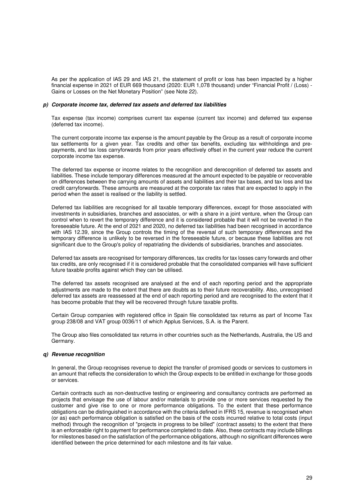As per the application of IAS 29 and IAS 21, the statement of profit or loss has been impacted by a higher financial expense in 2021 of EUR 669 thousand (2020: EUR 1,078 thousand) under "Financial Profit / (Loss) - Gains or Losses on the Net Monetary Position" (see Note 22).

### **p) Corporate income tax, deferred tax assets and deferred tax liabilities**

Tax expense (tax income) comprises current tax expense (current tax income) and deferred tax expense (deferred tax income).

The current corporate income tax expense is the amount payable by the Group as a result of corporate income tax settlements for a given year. Tax credits and other tax benefits, excluding tax withholdings and prepayments, and tax loss carryforwards from prior years effectively offset in the current year reduce the current corporate income tax expense.

The deferred tax expense or income relates to the recognition and derecognition of deferred tax assets and liabilities. These include temporary differences measured at the amount expected to be payable or recoverable on differences between the carrying amounts of assets and liabilities and their tax bases, and tax loss and tax credit carryforwards. These amounts are measured at the corporate tax rates that are expected to apply in the period when the asset is realised or the liability is settled.

Deferred tax liabilities are recognised for all taxable temporary differences, except for those associated with investments in subsidiaries, branches and associates, or with a share in a joint venture, when the Group can control when to revert the temporary difference and it is considered probable that it will not be reverted in the foreseeable future. At the end of 2021 and 2020, no deferred tax liabilities had been recognised in accordance with IAS 12.39, since the Group controls the timing of the reversal of such temporary differences and the temporary difference is unlikely to be reversed in the foreseeable future, or because these liabilities are not significant due to the Group's policy of repatriating the dividends of subsidiaries, branches and associates.

Deferred tax assets are recognised for temporary differences, tax credits for tax losses carry forwards and other tax credits, are only recognised if it is considered probable that the consolidated companies will have sufficient future taxable profits against which they can be utilised.

The deferred tax assets recognised are analysed at the end of each reporting period and the appropriate adjustments are made to the extent that there are doubts as to their future recoverability. Also, unrecognised deferred tax assets are reassessed at the end of each reporting period and are recognised to the extent that it has become probable that they will be recovered through future taxable profits.

Certain Group companies with registered office in Spain file consolidated tax returns as part of Income Tax group 238/08 and VAT group 0036/11 of which Applus Services, S.A. is the Parent.

The Group also files consolidated tax returns in other countries such as the Netherlands, Australia, the US and Germany.

### **q) Revenue recognition**

In general, the Group recognises revenue to depict the transfer of promised goods or services to customers in an amount that reflects the consideration to which the Group expects to be entitled in exchange for those goods or services.

Certain contracts such as non-destructive testing or engineering and consultancy contracts are performed as projects that envisage the use of labour and/or materials to provide one or more services requested by the customer and give rise to one or more performance obligations. To the extent that these performance obligations can be distinguished in accordance with the criteria defined in IFRS 15, revenue is recognised when (or as) each performance obligation is satisfied on the basis of the costs incurred relative to total costs (input method) through the recognition of "projects in progress to be billed" (contract assets) to the extent that there is an enforceable right to payment for performance completed to date. Also, these contracts may include billings for milestones based on the satisfaction of the performance obligations, although no significant differences were identified between the price determined for each milestone and its fair value.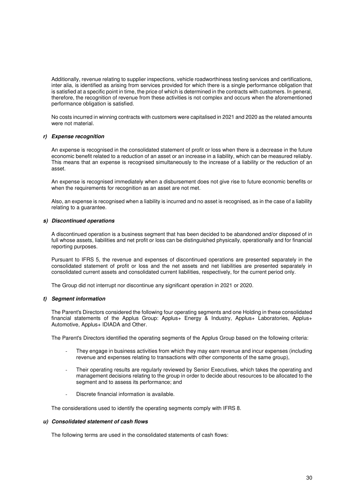Additionally, revenue relating to supplier inspections, vehicle roadworthiness testing services and certifications, inter alia, is identified as arising from services provided for which there is a single performance obligation that is satisfied at a specific point in time, the price of which is determined in the contracts with customers. In general, therefore, the recognition of revenue from these activities is not complex and occurs when the aforementioned performance obligation is satisfied.

No costs incurred in winning contracts with customers were capitalised in 2021 and 2020 as the related amounts were not material.

### **r) Expense recognition**

An expense is recognised in the consolidated statement of profit or loss when there is a decrease in the future economic benefit related to a reduction of an asset or an increase in a liability, which can be measured reliably. This means that an expense is recognised simultaneously to the increase of a liability or the reduction of an asset.

An expense is recognised immediately when a disbursement does not give rise to future economic benefits or when the requirements for recognition as an asset are not met.

Also, an expense is recognised when a liability is incurred and no asset is recognised, as in the case of a liability relating to a guarantee.

### **s) Discontinued operations**

A discontinued operation is a business segment that has been decided to be abandoned and/or disposed of in full whose assets, liabilities and net profit or loss can be distinguished physically, operationally and for financial reporting purposes.

Pursuant to IFRS 5, the revenue and expenses of discontinued operations are presented separately in the consolidated statement of profit or loss and the net assets and net liabilities are presented separately in consolidated current assets and consolidated current liabilities, respectively, for the current period only.

The Group did not interrupt nor discontinue any significant operation in 2021 or 2020.

#### **t) Segment information**

The Parent's Directors considered the following four operating segments and one Holding in these consolidated financial statements of the Applus Group: Applus+ Energy & Industry, Applus+ Laboratories, Applus+ Automotive, Applus+ IDIADA and Other.

The Parent's Directors identified the operating segments of the Applus Group based on the following criteria:

- They engage in business activities from which they may earn revenue and incur expenses (including revenue and expenses relating to transactions with other components of the same group),
- Their operating results are regularly reviewed by Senior Executives, which takes the operating and management decisions relating to the group in order to decide about resources to be allocated to the segment and to assess its performance; and
- Discrete financial information is available.

The considerations used to identify the operating segments comply with IFRS 8.

### **u) Consolidated statement of cash flows**

The following terms are used in the consolidated statements of cash flows: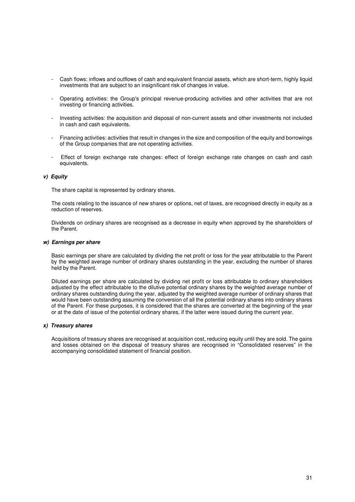- Cash flows: inflows and outflows of cash and equivalent financial assets, which are short-term, highly liquid investments that are subject to an insignificant risk of changes in value.
- Operating activities: the Group's principal revenue-producing activities and other activities that are not investing or financing activities.
- Investing activities: the acquisition and disposal of non-current assets and other investments not included in cash and cash equivalents.
- Financing activities: activities that result in changes in the size and composition of the equity and borrowings of the Group companies that are not operating activities.
- Effect of foreign exchange rate changes: effect of foreign exchange rate changes on cash and cash equivalents.

### **v) Equity**

The share capital is represented by ordinary shares.

The costs relating to the issuance of new shares or options, net of taxes, are recognised directly in equity as a reduction of reserves.

Dividends on ordinary shares are recognised as a decrease in equity when approved by the shareholders of the Parent.

### **w) Earnings per share**

Basic earnings per share are calculated by dividing the net profit or loss for the year attributable to the Parent by the weighted average number of ordinary shares outstanding in the year, excluding the number of shares held by the Parent.

Diluted earnings per share are calculated by dividing net profit or loss attributable to ordinary shareholders adjusted by the effect attributable to the dilutive potential ordinary shares by the weighted average number of ordinary shares outstanding during the year, adjusted by the weighted average number of ordinary shares that would have been outstanding assuming the conversion of all the potential ordinary shares into ordinary shares of the Parent. For these purposes, it is considered that the shares are converted at the beginning of the year or at the date of issue of the potential ordinary shares, if the latter were issued during the current year.

## **x) Treasury shares**

Acquisitions of treasury shares are recognised at acquisition cost, reducing equity until they are sold. The gains and losses obtained on the disposal of treasury shares are recognised in "Consolidated reserves" in the accompanying consolidated statement of financial position.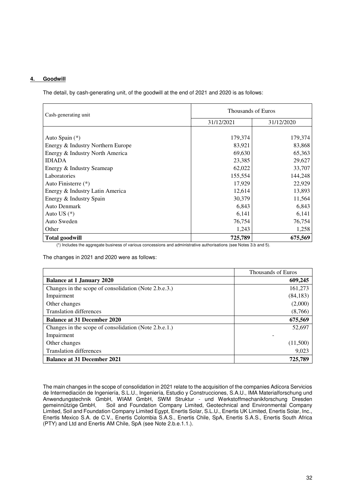# **4. Goodwill**

The detail, by cash-generating unit, of the goodwill at the end of 2021 and 2020 is as follows:

| Cash-generating unit              | Thousands of Euros |            |
|-----------------------------------|--------------------|------------|
|                                   | 31/12/2021         | 31/12/2020 |
|                                   |                    |            |
| Auto Spain (*)                    | 179,374            | 179,374    |
| Energy & Industry Northern Europe | 83,921             | 83,868     |
| Energy & Industry North America   | 69,630             | 65,363     |
| <b>IDIADA</b>                     | 23,385             | 29,627     |
| Energy & Industry Seameap         | 62,022             | 33,707     |
| Laboratories                      | 155,554            | 144,248    |
| Auto Finisterre (*)               | 17,929             | 22,929     |
| Energy & Industry Latin America   | 12,614             | 13,893     |
| Energy & Industry Spain           | 30,379             | 11,564     |
| Auto Denmark                      | 6,843              | 6,843      |
| Auto US $(*)$                     | 6,141              | 6,141      |
| Auto Sweden                       | 76,754             | 76,754     |
| Other                             | 1,243              | 1,258      |
| <b>Total goodwill</b>             | 725,789            | 675,569    |

(\*) Includes the aggregate business of various concessions and administrative authorisations (see Notes 3.b and 5).

The changes in 2021 and 2020 were as follows:

|                                                       | Thousands of Euros |
|-------------------------------------------------------|--------------------|
| <b>Balance at 1 January 2020</b>                      | 609,245            |
| Changes in the scope of consolidation (Note 2.b.e.3.) | 161,273            |
| Impairment                                            | (84, 183)          |
| Other changes                                         | (2,000)            |
| <b>Translation differences</b>                        | (8,766)            |
| <b>Balance at 31 December 2020</b>                    | 675,569            |
| Changes in the scope of consolidation (Note 2.b.e.1.) | 52.697             |
| Impairment                                            |                    |
| Other changes                                         | (11,500)           |
| <b>Translation differences</b>                        | 9,023              |
| <b>Balance at 31 December 2021</b>                    | 725,789            |

The main changes in the scope of consolidation in 2021 relate to the acquisition of the companies Adícora Servicios de Intermediación de Ingeniería, S.L.U., Ingeniería, Estudio y Construcciones, S.A.U., IMA Materialforschung und Anwendungstechnik GmbH, WIAM GmbH, SWM Struktur - und Werkstoffmechanikforschung Dresden gemeinnützige GmbH, Soil and Foundation Company Limited, Geotechnical and Environmental Company Limited, Soil and Foundation Company Limited Egypt, Enertis Solar, S.L.U., Enertis UK Limited, Enertis Solar, Inc., Enertis Mexico S.A. de C.V., Enertis Colombia S.A.S., Enertis Chile, SpA, Enertis S.A.S., Enertis South Africa (PTY) and Ltd and Enertis AM Chile, SpA (see Note 2.b.e.1.1.).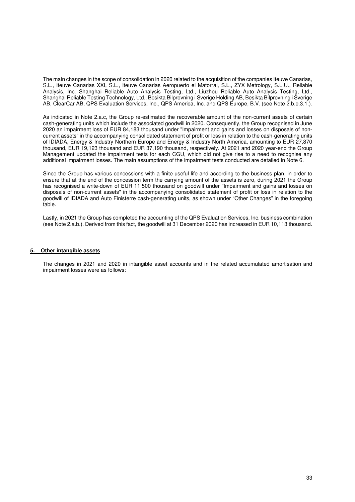The main changes in the scope of consolidation in 2020 related to the acquisition of the companies Iteuve Canarias, S.L., Iteuve Canarias XXI, S.L., Iteuve Canarias Aeropuerto el Matorral, S.L., ZYX Metrology, S.L.U., Reliable Analysis, Inc. Shanghai Reliable Auto Analysis Testing, Ltd., Liuzhou Reliable Auto Analysis Testing, Ltd., Shanghai Reliable Testing Technology, Ltd., Besikta Bilprovning i Sverige Holding AB, Besikta Bilprovning i Sverige AB, ClearCar AB, QPS Evaluation Services, Inc., QPS America, Inc. and QPS Europe, B.V. (see Note 2.b.e.3.1.).

As indicated in Note 2.a.c, the Group re-estimated the recoverable amount of the non-current assets of certain cash-generating units which include the associated goodwill in 2020. Consequently, the Group recognised in June 2020 an impairment loss of EUR 84,183 thousand under "Impairment and gains and losses on disposals of noncurrent assets" in the accompanying consolidated statement of profit or loss in relation to the cash-generating units of IDIADA, Energy & Industry Northern Europe and Energy & Industry North America, amounting to EUR 27,870 thousand, EUR 19,123 thousand and EUR 37,190 thousand, respectively. At 2021 and 2020 year-end the Group Management updated the impairment tests for each CGU, which did not give rise to a need to recognise any additional impairment losses. The main assumptions of the impairment tests conducted are detailed in Note 6.

Since the Group has various concessions with a finite useful life and according to the business plan, in order to ensure that at the end of the concession term the carrying amount of the assets is zero, during 2021 the Group has recognised a write-down of EUR 11,500 thousand on goodwill under "Impairment and gains and losses on disposals of non-current assets" in the accompanying consolidated statement of profit or loss in relation to the goodwill of IDIADA and Auto Finisterre cash-generating units, as shown under "Other Changes" in the foregoing table.

Lastly, in 2021 the Group has completed the accounting of the QPS Evaluation Services, Inc. business combination (see Note 2.a.b.). Derived from this fact, the goodwill at 31 December 2020 has increased in EUR 10,113 thousand.

### **5. Other intangible assets**

The changes in 2021 and 2020 in intangible asset accounts and in the related accumulated amortisation and impairment losses were as follows: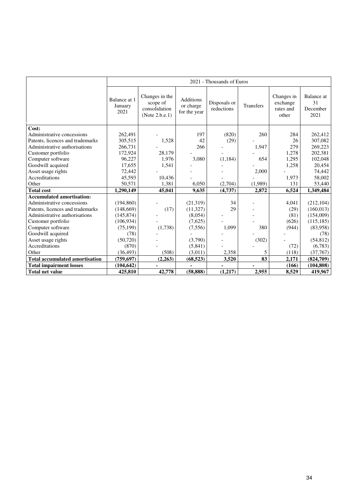|                                       |                                 | 2021 - Thousands of Euros                                     |                                               |                            |                          |                                              |                                      |  |  |  |  |
|---------------------------------------|---------------------------------|---------------------------------------------------------------|-----------------------------------------------|----------------------------|--------------------------|----------------------------------------------|--------------------------------------|--|--|--|--|
|                                       | Balance at 1<br>January<br>2021 | Changes in the<br>scope of<br>consolidation<br>(Note 2.b.e.1) | <b>Additions</b><br>or charge<br>for the year | Disposals or<br>reductions | <b>Transfers</b>         | Changes in<br>exchange<br>rates and<br>other | Balance at<br>31<br>December<br>2021 |  |  |  |  |
| Cost:                                 |                                 |                                                               |                                               |                            |                          |                                              |                                      |  |  |  |  |
| Administrative concessions            | 262,491                         |                                                               | 197                                           | (820)                      | 260                      | 284                                          | 262,412                              |  |  |  |  |
| Patents, licences and trademarks      | 305,515                         | 1,528                                                         | 42                                            | (29)                       |                          | 26                                           | 307,082                              |  |  |  |  |
| Administrative authorisations         | 266,731                         |                                                               | 266                                           |                            | 1,947                    | 279                                          | 269,223                              |  |  |  |  |
| Customer portfolio                    | 172,924                         | 28,179                                                        |                                               |                            |                          | 1,278                                        | 202,381                              |  |  |  |  |
| Computer software                     | 96,227                          | 1,976                                                         | 3,080                                         | (1, 184)                   | 654                      | 1,295                                        | 102,048                              |  |  |  |  |
| Goodwill acquired                     | 17,655                          | 1,541                                                         |                                               |                            |                          | 1,258                                        | 20,454                               |  |  |  |  |
| Asset usage rights                    | 72,442                          |                                                               |                                               |                            | 2,000                    |                                              | 74,442                               |  |  |  |  |
| Accreditations                        | 45,593                          | 10,436                                                        |                                               |                            |                          | 1,973                                        | 58,002                               |  |  |  |  |
| Other                                 | 50,571                          | 1,381                                                         | 6,050                                         | (2,704)                    | (1,989)                  | 131                                          | 53,440                               |  |  |  |  |
| <b>Total cost</b>                     | 1,290,149                       | 45,041                                                        | 9,635                                         | (4,737)                    | 2,872                    | 6,524                                        | 1,349,484                            |  |  |  |  |
| <b>Accumulated amortisation:</b>      |                                 |                                                               |                                               |                            |                          |                                              |                                      |  |  |  |  |
| Administrative concessions            | (194, 860)                      |                                                               | (21,319)                                      | 34                         |                          | 4,041                                        | (212, 104)                           |  |  |  |  |
| Patents, licences and trademarks      | (148, 669)                      | (17)                                                          | (11, 327)                                     | 29                         |                          | (29)                                         | (160, 013)                           |  |  |  |  |
| Administrative authorisations         | (145, 874)                      |                                                               | (8,054)                                       |                            |                          | (81)                                         | (154,009)                            |  |  |  |  |
| Customer portfolio                    | (106, 934)                      |                                                               | (7,625)                                       |                            |                          | (626)                                        | (115, 185)                           |  |  |  |  |
| Computer software                     | (75, 199)                       | (1,738)                                                       | (7, 556)                                      | 1.099                      | 380                      | (944)                                        | (83,958)                             |  |  |  |  |
| Goodwill acquired                     | (78)                            |                                                               |                                               |                            |                          |                                              | (78)                                 |  |  |  |  |
| Asset usage rights                    | (50, 720)                       |                                                               | (3,790)                                       |                            | (302)                    |                                              | (54, 812)                            |  |  |  |  |
| Accreditations                        | (870)                           |                                                               | (5,841)                                       |                            |                          | (72)                                         | (6,783)                              |  |  |  |  |
| Other                                 | (36, 493)                       | (508)                                                         | (3,011)                                       | 2,358                      | 5                        | (118)                                        | (37,767)                             |  |  |  |  |
| <b>Total accumulated amortisation</b> | (759, 697)                      | (2,263)                                                       | (68, 523)                                     | 3,520                      | $\overline{\textbf{83}}$ | 2,171                                        | (824,709)                            |  |  |  |  |
| <b>Total impairment losses</b>        | (104, 642)                      |                                                               |                                               |                            |                          | (166)                                        | (104, 808)                           |  |  |  |  |
| <b>Total net value</b>                | 425,810                         | 42,778                                                        | (58, 888)                                     | (1,217)                    | 2,955                    | 8,529                                        | 419,967                              |  |  |  |  |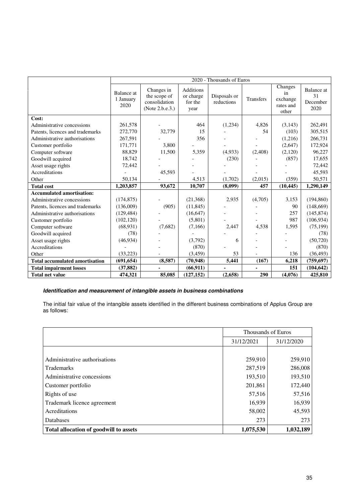|                                       | 2020 - Thousands of Euros       |                                                                |                                                  |                            |           |                                                 |                                      |  |  |  |
|---------------------------------------|---------------------------------|----------------------------------------------------------------|--------------------------------------------------|----------------------------|-----------|-------------------------------------------------|--------------------------------------|--|--|--|
|                                       | Balance at<br>1 January<br>2020 | Changes in<br>the scope of<br>consolidation<br>(Note 2.b.e.3.) | <b>Additions</b><br>or charge<br>for the<br>year | Disposals or<br>reductions | Transfers | Changes<br>in<br>exchange<br>rates and<br>other | Balance at<br>31<br>December<br>2020 |  |  |  |
| Cost:                                 |                                 |                                                                |                                                  |                            |           |                                                 |                                      |  |  |  |
| Administrative concessions            | 261,578                         |                                                                | 464                                              | (1,234)                    | 4,826     | (3,143)                                         | 262,491                              |  |  |  |
| Patents, licences and trademarks      | 272,770                         | 32,779                                                         | 15                                               |                            | 54        | (103)                                           | 305,515                              |  |  |  |
| Administrative authorisations         | 267,591                         |                                                                | 356                                              |                            |           | (1,216)                                         | 266,731                              |  |  |  |
| Customer portfolio                    | 171,771                         | 3,800                                                          |                                                  |                            |           | (2,647)                                         | 172,924                              |  |  |  |
| Computer software                     | 88.829                          | 11,500                                                         | 5,359                                            | (4,933)                    | (2,408)   | (2,120)                                         | 96,227                               |  |  |  |
| Goodwill acquired                     | 18,742                          |                                                                |                                                  | (230)                      |           | (857)                                           | 17,655                               |  |  |  |
| Asset usage rights                    | 72,442                          |                                                                |                                                  |                            |           |                                                 | 72,442                               |  |  |  |
| Accreditations                        |                                 | 45,593                                                         |                                                  |                            |           |                                                 | 45,593                               |  |  |  |
| Other                                 | 50.134                          |                                                                | 4,513                                            | (1,702)                    | (2,015)   | (359)                                           | 50,571                               |  |  |  |
| <b>Total cost</b>                     | 1,203,857                       | 93,672                                                         | 10,707                                           | (8,099)                    | 457       | (10, 445)                                       | 1,290,149                            |  |  |  |
| <b>Accumulated amortisation:</b>      |                                 |                                                                |                                                  |                            |           |                                                 |                                      |  |  |  |
| Administrative concessions            | (174, 875)                      |                                                                | (21,368)                                         | 2,935                      | (4,705)   | 3,153                                           | (194, 860)                           |  |  |  |
| Patents, licences and trademarks      | (136,009)                       | (905)                                                          | (11, 845)                                        |                            |           | 90                                              | (148, 669)                           |  |  |  |
| Administrative authorisations         | (129, 484)                      |                                                                | (16, 647)                                        |                            |           | 257                                             | (145, 874)                           |  |  |  |
| Customer portfolio                    | (102, 120)                      |                                                                | (5,801)                                          |                            |           | 987                                             | (106, 934)                           |  |  |  |
| Computer software                     | (68, 931)                       | (7,682)                                                        | (7,166)                                          | 2,447                      | 4,538     | 1,595                                           | (75, 199)                            |  |  |  |
| Goodwill acquired                     | (78)                            |                                                                |                                                  |                            |           |                                                 | (78)                                 |  |  |  |
| Asset usage rights                    | (46,934)                        |                                                                | (3,792)                                          | 6                          |           |                                                 | (50, 720)                            |  |  |  |
| Accreditations                        |                                 |                                                                | (870)                                            |                            |           |                                                 | (870)                                |  |  |  |
| Other                                 | (33,223)                        |                                                                | (3, 459)                                         | 53                         |           | 136                                             | (36, 493)                            |  |  |  |
| <b>Total accumulated amortisation</b> | (691, 654)                      | (8,587)                                                        | (70, 948)                                        | 5,441                      | (167)     | 6,218                                           | (759, 697)                           |  |  |  |
| <b>Total impairment losses</b>        | (37, 882)                       |                                                                | (66, 911)                                        |                            |           | 151                                             | (104, 642)                           |  |  |  |
| <b>Total net value</b>                | 474,321                         | 85,085                                                         | (127, 152)                                       | (2,658)                    | 290       | (4,076)                                         | 425,810                              |  |  |  |

# **Identification and measurement of intangible assets in business combinations**

The initial fair value of the intangible assets identified in the different business combinations of Applus Group are as follows:

|                                        | Thousands of Euros |            |
|----------------------------------------|--------------------|------------|
|                                        | 31/12/2021         | 31/12/2020 |
|                                        |                    |            |
| Administrative authorisations          | 259,910            | 259,910    |
| <b>Trademarks</b>                      | 287,519            | 286,008    |
| Administrative concessions             | 193,510            | 193,510    |
| Customer portfolio                     | 201,861            | 172,440    |
| Rights of use                          | 57,516             | 57,516     |
| Trademark licence agreement            | 16,939             | 16,939     |
| Acreditations                          | 58,002             | 45,593     |
| Databases                              | 273                | 273        |
| Total allocation of goodwill to assets | 1,075,530          | 1,032,189  |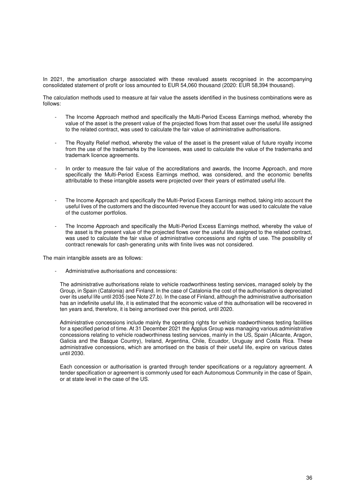In 2021, the amortisation charge associated with these revalued assets recognised in the accompanying consolidated statement of profit or loss amounted to EUR 54,060 thousand (2020: EUR 58,394 thousand).

The calculation methods used to measure at fair value the assets identified in the business combinations were as follows:

- The Income Approach method and specifically the Multi-Period Excess Earnings method, whereby the value of the asset is the present value of the projected flows from that asset over the useful life assigned to the related contract, was used to calculate the fair value of administrative authorisations.
- The Royalty Relief method, whereby the value of the asset is the present value of future royalty income from the use of the trademarks by the licensees, was used to calculate the value of the trademarks and trademark licence agreements.
- In order to measure the fair value of the accreditations and awards, the Income Approach, and more specifically the Multi-Period Excess Earnings method, was considered, and the economic benefits attributable to these intangible assets were projected over their years of estimated useful life.
- The Income Approach and specifically the Multi-Period Excess Earnings method, taking into account the useful lives of the customers and the discounted revenue they account for was used to calculate the value of the customer portfolios.
- The Income Approach and specifically the Multi-Period Excess Earnings method, whereby the value of the asset is the present value of the projected flows over the useful life assigned to the related contract, was used to calculate the fair value of administrative concessions and rights of use. The possibility of contract renewals for cash-generating units with finite lives was not considered.

The main intangible assets are as follows:

Administrative authorisations and concessions:

The administrative authorisations relate to vehicle roadworthiness testing services, managed solely by the Group, in Spain (Catalonia) and Finland. In the case of Catalonia the cost of the authorisation is depreciated over its useful life until 2035 (see Note 27.b). In the case of Finland, although the administrative authorisation has an indefinite useful life, it is estimated that the economic value of this authorisation will be recovered in ten years and, therefore, it is being amortised over this period, until 2020.

Administrative concessions include mainly the operating rights for vehicle roadworthiness testing facilities for a specified period of time. At 31 December 2021 the Applus Group was managing various administrative concessions relating to vehicle roadworthiness testing services, mainly in the US, Spain (Alicante, Aragon, Galicia and the Basque Country), Ireland, Argentina, Chile, Ecuador, Uruguay and Costa Rica. These administrative concessions, which are amortised on the basis of their useful life, expire on various dates until 2030.

Each concession or authorisation is granted through tender specifications or a regulatory agreement. A tender specification or agreement is commonly used for each Autonomous Community in the case of Spain, or at state level in the case of the US.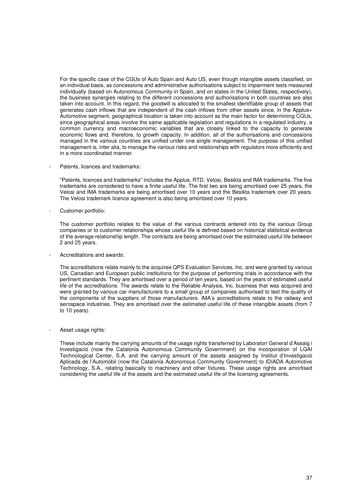For the specific case of the CGUs of Auto Spain and Auto US, even though intangible assets classified, on an individual basis, as concessions and administrative authorisations subject to impairment tests measured individually (based on Autonomous Community in Spain, and on states in the United States, respectively), the business synergies relating to the different concessions and authorisations in both countries are also taken into account. In this regard, the goodwill is allocated to the smallest identifiable group of assets that generates cash inflows that are independent of the cash inflows from other assets since, in the Applus+ Automotive segment, geographical location is taken into account as the main factor for determining CGUs, since geographical areas involve the same applicable legislation and regulations in a regulated industry, a common currency and macroeconomic variables that are closely linked to the capacity to generate economic flows and, therefore, to growth capacity. In addition, all of the authorisations and concessions managed in the various countries are unified under one single management. The purpose of this unified management is, inter alia, to manage the various risks and relationships with regulators more efficiently and in a more coordinated manner.

Patents, licences and trademarks:

"Patents, licences and trademarks" includes the Applus, RTD, Velosi, Besikta and IMA trademarks. The five trademarks are considered to have a finite useful life. The first two are being amortised over 25 years, the Velosi and IMA trademarks are being amortised over 10 years and the Besikta trademark over 20 years. The Velosi trademark licence agreement is also being amortised over 10 years.

Customer portfolio:

The customer portfolio relates to the value of the various contracts entered into by the various Group companies or to customer relationships whose useful life is defined based on historical statistical evidence of the average relationship length. The contracts are being amortised over the estimated useful life between 2 and 25 years.

Accreditations and awards:

The accreditations relate mainly to the acquiree QPS Evaluation Services, Inc. and were granted by various US, Canadian and European public institutions for the purpose of performing trials in accordance with the pertinent standards. They are amortised over a period of ten years, based on the years of estimated useful life of the accreditations. The awards relate to the Reliable Analysis, Inc. business that was acquired and were granted by various car manufacturers to a small group of companies authorised to test the quality of the components of the suppliers of those manufacturers. IMA's accreditations relate to the railway and aerospace industries. They are amortised over the estimated useful life of these intangible assets (from 7 to 10 years).

Asset usage rights:

These include mainly the carrying amounts of the usage rights transferred by Laboratori General d'Assaig i Investigació (now the Catalonia Autonomous Community Government) on the incorporation of LGAI Technological Center, S.A. and the carrying amount of the assets assigned by Institut d'Investigació Aplicada de l'Automòbil (now the Catalonia Autonomous Community Government) to IDIADA Automotive Technology, S.A., relating basically to machinery and other fixtures. These usage rights are amortised considering the useful life of the assets and the estimated useful life of the licensing agreements.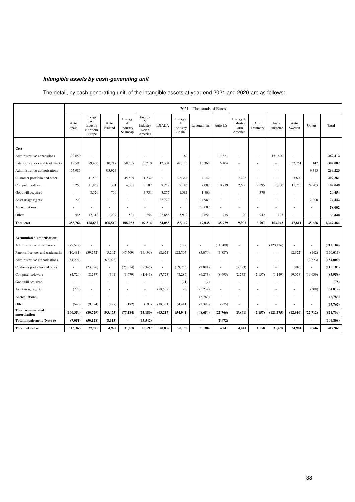# **Intangible assets by cash-generating unit**

# The detail, by cash-generating unit, of the intangible assets at year-end 2021 and 2020 are as follows:

|                                          |                | $2021$ – Thousands of Euros                   |                          |                                    |                                             |                          |                                  |                          |                          |                                          |                          |                    |                          |                          |              |
|------------------------------------------|----------------|-----------------------------------------------|--------------------------|------------------------------------|---------------------------------------------|--------------------------|----------------------------------|--------------------------|--------------------------|------------------------------------------|--------------------------|--------------------|--------------------------|--------------------------|--------------|
|                                          | Auto<br>Spain  | Energy<br>&<br>Industry<br>Northern<br>Europe | Auto<br>Finland          | Energy<br>&<br>Industry<br>Seameap | Energy<br>&<br>Industry<br>North<br>America | <b>IDIADA</b>            | Energy<br>&<br>Industry<br>Spain | Laboratories             | Auto US                  | Energy &<br>Industry<br>Latin<br>America | Auto<br>Denmark          | Auto<br>Finisterre | Auto<br>Sweden           | Others                   | <b>Total</b> |
|                                          |                |                                               |                          |                                    |                                             |                          |                                  |                          |                          |                                          |                          |                    |                          |                          |              |
| Cost:                                    |                |                                               |                          |                                    |                                             |                          |                                  |                          |                          |                                          |                          |                    |                          |                          |              |
| Administrative concessions               | 92,659         | $\overline{\phantom{a}}$                      | $\overline{\phantom{a}}$ | ٠                                  | ÷,                                          | $\overline{\phantom{a}}$ | 182                              | ٠                        | 17,881                   | $\overline{\phantom{a}}$                 | ٠                        | 151,690            | $\overline{\phantom{a}}$ | $\overline{\phantom{a}}$ | 262,412      |
| Patents, licences and trademarks         | 18,598         | 89,400                                        | 10,217                   | 58,565                             | 28,210                                      | 12,304                   | 40,113                           | 10,368                   | 6,404                    | ä,                                       | ÷                        |                    | 32,761                   | 142                      | 307,082      |
| Administrative authorisations            | 165,986        | $\overline{a}$                                | 93,924                   | $\overline{a}$                     | ÷                                           | ٠                        |                                  |                          | $\overline{\phantom{a}}$ | ä,                                       | $\overline{\phantom{a}}$ |                    | ٠                        | 9,313                    | 269,223      |
| Customer portfolio and other             | $\overline{a}$ | 41.532                                        | $\sim$                   | 45,805                             | 71.532                                      | $\overline{\phantom{a}}$ | 28,344                           | 4,142                    | $\overline{\phantom{a}}$ | 7,226                                    | ÷,                       |                    | 3.800                    | $\overline{\phantom{a}}$ | 202,381      |
| Computer software                        | 5,253          | 11,868                                        | 301                      | 4,061                              | 3,587                                       | 8,257                    | 9,186                            | 7,082                    | 10,719                   | 2,656                                    | 2,395                    | 1,230              | 11,250                   | 24,203                   | 102,048      |
| Goodwill acquired                        |                | 8,520                                         | 769                      | $\overline{a}$                     | 3,731                                       | 3,877                    | 1,381                            | 1,806                    | $\overline{a}$           | ä,                                       | 370                      |                    |                          |                          | 20,454       |
| Asset usage rights                       | 723            |                                               |                          | ä,                                 | ٠                                           | 36,729                   | 3                                | 34,987                   | $\overline{\phantom{a}}$ | ÷                                        |                          |                    |                          | 2,000                    | 74,442       |
| Accreditations                           |                |                                               |                          | ä,                                 | ä,                                          | $\overline{\phantom{a}}$ |                                  | 58,002                   |                          | ä,                                       | ÷,                       |                    | $\overline{\phantom{a}}$ | $\overline{\phantom{a}}$ | 58,002       |
| Other                                    | 545            | 17,312                                        | 1,299                    | 521                                | 254                                         | 22,888                   | 5,910                            | 2,651                    | 975                      | 20                                       | 942                      | 123                |                          | $\overline{\phantom{a}}$ | 53,440       |
| <b>Total cost</b>                        | 283,764        | 168,632                                       | 106,510                  | 108,952                            | 107,314                                     | 84,055                   | 85,119                           | 119,038                  | 35,979                   | 9,902                                    | 3,707                    | 153,043            | 47,811                   | 35,658                   | 1,349,484    |
|                                          |                |                                               |                          |                                    |                                             |                          |                                  |                          |                          |                                          |                          |                    |                          |                          |              |
| <b>Accumulated amortisation:</b>         |                |                                               |                          |                                    |                                             |                          |                                  |                          |                          |                                          |                          |                    |                          |                          |              |
| Administrative concessions               | (79, 587)      | $\sim$                                        | ч.                       | $\overline{a}$                     |                                             | $\overline{a}$           | (182)                            | $\sim$                   | (11,909)                 | ÷,                                       | $\sim$                   | (120, 426)         | $\sim$                   | $\overline{\phantom{a}}$ | (212, 104)   |
| Patents, licences and trademarks         | (10, 481)      | (39, 272)                                     | (5,202)                  | (47,509)                           | (14, 199)                                   | (8,624)                  | (22,705)                         | (5,070)                  | (3,887)                  | ÷,                                       | $\overline{a}$           |                    | (2,922)                  | (142)                    | (160, 013)   |
| Administrative authorisations            | (64, 294)      |                                               | (87,092)                 | ÷,                                 |                                             |                          |                                  |                          |                          | L,                                       | ÷,                       |                    |                          | (2,623)                  | (154,009)    |
| Customer portfolio and other             | $\sim$         | (23, 396)                                     | $\sim$                   | (25, 814)                          | (39, 345)                                   | $\overline{\phantom{a}}$ | (19,253)                         | (2,884)                  | $\sim$                   | (3,583)                                  | ÷                        |                    | (910)                    | $\overline{a}$           | (115, 185)   |
| Computer software                        | (4,720)        | (8,237)                                       | (301)                    | (3,679)                            | (1,443)                                     | (7, 723)                 | (8, 286)                         | (6,273)                  | (8,995)                  | (2,278)                                  | (2,157)                  | (1, 149)           | (9,078)                  | (19, 639)                | (83,958)     |
| Goodwill acquired                        |                |                                               |                          | ä,                                 | ä,                                          | ٠                        | (71)                             | (7)                      | $\sim$                   | ÷,                                       | ٠                        |                    | ÷                        | ÷                        | (78)         |
| Asset usage rights                       | (723)          |                                               |                          | ٠                                  | $\overline{\phantom{a}}$                    | (28, 539)                | (3)                              | (25, 239)                | $\overline{\phantom{a}}$ | $\overline{\phantom{a}}$                 | $\overline{a}$           |                    | $\sim$                   | (308)                    | (54, 812)    |
| Accreditations                           |                |                                               |                          | ÷,                                 | $\overline{\phantom{a}}$                    |                          |                                  | (6, 783)                 | ÷                        | $\overline{a}$                           | $\overline{\phantom{a}}$ |                    |                          |                          | (6,783)      |
| Other                                    | (545)          | (9,824)                                       | (878)                    | (182)                              | (193)                                       | (18, 331)                | (4, 441)                         | (2,398)                  | (975)                    | ä,                                       |                          |                    | $\overline{a}$           | ٠                        | (37, 767)    |
| <b>Total accumulated</b><br>amortisation | (160, 350)     | (80, 729)                                     | (93, 473)                | (77, 184)                          | (55, 180)                                   | (63, 217)                | (54, 941)                        | (48, 654)                | (25,766)                 | (5,861)                                  | (2, 157)                 | (121, 575)         | (12,910)                 | (22, 712)                | (824,709)    |
| Total impairment (Note 6)                | (7,051)        | (50, 128)                                     | (8, 115)                 | $\overline{\phantom{a}}$           | (33, 542)                                   | ÷,                       |                                  | $\overline{\phantom{a}}$ | (5,972)                  | $\overline{a}$                           | ä,                       |                    | $\blacksquare$           | $\blacksquare$           | (104, 808)   |
| <b>Total net value</b>                   | 116,363        | 37,775                                        | 4,922                    | 31,768                             | 18,592                                      | 20,838                   | 30,178                           | 70,384                   | 4,241                    | 4,041                                    | 1,550                    | 31,468             | 34,901                   | 12,946                   | 419,967      |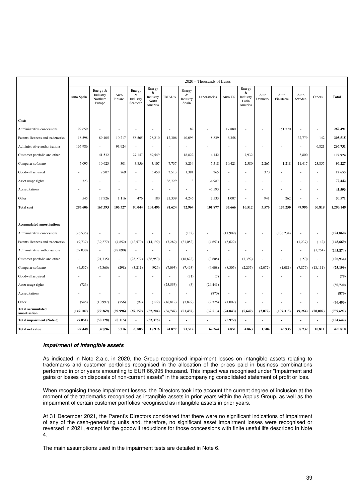|                                          |            |                                            |                 |                                    |                                                |                          |                                  | 2020 – Thousands of Euros |                          |                                             |                 |                    |                          |                |              |
|------------------------------------------|------------|--------------------------------------------|-----------------|------------------------------------|------------------------------------------------|--------------------------|----------------------------------|---------------------------|--------------------------|---------------------------------------------|-----------------|--------------------|--------------------------|----------------|--------------|
|                                          | Auto Spain | Energy &<br>Industry<br>Northern<br>Europe | Auto<br>Finland | Energy<br>&<br>Industry<br>Seameap | Energy<br>$\&$<br>Industry<br>North<br>America | <b>IDIADA</b>            | Energy<br>&<br>Industry<br>Spain | Laboratories              | Auto US                  | Energy<br>&<br>Industry<br>Latin<br>America | Auto<br>Denmark | Auto<br>Finisterre | Auto<br>Sweden           | Others         | <b>Total</b> |
|                                          |            |                                            |                 |                                    |                                                |                          |                                  |                           |                          |                                             |                 |                    |                          |                |              |
| Cost:                                    |            |                                            |                 |                                    |                                                |                          |                                  |                           |                          |                                             |                 |                    |                          |                |              |
| Administrative concessions               | 92,659     | $\sim$                                     | ÷,              | ÷,                                 | $\sim$                                         | $\overline{\phantom{a}}$ | 182                              |                           | 17,880                   |                                             | ٠               | 151,770            | ÷,                       |                | 262,491      |
| Patents, licences and trademarks         | 18,598     | 89,405                                     | 10,217          | 58,565                             | 28,210                                         | 12,306                   | 40,096                           | 8,839                     | 6,358                    |                                             | $\sim$          |                    | 32,779                   | 142            | 305,515      |
| Administrative authorisations            | 165,986    |                                            | 93.924          | ÷,                                 | $\overline{\phantom{a}}$                       | $\overline{a}$           | $\overline{a}$                   |                           |                          |                                             | $\overline{a}$  |                    | $\overline{\phantom{a}}$ | 6,821          | 266,731      |
| Customer portfolio and other             |            | 41,532                                     | ÷.              | 27,147                             | 69,549                                         | ×,                       | 18,822                           | 4,142                     | $\overline{\phantom{a}}$ | 7,932                                       | $\overline{a}$  | ÷,                 | 3,800                    | $\overline{a}$ | 172,924      |
| Computer software                        | 5,095      | 10,623                                     | 301             | 3,856                              | 3,107                                          | 7,737                    | 8,234                            | 5,518                     | 10,421                   | 2,580                                       | 2,265           | 1,218              | 11,417                   | 23,855         | 96,227       |
| Goodwill acquired                        |            | 7,907                                      | 769             |                                    | 3,450                                          | 3,513                    | 1,381                            | 265                       |                          |                                             | 370             |                    | ÷,                       |                | 17,655       |
| Asset usage rights                       | 723        |                                            |                 |                                    |                                                | 36,729                   | 3                                | 34,987                    | $\overline{\phantom{a}}$ |                                             | ä,              |                    | $\overline{a}$           |                | 72,442       |
| Accreditations                           |            |                                            | ٠               |                                    | $\overline{\phantom{a}}$                       | $\overline{\phantom{a}}$ | $\overline{a}$                   | 45,593                    | ٠                        | $\overline{\phantom{a}}$                    | ٠               |                    | $\overline{\phantom{a}}$ |                | 45,593       |
| Other                                    | 545        | 17,926                                     | 1,116           | 476                                | 180                                            | 21,339                   | 4,246                            | 2,533                     | 1,007                    | $\overline{\phantom{a}}$                    | 941             | 262                | ÷,                       |                | 50,571       |
| <b>Total cost</b>                        | 283,606    | 167,393                                    | 106,327         | 90,044                             | 104,496                                        | 81,624                   | 72,964                           | 101,877                   | 35,666                   | 10,512                                      | 3,576           | 153,250            | 47,996                   | 30,818         | 1,290,149    |
|                                          |            |                                            |                 |                                    |                                                |                          |                                  |                           |                          |                                             |                 |                    |                          |                |              |
| <b>Accumulated amortisation:</b>         |            |                                            |                 |                                    |                                                |                          |                                  |                           |                          |                                             |                 |                    |                          |                |              |
| Administrative concessions               | (76, 535)  | ÷,                                         | ÷,              | L,                                 |                                                | ÷,                       | (182)                            |                           | (11,909)                 |                                             | $\overline{a}$  | (106, 234)         | ÷,                       | $\sim$         | (194, 860)   |
| Patents, licences and trademarks         | (9, 737)   | (39, 277)                                  | (4, 852)        | (42, 579)                          | (14, 199)                                      | (7, 289)                 | (21,082)                         | (4,653)                   | (3,622)                  |                                             | $\sim$          |                    | (1,237)                  | (142)          | (148, 669)   |
| Administrative authorisations            | (57,030)   | $\sim$                                     | (87,090)        | ÷,                                 | $\sim$                                         | ä,                       | ä,                               |                           | ÷                        | $\overline{\phantom{a}}$                    | ÷,              |                    | $\overline{a}$           | (1,754)        | (145, 874)   |
| Customer portfolio and other             |            | (21, 735)                                  | ÷               | (23, 277)                          | (36,950)                                       | $\sim$                   | (18, 822)                        | (2,608)                   | ÷.                       | (3, 392)                                    | ÷,              | ÷,                 | (150)                    | $\sim$         | (106, 934)   |
| Computer software                        | (4,537)    | (7,360)                                    | (298)           | (3,211)                            | (926)                                          | (7,093)                  | (7, 463)                         | (4,608)                   | (8,305)                  | (2, 257)                                    | (2,072)         | (1,081)            | (7, 877)                 | (18, 111)      | (75, 199)    |
| Goodwill acquired                        |            |                                            |                 |                                    |                                                |                          | (71)                             | (7)                       |                          |                                             |                 |                    |                          |                | (78)         |
| Asset usage rights                       | (723)      |                                            |                 |                                    | $\overline{\phantom{a}}$                       | (25, 553)                | (3)                              | (24, 441)                 | $\overline{\phantom{a}}$ |                                             | ÷,              |                    | ÷,                       |                | (50, 720)    |
| Accreditations                           |            |                                            | ٠               |                                    | $\overline{a}$                                 |                          | ä,                               | (870)                     | $\overline{a}$           |                                             | ÷,              |                    | ÷                        |                | (870)        |
| Other                                    | (545)      | (10, 997)                                  | (756)           | (92)                               | (129)                                          | (16, 812)                | (3,829)                          | (2, 326)                  | (1,007)                  |                                             |                 |                    | ÷,                       |                | (36, 493)    |
| <b>Total accumulated</b><br>amortisation | (149, 107) | (79, 369)                                  | (92, 996)       | (69, 159)                          | (52, 204)                                      | (56, 747)                | (51, 452)                        | (39, 513)                 | (24, 843)                | (5,649)                                     | (2,072)         | (107, 315)         | (9,264)                  | (20, 007)      | (759, 697)   |
| Total impairment (Note 6)                | (7,051)    | (50, 128)                                  | (8, 115)        | $\overline{\phantom{a}}$           | (33, 376)                                      | $\overline{\phantom{a}}$ | $\blacksquare$                   | $\blacksquare$            | (5,972)                  | $\blacksquare$                              | ä,              | $\overline{a}$     | $\blacksquare$           | $\blacksquare$ | (104, 642)   |
| Total net value                          | 127,448    | 37,896                                     | 5,216           | 20,885                             | 18,916                                         | 24,877                   | 21,512                           | 62,364                    | 4,851                    | 4,863                                       | 1,504           | 45,935             | 38,732                   | 10,811         | 425,810      |

## **Impairment of intangible assets**

As indicated in Note 2.a.c. in 2020, the Group recognised impairment losses on intangible assets relating to trademarks and customer portfolios recognised in the allocation of the prices paid in business combinations performed in prior years amounting to EUR 66,995 thousand. This impact was recognised under "Impairment and gains or losses on disposals of non-current assets" in the accompanying consolidated statement of profit or loss.

When recognising these impairment losses, the Directors took into account the current degree of inclusion at the moment of the trademarks recognised as intangible assets in prior years within the Applus Group, as well as the impairment of certain customer portfolios recognised as intangible assets in prior years.

At 31 December 2021, the Parent's Directors considered that there were no significant indications of impairment of any of the cash-generating units and, therefore, no significant asset impairment losses were recognised or reversed in 2021, except for the goodwill reductions for those concessions with finite useful life described in Note 4.

The main assumptions used in the impairment tests are detailed in Note 6.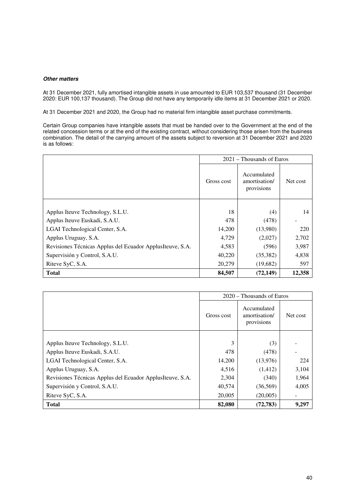### **Other matters**

At 31 December 2021, fully amortised intangible assets in use amounted to EUR 103,537 thousand (31 December 2020: EUR 100,137 thousand). The Group did not have any temporarily idle items at 31 December 2021 or 2020.

At 31 December 2021 and 2020, the Group had no material firm intangible asset purchase commitments.

Certain Group companies have intangible assets that must be handed over to the Government at the end of the related concession terms or at the end of the existing contract, without considering those arisen from the business combination. The detail of the carrying amount of the assets subject to reversion at 31 December 2021 and 2020 is as follows:

|                                                           |            | $2021$ – Thousands of Euros                |          |
|-----------------------------------------------------------|------------|--------------------------------------------|----------|
|                                                           | Gross cost | Accumulated<br>amortisation/<br>provisions | Net cost |
|                                                           |            |                                            |          |
| Applus Iteuve Technology, S.L.U.                          | 18         | (4)                                        | 14       |
| Applus Iteuve Euskadi, S.A.U.                             | 478        | (478)                                      |          |
| LGAI Technological Center, S.A.                           | 14,200     | (13,980)                                   | 220      |
| Applus Uruguay, S.A.                                      | 4,729      | (2,027)                                    | 2,702    |
| Revisiones Técnicas Applus del Ecuador ApplusIteuve, S.A. | 4,583      | (596)                                      | 3,987    |
| Supervisión y Control, S.A.U.                             | 40,220     | (35,382)                                   | 4,838    |
| Riteve SyC, S.A.                                          | 20,279     | (19,682)                                   | 597      |
| <b>Total</b>                                              | 84,507     | (72, 149)                                  | 12,358   |

|                                                           |            | $2020 -$ Thousands of Euros                |          |
|-----------------------------------------------------------|------------|--------------------------------------------|----------|
|                                                           | Gross cost | Accumulated<br>amortisation/<br>provisions | Net cost |
|                                                           |            |                                            |          |
| Applus Iteuve Technology, S.L.U.                          | 3          | (3)                                        |          |
| Applus Iteuve Euskadi, S.A.U.                             | 478        | (478)                                      |          |
| LGAI Technological Center, S.A.                           | 14,200     | (13,976)                                   | 224      |
| Applus Uruguay, S.A.                                      | 4,516      | (1,412)                                    | 3,104    |
| Revisiones Técnicas Applus del Ecuador ApplusIteuve, S.A. | 2,304      | (340)                                      | 1,964    |
| Supervisión y Control, S.A.U.                             | 40,574     | (36, 569)                                  | 4,005    |
| Riteve SyC, S.A.                                          | 20,005     | (20,005)                                   |          |
| <b>Total</b>                                              | 82,080     | (72, 783)                                  | 9,297    |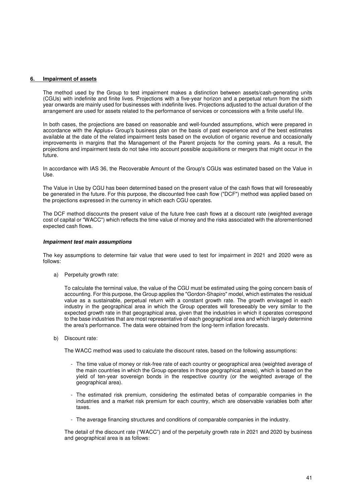### **6. Impairment of assets**

The method used by the Group to test impairment makes a distinction between assets/cash-generating units (CGUs) with indefinite and finite lives. Projections with a five-year horizon and a perpetual return from the sixth year onwards are mainly used for businesses with indefinite lives. Projections adjusted to the actual duration of the arrangement are used for assets related to the performance of services or concessions with a finite useful life.

In both cases, the projections are based on reasonable and well-founded assumptions, which were prepared in accordance with the Applus+ Group's business plan on the basis of past experience and of the best estimates available at the date of the related impairment tests based on the evolution of organic revenue and occasionally improvements in margins that the Management of the Parent projects for the coming years. As a result, the projections and impairment tests do not take into account possible acquisitions or mergers that might occur in the future.

In accordance with IAS 36, the Recoverable Amount of the Group's CGUs was estimated based on the Value in  $II$ se.

The Value in Use by CGU has been determined based on the present value of the cash flows that will foreseeably be generated in the future. For this purpose, the discounted free cash flow ("DCF") method was applied based on the projections expressed in the currency in which each CGU operates.

The DCF method discounts the present value of the future free cash flows at a discount rate (weighted average cost of capital or "WACC") which reflects the time value of money and the risks associated with the aforementioned expected cash flows.

### **Impairment test main assumptions**

The key assumptions to determine fair value that were used to test for impairment in 2021 and 2020 were as follows:

a) Perpetuity growth rate:

To calculate the terminal value, the value of the CGU must be estimated using the going concern basis of accounting. For this purpose, the Group applies the "Gordon-Shapiro" model, which estimates the residual value as a sustainable, perpetual return with a constant growth rate. The growth envisaged in each industry in the geographical area in which the Group operates will foreseeably be very similar to the expected growth rate in that geographical area, given that the industries in which it operates correspond to the base industries that are most representative of each geographical area and which largely determine the area's performance. The data were obtained from the long-term inflation forecasts.

b) Discount rate:

The WACC method was used to calculate the discount rates, based on the following assumptions:

- The time value of money or risk-free rate of each country or geographical area (weighted average of the main countries in which the Group operates in those geographical areas), which is based on the yield of ten-year sovereign bonds in the respective country (or the weighted average of the geographical area).
- The estimated risk premium, considering the estimated betas of comparable companies in the industries and a market risk premium for each country, which are observable variables both after taxes.
- The average financing structures and conditions of comparable companies in the industry.

The detail of the discount rate ("WACC") and of the perpetuity growth rate in 2021 and 2020 by business and geographical area is as follows: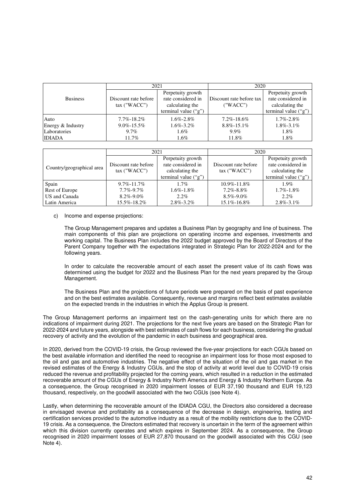|                   | 2021                                          |                                                                                      | 2020                                 |                                                                                    |
|-------------------|-----------------------------------------------|--------------------------------------------------------------------------------------|--------------------------------------|------------------------------------------------------------------------------------|
| <b>Business</b>   | Discount rate before<br>$\text{tax}$ ("WACC") | Perpetuity growth<br>rate considered in<br>calculating the<br>terminal value $("g")$ | Discount rate before tax<br>("WACC") | Perpetuity growth<br>rate considered in<br>calculating the<br>terminal value ("g") |
| Auto              | $7.7\% - 18.2\%$                              | $1.6\% - 2.8\%$                                                                      | $7.2\% - 18.6\%$                     | $1.7\% - 2.8\%$                                                                    |
| Energy & Industry | $9.0\% - 15.5\%$                              | $1.6\% - 3.2\%$                                                                      | $8.8\% - 15.1\%$                     | $1.8\% - 3.1\%$                                                                    |
| Laboratories      | $9.7\%$                                       | $1.6\%$                                                                              | $9.9\%$                              | $1.8\%$                                                                            |
| <b>IDIADA</b>     | $11.7\%$                                      | 1.6%                                                                                 | 11.8%                                | 1.8%                                                                               |

|                           | 2021                 |                        | 2020                 |                        |  |  |  |
|---------------------------|----------------------|------------------------|----------------------|------------------------|--|--|--|
|                           |                      | Perpetuity growth      |                      | Perpetuity growth      |  |  |  |
| Country/geographical area | Discount rate before | rate considered in     | Discount rate before | rate considered in     |  |  |  |
|                           | $tax$ (" $WACC"$ )   | calculating the        | tax('WACC")          | calculating the        |  |  |  |
|                           |                      | terminal value $("g")$ |                      | terminal value $("g")$ |  |  |  |
| Spain                     | $9.7\% - 11.7\%$     | $1.7\%$                | $10.9\% - 11.8\%$    | $1.9\%$                |  |  |  |
| Rest of Europe            | $7.7\% - 9.7\%$      | $1.6\% - 1.8\%$        | $7.2\% - 8.8\%$      | $1.7\% - 1.8\%$        |  |  |  |
| US and Canada             | $8.2\% - 9.0\%$      | $2.2\%$                | $8.5\% - 9.0\%$      | $2.2\%$                |  |  |  |
| Latin America             | 15.5%-18.2%          | $2.8\% - 3.2\%$        | 15.1%-16.8%          | $2.8\% - 3.1\%$        |  |  |  |

c) Income and expense projections:

The Group Management prepares and updates a Business Plan by geography and line of business. The main components of this plan are projections on operating income and expenses, investments and working capital. The Business Plan includes the 2022 budget approved by the Board of Directors of the Parent Company together with the expectations integrated in Strategic Plan for 2022-2024 and for the following years.

In order to calculate the recoverable amount of each asset the present value of its cash flows was determined using the budget for 2022 and the Business Plan for the next years prepared by the Group Management.

The Business Plan and the projections of future periods were prepared on the basis of past experience and on the best estimates available. Consequently, revenue and margins reflect best estimates available on the expected trends in the industries in which the Applus Group is present.

The Group Management performs an impairment test on the cash-generating units for which there are no indications of impairment during 2021. The projections for the next five years are based on the Strategic Plan for 2022-2024 and future years, alongside with best estimates of cash flows for each business, considering the gradual recovery of activity and the evolution of the pandemic in each business and geographical area.

In 2020, derived from the COVID-19 crisis, the Group reviewed the five-year projections for each CGUs based on the best available information and identified the need to recognise an impairment loss for those most exposed to the oil and gas and automotive industries. The negative effect of the situation of the oil and gas market in the revised estimates of the Energy & Industry CGUs, and the stop of activity at world level due to COVID-19 crisis reduced the revenue and profitability projected for the coming years, which resulted in a reduction in the estimated recoverable amount of the CGUs of Energy & Industry North America and Energy & Industry Northern Europe. As a consequence, the Group recognised in 2020 impairment losses of EUR 37,190 thousand and EUR 19,123 thousand, respectively, on the goodwill associated with the two CGUs (see Note 4).

Lastly, when determining the recoverable amount of the IDIADA CGU, the Directors also considered a decrease in envisaged revenue and profitability as a consequence of the decrease in design, engineering, testing and certification services provided to the automotive industry as a result of the mobility restrictions due to the COVID-19 crisis. As a consequence, the Directors estimated that recovery is uncertain in the term of the agreement within which this division currently operates and which expires in September 2024. As a consequence, the Group recognised in 2020 impairment losses of EUR 27,870 thousand on the goodwill associated with this CGU (see Note 4).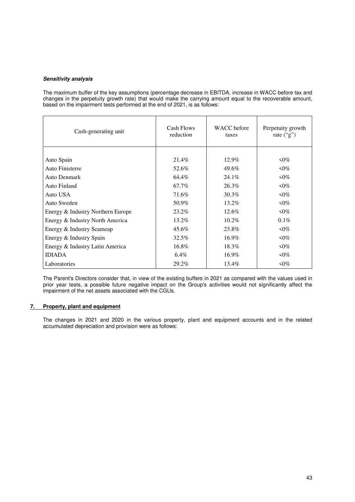# **Sensitivity analysis**

The maximum buffer of the key assumptions (percentage decrease in EBITDA, increase in WACC before tax and changes in the perpetuity growth rate) that would make the carrying amount equal to the recoverable amount, based on the impairment tests performed at the end of 2021, is as follows:

| Cash-generating unit              | Cash Flows<br>reduction | <b>WACC</b> before<br>taxes | Perpetuity growth<br>rate $("g")$ |
|-----------------------------------|-------------------------|-----------------------------|-----------------------------------|
|                                   |                         |                             |                                   |
| Auto Spain                        | 21.4%                   | 12.9%                       | $\triangleleft 0\%$               |
| Auto Finisterre                   | 52.6%                   | 49.6%                       | $\triangleleft 0\%$               |
| Auto Denmark                      | 64.4%                   | 24.1%                       | $\triangleleft 0\%$               |
| Auto Finland                      | 67.7%                   | 26.3%                       | $\triangleleft 0\%$               |
| Auto USA                          | 71.6%                   | 30.3%                       | $\triangleleft 0\%$               |
| Auto Sweden                       | 50.9%                   | $13.2\%$                    | $\triangleleft 0\%$               |
| Energy & Industry Northern Europe | 23.2%                   | 12.6%                       | $\triangleleft 0\%$               |
| Energy & Industry North America   | 13.2%                   | 10.2%                       | $0.1\%$                           |
| Energy & Industry Seameap         | 45.6%                   | 23.8%                       | $\triangleleft 0\%$               |
| Energy & Industry Spain           | 32.5%                   | 16.9%                       | $\triangleleft 0\%$               |
| Energy & Industry Latin America   | 16.8%                   | 18.3%                       | $\triangleleft 0\%$               |
| <b>IDIADA</b>                     | 6.4%                    | 16.9%                       | $\triangleleft 0\%$               |
| Laboratories                      | 29.2%                   | 13.4%                       | $\triangleleft 0\%$               |

The Parent's Directors consider that, in view of the existing buffers in 2021 as compared with the values used in prior year tests, a possible future negative impact on the Group's activities would not significantly affect the impairment of the net assets associated with the CGUs.

# **7. Property, plant and equipment**

The changes in 2021 and 2020 in the various property, plant and equipment accounts and in the related accumulated depreciation and provision were as follows: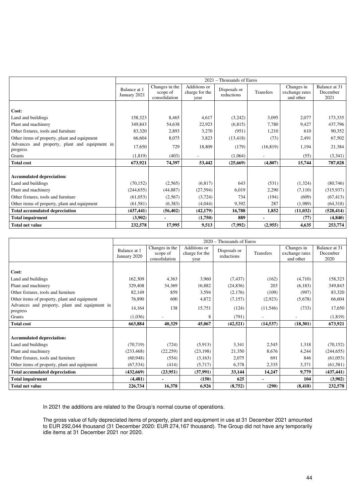|                                                           |                              | $2021$ – Thousands of Euros                 |                                        |                            |           |                                           |                                   |
|-----------------------------------------------------------|------------------------------|---------------------------------------------|----------------------------------------|----------------------------|-----------|-------------------------------------------|-----------------------------------|
|                                                           | Balance at 1<br>January 2021 | Changes in the<br>scope of<br>consolidation | Additions or<br>charge for the<br>year | Disposals or<br>reductions | Transfers | Changes in<br>exchange rates<br>and other | Balance at 31<br>December<br>2021 |
|                                                           |                              |                                             |                                        |                            |           |                                           |                                   |
| Cost:                                                     |                              |                                             |                                        |                            |           |                                           |                                   |
| Land and buildings                                        | 158,323                      | 8,465                                       | 4,617                                  | (3,242)                    | 3,095     | 2,077                                     | 173,335                           |
| Plant and machinery                                       | 349,843                      | 54,638                                      | 22,923                                 | (6, 815)                   | 7,780     | 9,427                                     | 437,796                           |
| Other fixtures, tools and furniture                       | 83,320                       | 2,893                                       | 3,270                                  | (951)                      | 1,210     | 610                                       | 90,352                            |
| Other items of property, plant and equipment              | 66,604                       | 8,075                                       | 3,823                                  | (13, 418)                  | (73)      | 2,491                                     | 67,502                            |
| Advances and property, plant and equipment in<br>progress | 17,650                       | 729                                         | 18,809                                 | (179)                      | (16, 819) | 1,194                                     | 21,384                            |
| Grants                                                    | (1,819)                      | (403)                                       |                                        | (1,064)                    |           | (55)                                      | (3,341)                           |
| <b>Total cost</b>                                         | 673,921                      | 74,397                                      | 53,442                                 | (25,669)                   | (4,807)   | 15,744                                    | 787,028                           |
| <b>Accumulated depreciation:</b>                          |                              |                                             |                                        |                            |           |                                           |                                   |
| Land and buildings                                        | (70, 152)                    | (2,565)                                     | (6,817)                                | 643                        | (531)     | (1,324)                                   | (80,746)                          |
| Plant and machinery                                       | (244, 655)                   | (44, 887)                                   | (27, 594)                              | 6,019                      | 2,290     | (7,110)                                   | (315,937)                         |
| Other fixtures, tools and furniture                       | (61,053)                     | (2,567)                                     | (3, 724)                               | 734                        | (194)     | (609)                                     | (67, 413)                         |
| Other items of property, plant and equipment              | (61, 581)                    | (6,383)                                     | (4,044)                                | 9,392                      | 287       | (1,989)                                   | (64,318)                          |
| <b>Total accumulated depreciation</b>                     | (437, 441)                   | (56, 402)                                   | (42, 179)                              | 16,788                     | 1,852     | (11, 032)                                 | (528, 414)                        |
| <b>Total impairment</b>                                   | (3,902)                      |                                             | (1,750)                                | 889                        |           | (77)                                      | (4, 840)                          |
| <b>Total net value</b>                                    | 232,578                      | 17,995                                      | 9,513                                  | (7,992)                    | (2,955)   | 4,635                                     | 253,774                           |

|                                                           |                              |                                             |                                        | 2020 – Thousands of Euros  |                  |                                           |                                   |
|-----------------------------------------------------------|------------------------------|---------------------------------------------|----------------------------------------|----------------------------|------------------|-------------------------------------------|-----------------------------------|
|                                                           | Balance at 1<br>January 2020 | Changes in the<br>scope of<br>consolidation | Additions or<br>charge for the<br>year | Disposals or<br>reductions | <b>Transfers</b> | Changes in<br>exchange rates<br>and other | Balance at 31<br>December<br>2020 |
|                                                           |                              |                                             |                                        |                            |                  |                                           |                                   |
| Cost:                                                     |                              |                                             |                                        |                            |                  |                                           |                                   |
| Land and buildings                                        | 162,309                      | 4,363                                       | 3,960                                  | (7, 437)                   | (162)            | (4,710)                                   | 158,323                           |
| Plant and machinery                                       | 329,408                      | 34,369                                      | 16,882                                 | (24, 836)                  | 203              | (6,183)                                   | 349,843                           |
| Other fixtures, tools and furniture                       | 82,149                       | 859                                         | 3,594                                  | (2,176)                    | (109)            | (997)                                     | 83,320                            |
| Other items of property, plant and equipment              | 76,890                       | 600                                         | 4,872                                  | (7,157)                    | (2,923)          | (5,678)                                   | 66,604                            |
| Advances and property, plant and equipment in<br>progress | 14,164                       | 138                                         | 15,751                                 | (124)                      | (11,546)         | (733)                                     | 17,650                            |
| Grants                                                    | (1,036)                      |                                             | 8                                      | (791)                      | $\sim$           |                                           | (1, 819)                          |
| <b>Total cost</b>                                         | 663,884                      | 40,329                                      | 45,067                                 | (42, 521)                  | (14, 537)        | (18,301)                                  | 673,921                           |
|                                                           |                              |                                             |                                        |                            |                  |                                           |                                   |
| <b>Accumulated depreciation:</b>                          |                              |                                             |                                        |                            |                  |                                           |                                   |
| Land and buildings                                        | (70, 719)                    | (724)                                       | (5,913)                                | 3,341                      | 2,545            | 1,318                                     | (70, 152)                         |
| Plant and machinery                                       | (233, 468)                   | (22,259)                                    | (23, 198)                              | 21,350                     | 8,676            | 4,244                                     | (244, 655)                        |
| Other fixtures, tools and furniture                       | (60, 948)                    | (554)                                       | (3,163)                                | 2,075                      | 691              | 846                                       | (61,053)                          |
| Other items of property, plant and equipment              | (67, 534)                    | (414)                                       | (5,717)                                | 6,378                      | 2,335            | 3,371                                     | (61, 581)                         |
| <b>Total accumulated depreciation</b>                     | (432,669)                    | (23,951)                                    | (37,991)                               | 33,144                     | 14,247           | 9,779                                     | (437, 441)                        |
| <b>Total impairment</b>                                   | (4, 481)                     |                                             | (150)                                  | 625                        |                  | 104                                       | (3,902)                           |
| <b>Total net value</b>                                    | 226,734                      | 16,378                                      | 6,926                                  | (8,752)                    | (290)            | (8, 418)                                  | 232,578                           |

In 2021 the additions are related to the Group's normal course of operations.

The gross value of fully depreciated items of property, plant and equipment in use at 31 December 2021 amounted to EUR 292,044 thousand (31 December 2020: EUR 274,167 thousand). The Group did not have any temporarily idle items at 31 December 2021 nor 2020.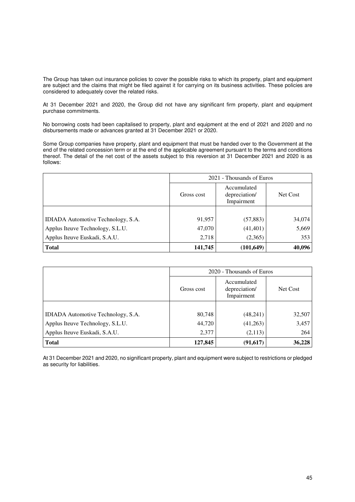The Group has taken out insurance policies to cover the possible risks to which its property, plant and equipment are subject and the claims that might be filed against it for carrying on its business activities. These policies are considered to adequately cover the related risks.

At 31 December 2021 and 2020, the Group did not have any significant firm property, plant and equipment purchase commitments.

No borrowing costs had been capitalised to property, plant and equipment at the end of 2021 and 2020 and no disbursements made or advances granted at 31 December 2021 or 2020.

Some Group companies have property, plant and equipment that must be handed over to the Government at the end of the related concession term or at the end of the applicable agreement pursuant to the terms and conditions thereof. The detail of the net cost of the assets subject to this reversion at 31 December 2021 and 2020 is as follows:

|                                    | 2021 - Thousands of Euros |                                            |          |  |  |
|------------------------------------|---------------------------|--------------------------------------------|----------|--|--|
|                                    | Gross cost                | Accumulated<br>depreciation/<br>Impairment | Net Cost |  |  |
|                                    |                           |                                            |          |  |  |
| IDIADA Automotive Technology, S.A. | 91,957                    | (57, 883)                                  | 34,074   |  |  |
| Applus Iteuve Technology, S.L.U.   | 47,070                    | (41, 401)                                  | 5,669    |  |  |
| Applus Iteuve Euskadi, S.A.U.      | 2,718                     | (2,365)                                    | 353      |  |  |
| <b>Total</b>                       | 141,745                   | (101, 649)                                 | 40,096   |  |  |

|                                    | 2020 - Thousands of Euros |                                            |          |  |
|------------------------------------|---------------------------|--------------------------------------------|----------|--|
|                                    | Gross cost                | Accumulated<br>depreciation/<br>Impairment | Net Cost |  |
|                                    |                           |                                            |          |  |
| IDIADA Automotive Technology, S.A. | 80,748                    | (48,241)                                   | 32,507   |  |
| Applus Iteuve Technology, S.L.U.   | 44,720                    | (41,263)                                   | 3,457    |  |
| Applus Iteuve Euskadi, S.A.U.      | 2,377                     | (2,113)                                    | 264      |  |
| <b>Total</b>                       | 127,845                   | (91, 617)                                  | 36,228   |  |

At 31 December 2021 and 2020, no significant property, plant and equipment were subject to restrictions or pledged as security for liabilities.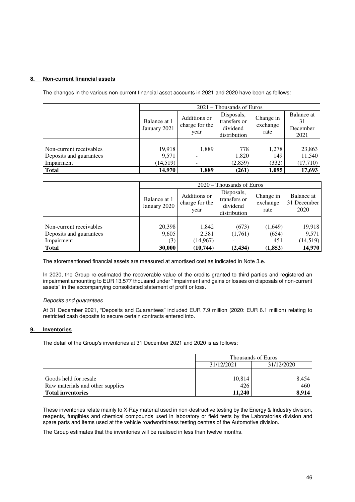# **8. Non-current financial assets**

The changes in the various non-current financial asset accounts in 2021 and 2020 have been as follows:

|                                                                  | 2021 – Thousands of Euros    |                                        |                                                        |                               |                                      |
|------------------------------------------------------------------|------------------------------|----------------------------------------|--------------------------------------------------------|-------------------------------|--------------------------------------|
|                                                                  | Balance at 1<br>January 2021 | Additions or<br>charge for the<br>year | Disposals,<br>transfers or<br>dividend<br>distribution | Change in<br>exchange<br>rate | Balance at<br>31<br>December<br>2021 |
| Non-current receivables<br>Deposits and guarantees<br>Impairment | 19,918<br>9,571<br>(14, 519) | 1,889                                  | 778<br>1,820<br>(2,859)                                | 1,278<br>149<br>(332)         | 23,863<br>11,540<br>(17,710)         |
| <b>Total</b>                                                     | 14,970                       | 1,889                                  | (261)                                                  | 1,095                         | 17,693                               |

|                                                    |                              | $2020 -$ Thousands of Euros            |                                                        |                               |                                   |  |
|----------------------------------------------------|------------------------------|----------------------------------------|--------------------------------------------------------|-------------------------------|-----------------------------------|--|
|                                                    | Balance at 1<br>January 2020 | Additions or<br>charge for the<br>year | Disposals,<br>transfers or<br>dividend<br>distribution | Change in<br>exchange<br>rate | Balance at<br>31 December<br>2020 |  |
| Non-current receivables<br>Deposits and guarantees | 20,398<br>9,605              | 1,842<br>2,381                         | (673)<br>(1,761)                                       | (1,649)<br>(654)              | 19,918<br>9,571                   |  |
| Impairment                                         | (3)                          | (14, 967)                              |                                                        | 451                           | (14, 519)                         |  |
| <b>Total</b>                                       | 30,000                       | (10,744)                               | (2, 434)                                               | (1, 852)                      | 14,970                            |  |

The aforementioned financial assets are measured at amortised cost as indicated in Note 3.e.

In 2020, the Group re-estimated the recoverable value of the credits granted to third parties and registered an impairment amounting to EUR 13,577 thousand under "Impairment and gains or losses on disposals of non-current assets" in the accompanying consolidated statement of profit or loss.

### Deposits and guarantees

At 31 December 2021, "Deposits and Guarantees" included EUR 7.9 million (2020: EUR 6.1 million) relating to restricted cash deposits to secure certain contracts entered into.

# **9. Inventories**

The detail of the Group's inventories at 31 December 2021 and 2020 is as follows:

|                                  | Thousands of Euros |            |  |
|----------------------------------|--------------------|------------|--|
|                                  | 31/12/2021         | 31/12/2020 |  |
|                                  |                    |            |  |
| Goods held for resale            | 10,814             | 8,454      |  |
| Raw materials and other supplies | 426                | 460        |  |
| Total inventories                | 11.240             | 8.914      |  |

These inventories relate mainly to X-Ray material used in non-destructive testing by the Energy & Industry division, reagents, fungibles and chemical compounds used in laboratory or field tests by the Laboratories division and spare parts and items used at the vehicle roadworthiness testing centres of the Automotive division.

The Group estimates that the inventories will be realised in less than twelve months.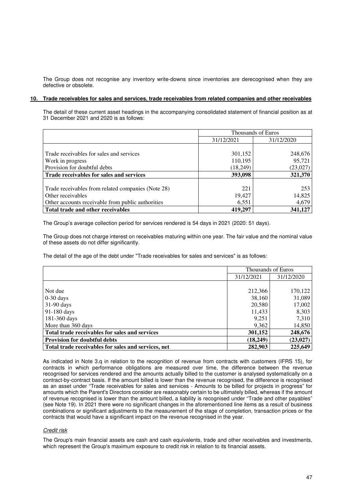The Group does not recognise any inventory write-downs since inventories are derecognised when they are defective or obsolete.

### **10. Trade receivables for sales and services, trade receivables from related companies and other receivables**

The detail of these current asset headings in the accompanying consolidated statement of financial position as at 31 December 2021 and 2020 is as follows:

|                                                    | Thousands of Euros |            |  |
|----------------------------------------------------|--------------------|------------|--|
|                                                    | 31/12/2021         | 31/12/2020 |  |
|                                                    |                    |            |  |
| Trade receivables for sales and services           | 301,152            | 248,676    |  |
| Work in progress                                   | 110,195            | 95,721     |  |
| Provision for doubtful debts                       | (18,249)           | (23,027)   |  |
| Trade receivables for sales and services           | 393,098            | 321,370    |  |
|                                                    |                    |            |  |
| Trade receivables from related companies (Note 28) | 221                | 253        |  |
| Other receivables                                  | 19,427             | 14,825     |  |
| Other accounts receivable from public authorities  | 6,551              | 4,679      |  |
| Total trade and other receivables                  | 419,297            | 341,127    |  |

The Group's average collection period for services rendered is 54 days in 2021 (2020: 51 days).

The Group does not charge interest on receivables maturing within one year. The fair value and the nominal value of these assets do not differ significantly.

The detail of the age of the debt under "Trade receivables for sales and services" is as follows:

|                                                     | Thousands of Euros |            |
|-----------------------------------------------------|--------------------|------------|
|                                                     | 31/12/2021         | 31/12/2020 |
|                                                     |                    |            |
| Not due                                             | 212,366            | 170,122    |
| $0-30$ days                                         | 38,160             | 31,089     |
| $31-90$ days                                        | 20,580             | 17,002     |
| 91-180 days                                         | 11,433             | 8,303      |
| 181-360 days                                        | 9,251              | 7,310      |
| More than 360 days                                  | 9,362              | 14,850     |
| Total trade receivables for sales and services      | 301,152            | 248,676    |
| <b>Provision for doubtful debts</b>                 | (18,249)           | (23, 027)  |
| Total trade receivables for sales and services, net | 282,903            | 225,649    |

As indicated in Note 3.q in relation to the recognition of revenue from contracts with customers (IFRS 15), for contracts in which performance obligations are measured over time, the difference between the revenue recognised for services rendered and the amounts actually billed to the customer is analysed systematically on a contract-by-contract basis. If the amount billed is lower than the revenue recognised, the difference is recognised as an asset under "Trade receivables for sales and services - Amounts to be billed for projects in progress" for amounts which the Parent's Directors consider are reasonably certain to be ultimately billed, whereas if the amount of revenue recognised is lower than the amount billed, a liability is recognised under "Trade and other payables" (see Note 19). In 2021 there were no significant changes in the aforementioned line items as a result of business combinations or significant adjustments to the measurement of the stage of completion, transaction prices or the contracts that would have a significant impact on the revenue recognised in the year.

# Credit risk

The Group's main financial assets are cash and cash equivalents, trade and other receivables and investments, which represent the Group's maximum exposure to credit risk in relation to its financial assets.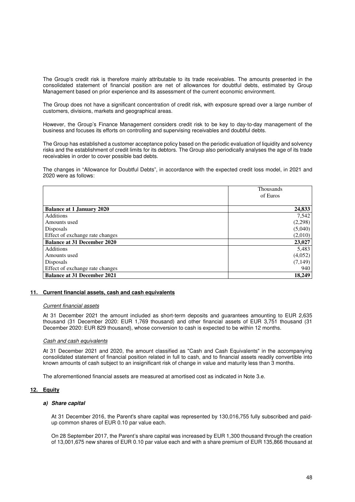The Group's credit risk is therefore mainly attributable to its trade receivables. The amounts presented in the consolidated statement of financial position are net of allowances for doubtful debts, estimated by Group Management based on prior experience and its assessment of the current economic environment.

The Group does not have a significant concentration of credit risk, with exposure spread over a large number of customers, divisions, markets and geographical areas.

However, the Group's Finance Management considers credit risk to be key to day-to-day management of the business and focuses its efforts on controlling and supervising receivables and doubtful debts.

The Group has established a customer acceptance policy based on the periodic evaluation of liquidity and solvency risks and the establishment of credit limits for its debtors. The Group also periodically analyses the age of its trade receivables in order to cover possible bad debts.

The changes in "Allowance for Doubtful Debts", in accordance with the expected credit loss model, in 2021 and 2020 were as follows:

|                                    | <b>Thousands</b><br>of Euros |
|------------------------------------|------------------------------|
|                                    |                              |
| <b>Balance at 1 January 2020</b>   | 24,833                       |
| Additions                          | 7,542                        |
| Amounts used                       | (2,298)                      |
| Disposals                          | (5,040)                      |
| Effect of exchange rate changes    | (2,010)                      |
| <b>Balance at 31 December 2020</b> | 23,027                       |
| <b>Additions</b>                   | 5,483                        |
| Amounts used                       | (4,052)                      |
| Disposals                          | (7, 149)                     |
| Effect of exchange rate changes    | 940                          |
| <b>Balance at 31 December 2021</b> | 18,249                       |

# **11. Current financial assets, cash and cash equivalents**

### Current financial assets

At 31 December 2021 the amount included as short-term deposits and guarantees amounting to EUR 2,635 thousand (31 December 2020: EUR 1,769 thousand) and other financial assets of EUR 3,751 thousand (31 December 2020: EUR 829 thousand), whose conversion to cash is expected to be within 12 months.

#### Cash and cash equivalents

At 31 December 2021 and 2020, the amount classified as "Cash and Cash Equivalents" in the accompanying consolidated statement of financial position related in full to cash, and to financial assets readily convertible into known amounts of cash subject to an insignificant risk of change in value and maturity less than 3 months.

The aforementioned financial assets are measured at amortised cost as indicated in Note 3.e.

### **12. Equity**

### **a) Share capital**

At 31 December 2016, the Parent's share capital was represented by 130,016,755 fully subscribed and paidup common shares of EUR 0.10 par value each.

On 28 September 2017, the Parent's share capital was increased by EUR 1,300 thousand through the creation of 13,001,675 new shares of EUR 0.10 par value each and with a share premium of EUR 135,866 thousand at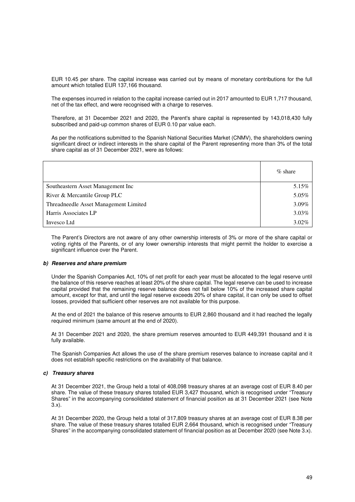EUR 10.45 per share. The capital increase was carried out by means of monetary contributions for the full amount which totalled EUR 137,166 thousand.

The expenses incurred in relation to the capital increase carried out in 2017 amounted to EUR 1,717 thousand, net of the tax effect, and were recognised with a charge to reserves.

Therefore, at 31 December 2021 and 2020, the Parent's share capital is represented by 143,018,430 fully subscribed and paid-up common shares of EUR 0.10 par value each.

As per the notifications submitted to the Spanish National Securities Market (CNMV), the shareholders owning significant direct or indirect interests in the share capital of the Parent representing more than 3% of the total share capital as of 31 December 2021, were as follows:

|                                       | $\%$ share |
|---------------------------------------|------------|
| Southeastern Asset Management Inc     | 5.15%      |
| River & Mercantile Group PLC          | 5.05%      |
| Threadneedle Asset Management Limited | $3.09\%$   |
| Harris Associates LP                  | $3.03\%$   |
| Invesco Ltd                           | $3.02\%$   |

The Parent's Directors are not aware of any other ownership interests of 3% or more of the share capital or voting rights of the Parents, or of any lower ownership interests that might permit the holder to exercise a significant influence over the Parent.

### **b) Reserves and share premium**

Under the Spanish Companies Act, 10% of net profit for each year must be allocated to the legal reserve until the balance of this reserve reaches at least 20% of the share capital. The legal reserve can be used to increase capital provided that the remaining reserve balance does not fall below 10% of the increased share capital amount, except for that, and until the legal reserve exceeds 20% of share capital, it can only be used to offset losses, provided that sufficient other reserves are not available for this purpose.

At the end of 2021 the balance of this reserve amounts to EUR 2,860 thousand and it had reached the legally required minimum (same amount at the end of 2020).

At 31 December 2021 and 2020, the share premium reserves amounted to EUR 449,391 thousand and it is fully available.

The Spanish Companies Act allows the use of the share premium reserves balance to increase capital and it does not establish specific restrictions on the availability of that balance.

### **c) Treasury shares**

At 31 December 2021, the Group held a total of 408,098 treasury shares at an average cost of EUR 8.40 per share. The value of these treasury shares totalled EUR 3,427 thousand, which is recognised under "Treasury Shares" in the accompanying consolidated statement of financial position as at 31 December 2021 (see Note 3.x).

At 31 December 2020, the Group held a total of 317,809 treasury shares at an average cost of EUR 8.38 per share. The value of these treasury shares totalled EUR 2,664 thousand, which is recognised under "Treasury Shares" in the accompanying consolidated statement of financial position as at December 2020 (see Note 3.x).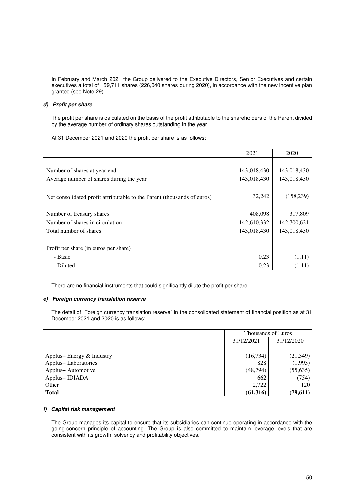In February and March 2021 the Group delivered to the Executive Directors, Senior Executives and certain executives a total of 159,711 shares (226,040 shares during 2020), in accordance with the new incentive plan granted (see Note 29).

## **d) Profit per share**

The profit per share is calculated on the basis of the profit attributable to the shareholders of the Parent divided by the average number of ordinary shares outstanding in the year.

At 31 December 2021 and 2020 the profit per share is as follows:

|                                                                         | 2021        | 2020        |
|-------------------------------------------------------------------------|-------------|-------------|
|                                                                         |             |             |
| Number of shares at year end                                            | 143,018,430 | 143,018,430 |
| Average number of shares during the year                                | 143,018,430 | 143,018,430 |
|                                                                         |             |             |
| Net consolidated profit attributable to the Parent (thousands of euros) | 32,242      | (158, 239)  |
|                                                                         |             |             |
| Number of treasury shares                                               | 408,098     | 317,809     |
| Number of shares in circulation                                         | 142,610,332 | 142,700,621 |
| Total number of shares                                                  | 143,018,430 | 143,018,430 |
|                                                                         |             |             |
| Profit per share (in euros per share)                                   |             |             |
| - Basic                                                                 | 0.23        | (1.11)      |
| - Diluted                                                               | 0.23        | (1.11)      |

There are no financial instruments that could significantly dilute the profit per share.

### **e) Foreign currency translation reserve**

The detail of "Foreign currency translation reserve" in the consolidated statement of financial position as at 31 December 2021 and 2020 is as follows:

|                           | Thousands of Euros |            |  |
|---------------------------|--------------------|------------|--|
|                           | 31/12/2021         | 31/12/2020 |  |
|                           |                    |            |  |
| Applus+ Energy & Industry | (16,734)           | (21,349)   |  |
| Applus+ Laboratories      | 828                | (1,993)    |  |
| Applus+ Automotive        | (48,794)           | (55, 635)  |  |
| Applus+ IDIADA            | 662                | (754)      |  |
| Other                     | 2,722              | 120        |  |
| <b>Total</b>              | (61,316)           | (79,611)   |  |

## **f) Capital risk management**

The Group manages its capital to ensure that its subsidiaries can continue operating in accordance with the going-concern principle of accounting. The Group is also committed to maintain leverage levels that are consistent with its growth, solvency and profitability objectives.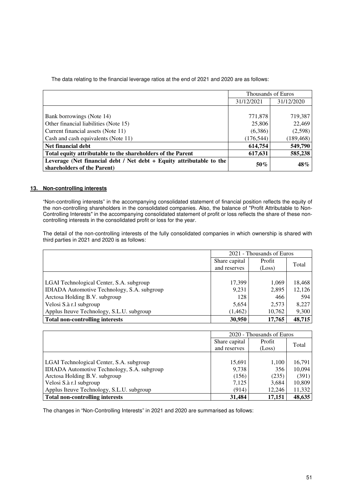The data relating to the financial leverage ratios at the end of 2021 and 2020 are as follows:

|                                                                                                       | Thousands of Euros       |            |  |
|-------------------------------------------------------------------------------------------------------|--------------------------|------------|--|
|                                                                                                       | 31/12/2021<br>31/12/2020 |            |  |
|                                                                                                       |                          |            |  |
| Bank borrowings (Note 14)                                                                             | 771,878                  | 719,387    |  |
| Other financial liabilities (Note 15)                                                                 | 25,806                   | 22,469     |  |
| Current financial assets (Note 11)                                                                    | (6,386)                  | (2,598)    |  |
| Cash and cash equivalents (Note 11)                                                                   | (176, 544)               | (189, 468) |  |
| Net financial debt                                                                                    | 614,754                  | 549,790    |  |
| Total equity attributable to the shareholders of the Parent                                           | 617,631                  | 585,238    |  |
| Leverage (Net financial debt / Net debt $+$ Equity attributable to the<br>shareholders of the Parent) | $50\%$                   | 48%        |  |

## **13. Non-controlling interests**

"Non-controlling interests" in the accompanying consolidated statement of financial position reflects the equity of the non-controlling shareholders in the consolidated companies. Also, the balance of "Profit Attributable to Non-Controlling Interests" in the accompanying consolidated statement of profit or loss reflects the share of these noncontrolling interests in the consolidated profit or loss for the year.

The detail of the non-controlling interests of the fully consolidated companies in which ownership is shared with third parties in 2021 and 2020 is as follows:

|                                                    | 2021 - Thousands of Euros |        |        |  |
|----------------------------------------------------|---------------------------|--------|--------|--|
|                                                    | Share capital             | Profit | Total  |  |
|                                                    | and reserves              | (Loss) |        |  |
|                                                    |                           |        |        |  |
| LGAI Technological Center, S.A. subgroup           | 17,399                    | 1,069  | 18,468 |  |
| <b>IDIADA</b> Automotive Technology, S.A. subgroup | 9,231                     | 2,895  | 12,126 |  |
| Arctosa Holding B.V. subgroup                      | 128                       | 466    | 594    |  |
| Velosi S.à r.1 subgroup                            | 5,654                     | 2,573  | 8,227  |  |
| Applus Iteuve Technology, S.L.U. subgroup          | (1,462)                   | 10,762 | 9,300  |  |
| <b>Total non-controlling interests</b>             | 30,950                    | 17,765 | 48,715 |  |

|                                                    |               | 2020 - Thousands of Euros |        |  |  |
|----------------------------------------------------|---------------|---------------------------|--------|--|--|
|                                                    | Share capital | Profit                    | Total  |  |  |
|                                                    | and reserves  | (Loss)                    |        |  |  |
|                                                    |               |                           |        |  |  |
| LGAI Technological Center, S.A. subgroup           | 15,691        | 1,100                     | 16,791 |  |  |
| <b>IDIADA</b> Automotive Technology, S.A. subgroup | 9,738         | 356                       | 10,094 |  |  |
| Arctosa Holding B.V. subgroup                      | (156)         | (235)                     | (391)  |  |  |
| Velosi S.à r.l subgroup                            | 7,125         | 3,684                     | 10,809 |  |  |
| Applus Iteuve Technology, S.L.U. subgroup          | (914)         | 12,246                    | 11,332 |  |  |
| Total non-controlling interests                    | 31,484        | 17.151                    | 48,635 |  |  |

The changes in "Non-Controlling Interests" in 2021 and 2020 are summarised as follows: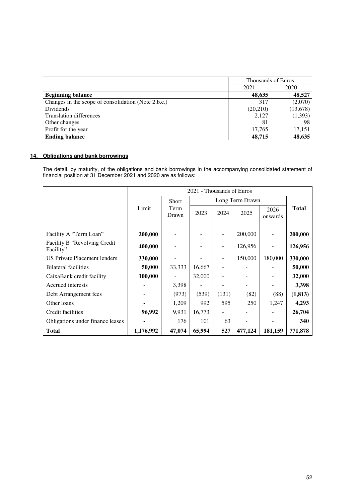|                                                     | Thousands of Euros<br>2021<br>2020 |           |  |
|-----------------------------------------------------|------------------------------------|-----------|--|
|                                                     |                                    |           |  |
| <b>Beginning balance</b>                            | 48,635                             | 48,527    |  |
| Changes in the scope of consolidation (Note 2.b.e.) | 317                                | (2,070)   |  |
| Dividends                                           | (20, 210)                          | (13, 678) |  |
| <b>Translation differences</b>                      | 2,127                              | (1,393)   |  |
| Other changes                                       | 81                                 | 98        |  |
| Profit for the year                                 | 17,765                             | 17,151    |  |
| <b>Ending balance</b>                               | 48,715                             | 48,635    |  |

# **14. Obligations and bank borrowings**

The detail, by maturity, of the obligations and bank borrowings in the accompanying consolidated statement of financial position at 31 December 2021 and 2020 are as follows:

|                                            | 2021 - Thousands of Euros       |               |        |       |         |                 |              |
|--------------------------------------------|---------------------------------|---------------|--------|-------|---------|-----------------|--------------|
|                                            | Long Term Drawn<br><b>Short</b> |               |        |       |         |                 |              |
|                                            | Limit                           | Term<br>Drawn | 2023   | 2024  | 2025    | 2026<br>onwards | <b>Total</b> |
|                                            |                                 |               |        |       |         |                 |              |
| Facility A "Term Loan"                     | 200,000                         |               |        |       | 200,000 |                 | 200,000      |
| Facility B "Revolving Credit"<br>Facility" | 400,000                         |               |        |       | 126,956 |                 | 126,956      |
| <b>US Private Placement lenders</b>        | 330,000                         |               |        |       | 150,000 | 180,000         | 330,000      |
| <b>Bilateral facilities</b>                | 50,000                          | 33,333        | 16,667 |       |         |                 | 50,000       |
| CaixaBank credit facility                  | 100,000                         |               | 32,000 |       |         |                 | 32,000       |
| Accrued interests                          |                                 | 3,398         |        |       |         |                 | 3,398        |
| Debt Arrangement fees                      |                                 | (973)         | (539)  | (131) | (82)    | (88)            | (1, 813)     |
| Other loans                                |                                 | 1,209         | 992    | 595   | 250     | 1,247           | 4,293        |
| Credit facilities                          | 96,992                          | 9,931         | 16,773 |       |         |                 | 26,704       |
| Obligations under finance leases           |                                 | 176           | 101    | 63    |         |                 | 340          |
| <b>Total</b>                               | 1,176,992                       | 47,074        | 65,994 | 527   | 477,124 | 181,159         | 771,878      |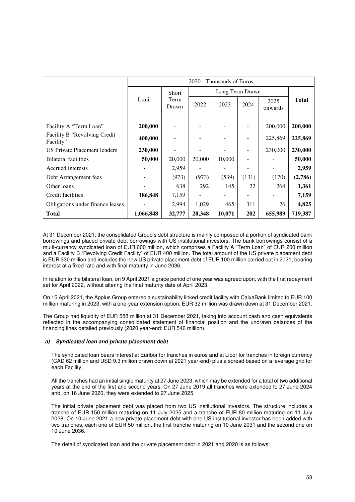|                                            | 2020 - Thousands of Euros |               |                 |        |       |                 |              |
|--------------------------------------------|---------------------------|---------------|-----------------|--------|-------|-----------------|--------------|
|                                            |                           | <b>Short</b>  | Long Term Drawn |        |       |                 |              |
|                                            | Limit                     | Term<br>Drawn | 2022            | 2023   | 2024  | 2025<br>onwards | <b>Total</b> |
|                                            |                           |               |                 |        |       |                 |              |
| Facility A "Term Loan"                     | 200,000                   |               |                 |        |       | 200,000         | 200,000      |
| Facility B "Revolving Credit"<br>Facility" | 400,000                   |               |                 |        |       | 225,869         | 225,869      |
| <b>US Private Placement lenders</b>        | 230,000                   |               |                 |        |       | 230,000         | 230,000      |
| <b>Bilateral facilities</b>                | 50,000                    | 20,000        | 20,000          | 10,000 |       |                 | 50,000       |
| Accrued interests                          |                           | 2,959         |                 |        |       |                 | 2,959        |
| Debt Arrangement fees                      |                           | (973)         | (973)           | (539)  | (131) | (170)           | (2,786)      |
| Other loans                                |                           | 638           | 292             | 145    | 22    | 264             | 1,361        |
| Credit facilities                          | 186,848                   | 7,159         |                 |        | -     |                 | 7,159        |
| Obligations under finance leases           |                           | 2,994         | 1,029           | 465    | 311   | 26              | 4,825        |
| <b>Total</b>                               | 1,066,848                 | 32,777        | 20,348          | 10,071 | 202   | 655,989         | 719,387      |

At 31 December 2021, the consolidated Group's debt structure is mainly composed of a portion of syndicated bank borrowings and placed private debt borrowings with US institutional investors. The bank borrowings consist of a multi-currency syndicated loan of EUR 600 million, which comprises a Facility A "Term Loan" of EUR 200 million and a Facility B "Revolving Credit Facility" of EUR 400 million. The total amount of the US private placement debt is EUR 330 million and includes the new US private placement debt of EUR 100 million carried out in 2021, bearing interest at a fixed rate and with final maturity in June 2036.

In relation to the bilateral loan, on 9 April 2021 a grace period of one year was agreed upon, with the first repayment set for April 2022, without altering the final maturity date of April 2023.

On 15 April 2021, the Applus Group entered a sustainability linked credit facility with CaixaBank limited to EUR 100 million maturing in 2023, with a one-year extension option. EUR 32 million was drawn down at 31 December 2021.

The Group had liquidity of EUR 588 million at 31 December 2021, taking into account cash and cash equivalents reflected in the accompanying consolidated statement of financial position and the undrawn balances of the financing lines detailed previously (2020 year-end: EUR 546 million).

### **a) Syndicated loan and private placement debt**

The syndicated loan bears interest at Euribor for tranches in euros and at Libor for tranches in foreign currency (CAD 62 million and USD 9.3 million drawn down at 2021 year-end) plus a spread based on a leverage grid for each Facility.

All the tranches had an initial single maturity at 27 June 2023, which may be extended for a total of two additional years at the end of the first and second years. On 27 June 2019 all tranches were extended to 27 June 2024 and, on 16 June 2020, they were extended to 27 June 2025.

The initial private placement debt was placed from two US institutional investors. The structure includes a tranche of EUR 150 million maturing on 11 July 2025 and a tranche of EUR 80 million maturing on 11 July 2028. On 10 June 2021 a new private placement debt with one US institutional investor has been added with two tranches, each one of EUR 50 million, the first tranche maturing on 10 June 2031 and the second one on 10 June 2036.

The detail of syndicated loan and the private placement debt in 2021 and 2020 is as follows: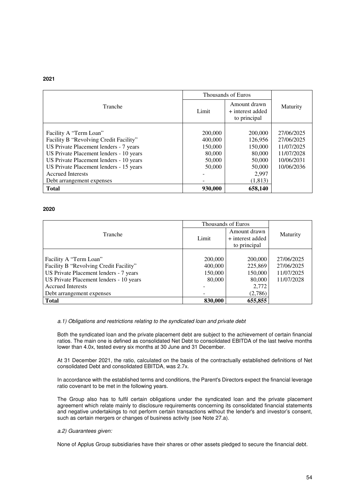### **2021**

|                                         | Thousands of Euros |                                                  |            |
|-----------------------------------------|--------------------|--------------------------------------------------|------------|
| Tranche                                 | Limit              | Amount drawn<br>+ interest added<br>to principal | Maturity   |
|                                         |                    |                                                  |            |
| Facility A "Term Loan"                  | 200,000            | 200,000                                          | 27/06/2025 |
| Facility B "Revolving Credit Facility"  | 400,000            | 126,956                                          | 27/06/2025 |
| US Private Placement lenders - 7 years  | 150,000            | 150,000                                          | 11/07/2025 |
| US Private Placement lenders - 10 years | 80,000             | 80,000                                           | 11/07/2028 |
| US Private Placement lenders - 10 years | 50,000             | 50,000                                           | 10/06/2031 |
| US Private Placement lenders - 15 years | 50,000             | 50,000                                           | 10/06/2036 |
| <b>Accrued Interests</b>                |                    | 2,997                                            |            |
| Debt arrangement expenses               |                    | (1, 813)                                         |            |
| <b>Total</b>                            | 930,000            | 658,140                                          |            |

### **2020**

|                                         | Thousands of Euros |                  |            |
|-----------------------------------------|--------------------|------------------|------------|
| Tranche                                 |                    | Amount drawn     | Maturity   |
|                                         | Limit              | + interest added |            |
|                                         |                    | to principal     |            |
|                                         |                    |                  |            |
| Facility A "Term Loan"                  | 200,000            | 200,000          | 27/06/2025 |
| Facility B "Revolving Credit Facility"  | 400,000            | 225,869          | 27/06/2025 |
| US Private Placement lenders - 7 years  | 150,000            | 150,000          | 11/07/2025 |
| US Private Placement lenders - 10 years | 80,000             | 80,000           | 11/07/2028 |
| <b>Accrued Interests</b>                |                    | 2,772            |            |
| Debt arrangement expenses               |                    | (2,786)          |            |
| <b>Total</b>                            | 830,000            | 655,855          |            |

### a.1) Obligations and restrictions relating to the syndicated loan and private debt

Both the syndicated loan and the private placement debt are subject to the achievement of certain financial ratios. The main one is defined as consolidated Net Debt to consolidated EBITDA of the last twelve months lower than 4.0x, tested every six months at 30 June and 31 December.

At 31 December 2021, the ratio, calculated on the basis of the contractually established definitions of Net consolidated Debt and consolidated EBITDA, was 2.7x.

In accordance with the established terms and conditions, the Parent's Directors expect the financial leverage ratio covenant to be met in the following years.

The Group also has to fulfil certain obligations under the syndicated loan and the private placement agreement which relate mainly to disclosure requirements concerning its consolidated financial statements and negative undertakings to not perform certain transactions without the lender's and investor's consent, such as certain mergers or changes of business activity (see Note 27.a).

#### a.2) Guarantees given:

None of Applus Group subsidiaries have their shares or other assets pledged to secure the financial debt.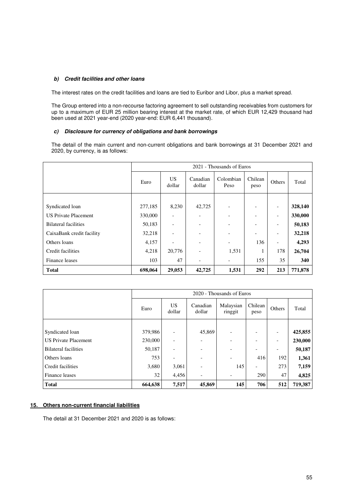### **b) Credit facilities and other loans**

The interest rates on the credit facilities and loans are tied to Euribor and Libor, plus a market spread.

The Group entered into a non-recourse factoring agreement to sell outstanding receivables from customers for up to a maximum of EUR 25 million bearing interest at the market rate, of which EUR 12,429 thousand had been used at 2021 year-end (2020 year-end: EUR 6,441 thousand).

### **c) Disclosure for currency of obligations and bank borrowings**

The detail of the main current and non-current obligations and bank borrowings at 31 December 2021 and 2020, by currency, is as follows:

|                             | 2021 - Thousands of Euros |               |                    |                          |                 |                          |         |
|-----------------------------|---------------------------|---------------|--------------------|--------------------------|-----------------|--------------------------|---------|
|                             | Euro                      | US.<br>dollar | Canadian<br>dollar | Colombian<br>Peso        | Chilean<br>peso | Others                   | Total   |
|                             |                           |               |                    |                          |                 |                          |         |
| Syndicated loan             | 277,185                   | 8,230         | 42,725             |                          |                 |                          | 328,140 |
| <b>US Private Placement</b> | 330,000                   |               |                    |                          |                 |                          | 330,000 |
| <b>Bilateral facilities</b> | 50,183                    |               |                    |                          |                 |                          | 50,183  |
| CaixaBank credit facility   | 32,218                    |               |                    |                          |                 | ٠                        | 32,218  |
| Others loans                | 4,157                     |               |                    | $\overline{\phantom{a}}$ | 136             | $\overline{\phantom{0}}$ | 4,293   |
| Credit facilities           | 4,218                     | 20,776        |                    | 1,531                    |                 | 178                      | 26,704  |
| Finance leases              | 103                       | 47            | -                  |                          | 155             | 35                       | 340     |
| <b>Total</b>                | 698,064                   | 29,053        | 42,725             | 1,531                    | 292             | 213                      | 771,878 |

|                             | 2020 - Thousands of Euros |                          |                    |                      |                          |        |         |
|-----------------------------|---------------------------|--------------------------|--------------------|----------------------|--------------------------|--------|---------|
|                             | Euro                      | US.<br>dollar            | Canadian<br>dollar | Malaysian<br>ringgit | Chilean<br>peso          | Others | Total   |
|                             |                           |                          |                    |                      |                          |        |         |
| Syndicated loan             | 379,986                   | $\overline{\phantom{a}}$ | 45,869             |                      |                          |        | 425,855 |
| <b>US Private Placement</b> | 230,000                   | $\overline{\phantom{a}}$ |                    |                      | $\overline{\phantom{0}}$ |        | 230,000 |
| <b>Bilateral facilities</b> | 50,187                    | $\overline{\phantom{a}}$ |                    |                      |                          |        | 50,187  |
| Others loans                | 753                       | $\overline{\phantom{a}}$ |                    |                      | 416                      | 192    | 1,361   |
| Credit facilities           | 3,680                     | 3,061                    |                    | 145                  | $\overline{\phantom{0}}$ | 273    | 7,159   |
| Finance leases              | 32                        | 4,456                    | -                  |                      | 290                      | 47     | 4,825   |
| <b>Total</b>                | 664,638                   | 7,517                    | 45,869             | 145                  | 706                      | 512    | 719,387 |

# **15. Others non-current financial liabilities**

The detail at 31 December 2021 and 2020 is as follows: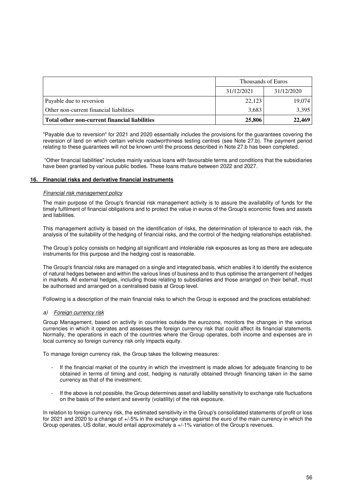|                                               | Thousands of Euros<br>31/12/2021<br>31/12/2020 |        |  |
|-----------------------------------------------|------------------------------------------------|--------|--|
|                                               |                                                |        |  |
| Payable due to reversion                      | 22.123                                         | 19.074 |  |
| Other non-current financial liabilities       | 3.683                                          | 3,395  |  |
| Total other non-current financial liabilities | 25,806                                         | 22,469 |  |

"Payable due to reversion" for 2021 and 2020 essentially includes the provisions for the guarantees covering the reversion of land on which certain vehicle roadworthiness testing centres (see Note 27.b). The payment period relating to these guarantees will not be known until the process described in Note 27.b has been completed.

 "Other financial liabilities" includes mainly various loans with favourable terms and conditions that the subsidiaries have been granted by various public bodies. These loans mature between 2022 and 2027.

### **16. Financial risks and derivative financial instruments**

## Financial risk management policy

The main purpose of the Group's financial risk management activity is to assure the availability of funds for the timely fulfilment of financial obligations and to protect the value in euros of the Group's economic flows and assets and liabilities.

This management activity is based on the identification of risks, the determination of tolerance to each risk, the analysis of the suitability of the hedging of financial risks, and the control of the hedging relationships established.

The Group's policy consists on hedging all significant and intolerable risk exposures as long as there are adequate instruments for this purpose and the hedging cost is reasonable.

The Group's financial risks are managed on a single and integrated basis, which enables it to identify the existence of natural hedges between and within the various lines of business and to thus optimise the arrangement of hedges in markets. All external hedges, including those relating to subsidiaries and those arranged on their behalf, must be authorised and arranged on a centralised basis at Group level.

Following is a description of the main financial risks to which the Group is exposed and the practices established:

### a) Foreign currency risk

Group Management, based on activity in countries outside the eurozone, monitors the changes in the various currencies in which it operates and assesses the foreign currency risk that could affect its financial statements. Normally, the operations in each of the countries where the Group operates, both income and expenses are in local currency so foreign currency risk only impacts equity.

To manage foreign currency risk, the Group takes the following measures:

- If the financial market of the country in which the investment is made allows for adequate financing to be obtained in terms of timing and cost, hedging is naturally obtained through financing taken in the same currency as that of the investment.
- If the above is not possible, the Group determines asset and liability sensitivity to exchange rate fluctuations on the basis of the extent and severity (volatility) of the risk exposure.

In relation to foreign currency risk, the estimated sensitivity in the Group's consolidated statements of profit or loss for 2021 and 2020 to a change of +/-5% in the exchange rates against the euro of the main currency in which the Group operates, US dollar, would entail approximately a +/-1% variation of the Group's revenues.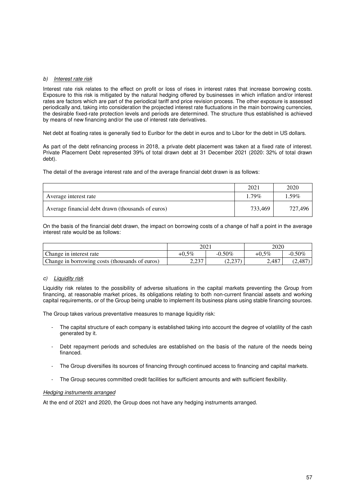### b) Interest rate risk

Interest rate risk relates to the effect on profit or loss of rises in interest rates that increase borrowing costs. Exposure to this risk is mitigated by the natural hedging offered by businesses in which inflation and/or interest rates are factors which are part of the periodical tariff and price revision process. The other exposure is assessed periodically and, taking into consideration the projected interest rate fluctuations in the main borrowing currencies, the desirable fixed-rate protection levels and periods are determined. The structure thus established is achieved by means of new financing and/or the use of interest rate derivatives.

Net debt at floating rates is generally tied to Euribor for the debt in euros and to Libor for the debt in US dollars.

As part of the debt refinancing process in 2018, a private debt placement was taken at a fixed rate of interest. Private Placement Debt represented 39% of total drawn debt at 31 December 2021 (2020: 32% of total drawn debt).

The detail of the average interest rate and of the average financial debt drawn is as follows:

|                                                   | 2021    | 2020     |
|---------------------------------------------------|---------|----------|
| Average interest rate                             | 1.79%   | $1.59\%$ |
| Average financial debt drawn (thousands of euros) | 733.469 | 727,496  |

On the basis of the financial debt drawn, the impact on borrowing costs of a change of half a point in the average interest rate would be as follows:

|                                                | 2021              |                   | 2020         |       |
|------------------------------------------------|-------------------|-------------------|--------------|-------|
| Change in interest rate                        | $5\%$<br>$+0.$    | $0.50\%$<br>$-11$ | 5%<br>$+0.5$ | 50%   |
| Change in borrowing costs (thousands of euros) | $\cap$<br>ر ے ، ب | ر ے دے            | $\sim$ ,487  | 2,487 |

### c) Liquidity risk

Liquidity risk relates to the possibility of adverse situations in the capital markets preventing the Group from financing, at reasonable market prices, its obligations relating to both non-current financial assets and working capital requirements, or of the Group being unable to implement its business plans using stable financing sources.

The Group takes various preventative measures to manage liquidity risk:

- The capital structure of each company is established taking into account the degree of volatility of the cash generated by it.
- Debt repayment periods and schedules are established on the basis of the nature of the needs being financed.
- The Group diversifies its sources of financing through continued access to financing and capital markets.
- The Group secures committed credit facilities for sufficient amounts and with sufficient flexibility.

### Hedging instruments arranged

At the end of 2021 and 2020, the Group does not have any hedging instruments arranged.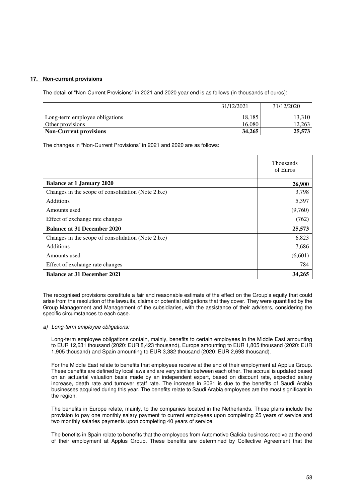# **17. Non-current provisions**

The detail of "Non-Current Provisions" in 2021 and 2020 year end is as follows (in thousands of euros):

|                                                    | 31/12/2021       | 31/12/2020       |
|----------------------------------------------------|------------------|------------------|
| Long-term employee obligations<br>Other provisions | 18,185<br>16.080 | 13,310<br>12,263 |
| <b>Non-Current provisions</b>                      | 34,265           | 25,573           |

The changes in "Non-Current Provisions" in 2021 and 2020 are as follows:

|                                                    | <b>Thousands</b><br>of Euros |
|----------------------------------------------------|------------------------------|
| <b>Balance at 1 January 2020</b>                   | 26,900                       |
| Changes in the scope of consolidation (Note 2.b.e) | 3,798                        |
| Additions                                          | 5,397                        |
| Amounts used                                       | (9,760)                      |
| Effect of exchange rate changes                    | (762)                        |
| <b>Balance at 31 December 2020</b>                 | 25,573                       |
| Changes in the scope of consolidation (Note 2.b.e) | 6,823                        |
| <b>Additions</b>                                   | 7,686                        |
| Amounts used                                       | (6,601)                      |
| Effect of exchange rate changes                    | 784                          |
| <b>Balance at 31 December 2021</b>                 | 34,265                       |

The recognised provisions constitute a fair and reasonable estimate of the effect on the Group's equity that could arise from the resolution of the lawsuits, claims or potential obligations that they cover. They were quantified by the Group Management and Management of the subsidiaries, with the assistance of their advisers, considering the specific circumstances to each case.

### a) Long-term employee obligations:

Long-term employee obligations contain, mainly, benefits to certain employees in the Middle East amounting to EUR 12,631 thousand (2020: EUR 8,423 thousand), Europe amounting to EUR 1,805 thousand (2020: EUR 1,905 thousand) and Spain amounting to EUR 3,382 thousand (2020: EUR 2,698 thousand).

For the Middle East relate to benefits that employees receive at the end of their employment at Applus Group. These benefits are defined by local laws and are very similar between each other. The accrual is updated based on an actuarial valuation basis made by an independent expert, based on discount rate, expected salary increase, death rate and turnover staff rate. The increase in 2021 is due to the benefits of Saudi Arabia businesses acquired during this year. The benefits relate to Saudi Arabia employees are the most significant in the region.

The benefits in Europe relate, mainly, to the companies located in the Netherlands. These plans include the provision to pay one monthly salary payment to current employees upon completing 25 years of service and two monthly salaries payments upon completing 40 years of service.

The benefits in Spain relate to benefits that the employees from Automotive Galicia business receive at the end of their employment at Applus Group. These benefits are determined by Collective Agreement that the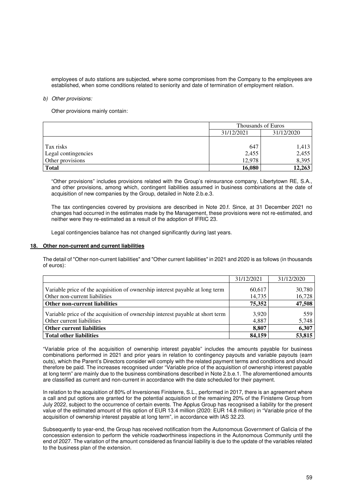employees of auto stations are subjected, where some compromises from the Company to the employees are established, when some conditions related to seniority and date of termination of employment relation.

#### b) Other provisions:

Other provisions mainly contain:

|                     | Thousands of Euros       |       |  |
|---------------------|--------------------------|-------|--|
|                     | 31/12/2020<br>31/12/2021 |       |  |
|                     |                          |       |  |
| Tax risks           | 647                      | 1,413 |  |
| Legal contingencies | 2,455                    | 2,455 |  |
| Other provisions    | 12,978                   | 8,395 |  |
| <b>Total</b>        | 12,263<br>16,080         |       |  |

"Other provisions" includes provisions related with the Group's reinsurance company, Libertytown RE, S.A., and other provisions, among which, contingent liabilities assumed in business combinations at the date of acquisition of new companies by the Group, detailed in Note 2.b.e.3.

The tax contingencies covered by provisions are described in Note 20.f. Since, at 31 December 2021 no changes had occurred in the estimates made by the Management, these provisions were not re-estimated, and neither were they re-estimated as a result of the adoption of IFRIC 23.

Legal contingencies balance has not changed significantly during last years.

#### **18. Other non-current and current liabilities**

The detail of "Other non-current liabilities" and "Other current liabilities" in 2021 and 2020 is as follows (in thousands of euros):

|                                                                                                               | 31/12/2021       | 31/12/2020       |
|---------------------------------------------------------------------------------------------------------------|------------------|------------------|
| Variable price of the acquisition of ownership interest payable at long term<br>Other non-current liabilities | 60,617<br>14,735 | 30,780<br>16,728 |
| Other non-current liabilities                                                                                 | 75,352           | 47,508           |
| Variable price of the acquisition of ownership interest payable at short term<br>Other current liabilities    | 3.920<br>4,887   | 559<br>5,748     |
| Other current liabilities                                                                                     | 8,807            | 6,307            |
| <b>Total other liabilities</b>                                                                                | 84,159           | 53,815           |

"Variable price of the acquisition of ownership interest payable" includes the amounts payable for business combinations performed in 2021 and prior years in relation to contingency payouts and variable payouts (earn outs), which the Parent's Directors consider will comply with the related payment terms and conditions and should therefore be paid. The increases recognised under "Variable price of the acquisition of ownership interest payable at long term" are mainly due to the business combinations described in Note 2.b.e.1. The aforementioned amounts are classified as current and non-current in accordance with the date scheduled for their payment.

In relation to the acquisition of 80% of Inversiones Finisterre, S.L., performed in 2017, there is an agreement where a call and put options are granted for the potential acquisition of the remaining 20% of the Finisterre Group from July 2022, subject to the occurrence of certain events. The Applus Group has recognised a liability for the present value of the estimated amount of this option of EUR 13.4 million (2020: EUR 14.8 million) in "Variable price of the acquisition of ownership interest payable at long term", in accordance with IAS 32.23.

Subsequently to year-end, the Group has received notification from the Autonomous Government of Galicia of the concession extension to perform the vehicle roadworthiness inspections in the Autonomous Community until the end of 2027. The variation of the amount considered as financial liability is due to the update of the variables related to the business plan of the extension.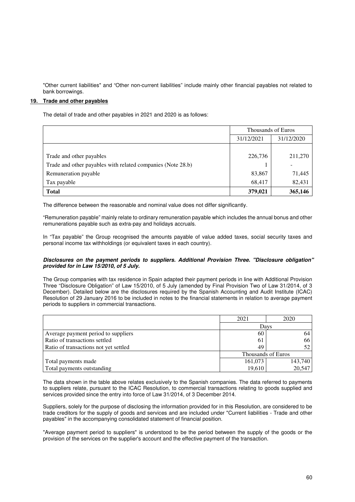"Other current liabilities" and "Other non-current liabilities" include mainly other financial payables not related to bank borrowings.

# **19. Trade and other payables**

The detail of trade and other payables in 2021 and 2020 is as follows:

|                                                             | Thousands of Euros       |         |  |
|-------------------------------------------------------------|--------------------------|---------|--|
|                                                             | 31/12/2021<br>31/12/2020 |         |  |
|                                                             |                          |         |  |
| Trade and other payables                                    | 226,736                  | 211,270 |  |
| Trade and other payables with related companies (Note 28.b) |                          |         |  |
| Remuneration payable                                        | 83,867                   | 71,445  |  |
| Tax payable                                                 | 68,417                   | 82,431  |  |
| <b>Total</b>                                                | 379,021                  | 365,146 |  |

The difference between the reasonable and nominal value does not differ significantly.

"Remuneration payable" mainly relate to ordinary remuneration payable which includes the annual bonus and other remunerations payable such as extra-pay and holidays accruals.

In "Tax payable" the Group recognised the amounts payable of value added taxes, social security taxes and personal income tax withholdings (or equivalent taxes in each country).

### **Disclosures on the payment periods to suppliers. Additional Provision Three. "Disclosure obligation" provided for in Law 15/2010, of 5 July.**

The Group companies with tax residence in Spain adapted their payment periods in line with Additional Provision Three "Disclosure Obligation" of Law 15/2010, of 5 July (amended by Final Provision Two of Law 31/2014, of 3 December). Detailed below are the disclosures required by the Spanish Accounting and Audit Institute (ICAC) Resolution of 29 January 2016 to be included in notes to the financial statements in relation to average payment periods to suppliers in commercial transactions.

|                                       | 2021               | 2020    |
|---------------------------------------|--------------------|---------|
|                                       | Davs               |         |
| Average payment period to suppliers   | 60                 | 64      |
| Ratio of transactions settled         | 61                 | 66      |
| Ratio of transactions not yet settled | 49                 | 52      |
|                                       | Thousands of Euros |         |
| Total payments made                   | 161,073            | 143,740 |
| Total payments outstanding            | 19,610             | 20,547  |

The data shown in the table above relates exclusively to the Spanish companies. The data referred to payments to suppliers relate, pursuant to the ICAC Resolution, to commercial transactions relating to goods supplied and services provided since the entry into force of Law 31/2014, of 3 December 2014.

Suppliers, solely for the purpose of disclosing the information provided for in this Resolution, are considered to be trade creditors for the supply of goods and services and are included under "Current liabilities - Trade and other payables" in the accompanying consolidated statement of financial position.

"Average payment period to suppliers" is understood to be the period between the supply of the goods or the provision of the services on the supplier's account and the effective payment of the transaction.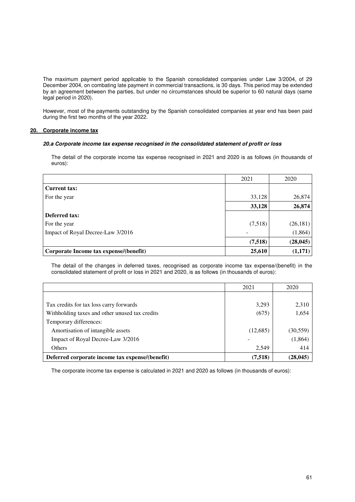The maximum payment period applicable to the Spanish consolidated companies under Law 3/2004, of 29 December 2004, on combating late payment in commercial transactions, is 30 days. This period may be extended by an agreement between the parties, but under no circumstances should be superior to 60 natural days (same legal period in 2020).

However, most of the payments outstanding by the Spanish consolidated companies at year end has been paid during the first two months of the year 2022.

### **20. Corporate income tax**

### **20.a Corporate income tax expense recognised in the consolidated statement of profit or loss**

The detail of the corporate income tax expense recognised in 2021 and 2020 is as follows (in thousands of euros):

|                                        | 2021    | 2020      |
|----------------------------------------|---------|-----------|
| <b>Current tax:</b>                    |         |           |
| For the year                           | 33,128  | 26,874    |
|                                        | 33,128  | 26,874    |
| <b>Deferred tax:</b>                   |         |           |
| For the year                           | (7,518) | (26, 181) |
| Impact of Royal Decree-Law 3/2016      | ٠       | (1,864)   |
|                                        | (7,518) | (28, 045) |
| Corporate Income tax expense/(benefit) | 25,610  | (1,171)   |

The detail of the changes in deferred taxes, recognised as corporate income tax expense/(benefit) in the consolidated statement of profit or loss in 2021 and 2020, is as follows (in thousands of euros):

|                                                 | 2021     | 2020      |
|-------------------------------------------------|----------|-----------|
|                                                 |          |           |
| Tax credits for tax loss carry forwards         | 3,293    | 2,310     |
| Withholding taxes and other unused tax credits  | (675)    | 1,654     |
| Temporary differences:                          |          |           |
| Amortisation of intangible assets               | (12,685) | (30, 559) |
| Impact of Royal Decree-Law 3/2016               |          | (1, 864)  |
| Others                                          | 2,549    | 414       |
| Deferred corporate income tax expense/(benefit) | (7,518)  | (28, 045) |

The corporate income tax expense is calculated in 2021 and 2020 as follows (in thousands of euros):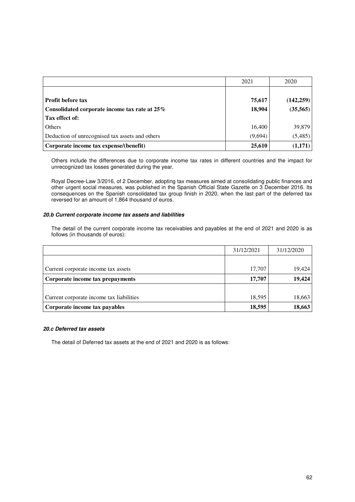|                                                                           | 2021             | 2020                  |
|---------------------------------------------------------------------------|------------------|-----------------------|
| <b>Profit before tax</b><br>Consolidated corporate income tax rate at 25% | 75,617<br>18,904 | (142,259)<br>(35,565) |
| Tax effect of:                                                            |                  |                       |
| <b>Others</b>                                                             | 16,400           | 39,879                |
| Deduction of unrecognised tax assets and others                           | (9,694)          | (5,485)               |
| Corporate income tax expense/(benefit)                                    | 25,610           | (1,171)               |

Others include the differences due to corporate income tax rates in different countries and the impact for unrecognized tax losses generated during the year.

Royal Decree-Law 3/2016, of 2 December, adopting tax measures aimed at consolidating public finances and other urgent social measures, was published in the Spanish Official State Gazette on 3 December 2016. Its consequences on the Spanish consolidated tax group finish in 2020, when the last part of the deferred tax reversed for an amount of 1,864 thousand of euros.

### **20.b Current corporate income tax assets and liabilities**

The detail of the current corporate income tax receivables and payables at the end of 2021 and 2020 is as follows (in thousands of euros):

|                                          | 31/12/2021 | 31/12/2020 |
|------------------------------------------|------------|------------|
|                                          |            |            |
| Current corporate income tax assets      | 17,707     | 19,424     |
| Corporate income tax prepayments         | 17,707     | 19,424     |
|                                          |            |            |
| Current corporate income tax liabilities | 18,595     | 18,663     |
| Corporate income tax payables            | 18,595     | 18,663     |

### **20.c Deferred tax assets**

The detail of Deferred tax assets at the end of 2021 and 2020 is as follows: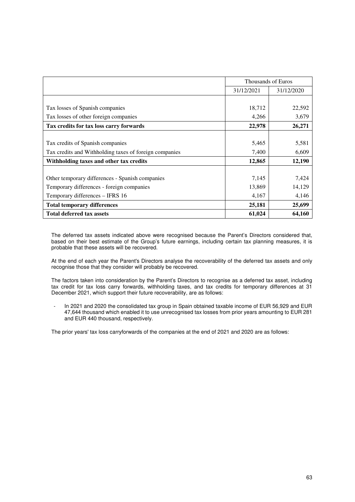|                                                        | Thousands of Euros       |        |
|--------------------------------------------------------|--------------------------|--------|
|                                                        | 31/12/2021<br>31/12/2020 |        |
|                                                        |                          |        |
| Tax losses of Spanish companies                        | 18,712                   | 22,592 |
| Tax losses of other foreign companies                  | 4,266                    | 3,679  |
| Tax credits for tax loss carry forwards                | 22,978                   | 26,271 |
|                                                        |                          |        |
| Tax credits of Spanish companies                       | 5,465                    | 5,581  |
| Tax credits and Withholding taxes of foreign companies | 7,400                    | 6,609  |
| Withholding taxes and other tax credits                | 12,865                   | 12,190 |
|                                                        |                          |        |
| Other temporary differences - Spanish companies        | 7,145                    | 7,424  |
| Temporary differences - foreign companies              | 13,869                   | 14,129 |
| Temporary differences – IFRS 16                        | 4,167                    | 4,146  |
| <b>Total temporary differences</b>                     | 25,181                   | 25,699 |
| <b>Total deferred tax assets</b>                       | 61,024                   | 64,160 |

The deferred tax assets indicated above were recognised because the Parent's Directors considered that, based on their best estimate of the Group's future earnings, including certain tax planning measures, it is probable that these assets will be recovered.

At the end of each year the Parent's Directors analyse the recoverability of the deferred tax assets and only recognise those that they consider will probably be recovered.

The factors taken into consideration by the Parent's Directors to recognise as a deferred tax asset, including tax credit for tax loss carry forwards, withholding taxes, and tax credits for temporary differences at 31 December 2021, which support their future recoverability, are as follows:

In 2021 and 2020 the consolidated tax group in Spain obtained taxable income of EUR 56,929 and EUR 47,644 thousand which enabled it to use unrecognised tax losses from prior years amounting to EUR 281 and EUR 440 thousand, respectively.

The prior years' tax loss carryforwards of the companies at the end of 2021 and 2020 are as follows: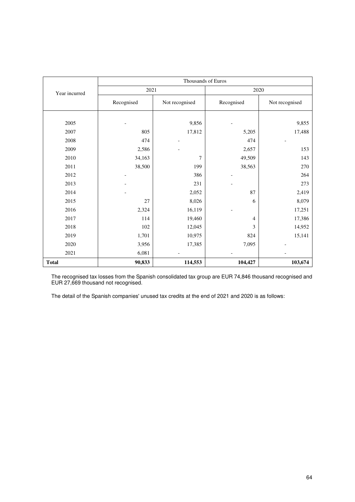|               | Thousands of Euros |                |            |                |
|---------------|--------------------|----------------|------------|----------------|
| Year incurred | 2021               |                | 2020       |                |
|               | Recognised         | Not recognised | Recognised | Not recognised |
|               |                    |                |            |                |
| 2005          |                    | 9,856          |            | 9,855          |
| 2007          | 805                | 17,812         | 5,205      | 17,488         |
| 2008          | 474                |                | 474        |                |
| 2009          | 2,586              |                | 2,657      | 153            |
| 2010          | 34,163             | 7              | 49,509     | 143            |
| 2011          | 38,500             | 199            | 38,563     | 270            |
| 2012          |                    | 386            |            | 264            |
| 2013          |                    | 231            |            | 273            |
| 2014          |                    | 2,052          | 87         | 2,419          |
| 2015          | 27                 | 8,026          | 6          | 8,079          |
| 2016          | 2,324              | 16,119         |            | 17,251         |
| 2017          | 114                | 19,460         | 4          | 17,386         |
| 2018          | 102                | 12,045         | 3          | 14,952         |
| 2019          | 1,701              | 10,975         | 824        | 15,141         |
| 2020          | 3,956              | 17,385         | 7,095      |                |
| 2021          | 6,081              |                |            |                |
| <b>Total</b>  | 90,833             | 114,553        | 104,427    | 103,674        |

The recognised tax losses from the Spanish consolidated tax group are EUR 74,846 thousand recognised and EUR 27,669 thousand not recognised.

The detail of the Spanish companies' unused tax credits at the end of 2021 and 2020 is as follows: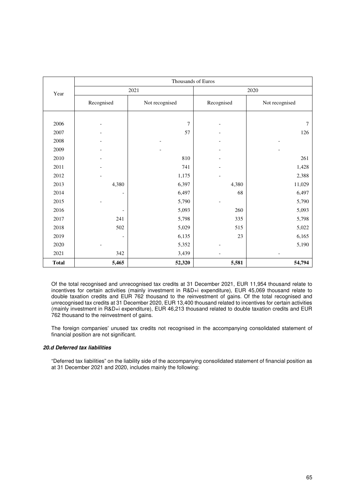|              | Thousands of Euros       |                |            |                |  |
|--------------|--------------------------|----------------|------------|----------------|--|
| Year         | 2021<br>2020             |                |            |                |  |
|              | Recognised               | Not recognised | Recognised | Not recognised |  |
|              |                          |                |            |                |  |
| 2006         |                          | $\overline{7}$ |            | 7              |  |
| 2007         |                          | 57             |            | 126            |  |
| 2008         |                          |                |            |                |  |
| 2009         |                          |                |            |                |  |
| 2010         |                          | 810            |            | 261            |  |
| 2011         |                          | 741            |            | 1,428          |  |
| 2012         |                          | 1,175          |            | 2,388          |  |
| 2013         | 4,380                    | 6,397          | 4,380      | 11,029         |  |
| 2014         | $\overline{a}$           | 6,497          | 68         | 6,497          |  |
| 2015         |                          | 5,790          |            | 5,790          |  |
| 2016         |                          | 5,093          | 260        | 5,093          |  |
| 2017         | 241                      | 5,798          | 335        | 5,798          |  |
| 2018         | 502                      | 5,029          | 515        | 5,022          |  |
| 2019         | $\overline{\phantom{a}}$ | 6,135          | 23         | 6,165          |  |
| 2020         |                          | 5,352          |            | 5,190          |  |
| 2021         | 342                      | 3,439          |            |                |  |
| <b>Total</b> | 5,465                    | 52,320         | 5,581      | 54,794         |  |

Of the total recognised and unrecognised tax credits at 31 December 2021, EUR 11,954 thousand relate to incentives for certain activities (mainly investment in R&D+i expenditure), EUR 45,069 thousand relate to double taxation credits and EUR 762 thousand to the reinvestment of gains. Of the total recognised and unrecognised tax credits at 31 December 2020, EUR 13,400 thousand related to incentives for certain activities (mainly investment in R&D+i expenditure), EUR 46,213 thousand related to double taxation credits and EUR 762 thousand to the reinvestment of gains.

The foreign companies' unused tax credits not recognised in the accompanying consolidated statement of financial position are not significant.

### **20.d Deferred tax liabilities**

"Deferred tax liabilities" on the liability side of the accompanying consolidated statement of financial position as at 31 December 2021 and 2020, includes mainly the following: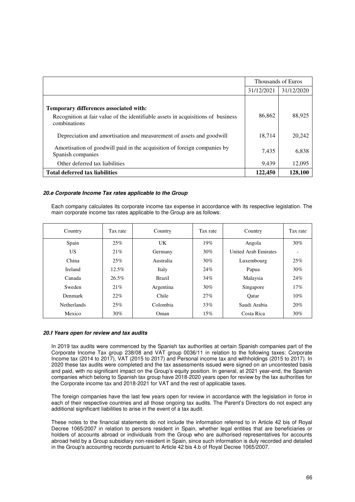|                                                                                                  | Thousands of Euros |            |
|--------------------------------------------------------------------------------------------------|--------------------|------------|
|                                                                                                  | 31/12/2021         | 31/12/2020 |
|                                                                                                  |                    |            |
| Temporary differences associated with:                                                           |                    |            |
| Recognition at fair value of the identifiable assets in acquisitions of business<br>combinations | 86,862             | 88,925     |
| Depreciation and amortisation and measurement of assets and goodwill                             | 18,714             | 20,242     |
| Amortisation of goodwill paid in the acquisition of foreign companies by<br>Spanish companies    | 7,435              | 6,838      |
| Other deferred tax liabilities                                                                   | 9.439              | 12,095     |
| <b>Total deferred tax liabilities</b>                                                            | 122,450            | 128,100    |

## **20.e Corporate Income Tax rates applicable to the Group**

Each company calculates its corporate income tax expense in accordance with its respective legislation. The main corporate income tax rates applicable to the Group are as follows:

| Country            | Tax rate | Country       | Tax rate | Country                     | Tax rate |
|--------------------|----------|---------------|----------|-----------------------------|----------|
| Spain              | 25%      | UK            | 19%      | Angola                      | 30%      |
| US                 | 21%      | Germany       | 30%      | <b>United Arab Emirates</b> |          |
| China              | 25%      | Australia     | $30\%$   | Luxembourg                  | 25%      |
| <b>Ireland</b>     | $12.5\%$ | Italy         | 24%      | Papua                       | 30%      |
| Canada             | $26.5\%$ | <b>Brazil</b> | 34%      | Malaysia                    | 24%      |
| Sweden             | 21%      | Argentina     | 30%      | Singapore                   | 17%      |
| Denmark            | 22%      | Chile         | 27%      | Oatar                       | 10%      |
| <b>Netherlands</b> | 25%      | Colombia      | 33%      | Saudi Arabia                | 20%      |
| Mexico             | 30%      | Oman          | 15%      | Costa Rica                  | 30%      |

### **20.f Years open for review and tax audits**

In 2019 tax audits were commenced by the Spanish tax authorities at certain Spanish companies part of the Corporate Income Tax group 238/08 and VAT group 0036/11 in relation to the following taxes: Corporate Income tax (2014 to 2017), VAT (2015 to 2017) and Personal income tax and withholdings (2015 to 2017). In 2020 these tax audits were completed and the tax assessments issued were signed on an uncontested basis and paid, with no significant impact on the Group's equity position. In general, at 2021 year-end, the Spanish companies which belong to Spanish tax group have 2018-2020 years open for review by the tax authorities for the Corporate income tax and 2018-2021 for VAT and the rest of applicable taxes.

The foreign companies have the last few years open for review in accordance with the legislation in force in each of their respective countries and all those ongoing tax audits. The Parent's Directors do not expect any additional significant liabilities to arise in the event of a tax audit.

These notes to the financial statements do not include the information referred to in Article 42 bis of Royal Decree 1065/2007 in relation to persons resident in Spain, whether legal entities that are beneficiaries or holders of accounts abroad or individuals from the Group who are authorised representatives for accounts abroad held by a Group subsidiary non-resident in Spain, since such information is duly recorded and detailed in the Group's accounting records pursuant to Article 42 bis 4.b of Royal Decree 1065/2007.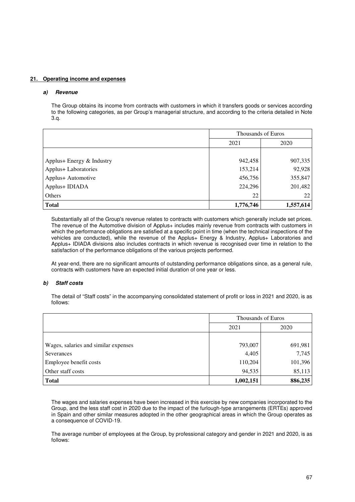### **21. Operating income and expenses**

### **a) Revenue**

The Group obtains its income from contracts with customers in which it transfers goods or services according to the following categories, as per Group's managerial structure, and according to the criteria detailed in Note 3.q.

|                           | Thousands of Euros |           |  |
|---------------------------|--------------------|-----------|--|
|                           | 2021               | 2020      |  |
|                           |                    |           |  |
| Applus+ Energy & Industry | 942,458            | 907,335   |  |
| Applus+ Laboratories      | 153,214            | 92,928    |  |
| Applus+ Automotive        | 456,756            | 355,847   |  |
| Applus+ IDIADA            | 224,296            | 201,482   |  |
| Others                    | 22                 | 22        |  |
| <b>Total</b>              | 1,776,746          | 1,557,614 |  |

Substantially all of the Group's revenue relates to contracts with customers which generally include set prices. The revenue of the Automotive division of Applus+ includes mainly revenue from contracts with customers in which the performance obligations are satisfied at a specific point in time (when the technical inspections of the vehicles are conducted), while the revenue of the Applus+ Energy & Industry, Applus+ Laboratories and Applus+ IDIADA divisions also includes contracts in which revenue is recognised over time in relation to the satisfaction of the performance obligations of the various projects performed.

At year-end, there are no significant amounts of outstanding performance obligations since, as a general rule, contracts with customers have an expected initial duration of one year or less.

### **b) Staff costs**

The detail of "Staff costs" in the accompanying consolidated statement of profit or loss in 2021 and 2020, is as follows:

|                                      | Thousands of Euros |         |  |
|--------------------------------------|--------------------|---------|--|
|                                      | 2021<br>2020       |         |  |
|                                      |                    |         |  |
| Wages, salaries and similar expenses | 793,007            | 691,981 |  |
| Severances                           | 4,405              | 7,745   |  |
| Employee benefit costs               | 110,204            | 101,396 |  |
| Other staff costs                    | 94,535             | 85,113  |  |
| <b>Total</b>                         | 1,002,151          | 886,235 |  |

The wages and salaries expenses have been increased in this exercise by new companies incorporated to the Group, and the less staff cost in 2020 due to the impact of the furlough-type arrangements (ERTEs) approved in Spain and other similar measures adopted in the other geographical areas in which the Group operates as a consequence of COVID-19.

The average number of employees at the Group, by professional category and gender in 2021 and 2020, is as follows: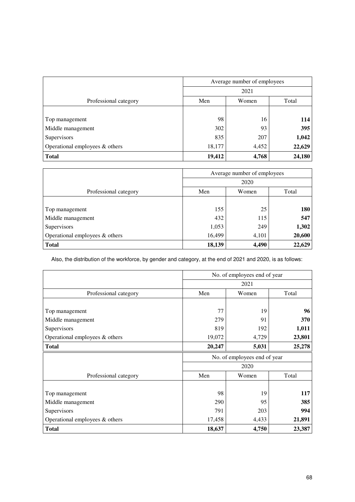|                                | Average number of employees |       |        |  |  |  |
|--------------------------------|-----------------------------|-------|--------|--|--|--|
|                                | 2021                        |       |        |  |  |  |
| Professional category          | Men<br>Women<br>Total       |       |        |  |  |  |
|                                |                             |       |        |  |  |  |
| Top management                 | 98                          | 16    | 114    |  |  |  |
| Middle management              | 302                         | 93    | 395    |  |  |  |
| Supervisors                    | 835                         | 207   | 1,042  |  |  |  |
| Operational employees & others | 18,177                      | 4,452 | 22,629 |  |  |  |
| <b>Total</b>                   | 19,412                      | 4,768 | 24,180 |  |  |  |

|                                | Average number of employees |       |        |  |  |  |
|--------------------------------|-----------------------------|-------|--------|--|--|--|
|                                | 2020                        |       |        |  |  |  |
| Professional category          | Men<br>Women<br>Total       |       |        |  |  |  |
|                                |                             |       |        |  |  |  |
| Top management                 | 155                         | 25    | 180    |  |  |  |
| Middle management              | 432                         | 115   | 547    |  |  |  |
| Supervisors                    | 1,053                       | 249   | 1,302  |  |  |  |
| Operational employees & others | 16,499                      | 4,101 | 20,600 |  |  |  |
| <b>Total</b>                   | 18,139                      | 4,490 | 22,629 |  |  |  |

Also, the distribution of the workforce, by gender and category, at the end of 2021 and 2020, is as follows:

|                                | No. of employees end of year |                              |        |  |  |
|--------------------------------|------------------------------|------------------------------|--------|--|--|
|                                | 2021                         |                              |        |  |  |
| Professional category          | Men                          | Women                        | Total  |  |  |
|                                |                              |                              |        |  |  |
| Top management                 | 77                           | 19                           | 96     |  |  |
| Middle management              | 279                          | 91                           | 370    |  |  |
| Supervisors                    | 819                          | 192                          | 1,011  |  |  |
| Operational employees & others | 19,072                       | 4,729                        | 23,801 |  |  |
| <b>Total</b>                   | 20,247                       | 5,031                        | 25,278 |  |  |
|                                |                              |                              |        |  |  |
|                                |                              | No. of employees end of year |        |  |  |
|                                |                              | 2020                         |        |  |  |
| Professional category          | Men                          | Women                        | Total  |  |  |
|                                |                              |                              |        |  |  |
| Top management                 | 98                           | 19                           | 117    |  |  |
| Middle management              | 290                          | 95                           | 385    |  |  |
| Supervisors                    | 791                          | 203                          | 994    |  |  |
| Operational employees & others | 17,458                       | 4,433                        | 21,891 |  |  |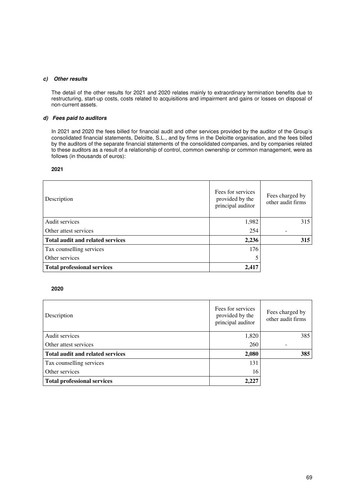### **c) Other results**

The detail of the other results for 2021 and 2020 relates mainly to extraordinary termination benefits due to restructuring, start-up costs, costs related to acquisitions and impairment and gains or losses on disposal of non-current assets.

### **d) Fees paid to auditors**

In 2021 and 2020 the fees billed for financial audit and other services provided by the auditor of the Group's consolidated financial statements, Deloitte, S.L., and by firms in the Deloitte organisation, and the fees billed by the auditors of the separate financial statements of the consolidated companies, and by companies related to these auditors as a result of a relationship of control, common ownership or common management, were as follows (in thousands of euros):

### **2021**

| Description                        | Fees for services<br>provided by the<br>principal auditor | Fees charged by<br>other audit firms |
|------------------------------------|-----------------------------------------------------------|--------------------------------------|
| Audit services                     | 1,982                                                     | 315                                  |
| Other attest services              | 254                                                       |                                      |
| Total audit and related services   | 2,236                                                     | 315                                  |
| Tax counselling services           | 176                                                       |                                      |
| Other services                     |                                                           |                                      |
| <b>Total professional services</b> | 2,417                                                     |                                      |

### **2020**

| Description                             | Fees for services<br>provided by the<br>principal auditor | Fees charged by<br>other audit firms |
|-----------------------------------------|-----------------------------------------------------------|--------------------------------------|
| Audit services                          | 1,820                                                     | 385                                  |
| Other attest services                   | 260                                                       |                                      |
| <b>Total audit and related services</b> | 2,080                                                     | 385                                  |
| Tax counselling services                | 131                                                       |                                      |
| Other services                          | 16                                                        |                                      |
| <b>Total professional services</b>      | 2,227                                                     |                                      |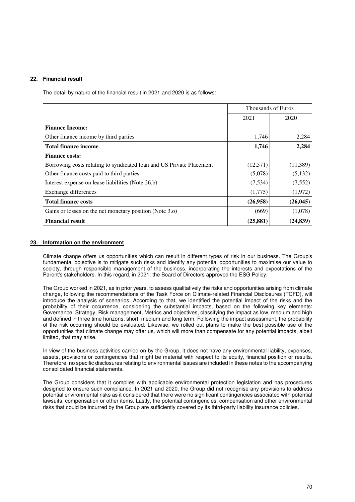# **22. Financial result**

The detail by nature of the financial result in 2021 and 2020 is as follows:

|                                                                      | Thousands of Euros |           |
|----------------------------------------------------------------------|--------------------|-----------|
|                                                                      | 2021               | 2020      |
| <b>Finance Income:</b>                                               |                    |           |
| Other finance income by third parties                                | 1,746              | 2,284     |
| <b>Total finance income</b>                                          | 1,746              | 2,284     |
| <b>Finance costs:</b>                                                |                    |           |
| Borrowing costs relating to syndicated loan and US Private Placement | (12,571)           | (11,389)  |
| Other finance costs paid to third parties                            | (5,078)            | (5,132)   |
| Interest expense on lease liabilities (Note 26.b)                    | (7,534)            | (7,552)   |
| Exchange differences                                                 | (1,775)            | (1,972)   |
| <b>Total finance costs</b>                                           | (26,958)           | (26, 045) |
| Gains or losses on the net monetary position (Note 3.0)              | (669)              | (1,078)   |
| <b>Financial result</b>                                              | (25, 881)          | (24, 839) |

### **23. Information on the environment**

Climate change offers us opportunities which can result in different types of risk in our business. The Group's fundamental objective is to mitigate such risks and identify any potential opportunities to maximise our value to society, through responsible management of the business, incorporating the interests and expectations of the Parent's stakeholders. In this regard, in 2021, the Board of Directors approved the ESG Policy.

The Group worked in 2021, as in prior years, to assess qualitatively the risks and opportunities arising from climate change, following the recommendations of the Task Force on Climate-related Financial Disclosures (TCFD), will introduce the analysis of scenarios. According to that, we identified the potential impact of the risks and the probability of their occurrence, considering the substantial impacts, based on the following key elements: Governance, Strategy, Risk management, Metrics and objectives, classifying the impact as low, medium and high and defined in three time horizons, short, medium and long term. Following the impact assessment, the probability of the risk occurring should be evaluated. Likewise, we rolled out plans to make the best possible use of the opportunities that climate change may offer us, which will more than compensate for any potential impacts, albeit limited, that may arise.

In view of the business activities carried on by the Group, it does not have any environmental liability, expenses, assets, provisions or contingencies that might be material with respect to its equity, financial position or results. Therefore, no specific disclosures relating to environmental issues are included in these notes to the accompanying consolidated financial statements.

The Group considers that it complies with applicable environmental protection legislation and has procedures designed to ensure such compliance. In 2021 and 2020, the Group did not recognise any provisions to address potential environmental risks as it considered that there were no significant contingencies associated with potential lawsuits, compensation or other items. Lastly, the potential contingencies, compensation and other environmental risks that could be incurred by the Group are sufficiently covered by its third-party liability insurance policies.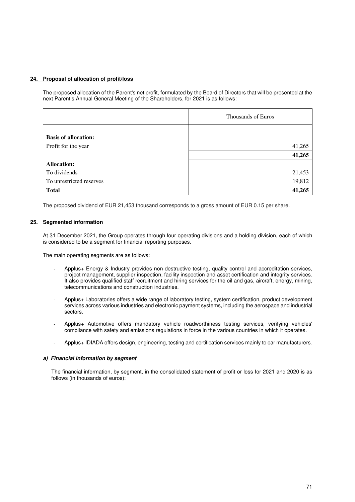# **24. Proposal of allocation of profit/loss**

The proposed allocation of the Parent's net profit, formulated by the Board of Directors that will be presented at the next Parent's Annual General Meeting of the Shareholders, for 2021 is as follows:

|                             | Thousands of Euros |
|-----------------------------|--------------------|
| <b>Basis of allocation:</b> |                    |
| Profit for the year         | 41,265             |
|                             | 41,265             |
| <b>Allocation:</b>          |                    |
| To dividends                | 21,453             |
| To unrestricted reserves    | 19,812             |
| <b>Total</b>                | 41,265             |

The proposed dividend of EUR 21,453 thousand corresponds to a gross amount of EUR 0.15 per share.

# **25. Segmented information**

At 31 December 2021, the Group operates through four operating divisions and a holding division, each of which is considered to be a segment for financial reporting purposes.

The main operating segments are as follows:

- Applus+ Energy & Industry provides non-destructive testing, quality control and accreditation services, project management, supplier inspection, facility inspection and asset certification and integrity services. It also provides qualified staff recruitment and hiring services for the oil and gas, aircraft, energy, mining, telecommunications and construction industries.
- Applus+ Laboratories offers a wide range of laboratory testing, system certification, product development services across various industries and electronic payment systems, including the aerospace and industrial sectors.
- Applus+ Automotive offers mandatory vehicle roadworthiness testing services, verifying vehicles' compliance with safety and emissions regulations in force in the various countries in which it operates.
- Applus+ IDIADA offers design, engineering, testing and certification services mainly to car manufacturers.

### **a) Financial information by segment**

The financial information, by segment, in the consolidated statement of profit or loss for 2021 and 2020 is as follows (in thousands of euros):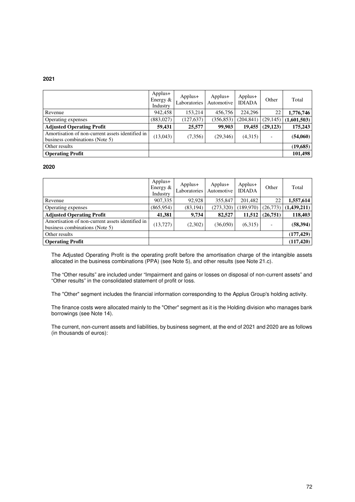### **2021**

|                                                                                    | $Applus+$<br>Energy $&$<br>Industry | $Applus+$<br>Laboratories | $Applus+$<br>Automotive | $Applus+$<br><b>IDIADA</b> | Other                    | Total       |
|------------------------------------------------------------------------------------|-------------------------------------|---------------------------|-------------------------|----------------------------|--------------------------|-------------|
| Revenue                                                                            | 942,458                             | 153.214                   | 456,756                 | 224,296                    | 22                       | 1,776,746   |
| Operating expenses                                                                 | (883,027)                           | (127, 637)                | (356, 853)              | (204, 841)                 | (29, 145)                | (1,601,503) |
| <b>Adjusted Operating Profit</b>                                                   | 59.431                              | 25,577                    | 99.903                  | 19,455                     | (29, 123)                | 175,243     |
| Amortisation of non-current assets identified in<br>business combinations (Note 5) | (13,043)                            | (7,356)                   | (29,346)                | (4,315)                    | $\overline{\phantom{0}}$ | (54,060)    |
| Other results                                                                      |                                     |                           |                         |                            |                          | (19,685)    |
| <b>Operating Profit</b>                                                            |                                     |                           |                         |                            |                          | 101,498     |

## **2020**

|                                                                                    | $Applus+$<br>Energy &<br>Industry | $Applus+$<br>Laboratories | $Applus+$<br>Automotive | $Applus+$<br><b>IDIADA</b> | Other                    | Total       |
|------------------------------------------------------------------------------------|-----------------------------------|---------------------------|-------------------------|----------------------------|--------------------------|-------------|
| Revenue                                                                            | 907,335                           | 92.928                    | 355,847                 | 201.482                    | 22                       | 1,557,614   |
| Operating expenses                                                                 | (865, 954)                        | (83, 194)                 | (273, 320)              | 189,970                    | (26,773)                 | (1,439,211) |
| <b>Adjusted Operating Profit</b>                                                   | 41,381                            | 9.734                     | 82,527                  | 11,512                     | (26,751)                 | 118,403     |
| Amortisation of non-current assets identified in<br>business combinations (Note 5) | (13,727)                          | (2,302)                   | (36,050)                | (6,315)                    | $\overline{\phantom{0}}$ | (58, 394)   |
| Other results                                                                      |                                   |                           |                         |                            |                          | (177, 429)  |
| <b>Operating Profit</b>                                                            |                                   |                           |                         |                            |                          | (117, 420)  |

The Adjusted Operating Profit is the operating profit before the amortisation charge of the intangible assets allocated in the business combinations (PPA) (see Note 5), and other results (see Note 21.c).

The "Other results" are included under "Impairment and gains or losses on disposal of non-current assets" and "Other results" in the consolidated statement of profit or loss.

The "Other" segment includes the financial information corresponding to the Applus Group's holding activity.

The finance costs were allocated mainly to the "Other" segment as it is the Holding division who manages bank borrowings (see Note 14).

The current, non-current assets and liabilities, by business segment, at the end of 2021 and 2020 are as follows (in thousands of euros):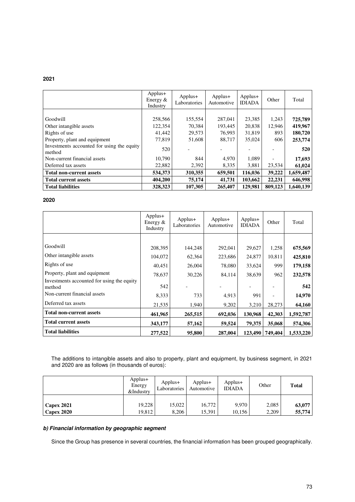# **2021**

|                                                      | Applus+<br>Energy $&$<br>Industry | $Applus+$<br>Laboratories | $Applus+$<br>Automotive | Applus+<br><b>IDIADA</b> | Other   | Total     |
|------------------------------------------------------|-----------------------------------|---------------------------|-------------------------|--------------------------|---------|-----------|
|                                                      |                                   |                           |                         |                          |         |           |
| Goodwill                                             | 258,566                           | 155,554                   | 287,041                 | 23,385                   | 1,243   | 725,789   |
| Other intangible assets                              | 122,354                           | 70,384                    | 193,445                 | 20,838                   | 12,946  | 419,967   |
| Rights of use                                        | 41,442                            | 29,573                    | 76,993                  | 31,819                   | 893     | 180,720   |
| Property, plant and equipment                        | 77,819                            | 51,608                    | 88,717                  | 35,024                   | 606     | 253,774   |
| Investments accounted for using the equity<br>method | 520                               |                           |                         |                          |         | 520       |
| Non-current financial assets                         | 10,790                            | 844                       | 4.970                   | 1,089                    |         | 17,693    |
| Deferred tax assets                                  | 22,882                            | 2,392                     | 8,335                   | 3,881                    | 23,534  | 61,024    |
| <b>Total non-current assets</b>                      | 534,373                           | 310,355                   | 659,501                 | 116,036                  | 39,222  | 1,659,487 |
| <b>Total current assets</b>                          | 404,200                           | 75,174                    | 41,731                  | 103,662                  | 22,231  | 646,998   |
| <b>Total liabilities</b>                             | 328,323                           | 107,305                   | 265,407                 | 129,981                  | 809,123 | 1.640.139 |

# **2020**

|                                                      | $Applus+$<br>Energy $&$<br>Industry | $Applus+$<br>$Applus+$<br>Laboratories<br>Automotive |         | Applus+<br><b>IDIADA</b> | Other   | Total     |
|------------------------------------------------------|-------------------------------------|------------------------------------------------------|---------|--------------------------|---------|-----------|
|                                                      |                                     |                                                      |         |                          |         |           |
| Goodwill                                             | 208,395                             | 144,248                                              | 292,041 | 29,627                   | 1,258   | 675,569   |
| Other intangible assets                              | 104,072                             | 62,364                                               | 223,686 | 24,877                   | 10,811  | 425,810   |
| Rights of use                                        | 40,451                              | 26,004                                               | 78,080  | 33,624                   | 999     | 179,158   |
| Property, plant and equipment                        | 78,637                              | 30,226                                               | 84,114  | 38,639                   | 962     | 232,578   |
| Investments accounted for using the equity<br>method | 542                                 |                                                      |         |                          |         | 542       |
| Non-current financial assets                         | 8,333                               | 733                                                  | 4,913   | 991                      |         | 14,970    |
| Deferred tax assets                                  | 21,535                              | 1,940                                                | 9,202   | 3,210                    | 28,273  | 64,160    |
| Total non-current assets                             | 461,965                             | 265,515                                              | 692,036 | 130,968                  | 42,303  | 1,592,787 |
| <b>Total current assets</b>                          | 343,177                             | 57,162                                               | 59,524  | 79,375                   | 35,068  | 574,306   |
| <b>Total liabilities</b>                             | 277,522                             | 95,800                                               | 287,004 | 123,490                  | 749,404 | 1,533,220 |

The additions to intangible assets and also to property, plant and equipment, by business segment, in 2021 and 2020 are as follows (in thousands of euros):

|                   | $Applus+$<br>Energy<br>&Industry | $Applus+$<br>Laboratories | $Applus+$<br>Automotive | $Applus+$<br><b>IDIADA</b> | Other | <b>Total</b> |
|-------------------|----------------------------------|---------------------------|-------------------------|----------------------------|-------|--------------|
|                   |                                  |                           |                         |                            |       |              |
| <b>Capex 2021</b> | 19,228                           | 15.022                    | 16.772                  | 9,970                      | 2,085 | 63,077       |
| <b>Capex 2020</b> | 19,812                           | 8.206                     | 15,391                  | 10,156                     | 2,209 | 55,774       |

# **b) Financial information by geographic segment**

Since the Group has presence in several countries, the financial information has been grouped geographically.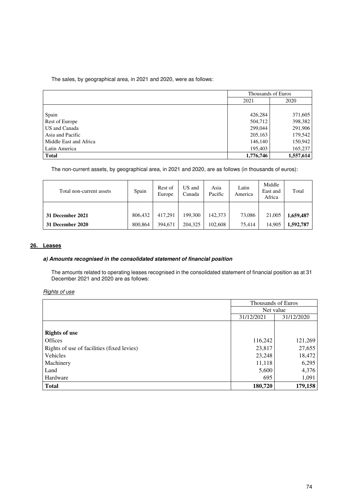The sales, by geographical area, in 2021 and 2020, were as follows:

|                        |           | Thousands of Euros |
|------------------------|-----------|--------------------|
|                        | 2021      | 2020               |
|                        |           |                    |
| Spain                  | 426,284   | 371,605            |
| Rest of Europe         | 504,712   | 398,382            |
| US and Canada          | 299,044   | 291,906            |
| Asia and Pacific       | 205,163   | 179,542            |
| Middle East and Africa | 146,140   | 150,942            |
| Latin America          | 195,403   | 165,237            |
| <b>Total</b>           | 1,776,746 | 1.557.614          |

The non-current assets, by geographical area, in 2021 and 2020, are as follows (in thousands of euros):

| Total non-current assets | Spain   | Rest of<br>Europe | US and<br>Canada | Asia<br>Pacific | Latin<br>America | Middle<br>East and<br>Africa | Total     |
|--------------------------|---------|-------------------|------------------|-----------------|------------------|------------------------------|-----------|
|                          |         |                   |                  |                 |                  |                              |           |
| 31 December 2021         | 806,432 | 417,291           | 199,300          | 142,373         | 73,086           | 21,005                       | 1,659,487 |
| 31 December 2020         | 800,864 | 394.671           | 204.325          | 102,608         | 75.414           | 14.905                       | 1,592,787 |

# **26. Leases**

# **a) Amounts recognised in the consolidated statement of financial position**

The amounts related to operating leases recognised in the consolidated statement of financial position as at 31 December 2021 and 2020 are as follows:

Rights of use

|                                            | Thousands of Euros       |         |  |
|--------------------------------------------|--------------------------|---------|--|
|                                            | Net value                |         |  |
|                                            | 31/12/2021<br>31/12/2020 |         |  |
|                                            |                          |         |  |
| <b>Rights of use</b>                       |                          |         |  |
| Offices                                    | 116,242                  | 121,269 |  |
| Rights of use of facilities (fixed levies) | 23,817                   | 27,655  |  |
| Vehicles                                   | 23,248                   | 18,472  |  |
| Machinery                                  | 11,118                   | 6,295   |  |
| Land                                       | 5,600                    | 4,376   |  |
| Hardware                                   | 695                      | 1,091   |  |
| <b>Total</b>                               | 180,720                  | 179,158 |  |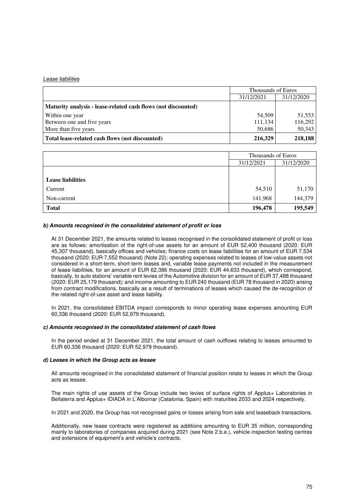#### Lease liabilities

|                                                               | Thousands of Euros       |         |  |
|---------------------------------------------------------------|--------------------------|---------|--|
|                                                               | 31/12/2021<br>31/12/2020 |         |  |
| Maturity analysis - lease-related cash flows (not discounted) |                          |         |  |
| Within one year                                               | 54,509                   | 51,553  |  |
| Between one and five years                                    | 111,134                  | 116,292 |  |
| More than five years                                          | 50,686                   | 50,343  |  |
| Total lease-related cash flows (not discounted)               | 216,329                  | 218,188 |  |

|                          | Thousands of Euros       |         |  |
|--------------------------|--------------------------|---------|--|
|                          | 31/12/2021<br>31/12/2020 |         |  |
|                          |                          |         |  |
| <b>Lease liabilities</b> |                          |         |  |
| Current                  | 54,510                   | 51,170  |  |
| Non-current              | 141,968                  | 144,379 |  |
| <b>Total</b>             | 196,478                  | 195,549 |  |

#### **b) Amounts recognised in the consolidated statement of profit or loss**

At 31 December 2021, the amounts related to leases recognised in the consolidated statement of profit or loss are as follows: amortisation of the right-of-use assets for an amount of EUR 52,400 thousand (2020: EUR 45,307 thousand), basically offices and vehicles; finance costs on lease liabilities for an amount of EUR 7,534 thousand (2020: EUR 7,552 thousand) (Note 22); operating expenses related to leases of low-value assets not considered in a short-term, short-term leases and, variable lease payments not included in the measurement of lease liabilities, for an amount of EUR 62,386 thousand (2020: EUR 44,633 thousand), which correspond, basically, to auto stations' variable rent levies of the Automotive division for an amount of EUR 37,488 thousand (2020: EUR 25,179 thousand); and income amounting to EUR 240 thousand (EUR 78 thousand in 2020) arising from contract modifications, basically as a result of terminations of leases which caused the de-recognition of the related right-of-use asset and lease liability.

In 2021, the consolidated EBITDA impact corresponds to minor operating lease expenses amounting EUR 60,336 thousand (2020: EUR 52,979 thousand).

#### **c) Amounts recognised in the consolidated statement of cash flows**

In the period ended at 31 December 2021, the total amount of cash outflows relating to leases amounted to EUR 60,336 thousand (2020: EUR 52,979 thousand).

#### **d) Leases in which the Group acts as lessee**

All amounts recognised in the consolidated statement of financial position relate to leases in which the Group acts as lessee.

The main rights of use assets of the Group include two levies of surface rights of Applus+ Laboratories in Bellaterra and Applus+ IDIADA in L'Albornar (Catalonia, Spain) with maturities 2033 and 2024 respectively.

In 2021 and 2020, the Group has not recognised gains or losses arising from sale and leaseback transactions.

Additionally, new lease contracts were registered as additions amounting to EUR 35 million, corresponding mainly to laboratories of companies acquired during 2021 (see Note 2.b.e.), vehicle inspection testing centres and extensions of equipment's and vehicle's contracts.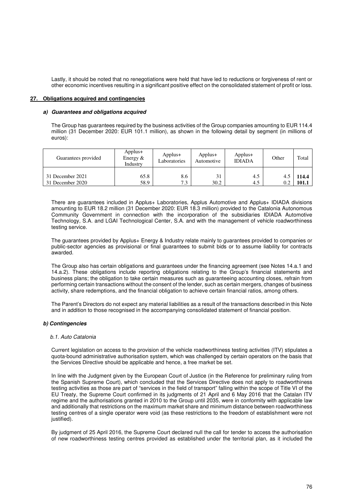Lastly, it should be noted that no renegotiations were held that have led to reductions or forgiveness of rent or other economic incentives resulting in a significant positive effect on the consolidated statement of profit or loss.

### **27. Obligations acquired and contingencies**

### **a) Guarantees and obligations acquired**

The Group has guarantees required by the business activities of the Group companies amounting to EUR 114.4 million (31 December 2020: EUR 101.1 million), as shown in the following detail by segment (in millions of euros):

| Guarantees provided | $Applus+$<br>Energy $\&$<br>Industry | $Applus+$<br>Laboratories | $Applus+$<br>Automotive | Applus+<br><b>IDIADA</b> | Other | Total |
|---------------------|--------------------------------------|---------------------------|-------------------------|--------------------------|-------|-------|
| 31 December 2021    | 65.8                                 | 8.6                       | 30.2                    | 4.5                      | 4.5   | 114.4 |
| 31 December 2020    | 58.9                                 | 73                        |                         | 4.5                      | 0.2   | 101.1 |

There are guarantees included in Applus+ Laboratories, Applus Automotive and Applus+ IDIADA divisions amounting to EUR 18.2 million (31 December 2020: EUR 18.3 million) provided to the Catalonia Autonomous Community Government in connection with the incorporation of the subsidiaries IDIADA Automotive Technology, S.A. and LGAI Technological Center, S.A. and with the management of vehicle roadworthiness testing service.

The guarantees provided by Applus+ Energy & Industry relate mainly to guarantees provided to companies or public-sector agencies as provisional or final guarantees to submit bids or to assume liability for contracts awarded.

The Group also has certain obligations and guarantees under the financing agreement (see Notes 14.a.1 and 14.a.2). These obligations include reporting obligations relating to the Group's financial statements and business plans; the obligation to take certain measures such as guaranteeing accounting closes, refrain from performing certain transactions without the consent of the lender, such as certain mergers, changes of business activity, share redemptions, and the financial obligation to achieve certain financial ratios, among others.

The Parent's Directors do not expect any material liabilities as a result of the transactions described in this Note and in addition to those recognised in the accompanying consolidated statement of financial position.

# **b) Contingencies**

### b.1. Auto Catalonia

Current legislation on access to the provision of the vehicle roadworthiness testing activities (ITV) stipulates a quota-bound administrative authorisation system, which was challenged by certain operators on the basis that the Services Directive should be applicable and hence, a free market be set.

In line with the Judgment given by the European Court of Justice (in the Reference for preliminary ruling from the Spanish Supreme Court), which concluded that the Services Directive does not apply to roadworthiness testing activities as those are part of "services in the field of transport" falling within the scope of Title VI of the EU Treaty, the Supreme Court confirmed in its judgments of 21 April and 6 May 2016 that the Catalan ITV regime and the authorisations granted in 2010 to the Group until 2035, were in conformity with applicable law and additionally that restrictions on the maximum market share and minimum distance between roadworthiness testing centres of a single operator were void (as these restrictions to the freedom of establishment were not justified).

By judgment of 25 April 2016, the Supreme Court declared null the call for tender to access the authorisation of new roadworthiness testing centres provided as established under the territorial plan, as it included the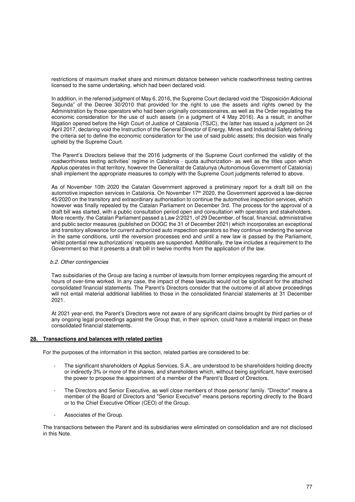restrictions of maximum market share and minimum distance between vehicle roadworthiness testing centres licensed to the same undertaking, which had been declared void.

In addition, in the referred judgment of May 6, 2016, the Supreme Court declared void the "Disposición Adicional Segunda" of the Decree 30/2010 that provided for the right to use the assets and rights owned by the Administration by those operators who had been originally concessionaires, as well as the Order regulating the economic consideration for the use of such assets (in a judgment of 4 May 2016). As a result, in another litigation opened before the High Court of Justice of Catalonia (TSJC), the latter has issued a judgment on 24 April 2017, declaring void the Instruction of the General Director of Energy, Mines and Industrial Safety defining the criteria set to define the economic consideration for the use of said public assets; this decision was finally upheld by the Supreme Court.

The Parent's Directors believe that the 2016 judgments of the Supreme Court confirmed the validity of the roadworthiness testing activities' regime in Catalonia - quota authorization- as well as the titles upon which Applus operates in that territory, however the Generalitat de Catalunya (Autonomous Government of Catalonia) shall implement the appropriate measures to comply with the Supreme Court judgments referred to above.

As of November 10th 2020 the Catalan Government approved a preliminary report for a draft bill on the automotive inspection services in Catalonia. On November 17th 2020, the Government approved a law-decree 45/2020 on the transitory and extraordinary authorisation to continue the automotive inspection services, which however was finally repealed by the Catalan Parliament on December 3rd. The process for the approval of a draft bill was started, with a public consultation period open and consultation with operators and stakeholders. More recently, the Catalan Parliament passed a Law 2/2021, of 29 December, of fiscal, financial, administrative and public sector measures (published on DOGC the 31 of December 2021) which incorporates an exceptional and transitory allowance for current authorized auto inspection operators so they continue rendering the service in the same conditions, until the reversion processes end and until a new law is passed by the Parliament, whilst potential new authorizations' requests are suspended. Additionally, the law includes a requirement to the Government so that it presents a draft bill in twelve months from the application of the law.

### b.2. Other contingencies

Two subsidiaries of the Group are facing a number of lawsuits from former employees regarding the amount of hours of over-time worked. In any case, the impact of these lawsuits would not be significant for the attached consolidated financial statements. The Parent's Directors consider that the outcome of all above proceedings will not entail material additional liabilities to those in the consolidated financial statements at 31 December 2021.

At 2021 year-end, the Parent's Directors were not aware of any significant claims brought by third parties or of any ongoing legal proceedings against the Group that, in their opinion, could have a material impact on these consolidated financial statements.

### **28. Transactions and balances with related parties**

For the purposes of the information in this section, related parties are considered to be:

- The significant shareholders of Applus Services, S.A., are understood to be shareholders holding directly or indirectly 3% or more of the shares, and shareholders which, without being significant, have exercised the power to propose the appointment of a member of the Parent's Board of Directors.
- The Directors and Senior Executive, as well close members of those persons' family. "Director" means a member of the Board of Directors and "Senior Executive" means persons reporting directly to the Board or to the Chief Executive Officer (CEO) of the Group.
- Associates of the Group.

The transactions between the Parent and its subsidiaries were eliminated on consolidation and are not disclosed in this Note.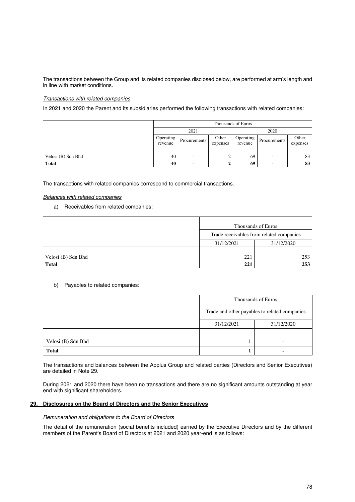The transactions between the Group and its related companies disclosed below, are performed at arm's length and in line with market conditions.

### Transactions with related companies

In 2021 and 2020 the Parent and its subsidiaries performed the following transactions with related companies:

|                    | Thousands of Euros   |              |                   |                      |              |                   |
|--------------------|----------------------|--------------|-------------------|----------------------|--------------|-------------------|
|                    |                      | 2021         |                   | 2020                 |              |                   |
|                    | Operating<br>revenue | Procurements | Other<br>expenses | Operating<br>revenue | Procurements | Other<br>expenses |
|                    |                      |              |                   |                      |              |                   |
| Velosi (B) Sdn Bhd | 40                   |              |                   | 69                   | ۰            | 83                |
| <b>Total</b>       | 40                   |              |                   | 69                   |              | 83                |

The transactions with related companies correspond to commercial transactions.

### Balances with related companies

a) Receivables from related companies:

|                    |                                                                      | Thousands of Euros |  |  |  |  |
|--------------------|----------------------------------------------------------------------|--------------------|--|--|--|--|
|                    | Trade receivables from related companies<br>31/12/2021<br>31/12/2020 |                    |  |  |  |  |
|                    |                                                                      |                    |  |  |  |  |
|                    |                                                                      |                    |  |  |  |  |
| Velosi (B) Sdn Bhd | 221<br>253                                                           |                    |  |  |  |  |
| <b>Total</b>       | 253<br>221                                                           |                    |  |  |  |  |

### b) Payables to related companies:

|                    | Thousands of Euros       |                                               |  |  |  |
|--------------------|--------------------------|-----------------------------------------------|--|--|--|
|                    |                          | Trade and other payables to related companies |  |  |  |
|                    | 31/12/2021<br>31/12/2020 |                                               |  |  |  |
|                    |                          |                                               |  |  |  |
| Velosi (B) Sdn Bhd |                          |                                               |  |  |  |
| <b>Total</b>       |                          |                                               |  |  |  |

The transactions and balances between the Applus Group and related parties (Directors and Senior Executives) are detailed in Note 29.

During 2021 and 2020 there have been no transactions and there are no significant amounts outstanding at year end with significant shareholders.

### **29. Disclosures on the Board of Directors and the Senior Executives**

### Remuneration and obligations to the Board of Directors

The detail of the remuneration (social benefits included) earned by the Executive Directors and by the different members of the Parent's Board of Directors at 2021 and 2020 year-end is as follows: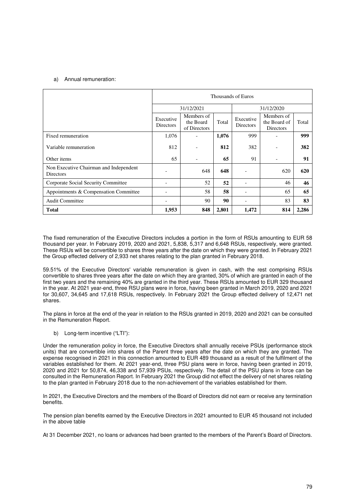### a) Annual remuneration:

|                                                            | Thousands of Euros       |                                                  |       |                          |                                         |       |  |
|------------------------------------------------------------|--------------------------|--------------------------------------------------|-------|--------------------------|-----------------------------------------|-------|--|
|                                                            |                          | 31/12/2021                                       |       |                          | 31/12/2020                              |       |  |
|                                                            | Executive<br>Directors   | Members of<br>the Board<br>Total<br>of Directors |       | Executive<br>Directors   | Members of<br>the Board of<br>Directors | Total |  |
| Fixed remuneration                                         | 1,076                    |                                                  | 1,076 | 999                      |                                         | 999   |  |
| Variable remuneration                                      | 812                      | $\overline{\phantom{a}}$                         | 812   | 382                      | $\overline{\phantom{0}}$                | 382   |  |
| Other items                                                | 65                       |                                                  | 65    | 91                       |                                         | 91    |  |
| Non Executive Chairman and Independent<br><b>Directors</b> |                          | 648                                              | 648   |                          | 620                                     | 620   |  |
| Corporate Social Security Committee                        |                          | 52                                               | 52    |                          | 46                                      | 46    |  |
| Appointments & Compensation Committee                      |                          | 58                                               | 58    |                          | 65                                      | 65    |  |
| <b>Audit Committee</b>                                     | $\overline{\phantom{0}}$ | 90                                               | 90    | $\overline{\phantom{a}}$ | 83                                      | 83    |  |
| <b>Total</b>                                               | 1,953                    | 848                                              | 2,801 | 1,472                    | 814                                     | 2,286 |  |

The fixed remuneration of the Executive Directors includes a portion in the form of RSUs amounting to EUR 58 thousand per year. In February 2019, 2020 and 2021, 5,838, 5,317 and 6,648 RSUs, respectively, were granted. These RSUs will be convertible to shares three years after the date on which they were granted. In February 2021 the Group effected delivery of 2,933 net shares relating to the plan granted in February 2018.

59.51% of the Executive Directors' variable remuneration is given in cash, with the rest comprising RSUs convertible to shares three years after the date on which they are granted, 30% of which are granted in each of the first two years and the remaining 40% are granted in the third year. These RSUs amounted to EUR 329 thousand in the year. At 2021 year-end, three RSU plans were in force, having been granted in March 2019, 2020 and 2021 for 30,607, 34,645 and 17,618 RSUs, respectively. In February 2021 the Group effected delivery of 12,471 net shares.

The plans in force at the end of the year in relation to the RSUs granted in 2019, 2020 and 2021 can be consulted in the Remuneration Report.

b) Long-term incentive ("LTI"):

Under the remuneration policy in force, the Executive Directors shall annually receive PSUs (performance stock units) that are convertible into shares of the Parent three years after the date on which they are granted. The expense recognised in 2021 in this connection amounted to EUR 489 thousand as a result of the fulfilment of the variables established for them. At 2021 year-end, three PSU plans were in force, having been granted in 2019, 2020 and 2021 for 50,874, 46,338 and 57,939 PSUs, respectively. The detail of the PSU plans in force can be consulted in the Remuneration Report. In February 2021 the Group did not effect the delivery of net shares relating to the plan granted in February 2018 due to the non-achievement of the variables established for them.

In 2021, the Executive Directors and the members of the Board of Directors did not earn or receive any termination benefits.

The pension plan benefits earned by the Executive Directors in 2021 amounted to EUR 45 thousand not included in the above table

At 31 December 2021, no loans or advances had been granted to the members of the Parent's Board of Directors.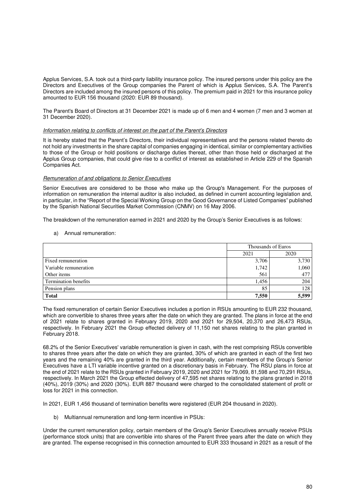Applus Services, S.A. took out a third-party liability insurance policy. The insured persons under this policy are the Directors and Executives of the Group companies the Parent of which is Applus Services, S.A. The Parent's Directors are included among the insured persons of this policy. The premium paid in 2021 for this insurance policy amounted to EUR 156 thousand (2020: EUR 89 thousand).

The Parent's Board of Directors at 31 December 2021 is made up of 6 men and 4 women (7 men and 3 women at 31 December 2020).

#### Information relating to conflicts of interest on the part of the Parent's Directors

It is hereby stated that the Parent's Directors, their individual representatives and the persons related thereto do not hold any investments in the share capital of companies engaging in identical, similar or complementary activities to those of the Group or hold positions or discharge duties thereat, other than those held or discharged at the Applus Group companies, that could give rise to a conflict of interest as established in Article 229 of the Spanish Companies Act.

### Remuneration of and obligations to Senior Executives

Senior Executives are considered to be those who make up the Group's Management. For the purposes of information on remuneration the internal auditor is also included, as defined in current accounting legislation and, in particular, in the "Report of the Special Working Group on the Good Governance of Listed Companies" published by the Spanish National Securities Market Commission (CNMV) on 16 May 2006.

The breakdown of the remuneration earned in 2021 and 2020 by the Group's Senior Executives is as follows:

a) Annual remuneration:

|                       | Thousands of Euros |       |
|-----------------------|--------------------|-------|
|                       | 2021               | 2020  |
| Fixed remuneration    | 3,706              | 3,730 |
| Variable remuneration | 1,742              | 1,060 |
| Other items           | 561                | 477   |
| Termination benefits  | 1.456              | 204   |
| Pension plans         | 85                 | 128   |
| <b>Total</b>          | 7,550              | 5,599 |

The fixed remuneration of certain Senior Executives includes a portion in RSUs amounting to EUR 232 thousand, which are convertible to shares three years after the date on which they are granted. The plans in force at the end of 2021 relate to shares granted in February 2019, 2020 and 2021 for 29,504, 20,370 and 26,473 RSUs, respectively. In February 2021 the Group effected delivery of 11,150 net shares relating to the plan granted in February 2018.

68.2% of the Senior Executives' variable remuneration is given in cash, with the rest comprising RSUs convertible to shares three years after the date on which they are granted, 30% of which are granted in each of the first two years and the remaining 40% are granted in the third year. Additionally, certain members of the Group's Senior Executives have a LTI variable incentive granted on a discretionary basis in February. The RSU plans in force at the end of 2021 relate to the RSUs granted in February 2019, 2020 and 2021 for 79,069, 81,598 and 70,291 RSUs, respectively. In March 2021 the Group effected delivery of 47,595 net shares relating to the plans granted in 2018 (40%), 2019 (30%) and 2020 (30%). EUR 887 thousand were charged to the consolidated statement of profit or loss for 2021 in this connection.

In 2021, EUR 1,456 thousand of termination benefits were registered (EUR 204 thousand in 2020).

b) Multiannual remuneration and long-term incentive in PSUs:

Under the current remuneration policy, certain members of the Group's Senior Executives annually receive PSUs (performance stock units) that are convertible into shares of the Parent three years after the date on which they are granted. The expense recognised in this connection amounted to EUR 333 thousand in 2021 as a result of the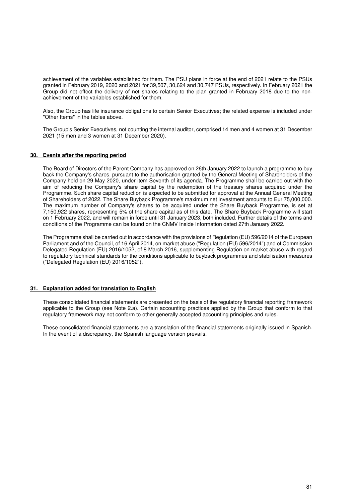achievement of the variables established for them. The PSU plans in force at the end of 2021 relate to the PSUs granted in February 2019, 2020 and 2021 for 39,507, 30,624 and 30,747 PSUs, respectively. In February 2021 the Group did not effect the delivery of net shares relating to the plan granted in February 2018 due to the nonachievement of the variables established for them.

Also, the Group has life insurance obligations to certain Senior Executives; the related expense is included under "Other Items" in the tables above.

The Group's Senior Executives, not counting the internal auditor, comprised 14 men and 4 women at 31 December 2021 (15 men and 3 women at 31 December 2020).

### **30. Events after the reporting period**

The Board of Directors of the Parent Company has approved on 26th January 2022 to launch a programme to buy back the Company's shares, pursuant to the authorisation granted by the General Meeting of Shareholders of the Company held on 29 May 2020, under item Seventh of its agenda. The Programme shall be carried out with the aim of reducing the Company's share capital by the redemption of the treasury shares acquired under the Programme. Such share capital reduction is expected to be submitted for approval at the Annual General Meeting of Shareholders of 2022. The Share Buyback Programme's maximum net investment amounts to Eur 75,000,000. The maximum number of Company's shares to be acquired under the Share Buyback Programme, is set at 7,150,922 shares, representing 5% of the share capital as of this date. The Share Buyback Programme will start on 1 February 2022, and will remain in force until 31 January 2023, both included. Further details of the terms and conditions of the Programme can be found on the CNMV Inside Information dated 27th January 2022.

The Programme shall be carried out in accordance with the provisions of Regulation (EU) 596/2014 of the European Parliament and of the Council, of 16 April 2014, on market abuse ("Regulation (EU) 596/2014") and of Commission Delegated Regulation (EU) 2016/1052, of 8 March 2016, supplementing Regulation on market abuse with regard to regulatory technical standards for the conditions applicable to buyback programmes and stabilisation measures ("Delegated Regulation (EU) 2016/1052").

### **31. Explanation added for translation to English**

These consolidated financial statements are presented on the basis of the regulatory financial reporting framework applicable to the Group (see Note 2.a). Certain accounting practices applied by the Group that conform to that regulatory framework may not conform to other generally accepted accounting principles and rules.

These consolidated financial statements are a translation of the financial statements originally issued in Spanish. In the event of a discrepancy, the Spanish language version prevails.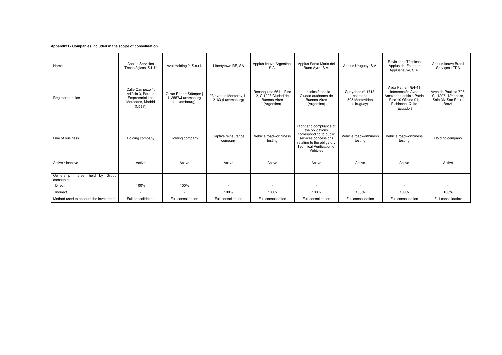#### **Appendix I - Companies included in the scope of consolidation**

| Name                                           | Applus Servicios<br>Tecnológicos, S.L.U                                                         | Azul Holding 2, S.à.r.l.                                   | Libertytown RE, SA                          | Applus Iteuve Argentina.<br>S.A.                                                    | Applus Santa Maria del<br>Buen Ayre, S.A.                                                                                                                            | Applus Uruguay, S.A.                                           | Revisiones Técnicas<br>Applus del Ecuador<br>Applusiteuve, S.A.                                                              | Applus Iteuve Brasil<br>Servicos LTDA                                                       |
|------------------------------------------------|-------------------------------------------------------------------------------------------------|------------------------------------------------------------|---------------------------------------------|-------------------------------------------------------------------------------------|----------------------------------------------------------------------------------------------------------------------------------------------------------------------|----------------------------------------------------------------|------------------------------------------------------------------------------------------------------------------------------|---------------------------------------------------------------------------------------------|
| Registered office                              | Calle Campezo 1,<br>edificio 3, Parque<br><b>Empresarial Las</b><br>Mercedes, Madrid<br>(Spain) | 7, rue Robert Stümper<br>L-2557-Luxembourg<br>(Luxembourg) | 23 avenue Monterey, L-<br>2163 (Luxembourg) | Reconquista 661 - Piso<br>2. C 1003 Ciudad de<br><b>Buenos Aires</b><br>(Argentina) | Jurisdicción de la<br>Ciudad autónoma de<br><b>Buenos Aires</b><br>(Argentina)                                                                                       | Guayabos nº 1718,<br>escritorio<br>505 Montevideo<br>(Uruguay) | Avda Patria nºE4-41<br>Intersección Avda<br>Amazonas edificio Patria<br>Piso 10 Oficina 01.<br>Pichincha, Quito<br>(Ecuador) | Avenida Paulista 726.<br>Ci. 1207, 12 <sup>ª</sup> andar,<br>Sala 36, Sao Paulo<br>(Brazil) |
| Line of business                               | Holding company                                                                                 | Holding company                                            | Captive reinsurance<br>company              | Vehicle roadworthiness<br>testing                                                   | Right and compliance of<br>the obligations<br>corresponding to public<br>services concessions<br>relating to the obligatory<br>Technical Verification of<br>Vehicles | Vehicle roadworthiness<br>testing                              | Vehicle roadworthiness<br>testing                                                                                            | Holding company                                                                             |
| Active / Inactive                              | Active                                                                                          | Active                                                     | Active                                      | Active                                                                              | Active                                                                                                                                                               | Active                                                         | Active                                                                                                                       | Active                                                                                      |
| Ownership interest held by Group<br>companies: |                                                                                                 |                                                            |                                             |                                                                                     |                                                                                                                                                                      |                                                                |                                                                                                                              |                                                                                             |
| Direct                                         | 100%                                                                                            | 100%                                                       |                                             |                                                                                     | $\overline{\phantom{a}}$                                                                                                                                             | $\overline{\phantom{a}}$                                       | $\sim$                                                                                                                       |                                                                                             |
| Indirect                                       | $\sim$                                                                                          | ٠                                                          | 100%                                        | 100%                                                                                | 100%                                                                                                                                                                 | 100%                                                           | 100%                                                                                                                         | 100%                                                                                        |
| Method used to account the investment          | Full consolidation                                                                              | Full consolidation                                         | Full consolidation                          | Full consolidation                                                                  | Full consolidation                                                                                                                                                   | Full consolidation                                             | Full consolidation                                                                                                           | Full consolidation                                                                          |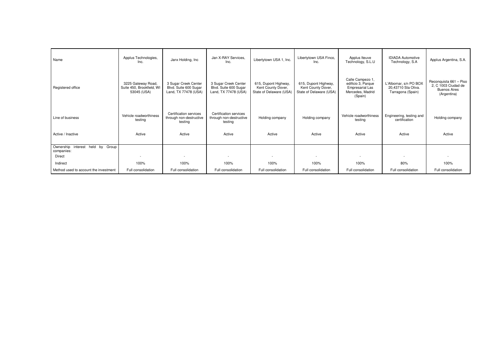| Name                                           | Applus Technologies,<br>Inc.                                   | Janx Holding, Inc.                                                    | Jan X-RAY Services,<br>Inc.                                           | Libertytown USA 1, Inc.                                               | Libertytown USA Finco,<br>Inc.                                        | Applus Iteuve<br>Technology, S.L.U                                                              | <b>IDIADA Automotive</b><br>Technology, S.A                        | Applus Argentina, S.A.                                                              |
|------------------------------------------------|----------------------------------------------------------------|-----------------------------------------------------------------------|-----------------------------------------------------------------------|-----------------------------------------------------------------------|-----------------------------------------------------------------------|-------------------------------------------------------------------------------------------------|--------------------------------------------------------------------|-------------------------------------------------------------------------------------|
| Registered office                              | 3225 Gateway Road,<br>Suite 450, Brookfield, WI<br>53045 (USA) | 3 Sugar Creek Center<br>Blvd. Suite 600 Sugar<br>Land, TX 77478 (USA) | 3 Sugar Creek Center<br>Blvd. Suite 600 Sugar<br>Land, TX 77478 (USA) | 615, Dupont Highway,<br>Kent County Dover,<br>State of Delaware (USA) | 615, Dupont Highway,<br>Kent County Dover,<br>State of Delaware (USA) | Calle Campezo 1,<br>edificio 3, Parque<br><b>Empresarial Las</b><br>Mercedes, Madrid<br>(Spain) | L'Albornar, s/n PO BOX<br>20,43710 Sta Oliva.<br>Tarragona (Spain) | Reconquista 661 - Piso<br>2, C 1003 Ciudad de<br><b>Buenos Aires</b><br>(Argentina) |
| Line of business                               | Vehicle roadworthiness<br>testing                              | Certification services<br>through non-destructive<br>testing          | Certification services<br>through non-destructive<br>testing          | Holding company                                                       | Holding company                                                       | Vehicle roadworthiness<br>testing                                                               | Engineering, testing and<br>certification                          | Holding company                                                                     |
| Active / Inactive                              | Active                                                         | Active                                                                | Active                                                                | Active                                                                | Active                                                                | Active                                                                                          | Active                                                             | Active                                                                              |
| Ownership interest held by Group<br>companies: |                                                                |                                                                       |                                                                       |                                                                       |                                                                       |                                                                                                 |                                                                    |                                                                                     |
| Direct                                         |                                                                |                                                                       |                                                                       |                                                                       |                                                                       |                                                                                                 |                                                                    |                                                                                     |
| Indirect                                       | 100%                                                           | 100%                                                                  | 100%                                                                  | 100%                                                                  | 100%                                                                  | 100%                                                                                            | 80%                                                                | 100%                                                                                |
| Method used to account the investment          | Full consolidation                                             | Full consolidation                                                    | Full consolidation                                                    | Full consolidation                                                    | Full consolidation                                                    | Full consolidation                                                                              | Full consolidation                                                 | Full consolidation                                                                  |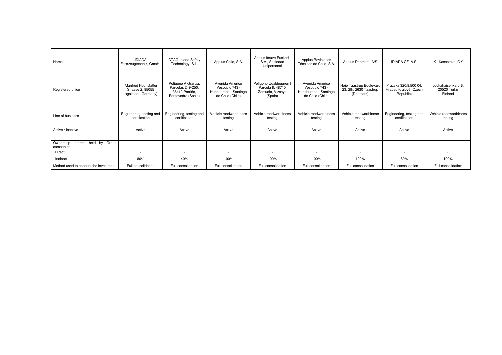| Name                                              | <b>IDIADA</b><br>Fahrzeugtechnik, GmbH.                         | CTAG-Idiada Safety<br>Technology, S.L.                                          | Applus Chile, S.A.                                                             | Applus Iteuve Euskadi,<br>S.A., Sociedad<br>Unipersonal                   | <b>Applus Revisiones</b><br>Técnicas de Chile, S.A.                            | Applus Danmark, A/S                                            | IDIADA CZ, A.S.                                             | K1 Kasastajat, OY                            |
|---------------------------------------------------|-----------------------------------------------------------------|---------------------------------------------------------------------------------|--------------------------------------------------------------------------------|---------------------------------------------------------------------------|--------------------------------------------------------------------------------|----------------------------------------------------------------|-------------------------------------------------------------|----------------------------------------------|
| Registered office                                 | Manfred Hochstatter<br>Strasse 2, 85055<br>Ingolstadt (Germany) | Polígono A Granxa.<br>Parcelas 249-250.<br>36410 Porriño.<br>Pontevedra (Spain) | Avenida Américo<br>Vespucio 743 -<br>Huechuraba - Santiago<br>de Chile (Chile) | Polígono Ugaldeguren I<br>Parcela 8, 48710<br>Zamudio, Vizcaya<br>(Spain) | Avenida Américo<br>Vespucio 743 -<br>Huechuraba - Santiago<br>de Chile (Chile) | Høje Taastrup Boulevard<br>23, 2th, 2630 Taastrup<br>(Denmark) | Prazska 320/8,500 04,<br>Hradec Králové (Czech<br>Republic) | Joukahaisenkatu 6,<br>20520 Turku<br>Finland |
| Line of business                                  | Engineering, testing and<br>certification                       | Engineering, testing and<br>certification                                       | Vehicle roadworthiness<br>testing                                              | Vehicle roadworthiness<br>testing                                         | Vehicle roadworthiness<br>testing                                              | Vehicle roadworthiness<br>testing                              | Engineering, testing and<br>certification                   | Vehicle roadworthiness<br>testing            |
| Active / Inactive                                 | Active                                                          | Active                                                                          | Active                                                                         | Active                                                                    | Active                                                                         | Active                                                         | Active                                                      | Active                                       |
| Ownership interest<br>held by Group<br>companies: |                                                                 |                                                                                 |                                                                                |                                                                           |                                                                                |                                                                |                                                             |                                              |
| Direct                                            |                                                                 |                                                                                 |                                                                                |                                                                           | $\overline{\phantom{a}}$                                                       | $\sim$                                                         | $\overline{\phantom{a}}$                                    | $\overline{\phantom{a}}$                     |
| Indirect                                          | 80%                                                             | 40%                                                                             | 100%                                                                           | 100%                                                                      | 100%                                                                           | 100%                                                           | 80%                                                         | 100%                                         |
| Method used to account the investment             | Full consolidation                                              | Full consolidation                                                              | Full consolidation                                                             | Full consolidation                                                        | Full consolidation                                                             | Full consolidation                                             | Full consolidation                                          | Full consolidation                           |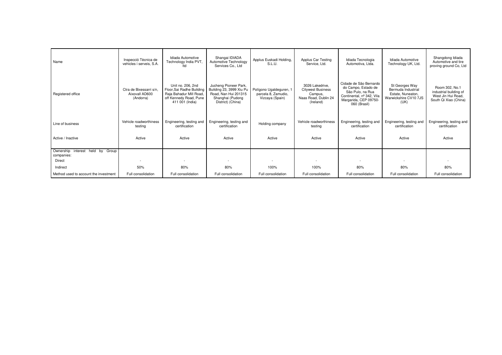| Name                                                 | Inspecció Tècnica de<br>vehicles i serveis, S.A.       | Idiada Automotive<br>Technology India PVT,<br>ltd                                                                      | Shangai IDIADA<br>Automotive Technology<br>Services Co., Ltd                                                       | Applus Euskadi Holding,<br>S.L.U.                                 | Applus Car Testing<br>Service, Ltd.                                                         | Idiada Tecnologia<br>Automotiva, Ltda.                                                                                                  | Idiada Automotive<br>Technology UK, Ltd.                                                   | Shangdong Idiada<br>Automotive and tire<br>proving ground Co, Ltd                       |
|------------------------------------------------------|--------------------------------------------------------|------------------------------------------------------------------------------------------------------------------------|--------------------------------------------------------------------------------------------------------------------|-------------------------------------------------------------------|---------------------------------------------------------------------------------------------|-----------------------------------------------------------------------------------------------------------------------------------------|--------------------------------------------------------------------------------------------|-----------------------------------------------------------------------------------------|
| Registered office                                    | Ctra de Bixessarri s/n.<br>Aixovall AD600<br>(Andorra) | Unit no. 206, 2nd<br>Floor, Sai Radhe Building<br>Raja Bahadur Mill Road,<br>off Kennedy Road, Pune<br>411 001 (India) | Jucheng Pioneer Park,<br>Building 23, 3999 Xiu Pu<br>Road, Nan Hui 201315<br>Shanghai (Pudong<br>District) (China) | Polígono Ugaldeguren, 1<br>parcela 8, Zamudio,<br>Vizcaya (Spain) | 3026 Lakedrive,<br><b>Citywest Business</b><br>Campus,<br>Naas Road, Dublin 24<br>(Ireland) | Cidade de São Bernardo<br>do Campo, Estado de<br>São Pulo, na Rua<br>Continental, nº 342, Vila<br>Margarida, CEP 09750-<br>060 (Brasil) | St Georges Way<br>Bermuda Industrial<br>Estate, Nuneaton.<br>Warwickshire CV10 7JS<br>(UK) | Room 302, No.1<br>industrial building of<br>West Jin Hui Road,<br>South Qi Xiao (China) |
| Line of business                                     | Vehicle roadworthiness<br>testing                      | Engineering, testing and<br>certification                                                                              | Engineering, testing and<br>certification                                                                          | Holding company                                                   | Vehicle roadworthiness<br>testing                                                           | Engineering, testing and<br>certification                                                                                               | Engineering, testing and<br>certification                                                  | Engineering, testing and<br>certification                                               |
| Active / Inactive                                    | Active                                                 | Active                                                                                                                 | Active                                                                                                             | Active                                                            | Active                                                                                      | Active                                                                                                                                  | Active                                                                                     | Active                                                                                  |
| Ownership<br>held by Group<br>interest<br>companies: |                                                        |                                                                                                                        |                                                                                                                    |                                                                   |                                                                                             |                                                                                                                                         |                                                                                            |                                                                                         |
| Direct                                               |                                                        |                                                                                                                        |                                                                                                                    |                                                                   |                                                                                             |                                                                                                                                         |                                                                                            |                                                                                         |
| Indirect                                             | 50%                                                    | 80%                                                                                                                    | 80%                                                                                                                | 100%                                                              | 100%                                                                                        | 80%                                                                                                                                     | 80%                                                                                        | 80%                                                                                     |
| Method used to account the investment                | Full consolidation                                     | Full consolidation                                                                                                     | Full consolidation                                                                                                 | Full consolidation                                                | Full consolidation                                                                          | Full consolidation                                                                                                                      | Full consolidation                                                                         | Full consolidation                                                                      |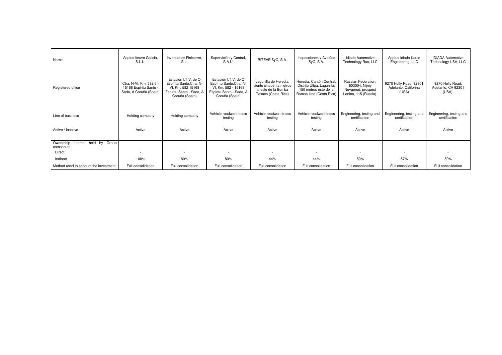| Name                                              | Applus Iteuve Galicia,<br>S.L.U.                                            | Inversiones Finisterre.<br>S.L.                                                                                    | Supervisión y Control,<br>S.A.U.                                                                                     | RITEVE SyC, S.A.                                                                               | Inspecciones y Avalúos<br>SyC, S.A.                                                                      | Idiada Automotive<br>Technology Rus, LLC                                             | Applus Idiada Karco<br>Engineering, LLC                 | <b>IDIADA Automotive</b><br>Technology USA, LLC  |
|---------------------------------------------------|-----------------------------------------------------------------------------|--------------------------------------------------------------------------------------------------------------------|----------------------------------------------------------------------------------------------------------------------|------------------------------------------------------------------------------------------------|----------------------------------------------------------------------------------------------------------|--------------------------------------------------------------------------------------|---------------------------------------------------------|--------------------------------------------------|
| Registered office                                 | Ctra. N-VI, Km. 582,6 -<br>15168 Espiritu Santo -<br>Sada, A Coruña (Spain) | Estación I.T.V. de O<br>Espíritu Santo.Ctra. N-<br>VI, Km. 582 15168<br>Espiritu Santo - Sada, A<br>Coruña (Spain) | Estación I.T.V. de O<br>Espíritu Santo.Ctra. N-<br>VI, Km. 582 - 15168<br>Espiritu Santo - Sada, A<br>Coruña (Spain) | Lagunilla de Heredia,<br>ciento cincuenta metros<br>al este de la Bomba<br>Texaco (Costa Rica) | Heredia, Cantón Central<br>Distrito Ulloa, Lagunilla,<br>150 metros este de la<br>Bomba Uno (Costa Rica) | Russian Federation,<br>603004, Nijniy<br>Novgorod, prospect<br>Lenina, 115 (Russia). | 9270 Holly Road. 92301<br>Adelanto, Califorina<br>(USA) | 9270 Holly Road,<br>Adelanto, CA 92301<br>(USA). |
| Line of business                                  | Holding company                                                             | Holding company                                                                                                    | Vehicle roadworthiness<br>testing                                                                                    | Vehicle roadworthiness<br>testing                                                              | Vehicle roadworthiness<br>testing                                                                        | Engineering, testing and<br>certification                                            | Engineering, testing and<br>certification               | Engineering, testing and<br>certification        |
| Active / Inactive                                 | Active                                                                      | Active                                                                                                             | Active                                                                                                               | Active                                                                                         | Active                                                                                                   | Active                                                                               | Active                                                  | Active                                           |
| Ownership interest<br>held by Group<br>companies: |                                                                             |                                                                                                                    |                                                                                                                      |                                                                                                |                                                                                                          |                                                                                      |                                                         |                                                  |
| Direct                                            |                                                                             |                                                                                                                    |                                                                                                                      |                                                                                                |                                                                                                          |                                                                                      | $\overline{\phantom{a}}$                                |                                                  |
| Indirect                                          | 100%                                                                        | 80%                                                                                                                | 80%                                                                                                                  | 44%                                                                                            | 44%                                                                                                      | 80%                                                                                  | 67%                                                     | 80%                                              |
| Method used to account the investment             | Full consolidation                                                          | Full consolidation                                                                                                 | Full consolidation                                                                                                   | Full consolidation                                                                             | Full consolidation                                                                                       | Full consolidation                                                                   | Full consolidation                                      | Full consolidation                               |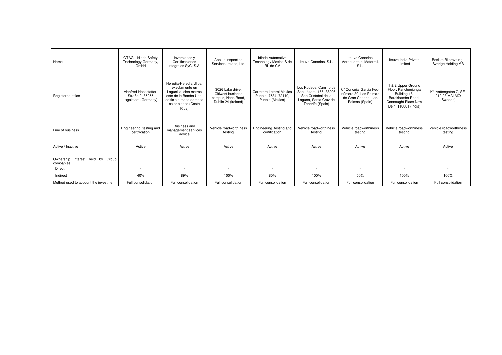| Name                                              | CTAG - Idiada Safety<br>Technology Germany,<br>GmbH             | Inversiones y<br>Certificaciones<br>Integrales SyC, S.A.                                                                                               | Applus Inspection<br>Services Ireland, Ltd.                                               | Idiada Automotive<br>Technology Mexico S de<br>RL de CV             | Iteuve Canarias, S.L.                                                                                               | Iteuve Canarias<br>Aeropuerto el Matorral,<br>S.L.                                         | Iteuve India Private<br>Limited                                                                                              | Besikta Bilprovning i<br>Sverige Holding AB        |
|---------------------------------------------------|-----------------------------------------------------------------|--------------------------------------------------------------------------------------------------------------------------------------------------------|-------------------------------------------------------------------------------------------|---------------------------------------------------------------------|---------------------------------------------------------------------------------------------------------------------|--------------------------------------------------------------------------------------------|------------------------------------------------------------------------------------------------------------------------------|----------------------------------------------------|
| Registered office                                 | Manfred-Hochstatter-<br>Straße 2, 85055<br>Ingolstadt (Germany) | Heredia-Heredia Ulloa.<br>exactamente en<br>Laqunilla, cien metros<br>este de la Bomba Uno.<br>edificio a mano derecha<br>color blanco (Costa<br>Rica) | 3026 Lake drive.<br><b>Citiwest business</b><br>campus, Naas Road,<br>Dublin 24 (Ireland) | Carretera Lateral Mexico<br>Puebla, 7534, 72110,<br>Puebla (Mexico) | Los Rodeos, Camino de<br>San Lázaro, 166, 38206<br>San Cristobal de la<br>Laguna, Santa Cruz de<br>Tenerife (Spain) | C/ Concejal Garcia Feo.<br>número 30. Las Palmas<br>de Gran Canaria, Las<br>Palmas (Spain) | 1 & 2 Upper Ground<br>Floor, Kanchenjunga<br>Building 18,<br>Barakhamba Road.<br>Connaught Place New<br>Delhi 110001 (India) | Källvattengatan 7, SE-<br>212 23 MALMÖ<br>(Sweden) |
| Line of business                                  | Engineering, testing and<br>certification                       | Business and<br>management services<br>advice                                                                                                          | Vehicle roadworthiness<br>testing                                                         | Engineering, testing and<br>certification                           | Vehicle roadworthiness<br>testing                                                                                   | Vehicle roadworthiness<br>testing                                                          | Vehicle roadworthiness<br>testing                                                                                            | Vehicle roadworthiness<br>testing                  |
| Active / Inactive                                 | Active                                                          | Active                                                                                                                                                 | Active                                                                                    | Active                                                              | Active                                                                                                              | Active                                                                                     | Active                                                                                                                       | Active                                             |
| held by Group<br>Ownership interest<br>companies: |                                                                 |                                                                                                                                                        |                                                                                           |                                                                     |                                                                                                                     |                                                                                            |                                                                                                                              |                                                    |
| Direct                                            |                                                                 |                                                                                                                                                        |                                                                                           |                                                                     |                                                                                                                     |                                                                                            |                                                                                                                              |                                                    |
| Indirect<br>Method used to account the investment | 40%<br>Full consolidation                                       | 89%<br>Full consolidation                                                                                                                              | 100%<br>Full consolidation                                                                | 80%<br>Full consolidation                                           | 100%<br>Full consolidation                                                                                          | 50%<br>Full consolidation                                                                  | 100%<br>Full consolidation                                                                                                   | 100%<br>Full consolidation                         |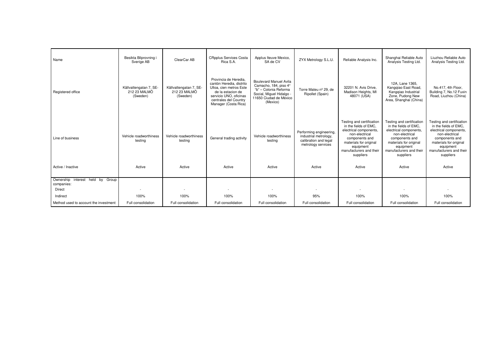| Name                                           | Besikta Bilprovning i<br>Sverige AB                | ClearCar AB                                        | <b>CRpplus Services Costa</b><br>Rica S.A.                                                                                                                                   | Applus Iteuve Mexico.<br>SA de CV                                                                                                                 | ZYX Metrology S.L.U.                                                                            | Reliable Analysis Inc.                                                                                                                                                                          | Shanghai Reliable Auto<br>Analysis Testing Ltd.                                                                                                                                                 | Liuzhou Reliable Auto<br>Analysis Testing Ltd.                                                                                                                                                  |
|------------------------------------------------|----------------------------------------------------|----------------------------------------------------|------------------------------------------------------------------------------------------------------------------------------------------------------------------------------|---------------------------------------------------------------------------------------------------------------------------------------------------|-------------------------------------------------------------------------------------------------|-------------------------------------------------------------------------------------------------------------------------------------------------------------------------------------------------|-------------------------------------------------------------------------------------------------------------------------------------------------------------------------------------------------|-------------------------------------------------------------------------------------------------------------------------------------------------------------------------------------------------|
| Registered office                              | Källvattengatan 7, SE-<br>212 23 MALMÖ<br>(Sweden) | Källvattengatan 7, SE-<br>212 23 MALMÖ<br>(Sweden) | Provincia de Heredia.<br>cantón Heredia, distrito<br>Ulloa, cien metros Este<br>de la estacion de<br>servicio UNO, oficinas<br>centrales del Country<br>Manager (Costa Rica) | <b>Boulevard Manuel Avila</b><br>Camacho, 184, piso 4°<br>"b" - Colonia Reforma<br>Social, Miguel Hidalgo -<br>11650 Ciudad de México<br>(Mexico) | Torre Mateu nº 29, de<br>Ripollet (Spain)                                                       | 32201 N. Avis Drive.<br>Madison Heights, MI<br>48071 (USA)                                                                                                                                      | 12A, Lane 1365,<br>Kanggiao East Road,<br>Kanggiao Industrial<br>Zone, Pudong New<br>Area, Shanghai (China)                                                                                     | No.417. 4th Floor.<br>Building 7, No.12 Fuxin<br>Road, Liuzhou (China)                                                                                                                          |
| Line of business                               | Vehicle roadworthiness<br>testing                  | Vehicle roadworthiness<br>testing                  | General trading activity                                                                                                                                                     | Vehicle roadworthiness<br>testing                                                                                                                 | Performing engineering,<br>industrial metrology,<br>calibration and legal<br>metrology services | Testing and certification<br>in the fields of EMC.<br>electrical components,<br>non-electrical<br>components and<br>materials for original<br>equipment<br>manufacturers and their<br>suppliers | Testing and certification<br>in the fields of EMC.<br>electrical components,<br>non-electrical<br>components and<br>materials for original<br>equipment<br>manufacturers and their<br>suppliers | Testing and certification<br>in the fields of EMC.<br>electrical components,<br>non-electrical<br>components and<br>materials for original<br>equipment<br>manufacturers and their<br>suppliers |
| Active / Inactive                              | Active                                             | Active                                             | Active                                                                                                                                                                       | Active                                                                                                                                            | Active                                                                                          | Active                                                                                                                                                                                          | Active                                                                                                                                                                                          | Active                                                                                                                                                                                          |
| Ownership interest held by Group<br>companies: |                                                    |                                                    |                                                                                                                                                                              |                                                                                                                                                   |                                                                                                 |                                                                                                                                                                                                 |                                                                                                                                                                                                 |                                                                                                                                                                                                 |
| Direct                                         |                                                    |                                                    |                                                                                                                                                                              |                                                                                                                                                   |                                                                                                 |                                                                                                                                                                                                 |                                                                                                                                                                                                 |                                                                                                                                                                                                 |
| Indirect                                       | 100%                                               | 100%                                               | 100%                                                                                                                                                                         | 100%                                                                                                                                              | 95%                                                                                             | 100%                                                                                                                                                                                            | 100%                                                                                                                                                                                            | 100%                                                                                                                                                                                            |
| Method used to account the investment          | Full consolidation                                 | Full consolidation                                 | Full consolidation                                                                                                                                                           | Full consolidation                                                                                                                                | Full consolidation                                                                              | Full consolidation                                                                                                                                                                              | Full consolidation                                                                                                                                                                              | Full consolidation                                                                                                                                                                              |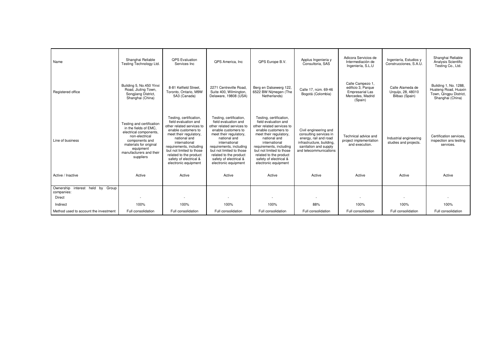| Name                                                     | Shanghai Reliable<br>Testing Technology Ltd.                                                                                                                                                    | <b>QPS</b> Evaluation<br>Services Inc                                                                                                                                                                                                                                                             | QPS America, Inc.                                                                                                                                                                                                                                                                                 | QPS Europe B.V.                                                                                                                                                                                                                                                                                   | Applus Ingenieria y<br>Consultoria, SAS                                                                                                                  | Adicora Servicios de<br>Intermediación de<br>Ingeniería, S.L.U                                  | Ingeniería, Estudios y<br>Construcciones, S.A.U.         | Shanghai Reliable<br>Analysis Scientific<br>Testing Co., Ltd.                               |
|----------------------------------------------------------|-------------------------------------------------------------------------------------------------------------------------------------------------------------------------------------------------|---------------------------------------------------------------------------------------------------------------------------------------------------------------------------------------------------------------------------------------------------------------------------------------------------|---------------------------------------------------------------------------------------------------------------------------------------------------------------------------------------------------------------------------------------------------------------------------------------------------|---------------------------------------------------------------------------------------------------------------------------------------------------------------------------------------------------------------------------------------------------------------------------------------------------|----------------------------------------------------------------------------------------------------------------------------------------------------------|-------------------------------------------------------------------------------------------------|----------------------------------------------------------|---------------------------------------------------------------------------------------------|
| Registered office                                        | Building 5, No.450 Yinxi<br>Road, Jiuting Town,<br>Songjiang District,<br>Shanghai (China)                                                                                                      | 8-81 Kelfield Street.<br>Toronto, Ontario, M9W<br>5A3 (Canada)                                                                                                                                                                                                                                    | 2271 Centreville Road.<br>Suite 400, Wilmington,<br>Delaware, 19808 (USA)                                                                                                                                                                                                                         | Berg en Dalsewerg 122.<br>6522 BW Nijmegen (The<br>Netherlands)                                                                                                                                                                                                                                   | Calle 17, núm, 69-46<br>Bogotá (Colombia)                                                                                                                | Calle Campezo 1.<br>edificio 3, Parque<br><b>Empresarial Las</b><br>Mercedes, Madrid<br>(Spain) | Calle Alameda de<br>Urquijo, 28, 48010<br>Bilbao (Spain) | Building 1, No. 1288,<br>Huateng Road, Huaxin<br>Town, Qingpu District,<br>Shanghai (China) |
| Line of business                                         | Testing and certification<br>in the fields of EMC.<br>electrical components,<br>non-electrical<br>components and<br>materials for original<br>equipment<br>manufacturers and their<br>suppliers | Testing, certification,<br>field evaluation and<br>other related services to<br>enable customers to<br>meet their regulatory.<br>national and<br>international<br>requirements, including<br>but not limited to those<br>related to the product<br>safety of electrical &<br>electronic equipment | Testing, certification,<br>field evaluation and<br>other related services to<br>enable customers to<br>meet their regulatory,<br>national and<br>international<br>requirements, including<br>but not limited to those<br>related to the product<br>safety of electrical &<br>electronic equipment | Testing, certification,<br>field evaluation and<br>other related services to<br>enable customers to<br>meet their regulatory,<br>national and<br>international<br>requirements, including<br>but not limited to those<br>related to the product<br>safety of electrical &<br>electronic equipment | Civil engineering and<br>consulting services in<br>energy, rail and road<br>infrastructure, building.<br>sanitation and supply<br>and telecommunications | Technical advice and<br>project implementation<br>and execution.                                | Industrial engineering<br>studies and projects.          | Certification services.<br>inspection ans testing<br>services.                              |
| Active / Inactive                                        | Active                                                                                                                                                                                          | Active                                                                                                                                                                                                                                                                                            | Active                                                                                                                                                                                                                                                                                            | Active                                                                                                                                                                                                                                                                                            | Active                                                                                                                                                   | Active                                                                                          | Active                                                   | Active                                                                                      |
| Ownership interest held by Group<br>companies:<br>Direct |                                                                                                                                                                                                 |                                                                                                                                                                                                                                                                                                   |                                                                                                                                                                                                                                                                                                   |                                                                                                                                                                                                                                                                                                   |                                                                                                                                                          |                                                                                                 |                                                          |                                                                                             |
| Indirect                                                 | 100%                                                                                                                                                                                            | 100%                                                                                                                                                                                                                                                                                              | 100%                                                                                                                                                                                                                                                                                              | 100%                                                                                                                                                                                                                                                                                              | 88%                                                                                                                                                      | 100%                                                                                            | 100%                                                     | 100%                                                                                        |
| Method used to account the investment                    | Full consolidation                                                                                                                                                                              | Full consolidation                                                                                                                                                                                                                                                                                | Full consolidation                                                                                                                                                                                                                                                                                | Full consolidation                                                                                                                                                                                                                                                                                | Full consolidation                                                                                                                                       | Full consolidation                                                                              | Full consolidation                                       | Full consolidation                                                                          |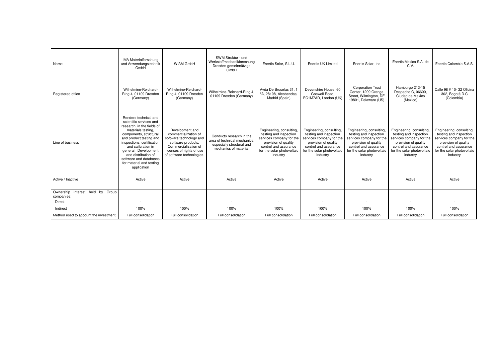| Name                                           | IMA Materialforschung<br>und Anwendungstechnik<br>GmbH                                                                                                                                                                                                                                                                            | <b>WIAM GmbH</b>                                                                                                                                                           | SWM Struktur - und<br>Werkstoffmechanikforschung<br>Dresden gemeinnützige<br>GmbH                               | Enertis Solar, S.L.U.                                                                                                                                                     | <b>Enertis UK Limited</b>                                                                                                                                                 | Enertis Solar, Inc.                                                                                                                                                       | Enertis Mexico S.A. de<br>C.V.                                                                                                                                            | Enertis Colombia S.A.S.                                                                                                                                                   |
|------------------------------------------------|-----------------------------------------------------------------------------------------------------------------------------------------------------------------------------------------------------------------------------------------------------------------------------------------------------------------------------------|----------------------------------------------------------------------------------------------------------------------------------------------------------------------------|-----------------------------------------------------------------------------------------------------------------|---------------------------------------------------------------------------------------------------------------------------------------------------------------------------|---------------------------------------------------------------------------------------------------------------------------------------------------------------------------|---------------------------------------------------------------------------------------------------------------------------------------------------------------------------|---------------------------------------------------------------------------------------------------------------------------------------------------------------------------|---------------------------------------------------------------------------------------------------------------------------------------------------------------------------|
| Registered office                              | Wilhelmine-Reichard-<br>Ring 4, 01109 Dresden<br>(Germany)                                                                                                                                                                                                                                                                        | Wilhelmine-Reichard-<br>Ring 4, 01109 Dresden<br>(Germany)                                                                                                                 | Wilhelmine-Reichard-Ring 4.<br>01109 Dresden (Germany)                                                          | Avda De Bruselas 31, 1<br><sup>º</sup> A, 28108, Alcobendas,<br>Madrid (Spain)                                                                                            | Devonshire House, 60<br>Goswell Road.<br>EC1M7AD, London (UK)                                                                                                             | <b>Corporation Trust</b><br>Center, 1209 Orange<br>Street, Wilmington, DE<br>19801, Delaware (US)                                                                         | Hamburgo 213-15<br>Despacho C. 06600.<br>Ciudad de Mexico<br>(Mexico)                                                                                                     | Calle 98 # 10-32 Oficina<br>302, Bogotá D.C<br>(Colombia)                                                                                                                 |
| Line of business                               | Renders technical and<br>scientific services and<br>research, in the fields of<br>materials testing.<br>components, structural<br>and product testing and<br>inspections, certification<br>and calibration in<br>general, Development<br>and distribution of<br>software and databases<br>for material and testing<br>application | Development and<br>commercialization of<br>software technology and<br>software products.<br>Commercialization of<br>licenses of rights of use<br>of software technologies. | Conducts research in the<br>area of technical mechanics.<br>especially structural and<br>mechanics of material. | Engineering, consulting,<br>testing and inspection<br>services company for the<br>provision of quality<br>control and assurance<br>for the solar photovoltaic<br>industry | Engineering, consulting.<br>testing and inspection<br>services company for the<br>provision of quality<br>control and assurance<br>for the solar photovoltaic<br>industry | Engineering, consulting,<br>testing and inspection<br>services company for the<br>provision of quality<br>control and assurance<br>for the solar photovoltaic<br>industry | Engineering, consulting,<br>testing and inspection<br>services company for the<br>provision of quality<br>control and assurance<br>for the solar photovoltaic<br>industry | Engineering, consulting,<br>testing and inspection<br>services company for the<br>provision of quality<br>control and assurance<br>for the solar photovoltaic<br>industry |
| Active / Inactive                              | Active                                                                                                                                                                                                                                                                                                                            | Active                                                                                                                                                                     | Active                                                                                                          | Active                                                                                                                                                                    | Active                                                                                                                                                                    | Active                                                                                                                                                                    | Active                                                                                                                                                                    | Active                                                                                                                                                                    |
| Ownership interest held by Group<br>companies: |                                                                                                                                                                                                                                                                                                                                   |                                                                                                                                                                            |                                                                                                                 |                                                                                                                                                                           |                                                                                                                                                                           |                                                                                                                                                                           |                                                                                                                                                                           |                                                                                                                                                                           |
| Direct                                         |                                                                                                                                                                                                                                                                                                                                   |                                                                                                                                                                            |                                                                                                                 |                                                                                                                                                                           |                                                                                                                                                                           |                                                                                                                                                                           |                                                                                                                                                                           |                                                                                                                                                                           |
| Indirect                                       | 100%                                                                                                                                                                                                                                                                                                                              | 100%                                                                                                                                                                       | 100%                                                                                                            | 100%                                                                                                                                                                      | 100%                                                                                                                                                                      | 100%                                                                                                                                                                      | 100%                                                                                                                                                                      | 100%                                                                                                                                                                      |
| Method used to account the investment          | Full consolidation                                                                                                                                                                                                                                                                                                                | Full consolidation                                                                                                                                                         | Full consolidation                                                                                              | Full consolidation                                                                                                                                                        | Full consolidation                                                                                                                                                        | Full consolidation                                                                                                                                                        | Full consolidation                                                                                                                                                        | Full consolidation                                                                                                                                                        |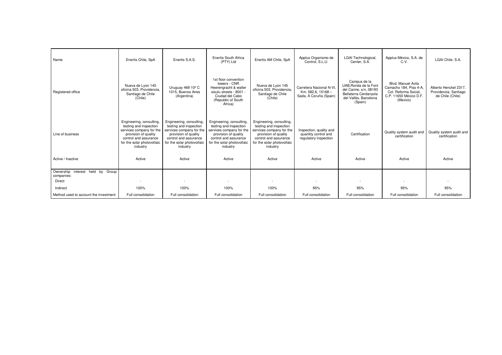| Name                                                     | Enertis Chile, SpA                                                                                                                                                        | Enertis S.A.S.                                                                                                                                                            | Enertis South Africa<br>(PTY) Ltd                                                                                                                                         | Enertis AM Chile, SpA                                                                                                                                                     | Applus Organismo de<br>Control, S.L.U.                                   | LGAI Technological,<br>Center, S.A.                                                                                        | Applus México, S.A. de<br>C.V.                                                                             | LGAI Chile, S.A.                                                   |
|----------------------------------------------------------|---------------------------------------------------------------------------------------------------------------------------------------------------------------------------|---------------------------------------------------------------------------------------------------------------------------------------------------------------------------|---------------------------------------------------------------------------------------------------------------------------------------------------------------------------|---------------------------------------------------------------------------------------------------------------------------------------------------------------------------|--------------------------------------------------------------------------|----------------------------------------------------------------------------------------------------------------------------|------------------------------------------------------------------------------------------------------------|--------------------------------------------------------------------|
| Registered office                                        | Nueva de Lyon 145<br>oficina 503, Providencia,<br>Santiago de Chile<br>(Chile)                                                                                            | Uruguay 469 10 <sup>°</sup> C<br>1015, Buenos Aires<br>(Argentina)                                                                                                        | 1st floor convention<br>towers - CNR<br>Heerengracht & walter<br>sisulu streets - 8001 -<br>Ciudad del Cabo<br>(Republic of South<br>Africa)                              | Nueva de Lyon 145<br>oficina 503, Providencia,<br>Santiago de Chile<br>(Chile)                                                                                            | Carretera Nacional N-VI<br>Km. 582,6, 15168-<br>Sada, A Coruña (Spain)   | Campus de la<br>UAB.Ronda de la Font<br>del Carme, s/n, 08193<br>Bellaterra-Cerdanyola<br>del Vallès, Barcelona<br>(Spain) | Blvd. Manuel Avila<br>Camacho 184, Piso 4-A,<br>Col. Reforma Social,<br>C.P. 11650 México D.F.<br>(Mexico) | Alberto Henckel 2317.<br>Providencia, Santiago<br>de Chile (Chile) |
| Line of business                                         | Engineering, consulting,<br>testing and inspection<br>services company for the<br>provision of quality<br>control and assurance<br>for the solar photovoltaic<br>industry | Engineering, consulting,<br>testing and inspection<br>services company for the<br>provision of quality<br>control and assurance<br>for the solar photovoltaic<br>industry | Engineering, consulting.<br>testing and inspection<br>services company for the<br>provision of quality<br>control and assurance<br>for the solar photovoltaic<br>industry | Engineering, consulting,<br>testing and inspection<br>services company for the<br>provision of quality<br>control and assurance<br>for the solar photovoltaic<br>industry | Inspection, quality and<br>quantity control and<br>regulatory inspection | Certification                                                                                                              | Quality system audit and<br>certification                                                                  | Quality system audit and<br>certification                          |
| Active / Inactive                                        | Active                                                                                                                                                                    | Active                                                                                                                                                                    | Active                                                                                                                                                                    | Active                                                                                                                                                                    | Active                                                                   | Active                                                                                                                     | Active                                                                                                     | Active                                                             |
| Ownership interest held by Group<br>companies:<br>Direct |                                                                                                                                                                           |                                                                                                                                                                           |                                                                                                                                                                           |                                                                                                                                                                           |                                                                          |                                                                                                                            | $\sim$                                                                                                     |                                                                    |
| Indirect                                                 | 100%                                                                                                                                                                      | 100%                                                                                                                                                                      | 100%                                                                                                                                                                      | 100%                                                                                                                                                                      | 95%                                                                      | 95%                                                                                                                        | 95%                                                                                                        | 95%                                                                |
| Method used to account the investment                    | Full consolidation                                                                                                                                                        | Full consolidation                                                                                                                                                        | Full consolidation                                                                                                                                                        | Full consolidation                                                                                                                                                        | Full consolidation                                                       | Full consolidation                                                                                                         | Full consolidation                                                                                         | Full consolidation                                                 |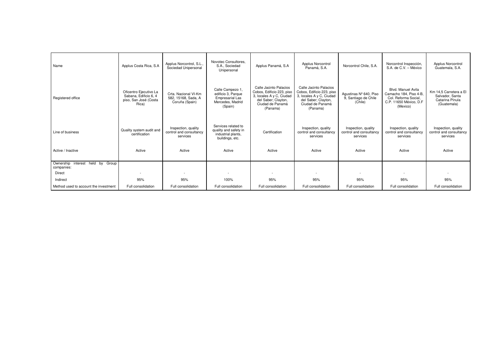| Name                                              | Applus Costa Rica, S.A                                                            | Applus Norcontrol, S.L.,<br>Sociedad Unipersonal              | Novotec Consultores.<br>S.A., Sociedad<br>Unipersonal                                           | Applus Panamá, S.A                                                                                                                     | Applus Norcontrol<br>Panamá, S.A.                                                                                                      | Norcontrol Chile, S.A.                                     | Norcontrol Inspección,<br>S.A. de C.V. - México                                                             | Applus Norcontrol<br>Guatemala, S.A.                                        |
|---------------------------------------------------|-----------------------------------------------------------------------------------|---------------------------------------------------------------|-------------------------------------------------------------------------------------------------|----------------------------------------------------------------------------------------------------------------------------------------|----------------------------------------------------------------------------------------------------------------------------------------|------------------------------------------------------------|-------------------------------------------------------------------------------------------------------------|-----------------------------------------------------------------------------|
| Registered office                                 | Oficentro Ejecutivo La<br>Sabana, Edificio 6, 4<br>piso, San José (Costa<br>Rica) | Crta. Nacional VI-Km<br>582, 15168, Sada, A<br>Coruña (Spain) | Calle Campezo 1,<br>edificio 3, Parque<br><b>Empresarial Las</b><br>Mercedes, Madrid<br>(Spain) | Calle Jacinto Palacios<br>Cobos, Edificio 223, piso<br>3, locales A y C, Ciudad<br>del Saber; Clayton,<br>Ciudad de Panamá<br>(Panama) | Calle Jacinto Palacios<br>Cobos, Edificio 223, piso<br>3, locales A y C, Ciudad<br>del Saber; Clayton,<br>Ciudad de Panamá<br>(Panama) | Agustinas Nº 640, Piso<br>9, Santiago de Chile<br>(Chile)  | Blvd. Manuel Avila<br>Camacho 184. Piso 4-B.<br>Col. Reforma Social,<br>C.P. 11650 México, D.F.<br>(Mexico) | Km 14,5 Carretera a El<br>Salvador, Santa<br>Catarina Pínula<br>(Guatemala) |
| Line of business                                  | Quality system audit and<br>certification                                         | Inspection, quality<br>control and consultancy<br>services    | Services related to<br>quality and safety in<br>industrial plants.<br>buildings, etc.           | Certification                                                                                                                          | Inspection, quality<br>control and consultancy<br>services                                                                             | Inspection, quality<br>control and consultancy<br>services | Inspection, quality<br>control and consultancy<br>services                                                  | Inspection, quality<br>control and consultancy<br>services                  |
| Active / Inactive                                 | Active                                                                            | Active                                                        | Active                                                                                          | Active                                                                                                                                 | Active                                                                                                                                 | Active                                                     | Active                                                                                                      | Active                                                                      |
| interest held by Group<br>Ownership<br>companies: |                                                                                   |                                                               |                                                                                                 |                                                                                                                                        |                                                                                                                                        |                                                            |                                                                                                             |                                                                             |
| Direct                                            | $\overline{\phantom{a}}$                                                          |                                                               |                                                                                                 |                                                                                                                                        |                                                                                                                                        |                                                            |                                                                                                             |                                                                             |
| Indirect                                          | 95%                                                                               | 95%                                                           | 100%                                                                                            | 95%                                                                                                                                    | 95%                                                                                                                                    | 95%                                                        | 95%                                                                                                         | 95%                                                                         |
| Method used to account the investment             | Full consolidation                                                                | Full consolidation                                            | Full consolidation                                                                              | Full consolidation                                                                                                                     | Full consolidation                                                                                                                     | Full consolidation                                         | Full consolidation                                                                                          | Full consolidation                                                          |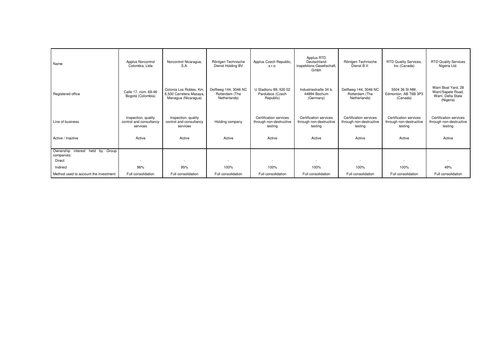| Name                                                 | Applus Norcontrol<br>Colombia, Ltda                        | Norcontrol Nicaragua,<br>S.A.                                             | Röntgen Technische<br>Dienst Holding BV                 | Applus Czech Republic,<br>S.T.O.                             | Applus RTD<br>Deutschland<br>inspektions-Gesellschaft,<br>Gmbh | Röntgen Technische<br>Dienst B.V.                            | RTD Quality Services,<br>Inc (Canada)                        | <b>RTD Quality Services</b><br>Nigeria Ltd.                                  |
|------------------------------------------------------|------------------------------------------------------------|---------------------------------------------------------------------------|---------------------------------------------------------|--------------------------------------------------------------|----------------------------------------------------------------|--------------------------------------------------------------|--------------------------------------------------------------|------------------------------------------------------------------------------|
| Registered office                                    | Calle 17, núm. 69-46<br>Bogotá (Colombia)                  | Colonia Los Robles, Km.<br>6,500 Carretera Masaya,<br>Managua (Nicaragua) | Delftweg 144, 3046 NC<br>Rotterdam (The<br>Netherlands) | U Stadionu 89, 530 02<br>Pardubice (Czech<br>Republic)       | Industriestraße 34 b.<br>44894 Bochum<br>(Germany)             | Delftweg 144, 3046 NC<br>Rotterdam (The<br>Netherlands)      | 5504 36 St NW.<br>Edmonton, AB T6B 3P3<br>(Canada)           | Warri Boat Yard, 28<br>Warri/Sapele Road,<br>Warri, Delta State<br>(Nigeria) |
| Line of business                                     | Inspection, quality<br>control and consultancy<br>services | Inspection, quality<br>control and consultancy<br>services                | Holding company                                         | Certification services<br>through non-destructive<br>testing | Certification services<br>through non-destructive<br>testing   | Certification services<br>through non-destructive<br>testing | Certification services<br>through non-destructive<br>testing | Certification services<br>through non-destructive<br>testing                 |
| Active / Inactive                                    | Active                                                     | Active                                                                    | Active                                                  | Active                                                       | Active                                                         | Active                                                       | Active                                                       | Active                                                                       |
| Ownership<br>held by Group<br>interest<br>companies: |                                                            |                                                                           |                                                         |                                                              |                                                                |                                                              |                                                              |                                                                              |
| Direct<br>Indirect                                   | 96%                                                        | 95%                                                                       | 100%                                                    | 100%                                                         | 100%                                                           | 100%                                                         | 100%                                                         | 49%                                                                          |
| Method used to account the investment                | Full consolidation                                         | Full consolidation                                                        | Full consolidation                                      | Full consolidation                                           | Full consolidation                                             | Full consolidation                                           | Full consolidation                                           | Full consolidation                                                           |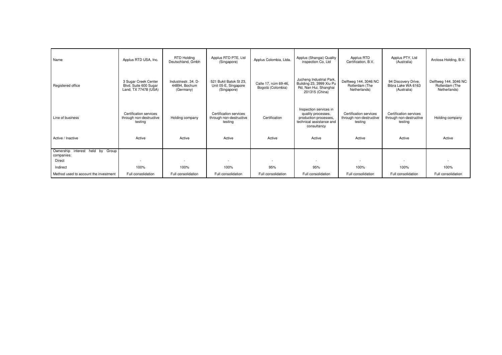| Name                                              | Applus RTD USA, Inc.                                                  | <b>RTD Holding</b><br>Deutschland, Gmbh            | Applus RTD PTE, Ltd<br>(Singapore)                            | Applus Colombia, Ltda.                    | Applus (Shangai) Quality<br>inspection Co, Ltd                                                                   | Applus RTD<br>Certification, B.V.                            | Applus PTY, Ltd<br>(Australia)                               | Arctosa Holding, B.V.                                   |
|---------------------------------------------------|-----------------------------------------------------------------------|----------------------------------------------------|---------------------------------------------------------------|-------------------------------------------|------------------------------------------------------------------------------------------------------------------|--------------------------------------------------------------|--------------------------------------------------------------|---------------------------------------------------------|
| Registered office                                 | 3 Sugar Creek Center<br>Blvd. Suite 600 Sugar<br>Land, TX 77478 (USA) | Industriestr, 34, D-<br>44894, Bochum<br>(Germany) | 521 Bukit Batok St 23.<br>Unit 05-E, Singapore<br>(Singapore) | Calle 17, núm 69-46,<br>Bogotá (Colombia) | Jucheng Industrial Park,<br>Building 23, 3999 Xiu Pu<br>Rd, Nan Hui, Shanghai<br>201315 (China)                  | Delftweg 144, 3046 NC<br>Rotterdam (The<br>Netherlands)      | 94 Discovery Drive,<br>Bibra Lake WA 6163<br>(Australia)     | Delftweg 144, 3046 NC<br>Rotterdam (The<br>Netherlands) |
| Line of business                                  | Certification services<br>through non-destructive<br>testing          | Holding company                                    | Certification services<br>through non-destructive<br>testing  | Certification                             | Inspection services in<br>quality processes,<br>production processes,<br>technical assistance and<br>consultancy | Certification services<br>through non-destructive<br>testing | Certification services<br>through non-destructive<br>testing | Holding company                                         |
| Active / Inactive                                 | Active                                                                | Active                                             | Active                                                        | Active                                    | Active                                                                                                           | Active                                                       | Active                                                       | Active                                                  |
| Ownership interest<br>held by Group<br>companies: |                                                                       |                                                    |                                                               |                                           |                                                                                                                  |                                                              |                                                              |                                                         |
| Direct                                            |                                                                       |                                                    |                                                               |                                           |                                                                                                                  |                                                              |                                                              |                                                         |
| Indirect                                          | 100%                                                                  | 100%                                               | 100%                                                          | 95%                                       | 95%                                                                                                              | 100%                                                         | 100%                                                         | 100%                                                    |
| Method used to account the investment             | Full consolidation                                                    | Full consolidation                                 | Full consolidation                                            | Full consolidation                        | Full consolidation                                                                                               | Full consolidation                                           | Full consolidation                                           | Full consolidation                                      |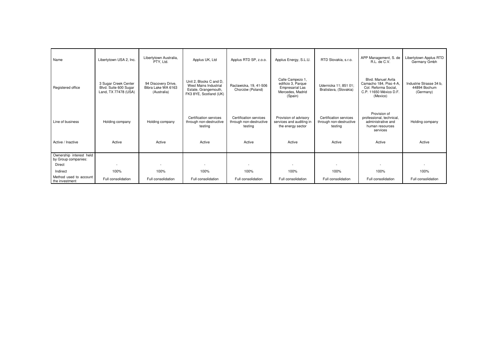| Name                                                     | Libertytown USA 2, Inc.                                               | Libertytown Australia.<br>PTY, Ltd.                      | Applus UK, Ltd                                                                                     | Applus RTD SP, z.o.o.                                        | Applus Energy, S.L.U.                                                                           | RTD Slovakia, s.r.o.                                         | APP Management, S. de<br>R.L. de C.V.                                                                      | Libertytown Applus RTD<br>Germany Gmbh               |
|----------------------------------------------------------|-----------------------------------------------------------------------|----------------------------------------------------------|----------------------------------------------------------------------------------------------------|--------------------------------------------------------------|-------------------------------------------------------------------------------------------------|--------------------------------------------------------------|------------------------------------------------------------------------------------------------------------|------------------------------------------------------|
| Registered office                                        | 3 Sugar Creek Center<br>Blvd. Suite 600 Sugar<br>Land, TX 77478 (USA) | 94 Discovery Drive,<br>Bibra Lake WA 6163<br>(Australia) | Unit 2. Blocks C and D.<br>West Mains Industrial<br>Estate, Grangemouth,<br>FK3 8YE, Scotland (UK) | Raclawicka, 19, 41-506<br>Chorzów (Poland)                   | Calle Campezo 1,<br>edificio 3, Parque<br><b>Empresarial Las</b><br>Mercedes, Madrid<br>(Spain) | Udernicka 11; 851 01;<br>Bratislava, (Slovakia)              | Blvd. Manuel Avila<br>Camacho 184, Piso 4-A,<br>Col. Reforma Social.<br>C.P. 11650 México D.F.<br>(Mexico) | Industrie Strasse 34 b.<br>44894 Bochum<br>(Germany) |
| Line of business                                         | Holding company                                                       | Holding company                                          | Certification services<br>through non-destructive<br>testing                                       | Certification services<br>through non-destructive<br>testing | Provision of advisory<br>services and auditing in<br>the energy sector                          | Certification services<br>through non-destructive<br>testing | Provision of<br>professional, technical,<br>administrative and<br>human resources<br>services              | Holding company                                      |
| Active / Inactive                                        | Active                                                                | Active                                                   | Active                                                                                             | Active                                                       | Active                                                                                          | Active                                                       | Active                                                                                                     | Active                                               |
| Ownership interest held<br>by Group companies:<br>Direct | $\overline{\phantom{a}}$                                              |                                                          | $\overline{\phantom{a}}$                                                                           | $\overline{\phantom{a}}$                                     |                                                                                                 |                                                              |                                                                                                            | $\overline{\phantom{a}}$                             |
| Indirect                                                 | 100%                                                                  | 100%                                                     | 100%                                                                                               | 100%                                                         | 100%                                                                                            | 100%                                                         | 100%                                                                                                       | 100%                                                 |
| Method used to account<br>the investment                 | Full consolidation                                                    | Full consolidation                                       | Full consolidation                                                                                 | Full consolidation                                           | Full consolidation                                                                              | Full consolidation                                           | Full consolidation                                                                                         | Full consolidation                                   |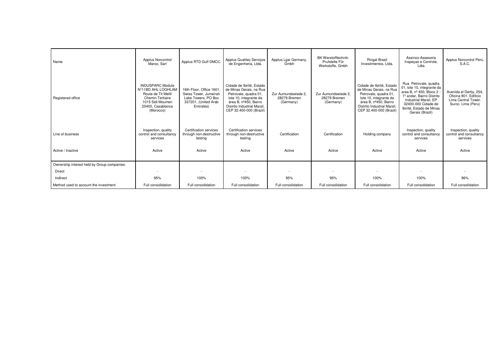| Name                                        | Applus Norcontrol<br>Maroc, Sarl                                                                                                                      | Applus RTD Gulf DMCC.                                                                                        | <b>Applus Qualitec Serviços</b><br>de Engenheria, Ltda.                                                                                                                                   | Applus Lgai Germany,<br>Gmbh                     | <b>BK Werstofftechnik-</b><br>Prufstelle Für<br>Werkstoffe, Gmbh | <b>Ringal Brasil</b><br>Investimentos, Ltda.                                                                                                                                               | Assinco-Assesoria<br>Inspecao e Controle,<br>Ldta                                                                                                                                                            | Applus Norcontrol Perú,<br>S.A.C.                                                            |
|---------------------------------------------|-------------------------------------------------------------------------------------------------------------------------------------------------------|--------------------------------------------------------------------------------------------------------------|-------------------------------------------------------------------------------------------------------------------------------------------------------------------------------------------|--------------------------------------------------|------------------------------------------------------------------|--------------------------------------------------------------------------------------------------------------------------------------------------------------------------------------------|--------------------------------------------------------------------------------------------------------------------------------------------------------------------------------------------------------------|----------------------------------------------------------------------------------------------|
| Registered office                           | <b>INDUSPARC Module</b><br>N°11BD AHL LOGHLAM<br>Route de Tit Mellil<br><b>Chemin Tertiaire</b><br>1015 Sidi Moumen<br>20400. Casablanca<br>(Morocco) | 16th Floor, Office 1601<br>Swiss Tower, Jumeirah<br>Lake Towers, PO Box<br>337201, (United Arab<br>Emirates) | Cidade de Ibirité, Estado<br>de Minas Gerais, na Rua<br>Petrovale, quadra 01<br>lote 10, integrante da<br>área B, nª450, Bairro<br>Distrito Industrial Marsil.<br>CEP 32.400-000 (Brazil) | Zur Aumundswiede 2,<br>28279 Bremen<br>(Germany) | Zur Aumundswiede 2.<br>28279 Bremen<br>(Germany)                 | Cidade de Ibirité, Estado<br>de Minas Gerais, na Rua<br>Petrovale, quadra 01,<br>lote 10, integrante da<br>área B, nª450, Bairro<br>Distrito Industrial Marsil.<br>CEP 32.400-000 (Brazil) | Rua Petrovale, quadra<br>01, lote 10, integrante da<br>area B, nº 450, Bloco 2 -<br>1º andar, Bairro Distrito<br>Industrial Marsil, EP<br>32400-000 Cidade de<br>Ibirité, Estado de Minas<br>Gerais (Brazil) | Avenida el Derby, 254,<br>Oficina 901. Edificio<br>Lima Central Tower.<br>Surco. Lima (Peru) |
| Line of business                            | Inspection, quality<br>control and consultancy<br>services                                                                                            | Certification services<br>through non-destructive<br>testing                                                 | Certification services<br>through non-destructive<br>testing                                                                                                                              | Certification                                    | Certification                                                    | Holding company                                                                                                                                                                            | Inspection, quality<br>control and consultancy<br>services                                                                                                                                                   | Inspection, quality<br>control and consultancy<br>services                                   |
| Active / Inactive                           | Active                                                                                                                                                | Active                                                                                                       | Active                                                                                                                                                                                    | Active                                           | Active                                                           | Active                                                                                                                                                                                     | Active                                                                                                                                                                                                       | Active                                                                                       |
| Ownership interest held by Group companies: |                                                                                                                                                       |                                                                                                              |                                                                                                                                                                                           |                                                  |                                                                  |                                                                                                                                                                                            |                                                                                                                                                                                                              |                                                                                              |
| Direct                                      |                                                                                                                                                       |                                                                                                              |                                                                                                                                                                                           |                                                  |                                                                  |                                                                                                                                                                                            |                                                                                                                                                                                                              |                                                                                              |
| Indirect                                    | 95%                                                                                                                                                   | 100%                                                                                                         | 100%                                                                                                                                                                                      | 95%                                              | 95%                                                              | 100%                                                                                                                                                                                       | 100%                                                                                                                                                                                                         | 96%                                                                                          |
| Method used to account the investment       | Full consolidation                                                                                                                                    | Full consolidation                                                                                           | Full consolidation                                                                                                                                                                        | Full consolidation                               | Full consolidation                                               | Full consolidation                                                                                                                                                                         | Full consolidation                                                                                                                                                                                           | Full consolidation                                                                           |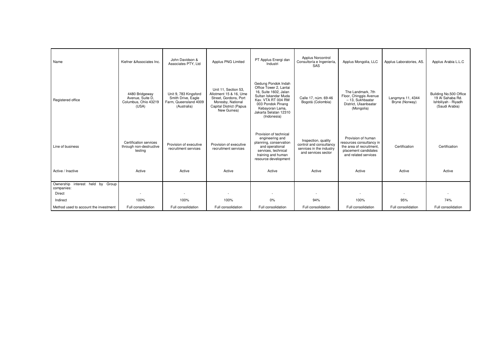| Name                                                        | Kiefner & Associates Inc.                                           | John Davidson &<br>Associates PTY, Ltd                                              | Applus PNG Limited                                                                                                                     | PT Applus Energi dan<br>Industri                                                                                                                                                                     | Applus Norcontrol<br>Consultoría e Ingeniería,<br>SAS                                             | Applus Mongolia, LLC                                                                                                       | Applus Laboratories, AS.            | Applus Arabia L.L.C                                                                 |
|-------------------------------------------------------------|---------------------------------------------------------------------|-------------------------------------------------------------------------------------|----------------------------------------------------------------------------------------------------------------------------------------|------------------------------------------------------------------------------------------------------------------------------------------------------------------------------------------------------|---------------------------------------------------------------------------------------------------|----------------------------------------------------------------------------------------------------------------------------|-------------------------------------|-------------------------------------------------------------------------------------|
| Registered office                                           | 4480 Bridgeway<br>Avenue, Suite D.<br>Columbus, Ohio 43219<br>(USA) | Unit 9, 783 Kingsford<br>Smith Drive, Eagle<br>Farm, Queensland 4009<br>(Australia) | Unit 11. Section 53.<br>Allotment 15 & 16. Ume<br>Street, Gordons, Port<br>Moresby, National<br>Capital District (Papua<br>New Guinea) | Gedung Pondok Indah<br>Office Tower 2, Lantai<br>16, Suite 1602, Jalan<br>Sultan Iskandar Muda<br>Kav. VTA RT 004 RW<br>003 Pondok Pinang<br>Kebayoran Lama,<br>Jakarta Selatan 12310<br>(Indonesia) | Calle 17, núm, 69-46<br>Bogotá (Colombia)                                                         | The Landmark, 7th<br>Floor, Chinggis Avenue<br>- 13. Sukhbaatar<br>District, Ulaanbaatar<br>(Mongolia)                     | Langmyra 11, 4344<br>Bryne (Norway) | Building No.500 Office<br>19 Al Sahaba Rd.<br>Ishbiliyah - Riyadh<br>(Saudi Arabia) |
| Line of business                                            | Certification services<br>through non-destructive<br>testing        | Provision of executive<br>recruitment services                                      | Provision of executive<br>recruitment services                                                                                         | Provision of technical<br>engineering and<br>planning, conservation<br>and operational<br>services, technical<br>training and human<br>resource development                                          | Inspection, quality<br>control and consultancy<br>services in the industry<br>and services sector | Provision of human<br>resources consultancy in<br>the area of recruitment.<br>placement candidates<br>and related services | Certification                       | Certification                                                                       |
| Active / Inactive                                           | Active                                                              | Active                                                                              | Active                                                                                                                                 | Active                                                                                                                                                                                               | Active                                                                                            | Active                                                                                                                     | Active                              | Active                                                                              |
| Ownership interest<br>held by Group<br>companies:<br>Direct |                                                                     |                                                                                     |                                                                                                                                        |                                                                                                                                                                                                      |                                                                                                   |                                                                                                                            | $\sim$                              |                                                                                     |
| Indirect                                                    | 100%                                                                | 100%                                                                                | 100%                                                                                                                                   | 0%                                                                                                                                                                                                   | 94%                                                                                               | 100%                                                                                                                       | 95%                                 | 74%                                                                                 |
| Method used to account the investment                       | Full consolidation                                                  | Full consolidation                                                                  | Full consolidation                                                                                                                     | Full consolidation                                                                                                                                                                                   | Full consolidation                                                                                | Full consolidation                                                                                                         | Full consolidation                  | Full consolidation                                                                  |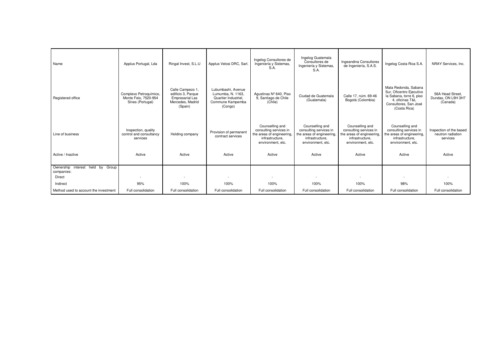| Name                                                 | Applus Portugal, Lda                                                 | Ringal Invest, S.L.U                                                                            | Applus Velosi DRC, Sarl.                                                                       | Ingelog Consultores de<br>Ingeniería y Sistemas,<br>S.A.                                                                 | Ingelog Guatemala<br>Consultores de<br>Ingeniería y Sistemas,<br>S.A.                                                    | Ingeandina Consultores<br>de Ingeniería, S.A.S.                                                                          | Ingelog Costa Rica S.A.                                                                                                                  | NRAY Services, Inc.                                                |
|------------------------------------------------------|----------------------------------------------------------------------|-------------------------------------------------------------------------------------------------|------------------------------------------------------------------------------------------------|--------------------------------------------------------------------------------------------------------------------------|--------------------------------------------------------------------------------------------------------------------------|--------------------------------------------------------------------------------------------------------------------------|------------------------------------------------------------------------------------------------------------------------------------------|--------------------------------------------------------------------|
| Registered office                                    | Complexo Petroquímico,<br>Monte Feio, 7520-954<br>Sines (Portugal)   | Calle Campezo 1,<br>edificio 3, Parque<br><b>Empresarial Las</b><br>Mercedes, Madrid<br>(Spain) | Lubumbashi, Avenue<br>Lumumba, N. 1163.<br>Quartier Industriel.<br>Commune Kampemba<br>(Congo) | Agustinas Nº 640, Piso<br>9, Santiago de Chile<br>(Chile)                                                                | Ciudad de Guatemala<br>(Guatemala)                                                                                       | Calle 17, núm. 69-46<br>Bogotá (Colombia)                                                                                | Mata Redonda, Sabana<br>Sur, Oficentro Ejecutivo<br>la Sabana, torre 6, piso<br>4. oficinas T&L<br>Consultores, San José<br>(Costa Rica) | 56A Head Street.<br>Dundas, ON L9H 3H7<br>(Canada)                 |
| Line of business<br>Active / Inactive                | Inspection, quality<br>control and consultancy<br>services<br>Active | Holding company<br>Active                                                                       | Provision of permanent<br>contract services<br>Active                                          | Counselling and<br>consulting services in<br>the areas of engineering.<br>infrastructure,<br>environment, etc.<br>Active | Counselling and<br>consulting services in<br>the areas of engineering.<br>infrastructure,<br>environment, etc.<br>Active | Counselling and<br>consulting services in<br>the areas of engineering.<br>infrastructure,<br>environment, etc.<br>Active | Counselling and<br>consulting services in<br>the areas of engineering,<br>infrastructure,<br>environment, etc.<br>Active                 | Inspection of the based<br>neutron radiation<br>services<br>Active |
|                                                      |                                                                      |                                                                                                 |                                                                                                |                                                                                                                          |                                                                                                                          |                                                                                                                          |                                                                                                                                          |                                                                    |
| held by Group<br>Ownership<br>interest<br>companies: |                                                                      |                                                                                                 |                                                                                                |                                                                                                                          |                                                                                                                          |                                                                                                                          |                                                                                                                                          |                                                                    |
| Direct                                               | $\overline{\phantom{a}}$                                             |                                                                                                 |                                                                                                | $\overline{\phantom{a}}$                                                                                                 | $\sim$                                                                                                                   | $\sim$                                                                                                                   | $\sim$                                                                                                                                   |                                                                    |
| Indirect                                             | 95%                                                                  | 100%                                                                                            | 100%                                                                                           | 100%                                                                                                                     | 100%                                                                                                                     | 100%                                                                                                                     | 98%                                                                                                                                      | 100%                                                               |
| Method used to account the investment                | Full consolidation                                                   | Full consolidation                                                                              | Full consolidation                                                                             | Full consolidation                                                                                                       | Full consolidation                                                                                                       | Full consolidation                                                                                                       | Full consolidation                                                                                                                       | Full consolidation                                                 |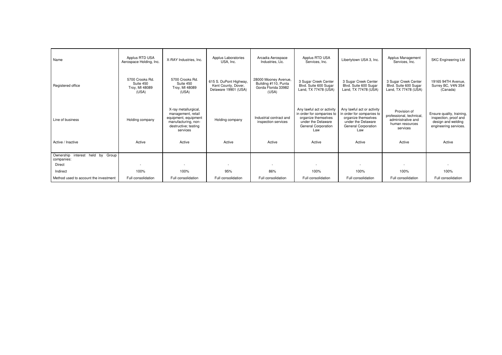| Name                                              | Applus RTD USA<br>Aerospace Holding, Inc.               | X-RAY Industries, Inc.                                                                                                        | Applus Laboratories<br>USA, Inc.                                      | Arcadia Aerospace<br>Industries, Llc.                                        | Applus RTD USA<br>Services, Inc.                                                                                                   | Libertytown USA 3, Inc.                                                                                                            | Applus Management<br>Services, Inc.                                                           | <b>SKC Engineering Ltd</b>                                                                        |
|---------------------------------------------------|---------------------------------------------------------|-------------------------------------------------------------------------------------------------------------------------------|-----------------------------------------------------------------------|------------------------------------------------------------------------------|------------------------------------------------------------------------------------------------------------------------------------|------------------------------------------------------------------------------------------------------------------------------------|-----------------------------------------------------------------------------------------------|---------------------------------------------------------------------------------------------------|
| Registered office                                 | 5700 Crooks Rd.<br>Suite 450<br>Troy, MI 48089<br>(USA) | 5700 Crooks Rd.<br>Suite 450<br>Troy, MI 48089<br>(USA)                                                                       | 615 S. DuPont Highway,<br>Kent County, Dover,<br>Delaware 19901 (USA) | 28000 Mooney Avenue,<br>Building #110, Punta<br>Gorda Florida 33982<br>(USA) | 3 Sugar Creek Center<br>Blvd. Suite 600 Sugar<br>Land, TX 77478 (USA)                                                              | 3 Sugar Creek Center<br>Blvd. Suite 600 Sugar<br>Land, TX 77478 (USA)                                                              | 3 Sugar Creek Center<br>Blvd. Suite 600 Sugar<br>Land, TX 77478 (USA)                         | 19165 94TH Avenue.<br>Surrey BC, V4N 3S4<br>(Canada)                                              |
| Line of business                                  | Holding company                                         | X-ray metallurgical,<br>management, retail<br>equipment, equipment<br>manufacturing, non-<br>destructive; testing<br>services | Holding company                                                       | Industrial contract and<br>inspection services                               | Any lawful act or activity<br>in order for companies to<br>organize themselves<br>under the Delaware<br>General Corporation<br>Law | Any lawful act or activity<br>in order for companies to<br>organize themselves<br>under the Delaware<br>General Corporation<br>Law | Provision of<br>professional, technical,<br>administrative and<br>human resources<br>services | Ensure quality, training,<br>inspection, proof and<br>design and welding<br>engineering services. |
| Active / Inactive                                 | Active                                                  | Active                                                                                                                        | Active                                                                | Active                                                                       | Active                                                                                                                             | Active                                                                                                                             | Active                                                                                        | Active                                                                                            |
| Ownership interest<br>held by Group<br>companies: |                                                         |                                                                                                                               |                                                                       |                                                                              |                                                                                                                                    |                                                                                                                                    |                                                                                               |                                                                                                   |
| Direct<br>Indirect                                | 100%                                                    | 100%                                                                                                                          | 95%                                                                   | 86%                                                                          | 100%                                                                                                                               | 100%                                                                                                                               | 100%                                                                                          | 100%                                                                                              |
| Method used to account the investment             | Full consolidation                                      | Full consolidation                                                                                                            | Full consolidation                                                    | Full consolidation                                                           | Full consolidation                                                                                                                 | Full consolidation                                                                                                                 | Full consolidation                                                                            | Full consolidation                                                                                |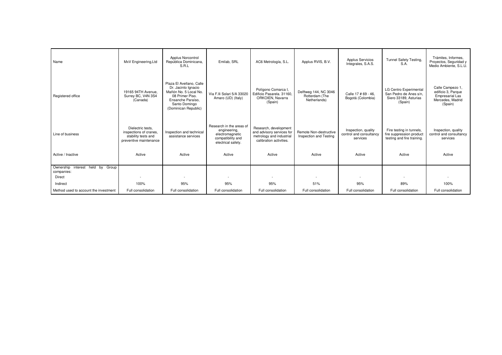| Name                                              | MxV Engineering, Ltd                                                                         | Applus Norcontrol<br>República Dominicana,<br>S.R.L                                                                                                       | Emilab, SRL                                                                                            | AC6 Metrología, S.L.                                                                                      | Applus RVIS, B.V.                                       | Applus Servicios<br>Integrales, S.A.S.                     | Tunnel Safety Testing,<br>S.A.                                                              | Trámites, Informes,<br>Proyectos, Seguridad y<br>Medio Ambiente, S.L.U.                         |
|---------------------------------------------------|----------------------------------------------------------------------------------------------|-----------------------------------------------------------------------------------------------------------------------------------------------------------|--------------------------------------------------------------------------------------------------------|-----------------------------------------------------------------------------------------------------------|---------------------------------------------------------|------------------------------------------------------------|---------------------------------------------------------------------------------------------|-------------------------------------------------------------------------------------------------|
| Registered office                                 | 19165 94TH Avenue.<br>Surrey BC, V4N 3S4<br>(Canada)                                         | Plaza El Avellano, Calle<br>Dr. Jacinto Ignacio<br>Mañón No. 5 Local No.<br>08 Primer Piso.<br>Ensanche Paraíso.<br>Santo Domingo<br>(Dominican Republic) | Via F.IIi Solari 5/A 33020<br>Amaro (UD) (Italy)                                                       | Polígono Comarca I,<br>Edificio Pasarela, 31160<br>ORKOIEN, Navarra<br>(Spain)                            | Delftweg 144, NC 3046<br>Rotterdam (The<br>Netherlands) | Calle 17 # 69 - 46.<br>Bogotá (Colombia)                   | <b>LG Centro Experimental</b><br>San Pedro de Anes s/n.<br>Siero 33189, Asturias<br>(Spain) | Calle Campezo 1.<br>edificio 3, Parque<br><b>Empresarial Las</b><br>Mercedes, Madrid<br>(Spain) |
| Line of business                                  | Dielectric tests.<br>inspections of cranes,<br>stability tests and<br>preventive maintenance | Inspection and technical<br>assistance services                                                                                                           | Research in the areas of<br>engineering,<br>electromagnetic<br>compatibility and<br>electrical safety. | Research, development<br>and advisory services for<br>metrology and industrial<br>calibration activities. | Remote Non-destructive<br>Inspection and Testing        | Inspection, quality<br>control and consultancy<br>services | Fire testing in tunnels,<br>fire suppression product<br>testing and fire training.          | Inspection, quality<br>control and consultancy<br>services                                      |
| Active / Inactive                                 | Active                                                                                       | Active                                                                                                                                                    | Active                                                                                                 | Active                                                                                                    | Active                                                  | Active                                                     | Active                                                                                      | Active                                                                                          |
| Ownership interest<br>held by Group<br>companies: |                                                                                              |                                                                                                                                                           |                                                                                                        |                                                                                                           |                                                         |                                                            |                                                                                             |                                                                                                 |
| Direct                                            |                                                                                              |                                                                                                                                                           |                                                                                                        |                                                                                                           |                                                         |                                                            |                                                                                             |                                                                                                 |
| Indirect                                          | 100%                                                                                         | 95%                                                                                                                                                       | 95%                                                                                                    | 95%                                                                                                       | 51%                                                     | 95%                                                        | 89%                                                                                         | 100%                                                                                            |
| Method used to account the investment             | Full consolidation                                                                           | Full consolidation                                                                                                                                        | Full consolidation                                                                                     | Full consolidation                                                                                        | Full consolidation                                      | Full consolidation                                         | Full consolidation                                                                          | Full consolidation                                                                              |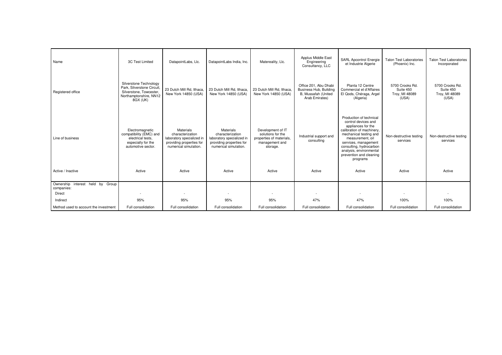| Name                                           | 3C Test Limited                                                                                                       | DatapointLabs, Llc.                                                                                             | DatapointLabs India, Inc.                                                                                              | Matereality, Llc.                                                                                | Applus Middle East<br>Engineering<br>Consultancy, LLC                                    | <b>SARL Apcontrol Energie</b><br>et Industrie Algerie                                                                                                                                                                                                                | <b>Talon Test Laboratories</b><br>(Phoenix) Inc.        | <b>Talon Test Laboratories</b><br>Incorporated          |
|------------------------------------------------|-----------------------------------------------------------------------------------------------------------------------|-----------------------------------------------------------------------------------------------------------------|------------------------------------------------------------------------------------------------------------------------|--------------------------------------------------------------------------------------------------|------------------------------------------------------------------------------------------|----------------------------------------------------------------------------------------------------------------------------------------------------------------------------------------------------------------------------------------------------------------------|---------------------------------------------------------|---------------------------------------------------------|
| Registered office                              | Silverstone Technology<br>Park, Silverstone Circuit,<br>Silverstone, Towcester,<br>Northamptonshire, NN12<br>8GX (UK) | 23 Dutch Mill Rd, Ithaca,<br>New York 14850 (USA)                                                               | 23 Dutch Mill Rd, Ithaca<br>New York 14850 (USA)                                                                       | 23 Dutch Mill Rd, Ithaca.<br>New York 14850 (USA)                                                | Office 201. Abu Dhabi<br>Business Hub, Building<br>B, Mussafah (United<br>Arab Emirates) | Planta 12 Centre<br>Commercial et d'Affaires<br>El Qods, Chéraga, Argel<br>(Algeria)                                                                                                                                                                                 | 5700 Crooks Rd.<br>Suite 450<br>Troy, MI 48089<br>(USA) | 5700 Crooks Rd.<br>Suite 450<br>Troy, MI 48089<br>(USA) |
| Line of business                               | Electromagnetic<br>compatibility (EMC) and<br>electrical tests.<br>especially for the<br>automotive sector.           | Materials<br>characterization<br>laboratory specialized in<br>providing properties for<br>numerical simulation. | <b>Materials</b><br>characterization<br>laboratory specialized in<br>providing properties for<br>numerical simulation. | Development of IT<br>solutions for the<br>properties of materials,<br>management and<br>storage. | Industrial support and<br>consulting                                                     | Production of technical<br>control devices and<br>appliances for the<br>calibration of machinery,<br>mechanical testing and<br>measurement, oil<br>services, management<br>consulting, hydrocarbon<br>analysis, environmental<br>prevention and cleaning<br>programs | Non-destructive testing<br>services                     | Non-destructive testing<br>services                     |
| Active / Inactive                              | Active                                                                                                                | Active                                                                                                          | Active                                                                                                                 | Active                                                                                           | Active                                                                                   | Active                                                                                                                                                                                                                                                               | Active                                                  | Active                                                  |
| Ownership interest held by Group<br>companies: |                                                                                                                       |                                                                                                                 |                                                                                                                        |                                                                                                  |                                                                                          |                                                                                                                                                                                                                                                                      |                                                         |                                                         |
| Direct                                         |                                                                                                                       |                                                                                                                 |                                                                                                                        |                                                                                                  |                                                                                          |                                                                                                                                                                                                                                                                      |                                                         |                                                         |
| Indirect                                       | 95%                                                                                                                   | 95%                                                                                                             | 95%                                                                                                                    | 95%                                                                                              | 47%                                                                                      | 47%                                                                                                                                                                                                                                                                  | 100%                                                    | 100%                                                    |
| Method used to account the investment          | Full consolidation                                                                                                    | Full consolidation                                                                                              | Full consolidation                                                                                                     | Full consolidation                                                                               | Full consolidation                                                                       | Full consolidation                                                                                                                                                                                                                                                   | Full consolidation                                      | Full consolidation                                      |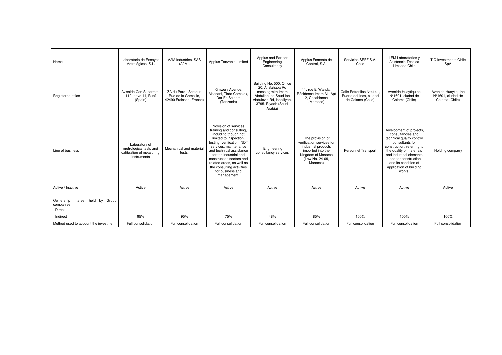| Name                                           | Laboratorio de Ensayos<br>Metrológicos, S.L.                                       | A2M Industries, SAS<br>(A2MI)                                           | Applus Tanzania Limited                                                                                                                                                                                                                                                                                                                    | Applus and Partner<br>Engineering<br>Consultancy                                                                                                           | Applus Fomento de<br>Control, S.A.                                                                                                             | Servicios SEFF S.A.<br>Chile                                              | <b>LEM Laboratorios y</b><br>Asistencia Técnica<br>Limitada Chile                                                                                                                                                                                                        | <b>TIC Investments Chile</b><br>SpA                        |
|------------------------------------------------|------------------------------------------------------------------------------------|-------------------------------------------------------------------------|--------------------------------------------------------------------------------------------------------------------------------------------------------------------------------------------------------------------------------------------------------------------------------------------------------------------------------------------|------------------------------------------------------------------------------------------------------------------------------------------------------------|------------------------------------------------------------------------------------------------------------------------------------------------|---------------------------------------------------------------------------|--------------------------------------------------------------------------------------------------------------------------------------------------------------------------------------------------------------------------------------------------------------------------|------------------------------------------------------------|
| Registered office                              | Avenida Can Sucarrats.<br>110, nave 11, Rubí<br>(Spain)                            | ZA du Parc - Secteur,<br>Rue de la Gampille,<br>42490 Fraisses (France) | Kimwery Avenue,<br>Msasani, Tirdo Complex,<br>Dar Es Salaam<br>(Tanzania)                                                                                                                                                                                                                                                                  | Building No. 500, Office<br>20, Al Sahaba Rd<br>crossing with Imam<br>Abdullah Ibn Saud Ibn<br>Abdulaziz Rd, Ishbiliyah,<br>3795. Riyadh (Saudi<br>Arabia) | 11. rue El Wahda.<br>Résidence Imam Ali. Apt<br>2. Casablanca<br>(Morocco)                                                                     | Calle Potrerillos N°4141.<br>Puerto del Inca, ciudad<br>de Calama (Chile) | Avenida Huaytiquina<br>N°1601, ciudad de<br>Calama (Chile)                                                                                                                                                                                                               | Avenida Huaytiquina<br>N°1601, ciudad de<br>Calama (Chile) |
| Line of business                               | Laboratory of<br>metrological tests and<br>calibration of measuring<br>instruments | Mechanical and material<br>tests.                                       | Provision of services.<br>training and consulting,<br>including though not<br>limited to inspection,<br>testing, verification, NDT<br>services, maintenance<br>and technical assistance<br>for the industrial and<br>construction sectors and<br>related areas, as well as<br>the consulting activities<br>for business and<br>management. | Engineering<br>consultancy services                                                                                                                        | The provision of<br>verification services for<br>industrial products<br>imported into the<br>Kingdom of Morocco<br>(Law No. 24-09,<br>Morocco) | Personnel Transport                                                       | Development of projects,<br>consultancies and<br>technical quality control<br>consultants for<br>construction, referring to<br>the quality of materials<br>and industrial elements<br>used for construction<br>and its condition of<br>application of building<br>works. | Holding company                                            |
| Active / Inactive                              | Active                                                                             | Active                                                                  | Active                                                                                                                                                                                                                                                                                                                                     | Active                                                                                                                                                     | Active                                                                                                                                         | Active                                                                    | Active                                                                                                                                                                                                                                                                   | Active                                                     |
| Ownership interest held by Group<br>companies: |                                                                                    |                                                                         |                                                                                                                                                                                                                                                                                                                                            |                                                                                                                                                            |                                                                                                                                                |                                                                           |                                                                                                                                                                                                                                                                          |                                                            |
| Direct                                         |                                                                                    |                                                                         |                                                                                                                                                                                                                                                                                                                                            |                                                                                                                                                            |                                                                                                                                                |                                                                           |                                                                                                                                                                                                                                                                          |                                                            |
| Indirect                                       | 95%                                                                                | 95%                                                                     | 75%                                                                                                                                                                                                                                                                                                                                        | 48%                                                                                                                                                        | 85%                                                                                                                                            | 100%                                                                      | 100%                                                                                                                                                                                                                                                                     | 100%                                                       |
| Method used to account the investment          | Full consolidation                                                                 | Full consolidation                                                      | Full consolidation                                                                                                                                                                                                                                                                                                                         | Full consolidation                                                                                                                                         | Full consolidation                                                                                                                             | Full consolidation                                                        | Full consolidation                                                                                                                                                                                                                                                       | Full consolidation                                         |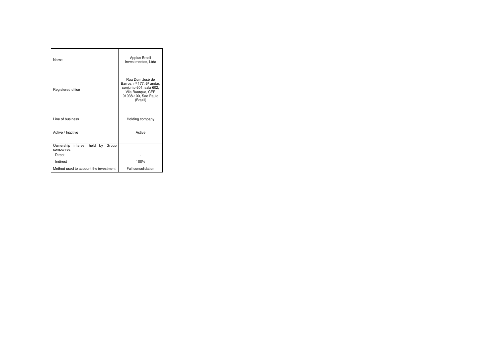| Name                                   | Applus Brasil<br>Investimentos, Ltda                                                                                             |
|----------------------------------------|----------------------------------------------------------------------------------------------------------------------------------|
| Registered office                      | Rua Dom José de<br>Barros, nº 177, 6ª andar,<br>conjunto 601, sala 602,<br>Vila Buarque, CEP<br>01038-100, Sao Paulo<br>(Brazil) |
| Line of business                       | Holding company                                                                                                                  |
| Active / Inactive                      | Active                                                                                                                           |
| Ownership interest held<br>by<br>Group |                                                                                                                                  |
| companies:<br>Direct                   |                                                                                                                                  |
| Indirect                               | 100%                                                                                                                             |
| Method used to account the investment  | Full consolidation                                                                                                               |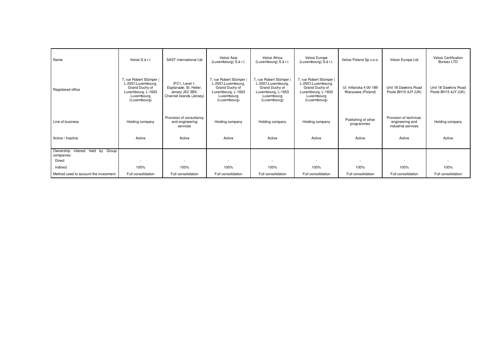| Name                                              | Velosi S.à r.l.                                                                                                     | SAST international Ltd                                                                  | Velosi Asia<br>(Luxembourg) S.à r.l.                                                                              | Velosi Africa<br>(Luxembourg) S.à r.l.                                                                              | Velosi Europe<br>(Luxembourg) S.à r.l.                                                                              | Velosi Poland Sp z.o.o.                     | Velosi Europe Ltd                                                | Velosi Certification<br>Bureau LTD           |
|---------------------------------------------------|---------------------------------------------------------------------------------------------------------------------|-----------------------------------------------------------------------------------------|-------------------------------------------------------------------------------------------------------------------|---------------------------------------------------------------------------------------------------------------------|---------------------------------------------------------------------------------------------------------------------|---------------------------------------------|------------------------------------------------------------------|----------------------------------------------|
| Registered office                                 | 7, rue Robert Stümper  <br>L-2557-Luxembourg,<br>Grand Duchy of<br>Luxembourg, L-1653<br>Luxembourg<br>(Luxembourg) | IFC1, Level 1,<br>Esplanade, St. Heiler,<br>Jersey JE2 3BX,<br>Channel Islands (Jersey) | 7, rue Robert Stümper<br>L-2557-Luxembourg,<br>Grand Duchy of<br>Luxembourg, L-1653<br>Luxembourg<br>(Luxembourg) | 7, rue Robert Stümper  <br>L-2557-Luxembourg,<br>Grand Duchy of<br>Luxembourg, L-1653<br>Luxembourg<br>(Luxembourg) | 7, rue Robert Stümper  <br>L-2557-Luxembourg,<br>Grand Duchy of<br>Luxembourg, L-1653<br>Luxembourg<br>(Luxembourg) | UI. Inflancka 4 00-189<br>Warszawa (Poland) | Unit 18 Dawkins Road<br>Poole BH15 4JY (UK)                      | Unit 18 Dawkins Road<br>Poole BH15 4JY (UK). |
| Line of business                                  | Holding company                                                                                                     | Provision of consultancy<br>and engineering<br>services                                 | Holding company                                                                                                   | Holding company                                                                                                     | Holding company                                                                                                     | Publishing of other<br>programmes           | Provision of technical<br>engineering and<br>industrial services | Holding company                              |
| Active / Inactive                                 | Active                                                                                                              | Active                                                                                  | Active                                                                                                            | Active                                                                                                              | Active                                                                                                              | Active                                      | Active                                                           | Active                                       |
| Ownership interest<br>held by Group<br>companies: |                                                                                                                     |                                                                                         |                                                                                                                   |                                                                                                                     |                                                                                                                     |                                             |                                                                  |                                              |
| Direct                                            |                                                                                                                     |                                                                                         |                                                                                                                   |                                                                                                                     |                                                                                                                     |                                             |                                                                  |                                              |
| Indirect                                          | 100%                                                                                                                | 100%                                                                                    | 100%                                                                                                              | 100%                                                                                                                | 100%                                                                                                                | 100%                                        | 100%                                                             | 100%                                         |
| Method used to account the investment             | Full consolidation                                                                                                  | Full consolidation                                                                      | Full consolidation                                                                                                | Full consolidation                                                                                                  | Full consolidation                                                                                                  | Full consolidation                          | Full consolidation                                               | Full consolidation                           |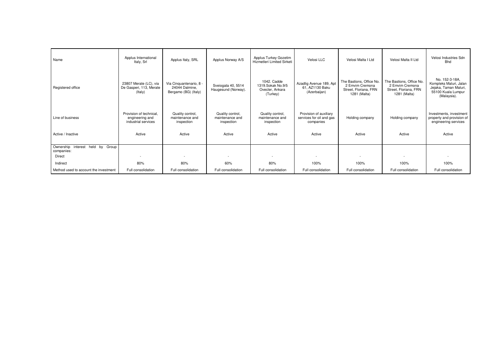| Name                                              | Applus International<br>Italy, Srl                                | Applus Italy, SRL                                                 | Applus Norway A/S                                 | Applus Turkey Gozetim<br>Hizmetleri Limited Sirketi               | Velosi LLC                                                      | Velosi Malta I Ltd                                                                   | Velosi Malta II Ltd                                                                  | Velosi Industries Sdn<br><b>Bhd</b>                                                                    |
|---------------------------------------------------|-------------------------------------------------------------------|-------------------------------------------------------------------|---------------------------------------------------|-------------------------------------------------------------------|-----------------------------------------------------------------|--------------------------------------------------------------------------------------|--------------------------------------------------------------------------------------|--------------------------------------------------------------------------------------------------------|
| Registered office                                 | 23807 Merate (LC), via<br>De Gasperi, 113, Merate<br>(Italy)      | Via Cinquantenario, 8 -<br>24044 Dalmine.<br>Bergamo (BG) (Italy) | Sveiogata 40, 5514<br>Haugesund (Norway).         | 1042. Cadde<br>1319. Sokak No. 9/5<br>Ovecler, Ankara<br>(Turkey) | Azadlig Avenue 189, Apt<br>61, AZ1130 Baku<br>(Azerbaijan)      | The Bastions, Office No.<br>2 Emvim Cremona<br>Street, Floriana, FRN<br>1281 (Malta) | The Bastions, Office No.<br>2 Emvim Cremona<br>Street, Floriana, FRN<br>1281 (Malta) | No. 152-3-18A,<br>Kompleks Maluri, Jalan<br>Jejaka, Taman Maluri,<br>55100 Kuala Lumpur<br>(Malaysia). |
| Line of business                                  | Provision of technical,<br>engineering and<br>industrial services | Quality control,<br>maintenance and<br>inspection                 | Quality control,<br>maintenance and<br>inspection | Quality control,<br>maintenance and<br>inspection                 | Provision of auxiliary<br>services for oil and gas<br>companies | Holding company                                                                      | Holding company                                                                      | Investments, investment<br>property and provision of<br>engineering services                           |
| Active / Inactive                                 | Active                                                            | Active                                                            | Active                                            | Active                                                            | Active                                                          | Active                                                                               | Active                                                                               | Active                                                                                                 |
| Ownership interest<br>held by Group<br>companies: |                                                                   |                                                                   |                                                   |                                                                   |                                                                 |                                                                                      |                                                                                      |                                                                                                        |
| Direct                                            |                                                                   |                                                                   |                                                   |                                                                   |                                                                 |                                                                                      |                                                                                      |                                                                                                        |
| Indirect                                          | 80%                                                               | 80%                                                               | 60%                                               | 80%                                                               | 100%                                                            | 100%                                                                                 | 100%                                                                                 | 100%                                                                                                   |
| Method used to account the investment             | Full consolidation                                                | Full consolidation                                                | Full consolidation                                | Full consolidation                                                | Full consolidation                                              | Full consolidation                                                                   | Full consolidation                                                                   | Full consolidation                                                                                     |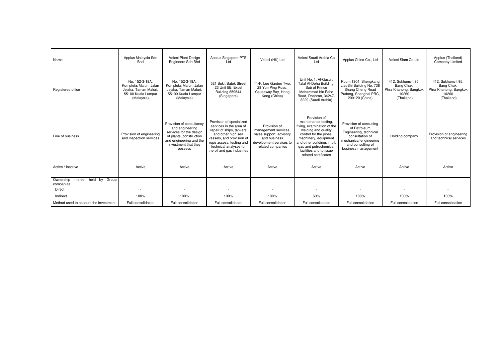| Name                                           | Applus Malaysia Sdn<br><b>Bhd</b>                                                                     | Velosi Plant Design<br>Engineers Sdn Bhd                                                                                                                        | Applus Singapore PTE                                                                                                                                                                                                   | Velosi (HK) Ltd                                                                                                                 | Velosi Saudi Arabia Co<br>Ltd                                                                                                                                                                                                                         | Applus China Co., Ltd                                                                                                                                      | Velosi Siam Co Ltd                                                               | Applus (Thailand)<br>Company Limited                                             |
|------------------------------------------------|-------------------------------------------------------------------------------------------------------|-----------------------------------------------------------------------------------------------------------------------------------------------------------------|------------------------------------------------------------------------------------------------------------------------------------------------------------------------------------------------------------------------|---------------------------------------------------------------------------------------------------------------------------------|-------------------------------------------------------------------------------------------------------------------------------------------------------------------------------------------------------------------------------------------------------|------------------------------------------------------------------------------------------------------------------------------------------------------------|----------------------------------------------------------------------------------|----------------------------------------------------------------------------------|
| Registered office                              | No. 152-3-18A.<br>Kompleks Maluri, Jalan<br>Jejaka, Taman Maluri,<br>55100 Kuala Lumpur<br>(Malaysia) | No. 152-3-18A.<br>Kompleks Maluri, Jalan<br>Jejaka, Taman Maluri,<br>55100 Kuala Lumpur<br>(Malaysia)                                                           | 521 Bukit Batok Street<br>23 Unit 5E. Excel<br>Building, 659544<br>(Singapore)                                                                                                                                         | 11/F. Lee Garden Two.<br>28 Yun Ping Road,<br>Causeway Bay, Hong<br>Kong (China)                                                | Unit No. 1, Al-Qusur,<br>Talal Al-Doha Building.<br>Sub of Prince<br>Mohammad bin Fahd<br>Road, Dhahran, 34247-<br>3229 (Saudi Arabia)                                                                                                                | Room 1304, Shengkang<br>LiaoShi Building No. 738<br>Shang Cheng Road<br>Pudong, Shanghai PRC,<br>200120 (China)                                            | 412. Sukhumvit 95.<br>Bang Chak,<br>Phra Khanong, Bangkok<br>10260<br>(Thailand) | 412. Sukhumvit 95.<br>Bang Chak,<br>Phra Khanong, Bangkok<br>10260<br>(Thailand) |
| Line of business                               | Provision of engineering<br>and inspection services                                                   | Provision of consultancy<br>and engineering<br>services for the design<br>of plants, construction<br>and engineering and the<br>investment that they<br>possess | Provision of specialized<br>services in the area of<br>repair of ships, tankers<br>and other high sea<br>vessels, and provision of<br>rope access, testing and<br>technical analyses for<br>the oil and gas industries | Provision of<br>management services,<br>sales support, advisory<br>and business<br>development services to<br>related companies | Provision of<br>maintenance testing.<br>fixing, examination of the<br>welding and quality<br>control for the pipes.<br>machinery, equipment<br>and other buildings in oil<br>gas and petrochemical<br>facilities and to issue<br>related certificates | Provision of consulting<br>of Petroleum<br>Engineering, technical<br>consultation of<br>mechanical engineering<br>and consulting of<br>business management | Holding company                                                                  | Provision of engineering<br>and technical services                               |
| Active / Inactive                              | Active                                                                                                | Active                                                                                                                                                          | Active                                                                                                                                                                                                                 | Active                                                                                                                          | Active                                                                                                                                                                                                                                                | Active                                                                                                                                                     | Active                                                                           | Active                                                                           |
| Ownership interest held by Group<br>companies: |                                                                                                       |                                                                                                                                                                 |                                                                                                                                                                                                                        |                                                                                                                                 |                                                                                                                                                                                                                                                       |                                                                                                                                                            |                                                                                  |                                                                                  |
| Direct                                         |                                                                                                       |                                                                                                                                                                 |                                                                                                                                                                                                                        |                                                                                                                                 |                                                                                                                                                                                                                                                       |                                                                                                                                                            |                                                                                  |                                                                                  |
| Indirect                                       | 100%                                                                                                  | 100%                                                                                                                                                            | 100%                                                                                                                                                                                                                   | 100%                                                                                                                            | 60%                                                                                                                                                                                                                                                   | 100%                                                                                                                                                       | 100%                                                                             | 100%                                                                             |
| Method used to account the investment          | Full consolidation                                                                                    | Full consolidation                                                                                                                                              | Full consolidation                                                                                                                                                                                                     | Full consolidation                                                                                                              | Full consolidation                                                                                                                                                                                                                                    | Full consolidation                                                                                                                                         | Full consolidation                                                               | Full consolidation                                                               |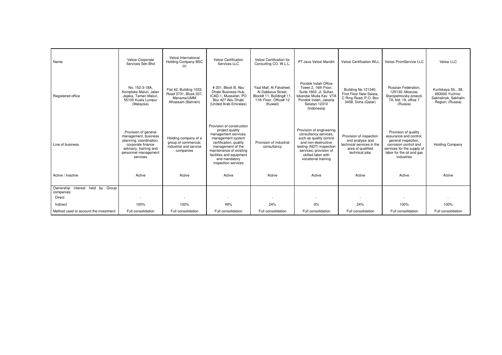| Name                                                     | Velosi Corporate<br>Services Sdn Bhd                                                                                                                       | Velosi International<br><b>Holding Company BSC</b>                                   | Velosi Certification<br>Services LLC                                                                                                                                                                                                    | Velosi Certification for<br>Consulting CO. W.L.L.                                                             | PT Java Velosi Mandiri                                                                                                                                                                                 | <b>Velosi Certification WLL</b>                                                                                 | Velosi PromService LLC                                                                                                                                                  | Velosi LLC                                                                         |
|----------------------------------------------------------|------------------------------------------------------------------------------------------------------------------------------------------------------------|--------------------------------------------------------------------------------------|-----------------------------------------------------------------------------------------------------------------------------------------------------------------------------------------------------------------------------------------|---------------------------------------------------------------------------------------------------------------|--------------------------------------------------------------------------------------------------------------------------------------------------------------------------------------------------------|-----------------------------------------------------------------------------------------------------------------|-------------------------------------------------------------------------------------------------------------------------------------------------------------------------|------------------------------------------------------------------------------------|
| Registered office                                        | No. 152-3-18A.<br>Kompleks Maluri, Jalan<br>Jejaka, Taman Maluri,<br>55100 Kuala Lumpur<br>(Malaysia)                                                      | Flat 42, Building 1033,<br>Road 3731, Block 337,<br>Menama/UMM<br>Alhassam (Bahrain) | # 201. Block B. Abu<br>Dhabi Business Hub.<br>ICAD-1, Mussafah, PO<br>Box 427 Abu Dhabi<br>(United Arab Emirates)                                                                                                                       | Yaal Mall, Al Fahaheel<br>Al Dabbous Street.<br>Block# 11, Building# 11<br>11th Floor, Office# 12<br>(Kuwait) | Pondok Indah Office<br>Tower 2, 16th Floor,<br>Suite 1602, Jl. Sultan<br>Iskandar Muda Kav. VTA<br>Pondok Indah, Jakarta<br>Selatan 12310<br>(Indonesia)                                               | Building No 121340,<br>First Floor New Salata.<br>C Ring Road, P.O. Box<br>3408, Doha (Qatar)                   | Russian Federation.<br>125130, Moscow,<br>Staropetrovsky proezd,<br>7A, bld. 19, office 7<br>(Russia)                                                                   | Kurilskaya Str., 38,<br>693000 Yuzhno-<br>Sakhalinsk, Sakhalin<br>Region, (Russia) |
| Line of business                                         | Provision of general<br>management, business<br>planning, coordination,<br>corporate finance<br>advisory, training and<br>personnel management<br>services | Holding company of a<br>group of commercial.<br>industrial and service<br>companies  | Provision of construction<br>project quality<br>management services,<br>management system<br>certification, quality<br>management of the<br>maintenance of existing<br>facilities and equipment<br>and mandatory<br>inspection services | Provision of industrial<br>consultancy                                                                        | Provision of engineering<br>consultancy services,<br>such as quality control<br>and non-destructive<br>testing (NDT) inspection<br>services, provision of<br>skilled labor with<br>vocational training | Provision of inspection<br>and analysis and<br>technical services in the<br>area of qualified<br>technical jobs | Provision of quality<br>assurance and control.<br>general inspection,<br>corrosion control and<br>services for the supply of<br>labor for the oil and gas<br>industries | <b>Holding Company</b>                                                             |
| Active / Inactive                                        | Active                                                                                                                                                     | Active                                                                               | Active                                                                                                                                                                                                                                  | Active                                                                                                        | Active                                                                                                                                                                                                 | Active                                                                                                          | Active                                                                                                                                                                  | Active                                                                             |
| Ownership interest held by Group<br>companies:<br>Direct |                                                                                                                                                            |                                                                                      |                                                                                                                                                                                                                                         |                                                                                                               |                                                                                                                                                                                                        |                                                                                                                 |                                                                                                                                                                         |                                                                                    |
| Indirect                                                 | 100%                                                                                                                                                       | 100%                                                                                 | 49%                                                                                                                                                                                                                                     | 24%                                                                                                           | 0%                                                                                                                                                                                                     | 24%                                                                                                             | 100%                                                                                                                                                                    | 100%                                                                               |
| Method used to account the investment                    | Full consolidation                                                                                                                                         | Full consolidation                                                                   | Full consolidation                                                                                                                                                                                                                      | Full consolidation                                                                                            | Full consolidation                                                                                                                                                                                     | Full consolidation                                                                                              | Full consolidation                                                                                                                                                      | Full consolidation                                                                 |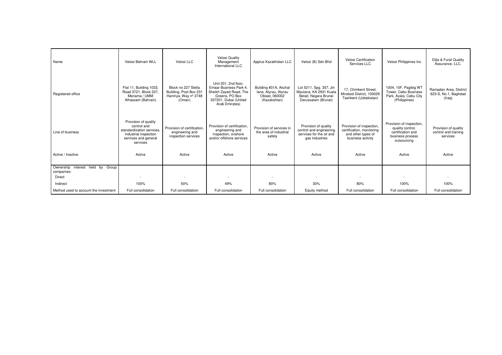| Name                                              | Velosi Bahrain WLL                                                                                                            | Velosi LLC                                                                      | <b>Velosi Quality</b><br>Management<br>International LLC                                                                              | Applus Kazakhstan LLC                                                           | Velosi (B) Sdn Bhd                                                                                | Velosi Certification<br>Services LLC                                                             | Velosi Philippines Inc                                                                               | Dijla & Furat Quality<br>Assurance, LLC.                       |
|---------------------------------------------------|-------------------------------------------------------------------------------------------------------------------------------|---------------------------------------------------------------------------------|---------------------------------------------------------------------------------------------------------------------------------------|---------------------------------------------------------------------------------|---------------------------------------------------------------------------------------------------|--------------------------------------------------------------------------------------------------|------------------------------------------------------------------------------------------------------|----------------------------------------------------------------|
| Registered office                                 | Flat 11, Building 1033,<br>Road 3721, Block 337,<br>Menama / UMM<br>Alhassam (Bahrain)                                        | Block no 227 Stella<br>Building, Post Box 231<br>Hamriya. Way nº 2748<br>(Oman) | Unit 201, 2nd floor,<br>Emaar Business Park 4.<br>Sheikh Zayed Road, The<br>Greens, PO Box<br>337201, Dubai (United<br>Arab Emirates) | Building #31A, Akzhal<br>lane, Atyrau, Atyrau<br>Oblast, 060002<br>(Kazakshtan) | Lot 5211, Spg. 357, Jln<br>Maulana, KA 2931 Kuala<br>Belait, Negara Brunei<br>Darussalam (Brunei) | 17, Chimkent Street,<br>Mirobod District, 100029<br>Tashkent (Uzbekistan)                        | 1004, 10F, Pagibig WT<br>Tower, Cebu Business<br>Park, Ayala, Cebu City<br>(Philippines)             | Ramadan Area, District<br>623-S, No.1, Baghdad<br>$($ lraq $)$ |
| Line of business                                  | Provision of quality<br>control and<br>standardization services.<br>industrial inspection<br>services and general<br>services | Provision of certification.<br>engineering and<br>inspection services           | Provision of certification<br>engineering and<br>inspection, onshore<br>and/or offshore services                                      | Provision of services in<br>the area of industrial<br>safety                    | Provision of quality<br>control and engineering<br>services for the oil and<br>gas industries     | Provision of inspection,<br>certification, monitoring<br>and other types of<br>business activity | Provision of inspection,<br>quality control,<br>certification and<br>business process<br>outsourcing | Provision of quality<br>control and training<br>services       |
| Active / Inactive                                 | Active                                                                                                                        | Active                                                                          | Active                                                                                                                                | Active                                                                          | Active                                                                                            | Active                                                                                           | Active                                                                                               | Active                                                         |
| held by Group<br>Ownership interest<br>companies: |                                                                                                                               |                                                                                 |                                                                                                                                       |                                                                                 |                                                                                                   |                                                                                                  |                                                                                                      |                                                                |
| Direct                                            |                                                                                                                               |                                                                                 |                                                                                                                                       |                                                                                 | $\overline{\phantom{a}}$                                                                          | $\overline{\phantom{a}}$                                                                         | $\sim$                                                                                               |                                                                |
| Indirect                                          | 100%                                                                                                                          | 50%                                                                             | 49%                                                                                                                                   | 80%                                                                             | 30%                                                                                               | 80%                                                                                              | 100%                                                                                                 | 100%                                                           |
| Method used to account the investment             | Full consolidation                                                                                                            | Full consolidation                                                              | Full consolidation                                                                                                                    | Full consolidation                                                              | Equity method                                                                                     | Full consolidation                                                                               | Full consolidation                                                                                   | Full consolidation                                             |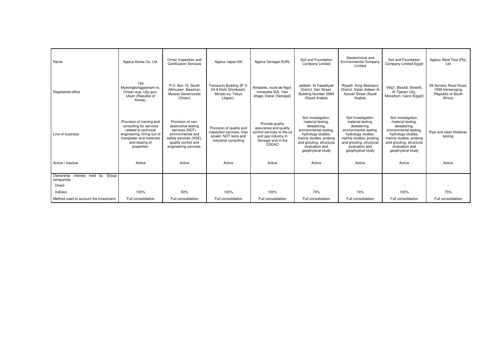| Name                                                     | Applus Korea Co, Ltd.                                                                                                                                                 | Oman Inspection and<br><b>Certification Services</b>                                                                                                       | Applus Japan KK                                                                                       | Applus Senegal SURL                                                                                                           | Soil and Foundation<br>Company Limited                                                                                                                                                                | Geotechnical and<br><b>Environmental Company</b><br>Limited                                                                                                                                           | Soil and Foundation<br>Company Limited Egypt                                                                                                                                                          | Applus Steel Test (Pty)<br>Ltd                                             |
|----------------------------------------------------------|-----------------------------------------------------------------------------------------------------------------------------------------------------------------------|------------------------------------------------------------------------------------------------------------------------------------------------------------|-------------------------------------------------------------------------------------------------------|-------------------------------------------------------------------------------------------------------------------------------|-------------------------------------------------------------------------------------------------------------------------------------------------------------------------------------------------------|-------------------------------------------------------------------------------------------------------------------------------------------------------------------------------------------------------|-------------------------------------------------------------------------------------------------------------------------------------------------------------------------------------------------------|----------------------------------------------------------------------------|
| Registered office                                        | 194<br>Myeongbonggeonam-ro,<br>Onsan-eup, Ulju-gun,<br>Ulsan (Republic of<br>Korea).                                                                                  | P.O. Box 15. South<br>Alkhuawir, Bawshar,<br>Muscat Governorate<br>(Oman)                                                                                  | Yamauchi Building 3F 3-<br>24-8 Nishi Shimbashi.<br>Minato-ku, Tokyo<br>(Japan).                      | Almadies, route de Ngor.<br>immeuble SIA, 14er<br>étage, Dakar (Senegal)                                                      | Jeddah. Al Faisalliyah<br>District. Sari Street.<br>Building Number 2969<br>(Saudi Arabia)                                                                                                            | Rivadh. King Abdulaziz<br>District, Salah Aldeen Al<br>Ayoubi Street (Saudi<br>Arabia)                                                                                                                | Villa7, Block8, Street9,<br>Al Tijarien City,<br>Mokattam, Cairo (Egypt)                                                                                                                              | 28 Senator Rood Road.<br>1939 Vereeniging<br>(Republic of South<br>Africa) |
| Line of business                                         | Provision of training and<br>consulting for services<br>related to technical<br>engineering, hiring-out of<br>manpower and materials<br>and leasing of<br>properties. | Provision of non-<br>destructive testing<br>services (NDT),<br>environmental and<br>safety services (HSE),<br>quality control and<br>engineering services. | Provision of quality and<br>inspection services, man<br>power, NDT tests and<br>industrial consulting | Provide quality<br>assurance and quality<br>control services to the oil<br>and gas industry in<br>Senegal and in the<br>CDEAO | Soil investigation.<br>material testing.<br>dewatering,<br>environmental testing,<br>hydrology studies,<br>marine studies, probing<br>and grouting, structural<br>evaluation and<br>geophysical study | Soil investigation.<br>material testing.<br>dewatering,<br>environmental testing.<br>hydrology studies,<br>marine studies, probing<br>and grouting, structural<br>evaluation and<br>geophysical study | Soil investigation,<br>material testing.<br>dewatering,<br>environmental testing.<br>hydrology studies,<br>marine studies, probing<br>and grouting, structural<br>evaluation and<br>geophysical study | Pipe and steel thickener<br>testing                                        |
| Active / Inactive                                        | Active                                                                                                                                                                | Active                                                                                                                                                     | Active                                                                                                | Active                                                                                                                        | Active                                                                                                                                                                                                | Active                                                                                                                                                                                                | Active                                                                                                                                                                                                | Active                                                                     |
| Ownership interest held by Group<br>companies:<br>Direct |                                                                                                                                                                       |                                                                                                                                                            |                                                                                                       |                                                                                                                               |                                                                                                                                                                                                       |                                                                                                                                                                                                       | $\overline{\phantom{a}}$                                                                                                                                                                              |                                                                            |
| Indirect                                                 | 100%                                                                                                                                                                  | 50%                                                                                                                                                        | 100%                                                                                                  | 100%                                                                                                                          | 74%                                                                                                                                                                                                   | 74%                                                                                                                                                                                                   | 100%                                                                                                                                                                                                  | 75%                                                                        |
| Method used to account the investment                    | Full consolidation                                                                                                                                                    | Full consolidation                                                                                                                                         | Full consolidation                                                                                    | Full consolidation                                                                                                            | Full consolidation                                                                                                                                                                                    | Full consolidation                                                                                                                                                                                    | Full consolidation                                                                                                                                                                                    | Full consolidation                                                         |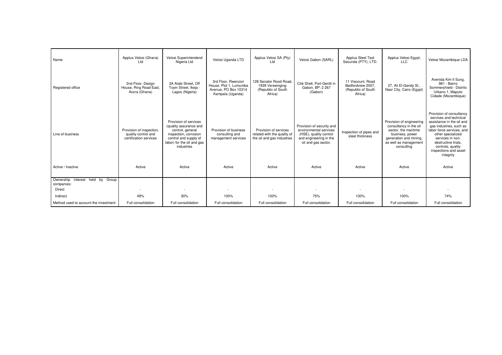| Name                                              | Applus Velosi (Ghana)<br>Ltd                                              | Velosi Superintendend<br>Nigeria Ltd                                                                                                                              | Velosi Uganda LTD                                                                         | Applus Velosi SA (Pty)<br>Ltd                                                      | Velosi Gabon (SARL)                                                                                                            | Applus Steel Test<br>Secunda (PTY), LTD.                                | Applus Velosi Egypt,<br>LLC.                                                                                                                                   | Velosi Mozambique LDA                                                                                                                                                                                                                                              |
|---------------------------------------------------|---------------------------------------------------------------------------|-------------------------------------------------------------------------------------------------------------------------------------------------------------------|-------------------------------------------------------------------------------------------|------------------------------------------------------------------------------------|--------------------------------------------------------------------------------------------------------------------------------|-------------------------------------------------------------------------|----------------------------------------------------------------------------------------------------------------------------------------------------------------|--------------------------------------------------------------------------------------------------------------------------------------------------------------------------------------------------------------------------------------------------------------------|
| Registered office                                 | 2nd Floor, Design<br>House, Ring Road East,<br>Accra (Ghana)              | 3A Alabi Street. Off<br>Toyin Street, Ikeja -<br>Lagos (Nigeria)                                                                                                  | 3rd Floor, Rwenzori<br>House, Plot 1, Lumumba<br>Avenue, PO Box 10314<br>Kampala (Uganda) | 128 Senator Rood Road<br>1939 Vereeniging<br>(Republic of South<br>Africa)         | Cité Shell, Port-Gentil in<br>Gabon, BP: 2 267<br>(Gabon)                                                                      | 11 Viscount, Road<br>Bedfordview 2007.<br>(Republic of South<br>Africa) | 27, Ali El-Gendy St.,<br>Nasr City, Cairo (Egypt)                                                                                                              | Avenida Kim II Sung,<br>961 - Bairro<br>Sommershield - Distrito<br>Urbano 1, Maputo<br>Cidade (Mozambique)                                                                                                                                                         |
| Line of business                                  | Provision of inspection,<br>quality control and<br>certification services | Provision of services<br>(quality assurance and<br>control, general<br>inspection, corrosion<br>control and supply of<br>labor) for the oil and gas<br>industries | Provision of business<br>consulting and<br>management services                            | Provision of services<br>related with the quality of<br>the oil and gas industries | Provision of security and<br>environmental services<br>(HSE), quality control<br>and engineering in the<br>oil and gas sector. | Inspection of pipes and<br>steel thickness                              | Provision of engineering<br>consultancy in the oil<br>sector, the maritime<br>business, power<br>generation and mining,<br>as well as management<br>consulting | Provision of consultancy<br>services and technical<br>assistance in the oil and<br>gas industries, such as<br>labor force services, and<br>other specialized<br>services in non-<br>destructive trials.<br>controls, quality<br>inspections and asset<br>integrity |
| Active / Inactive                                 | Active                                                                    | Active                                                                                                                                                            | Active                                                                                    | Active                                                                             | Active                                                                                                                         | Active                                                                  | Active                                                                                                                                                         | Active                                                                                                                                                                                                                                                             |
| Ownership interest<br>held by Group<br>companies: |                                                                           |                                                                                                                                                                   |                                                                                           |                                                                                    |                                                                                                                                |                                                                         |                                                                                                                                                                |                                                                                                                                                                                                                                                                    |
| Direct                                            |                                                                           |                                                                                                                                                                   |                                                                                           |                                                                                    |                                                                                                                                |                                                                         |                                                                                                                                                                |                                                                                                                                                                                                                                                                    |
| Indirect                                          | 49%                                                                       | 30%                                                                                                                                                               | 100%                                                                                      | 100%                                                                               | 75%                                                                                                                            | 100%                                                                    | 100%                                                                                                                                                           | 74%                                                                                                                                                                                                                                                                |
| Method used to account the investment             | Full consolidation                                                        | Full consolidation                                                                                                                                                | Full consolidation                                                                        | Full consolidation                                                                 | Full consolidation                                                                                                             | Full consolidation                                                      | Full consolidation                                                                                                                                             | Full consolidation                                                                                                                                                                                                                                                 |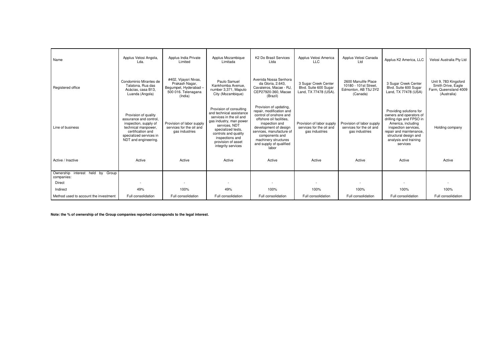| Name                                                     | Applus Velosi Angola,<br>Lda.                                                                                                                                          | Applus India Private<br>Limited                                                                    | Applus Mozambique<br>Limitada                                                                                                                                                                                                           | K2 Do Brasil Services<br>Ltda                                                                                                                                                                                                                                 | Applus Velosi America<br><b>LLC</b>                                     | Applus Velosi Canada<br>Ltd                                                      | Applus K2 America, LLC                                                                                                                                                                                                 | Velosi Australia Pty Ltd                                                            |
|----------------------------------------------------------|------------------------------------------------------------------------------------------------------------------------------------------------------------------------|----------------------------------------------------------------------------------------------------|-----------------------------------------------------------------------------------------------------------------------------------------------------------------------------------------------------------------------------------------|---------------------------------------------------------------------------------------------------------------------------------------------------------------------------------------------------------------------------------------------------------------|-------------------------------------------------------------------------|----------------------------------------------------------------------------------|------------------------------------------------------------------------------------------------------------------------------------------------------------------------------------------------------------------------|-------------------------------------------------------------------------------------|
| Registered office                                        | Condominio Mirantes de<br>Talatona, Rua das<br>Acácias, casa B13,<br>Luanda (Angola)                                                                                   | #402, Vijaysri Nivas,<br>Prakash Nagar,<br>Begumpet, Hyderabad -<br>500 016. Telenagana<br>(India) | Paulo Samuel<br>Kankhomba Avenue.<br>number 3,371, Maputo<br>City (Mozambique)                                                                                                                                                          | Avenida Nossa Senhora<br>da Gloria, 2.643.<br>Cavaleiros, Macae - RJ.<br>CEP27920-360, Macae<br>(Brazil)                                                                                                                                                      | 3 Sugar Creek Center<br>Blvd. Suite 600 Sugar<br>Land, TX 77478 (USA).  | 2600 Manulife Place<br>10180 - 101st Street.<br>Edmonton, AB T5J 3Y2<br>(Canada) | 3 Sugar Creek Center<br>Blvd. Suite 600 Sugar<br>Land, TX 77478 (USA)                                                                                                                                                  | Unit 9, 783 Kingsford<br>Smith Drive, Eagle<br>Farm, Queensland 4009<br>(Australia) |
| Line of business                                         | Provision of quality<br>assurance and control.<br>inspection, supply of<br>technical manpower,<br>certification and<br>specialized services in<br>NDT and engineering. | Provision of labor supply<br>services for the oil and<br>gas industries                            | Provision of consulting<br>and technical assistance<br>services in the oil and<br>gas industry, man power<br>services, NDT<br>specialized tests.<br>controls and quality<br>inspections and<br>provision of asset<br>integrity services | Provision of updating,<br>repair, modification and<br>control of onshore and<br>offshore oil facilities.<br>inspection and<br>development of design<br>services, manufacture of<br>components and<br>machinery structures<br>and supply of qualified<br>labor | Provision of labor supply<br>services for the oil and<br>gas industries | Provision of labor supply<br>services for the oil and<br>gas industries          | Providing solutions for<br>owners and operators of<br>drilling rigs and FPSO in<br>America, including<br>inspection services,<br>repair and maintenance,<br>structural design and<br>analysis and training<br>services | Holding company                                                                     |
| Active / Inactive                                        | Active                                                                                                                                                                 | Active                                                                                             | Active                                                                                                                                                                                                                                  | Active                                                                                                                                                                                                                                                        | Active                                                                  | Active                                                                           | Active                                                                                                                                                                                                                 | Active                                                                              |
| Ownership interest held by Group<br>companies:<br>Direct |                                                                                                                                                                        |                                                                                                    |                                                                                                                                                                                                                                         |                                                                                                                                                                                                                                                               | $\sim$                                                                  |                                                                                  | $\sim$                                                                                                                                                                                                                 |                                                                                     |
| Indirect                                                 | 49%                                                                                                                                                                    | 100%                                                                                               | 49%                                                                                                                                                                                                                                     | 100%                                                                                                                                                                                                                                                          | 100%                                                                    | 100%                                                                             | 100%                                                                                                                                                                                                                   | 100%                                                                                |
| Method used to account the investment                    | Full consolidation                                                                                                                                                     | Full consolidation                                                                                 | Full consolidation                                                                                                                                                                                                                      | Full consolidation                                                                                                                                                                                                                                            | Full consolidation                                                      | Full consolidation                                                               | Full consolidation                                                                                                                                                                                                     | Full consolidation                                                                  |

**Note: the % of ownership of the Group companies reported corresponds to the legal interest.**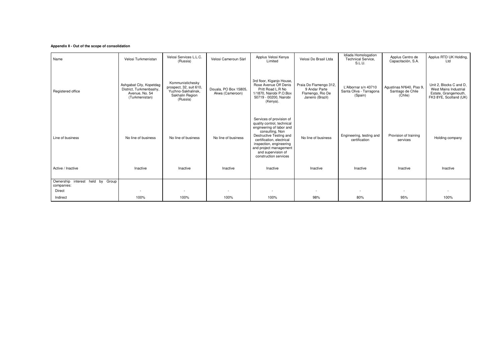## **Appendix II - Out of the scope of consolidation**

| Name                                              | Velosi Turkmenistan                                                                    | Velosi Services L.L.C.<br>(Russia)                                                              | Velosi Cameroun Sàrl                     | Applus Velosi Kenya<br>Limited                                                                                                                                                                                                                                    | Velosi Do Brasil Ltda                                                           | Idiada Homologation<br><b>Technical Service,</b><br>S.L.U. | Applus Centro de<br>Capacitación, S.A.                   | Applus RTD UK Holding,<br>Ltd                                                                      |
|---------------------------------------------------|----------------------------------------------------------------------------------------|-------------------------------------------------------------------------------------------------|------------------------------------------|-------------------------------------------------------------------------------------------------------------------------------------------------------------------------------------------------------------------------------------------------------------------|---------------------------------------------------------------------------------|------------------------------------------------------------|----------------------------------------------------------|----------------------------------------------------------------------------------------------------|
| Registered office                                 | Ashgabat City, Kopetdag<br>District, Turkmenbashy,<br>Avenue, No. 54<br>(Turkmenistan) | Kommunistichesky<br>prospect, 32, suit 610<br>Yuzhno-Sakhalinsk.<br>Sakhalin Region<br>(Russia) | Douala, PO Box 15805.<br>Akwa (Cameroon) | 3rd floor, Kiganjo House,<br>Rose Avenue Off Denis<br>Pritt Road L.R No<br>1/1870, Nairobi P.O.Box<br>50719 - 00200, Nairobi<br>(Kenya).                                                                                                                          | Praia Do Flamengo 312,<br>9 Andar Parte<br>Flamengo, Rio De<br>Janeiro (Brazil) | L'Albornar s/n 43710<br>Santa Oliva - Tarragona<br>(Spain) | Agustinas Nº640, Piso 9,<br>Santiago de Chile<br>(Chile) | Unit 2, Blocks C and D,<br>West Mains Industrial<br>Estate, Grangemouth,<br>FK3 8YE, Scotland (UK) |
| Line of business                                  | No line of business                                                                    | No line of business                                                                             | No line of business                      | Services of provision of<br>quality control, technical<br>engineering of labor and<br>consulting, Non<br>Destructive Testing and<br>certification, electrical<br>inspection, engineering<br>and project management<br>and supervision of<br>construction services | No line of business                                                             | Engineering, testing and<br>certification                  | Provision of training<br>services                        | Holding company                                                                                    |
| Active / Inactive                                 | Inactive                                                                               | Inactive                                                                                        | Inactive                                 | Inactive                                                                                                                                                                                                                                                          | Inactive                                                                        | Inactive                                                   | Inactive                                                 | Inactive                                                                                           |
| interest held by Group<br>Ownership<br>companies: |                                                                                        |                                                                                                 |                                          |                                                                                                                                                                                                                                                                   |                                                                                 |                                                            |                                                          |                                                                                                    |
| Direct                                            | 100%                                                                                   | $\overline{\phantom{a}}$<br>100%                                                                | 100%                                     | $\overline{\phantom{a}}$<br>100%                                                                                                                                                                                                                                  | $\sim$<br>98%                                                                   | $\sim$<br>80%                                              | 95%                                                      | 100%                                                                                               |
| Indirect                                          |                                                                                        |                                                                                                 |                                          |                                                                                                                                                                                                                                                                   |                                                                                 |                                                            |                                                          |                                                                                                    |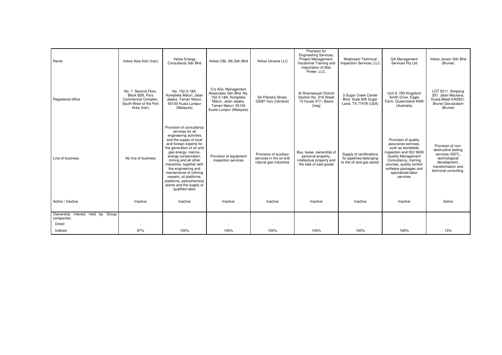| Name                                           | Velosi Asia Kish (Iran)                                                                                 | Velosi Energy<br>Consultants Sdn Bhd                                                                                                                                                                                                                                                                                                                                                                                  | Velosi CBL (M) Sdn Bhd                                                                                                                          | Velosi Ukraine LLC                                                          | Precision for<br><b>Engineering Services,</b><br>Project Management,<br>Vocational Training and<br>Importation of Man<br>Power, LLC. | Midstream Technical<br>Inspection Services, LLC                                  | QA Management<br>Services Pty Ltd                                                                                                                                                                                                | Velosi Jorson Sdn Bhd<br>(Brunei)                                                                                                           |
|------------------------------------------------|---------------------------------------------------------------------------------------------------------|-----------------------------------------------------------------------------------------------------------------------------------------------------------------------------------------------------------------------------------------------------------------------------------------------------------------------------------------------------------------------------------------------------------------------|-------------------------------------------------------------------------------------------------------------------------------------------------|-----------------------------------------------------------------------------|--------------------------------------------------------------------------------------------------------------------------------------|----------------------------------------------------------------------------------|----------------------------------------------------------------------------------------------------------------------------------------------------------------------------------------------------------------------------------|---------------------------------------------------------------------------------------------------------------------------------------------|
| Registered office                              | No. 7, Second Floor,<br>Block B28, Pars<br>Commercial Complex,<br>South-West of the Port<br>Area (Iran) | No. 152-3-18A,<br>Kompleks Maluri, Jalan<br>Jejaka, Taman Maluri,<br>55100 Kuala Lumpur<br>(Malaysia)                                                                                                                                                                                                                                                                                                                 | C/o AGL Management<br>Associates Sdn Bhd, No.<br>152-3-18A, Kompleks<br>Maluri, Jalan Jejaka,<br>Taman Maluri, 55100<br>Kuala Lumpur (Malaysia) | 5A Piterska Street.<br>03087 Kyiv (Ukraine)                                 | Al-Shamasiyah District<br>Section No. 316 Street<br>15 house 37 1, Basra<br>(Iraq)                                                   | 3 Sugar Creek Center<br>Blvd. Suite 600 Sugar<br>Land, TX 77478 (USA)            | Unit 9, 783 Kingsford<br>Smith Drive, Eagle<br>Farm, Queensland 4009<br>(Australia)                                                                                                                                              | LOT 5211. Simpang<br>357, Jalan Maulana,<br>Kuala Belait KA2931.<br>Brunei Darussalam<br>(Brunei)                                           |
| Line of business                               | No line of business                                                                                     | Provision of consultancy<br>services for all<br>engineering activities<br>and the supply of local<br>and foreign experts for<br>the generation of oil and<br>gas energy, marine,<br>energy conservation,<br>mining and all other<br>industries, together with<br>the engineering and<br>maintenance of refining<br>vessels, oil platforms,<br>platforms, petrochemical<br>plants and the supply of<br>qualified labor | Provision of equipment<br>inspection services                                                                                                   | Provision of auxiliary<br>services in the oil and<br>natural gas industries | Buy, lease, ownership of<br>personal property,<br>intellectual property and<br>the sale of said goods                                | Supply of certifications<br>for pipelines belonging<br>to the oil and gas sector | Provision of quality<br>assurance services.<br>such as worldwide<br>inspection and ISO 9000<br>Quality Management<br>Consultancy, training<br>courses, quality control<br>software packages and<br>specialized labor<br>services | Provision of non-<br>destructive testing<br>services (NDT),<br>technological<br>development,<br>transformation and<br>technical consulting. |
| Active / Inactive                              | Inactive                                                                                                | Inactive                                                                                                                                                                                                                                                                                                                                                                                                              | Inactive                                                                                                                                        | Inactive                                                                    | Inactive                                                                                                                             | Inactive                                                                         | Inactive                                                                                                                                                                                                                         | Active                                                                                                                                      |
| Ownership interest held by Group<br>companies: |                                                                                                         |                                                                                                                                                                                                                                                                                                                                                                                                                       |                                                                                                                                                 |                                                                             |                                                                                                                                      |                                                                                  |                                                                                                                                                                                                                                  |                                                                                                                                             |
| Direct                                         |                                                                                                         |                                                                                                                                                                                                                                                                                                                                                                                                                       |                                                                                                                                                 |                                                                             |                                                                                                                                      |                                                                                  |                                                                                                                                                                                                                                  |                                                                                                                                             |
| Indirect                                       | 97%                                                                                                     | 100%                                                                                                                                                                                                                                                                                                                                                                                                                  | 100%                                                                                                                                            | 100%                                                                        | 100%                                                                                                                                 | 100%                                                                             | 100%                                                                                                                                                                                                                             | 15%                                                                                                                                         |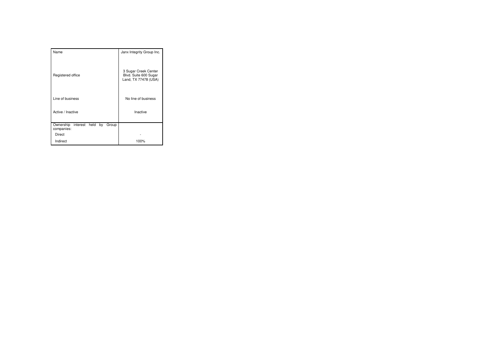| Name                                         | Janx Integrity Group Inc.                                             |
|----------------------------------------------|-----------------------------------------------------------------------|
| Registered office                            | 3 Sugar Creek Center<br>Blvd. Suite 600 Sugar<br>Land, TX 77478 (USA) |
| Line of business                             | No line of business                                                   |
| Active / Inactive                            | Inactive                                                              |
| held<br>Ownership<br>interest<br>Group<br>bγ |                                                                       |
| companies:<br><b>Direct</b>                  |                                                                       |
| Indirect                                     | 100%                                                                  |